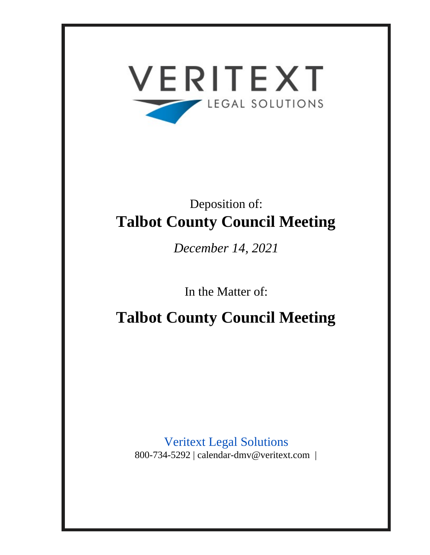

# Deposition of: **Talbot County Council Meeting**

*December 14, 2021*

In the Matter of:

**Talbot County Council Meeting**

Veritext Legal Solutions 800-734-5292 | calendar-dmv@veritext.com |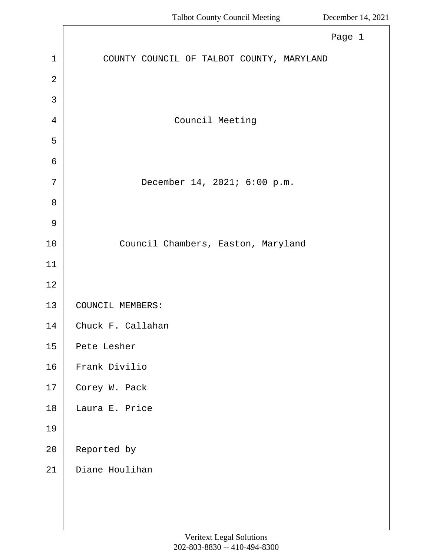|                | Page 1                                    |
|----------------|-------------------------------------------|
| $\mathbf{1}$   | COUNTY COUNCIL OF TALBOT COUNTY, MARYLAND |
| $\overline{2}$ |                                           |
| 3              |                                           |
| $\overline{4}$ | Council Meeting                           |
| 5              |                                           |
| $\epsilon$     |                                           |
| 7              | December 14, 2021; 6:00 p.m.              |
| 8              |                                           |
| $\mathcal{G}$  |                                           |
| 10             | Council Chambers, Easton, Maryland        |
| 11             |                                           |
| 12             |                                           |
| 13             | COUNCIL MEMBERS:                          |
| 14             | Chuck F. Callahan                         |
| 15             | Pete Lesher                               |
| 16             | Frank Divilio                             |
| 17             | Corey W. Pack                             |
| 18             | Laura E. Price                            |
| 19             |                                           |
| 20             | Reported by                               |
| 21             | Diane Houlihan                            |
|                |                                           |
|                |                                           |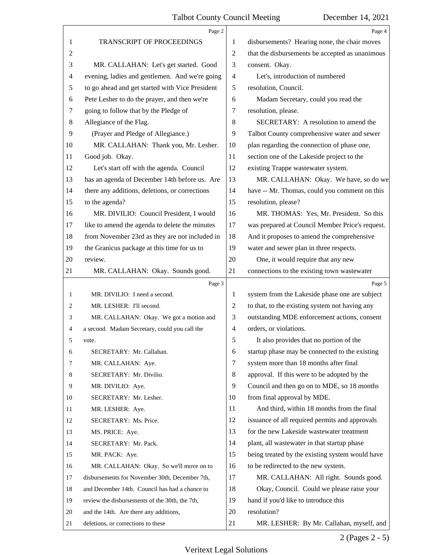|        | Page 2                                          |                | Page 4                                          |
|--------|-------------------------------------------------|----------------|-------------------------------------------------|
| 1      | TRANSCRIPT OF PROCEEDINGS                       | 1              | disbursements? Hearing none, the chair moves    |
| 2      |                                                 | $\overline{2}$ | that the disbursements be accepted as unanimous |
| 3      | MR. CALLAHAN: Let's get started. Good           | 3              | consent. Okay.                                  |
| 4      | evening, ladies and gentlemen. And we're going  | 4              | Let's, introduction of numbered                 |
| 5      | to go ahead and get started with Vice President | 5              | resolution, Council.                            |
| 6      | Pete Lesher to do the prayer, and then we're    | 6              | Madam Secretary, could you read the             |
| $\tau$ | going to follow that by the Pledge of           | 7              | resolution, please.                             |
| 8      | Allegiance of the Flag.                         | 8              | SECRETARY: A resolution to amend the            |
| 9      | (Prayer and Pledge of Allegiance.)              | 9              | Talbot County comprehensive water and sewer     |
| 10     | MR. CALLAHAN: Thank you, Mr. Lesher.            | 10             | plan regarding the connection of phase one,     |
| 11     | Good job. Okay.                                 | 11             | section one of the Lakeside project to the      |
| 12     | Let's start off with the agenda. Council        | 12             | existing Trappe wastewater system.              |
| 13     | has an agenda of December 14th before us. Are   | 13             | MR. CALLAHAN: Okay. We have, so do we           |
| 14     | there any additions, deletions, or corrections  | 14             | have -- Mr. Thomas, could you comment on this   |
| 15     | to the agenda?                                  | 15             | resolution, please?                             |
| 16     | MR. DIVILIO: Council President, I would         | 16             | MR. THOMAS: Yes, Mr. President. So this         |
| 17     | like to amend the agenda to delete the minutes  | 17             | was prepared at Council Member Price's request. |
| 18     | from November 23rd as they are not included in  | 18             | And it proposes to amend the comprehensive      |
| 19     | the Granicus package at this time for us to     | 19             | water and sewer plan in three respects.         |
| $20\,$ | review.                                         | 20             | One, it would require that any new              |
| 21     | MR. CALLAHAN: Okay. Sounds good.                | 21             | connections to the existing town wastewater     |
|        |                                                 |                |                                                 |
|        | Page 3                                          |                | Page 5                                          |
| 1      | MR. DIVILIO: I need a second.                   | 1              | system from the Lakeside phase one are subject  |
| 2      | MR. LESHER: I'll second.                        | 2              | to that, to the existing system not having any  |
| 3      | MR. CALLAHAN: Okay. We got a motion and         | 3              | outstanding MDE enforcement actions, consent    |
| 4      | a second. Madam Secretary, could you call the   | 4              | orders, or violations.                          |
| 5      | vote.                                           | 5              | It also provides that no portion of the         |
| 6      | SECRETARY: Mr. Callahan.                        | 6              | startup phase may be connected to the existing  |
| 7      | MR. CALLAHAN: Aye.                              | 7              | system more than 18 months after final          |
| 8      | SECRETARY: Mr. Divilio.                         | 8              | approval. If this were to be adopted by the     |
| 9      | MR. DIVILIO: Aye.                               | 9              | Council and then go on to MDE, so 18 months     |
| 10     | SECRETARY: Mr. Lesher.                          | 10             | from final approval by MDE.                     |
| 11     | MR. LESHER: Aye.                                | 11             | And third, within 18 months from the final      |
| 12     | SECRETARY: Ms. Price.                           | 12             | issuance of all required permits and approvals  |
| 13     | MS. PRICE: Aye.                                 | 13             | for the new Lakeside wastewater treatment       |
| 14     | SECRETARY: Mr. Pack.                            | 14             | plant, all wastewater in that startup phase     |
| 15     | MR. PACK: Aye.                                  | 15             | being treated by the existing system would have |
| 16     | MR. CALLAHAN: Okay. So we'll move on to         | 16             | to be redirected to the new system.             |
| 17     | disbursements for November 30th, December 7th,  | 17             | MR. CALLAHAN: All right. Sounds good.           |
| 18     | and December 14th. Council has had a chance to  | 18             | Okay, Council. Could we please raise your       |
| 19     | review the disbursements of the 30th, the 7th,  | 19             | hand if you'd like to introduce this            |
| 20     | and the 14th. Are there any additions,          | 20             | resolution?                                     |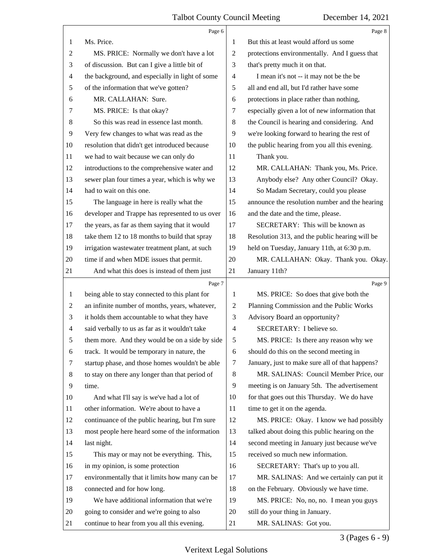|                | Page 6                                          |                | Page 8                                          |
|----------------|-------------------------------------------------|----------------|-------------------------------------------------|
| 1              | Ms. Price.                                      | 1              | But this at least would afford us some          |
| $\overline{c}$ | MS. PRICE: Normally we don't have a lot         | 2              | protections environmentally. And I guess that   |
| 3              | of discussion. But can I give a little bit of   | 3              | that's pretty much it on that.                  |
| 4              | the background, and especially in light of some | 4              | I mean it's not -- it may not be the be         |
| 5              | of the information that we've gotten?           | 5              | all and end all, but I'd rather have some       |
| 6              | MR. CALLAHAN: Sure.                             | 6              | protections in place rather than nothing,       |
| 7              | MS. PRICE: Is that okay?                        | $\tau$         | especially given a lot of new information that  |
| 8              | So this was read in essence last month.         | 8              | the Council is hearing and considering. And     |
| 9              | Very few changes to what was read as the        | 9              | we're looking forward to hearing the rest of    |
| 10             | resolution that didn't get introduced because   | 10             | the public hearing from you all this evening.   |
| 11             | we had to wait because we can only do           | 11             | Thank you.                                      |
| 12             | introductions to the comprehensive water and    | 12             | MR. CALLAHAN: Thank you, Ms. Price.             |
| 13             | sewer plan four times a year, which is why we   | 13             | Anybody else? Any other Council? Okay.          |
| 14             | had to wait on this one.                        | 14             | So Madam Secretary, could you please            |
| 15             | The language in here is really what the         | 15             | announce the resolution number and the hearing  |
| 16             | developer and Trappe has represented to us over | 16             | and the date and the time, please.              |
| 17             | the years, as far as them saying that it would  | 17             | SECRETARY: This will be known as                |
| 18             | take them 12 to 18 months to build that spray   | 18             | Resolution 313, and the public hearing will be  |
| 19             | irrigation wastewater treatment plant, at such  | 19             | held on Tuesday, January 11th, at 6:30 p.m.     |
| 20             | time if and when MDE issues that permit.        | 20             | MR. CALLAHAN: Okay. Thank you. Okay.            |
| 21             | And what this does is instead of them just      | 21             | January 11th?                                   |
|                | Page 7                                          |                | Page 9                                          |
| $\mathbf{1}$   | being able to stay connected to this plant for  | 1              | MS. PRICE: So does that give both the           |
| $\overline{2}$ | an infinite number of months, years, whatever,  | $\overline{2}$ | Planning Commission and the Public Works        |
| 3              | it holds them accountable to what they have     | 3              | Advisory Board an opportunity?                  |
| $\overline{4}$ | said verbally to us as far as it wouldn't take  | $\overline{4}$ | SECRETARY: I believe so.                        |
| 5              | them more. And they would be on a side by side  | 5              | MS. PRICE: Is there any reason why we           |
| 6              | track. It would be temporary in nature, the     | 6              | should do this on the second meeting in         |
| 7              | startup phase, and those homes wouldn't be able | 7              | January, just to make sure all of that happens? |
| 8              | to stay on there any longer than that period of | 8              | MR. SALINAS: Council Member Price, our          |
| 9              | time.                                           | 9              | meeting is on January 5th. The advertisement    |
| 10             | And what I'll say is we've had a lot of         | 10             | for that goes out this Thursday. We do have     |
| 11             | other information. We're about to have a        | 11             | time to get it on the agenda.                   |
| 12             | continuance of the public hearing, but I'm sure | 12             | MS. PRICE: Okay. I know we had possibly         |
| 13             | most people here heard some of the information  | 13             | talked about doing this public hearing on the   |
| 14             | last night.                                     | 14             | second meeting in January just because we've    |
| 15             | This may or may not be everything. This,        | 15             | received so much new information.               |
| 16             | in my opinion, is some protection               | 16             | SECRETARY: That's up to you all.                |
| 17             | environmentally that it limits how many can be  | 17             | MR. SALINAS: And we certainly can put it        |
| 18             | connected and for how long.                     | 18             | on the February. Obviously we have time.        |
| 19             | We have additional information that we're       | 19             | MS. PRICE: No, no, no. I mean you guys          |
| 20             | going to consider and we're going to also       | 20             | still do your thing in January.                 |
| 21             | continue to hear from you all this evening.     | 21             | MR. SALINAS: Got you.                           |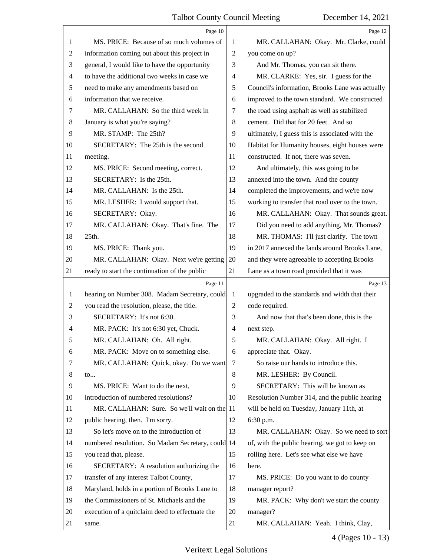|                | Page 10                                           |                | Page 12                                         |
|----------------|---------------------------------------------------|----------------|-------------------------------------------------|
| 1              | MS. PRICE: Because of so much volumes of          | 1              | MR. CALLAHAN: Okay. Mr. Clarke, could           |
| $\overline{2}$ | information coming out about this project in      | $\overline{2}$ | you come on up?                                 |
| 3              | general, I would like to have the opportunity     | 3              | And Mr. Thomas, you can sit there.              |
| $\overline{4}$ | to have the additional two weeks in case we       | 4              | MR. CLARKE: Yes, sir. I guess for the           |
| 5              | need to make any amendments based on              | 5              | Council's information, Brooks Lane was actually |
| 6              | information that we receive.                      | 6              | improved to the town standard. We constructed   |
| 7              | MR. CALLAHAN: So the third week in                | 7              | the road using asphalt as well as stabilized    |
| 8              | January is what you're saying?                    | 8              | cement. Did that for 20 feet. And so            |
| 9              | MR. STAMP: The 25th?                              | 9              | ultimately, I guess this is associated with the |
| 10             | SECRETARY: The 25th is the second                 | 10             | Habitat for Humanity houses, eight houses were  |
| 11             | meeting.                                          | 11             | constructed. If not, there was seven.           |
| 12             | MS. PRICE: Second meeting, correct.               | 12             | And ultimately, this was going to be            |
| 13             | SECRETARY: Is the 25th.                           | 13             | annexed into the town. And the county           |
| 14             | MR. CALLAHAN: Is the 25th.                        | 14             | completed the improvements, and we're now       |
| 15             | MR. LESHER: I would support that.                 | 15             | working to transfer that road over to the town. |
| 16             | SECRETARY: Okay.                                  | 16             | MR. CALLAHAN: Okay. That sounds great.          |
| 17             | MR. CALLAHAN: Okay. That's fine. The              | 17             | Did you need to add anything, Mr. Thomas?       |
| 18             | $25th$ .                                          | 18             | MR. THOMAS: I'll just clarify. The town         |
| 19             | MS. PRICE: Thank you.                             | 19             | in 2017 annexed the lands around Brooks Lane,   |
| 20             | MR. CALLAHAN: Okay. Next we're getting            | 20             | and they were agreeable to accepting Brooks     |
| 21             | ready to start the continuation of the public     | 21             | Lane as a town road provided that it was        |
|                |                                                   |                |                                                 |
|                | Page 11                                           |                | Page 13                                         |
| 1              | hearing on Number 308. Madam Secretary, could     | $\mathbf{1}$   | upgraded to the standards and width that their  |
| $\overline{2}$ | you read the resolution, please, the title.       | 2              | code required.                                  |
| 3              | SECRETARY: It's not 6:30.                         | 3              | And now that that's been done, this is the      |
| 4              | MR. PACK: It's not 6:30 yet, Chuck.               | 4              | next step.                                      |
| 5              | MR. CALLAHAN: Oh. All right.                      | 5              | MR. CALLAHAN: Okay. All right. I                |
| 6              | MR. PACK: Move on to something else.              | 6              | appreciate that. Okay.                          |
| 7              | MR. CALLAHAN: Quick, okay. Do we want             | 7              | So raise our hands to introduce this.           |
| 8              | $\mathfrak{to}$                                   | 8              | MR. LESHER: By Council.                         |
| 9              | MS. PRICE: Want to do the next,                   | 9              | SECRETARY: This will be known as                |
| 10             | introduction of numbered resolutions?             | 10             | Resolution Number 314, and the public hearing   |
| 11             | MR. CALLAHAN: Sure. So we'll wait on the 11       |                | will be held on Tuesday, January 11th, at       |
| 12             | public hearing, then. I'm sorry.                  | 12             | 6:30 p.m.                                       |
| 13             | So let's move on to the introduction of           | 13             | MR. CALLAHAN: Okay. So we need to sort          |
| 14             | numbered resolution. So Madam Secretary, could 14 |                | of, with the public hearing, we got to keep on  |
| 15             | you read that, please.                            | 15             | rolling here. Let's see what else we have       |
| 16             | SECRETARY: A resolution authorizing the           | 16             | here.                                           |
| 17             | transfer of any interest Talbot County,           | 17             | MS. PRICE: Do you want to do county             |
| 18             | Maryland, holds in a portion of Brooks Lane to    | 18             | manager report?                                 |
| 19             | the Commissioners of St. Michaels and the         | 19             | MR. PACK: Why don't we start the county         |
| 20             | execution of a quitclaim deed to effectuate the   | 20             | manager?                                        |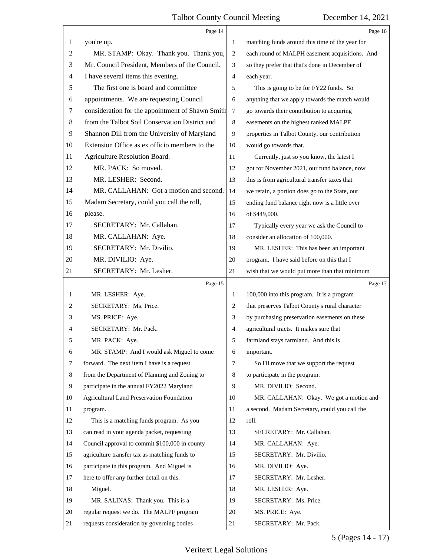|                | Page 14                                          |                | Page 16                                         |
|----------------|--------------------------------------------------|----------------|-------------------------------------------------|
| $\mathbf{1}$   | you're up.                                       | 1              | matching funds around this time of the year for |
| $\overline{2}$ | MR. STAMP: Okay. Thank you. Thank you,           | $\overline{2}$ | each round of MALPH easement acquisitions. And  |
| 3              | Mr. Council President, Members of the Council.   | 3              | so they prefer that that's done in December of  |
| $\overline{4}$ | I have several items this evening.               | $\overline{4}$ | each year.                                      |
| 5              | The first one is board and committee             | 5              | This is going to be for FY22 funds. So          |
| 6              | appointments. We are requesting Council          | 6              | anything that we apply towards the match would  |
| 7              | consideration for the appointment of Shawn Smith | $\tau$         | go towards their contribution to acquiring      |
| 8              | from the Talbot Soil Conservation District and   | $\,8\,$        | easements on the highest ranked MALPF           |
| 9              | Shannon Dill from the University of Maryland     | $\overline{9}$ | properties in Talbot County, our contribution   |
| 10             | Extension Office as ex officio members to the    | 10             | would go towards that.                          |
| 11             | Agriculture Resolution Board.                    | 11             | Currently, just so you know, the latest I       |
| 12             | MR. PACK: So moved.                              | 12             | got for November 2021, our fund balance, now    |
| 13             | MR. LESHER: Second.                              | 13             | this is from agricultural transfer taxes that   |
| 14             | MR. CALLAHAN: Got a motion and second.           | 14             | we retain, a portion does go to the State, our  |
| 15             | Madam Secretary, could you call the roll,        | 15             | ending fund balance right now is a little over  |
| 16             | please.                                          | 16             | of \$449,000.                                   |
| 17             | SECRETARY: Mr. Callahan.                         | 17             | Typically every year we ask the Council to      |
| 18             | MR. CALLAHAN: Aye.                               | 18             | consider an allocation of 100,000.              |
| 19             | SECRETARY: Mr. Divilio.                          | 19             | MR. LESHER: This has been an important          |
| 20             | MR. DIVILIO: Aye.                                | 20             | program. I have said before on this that I      |
| 21             | SECRETARY: Mr. Lesher.                           | 21             | wish that we would put more than that minimum   |
|                | Page 15                                          |                | Page 17                                         |
| $\mathbf{1}$   | MR. LESHER: Aye.                                 | 1              | 100,000 into this program. It is a program      |
| 2              | SECRETARY: Ms. Price.                            | $\overline{2}$ | that preserves Talbot County's rural character  |
| 3              | MS. PRICE: Aye.                                  | 3              | by purchasing preservation easements on these   |
| 4              |                                                  |                |                                                 |
| 5              | SECRETARY: Mr. Pack.                             | 4              | agricultural tracts. It makes sure that         |
|                | MR. PACK: Aye.                                   | 5              | farmland stays farmland. And this is            |
| 6              | MR. STAMP: And I would ask Miguel to come        | 6              | important.                                      |
| 7              | forward. The next item I have is a request       | 7              | So I'll move that we support the request        |
| 8              | from the Department of Planning and Zoning to    | 8              | to participate in the program.                  |
| 9              | participate in the annual FY2022 Maryland        | 9              | MR. DIVILIO: Second.                            |
| 10             | <b>Agricultural Land Preservation Foundation</b> | 10             | MR. CALLAHAN: Okay. We got a motion and         |
| 11             | program.                                         | 11             | a second. Madam Secretary, could you call the   |
| 12             | This is a matching funds program. As you         | 12             | roll.                                           |
| 13             | can read in your agenda packet, requesting       | 13             | SECRETARY: Mr. Callahan.                        |
| 14             | Council approval to commit \$100,000 in county   | 14             | MR. CALLAHAN: Aye.                              |
| 15             | agriculture transfer tax as matching funds to    | 15             | SECRETARY: Mr. Divilio.                         |
| 16             | participate in this program. And Miguel is       | 16             | MR. DIVILIO: Aye.                               |
| 17             | here to offer any further detail on this.        | 17             | SECRETARY: Mr. Lesher.                          |
| 18             | Miguel.                                          | 18             | MR. LESHER: Aye.                                |
| 19             | MR. SALINAS: Thank you. This is a                | 19             | SECRETARY: Ms. Price.                           |
| 20             | regular request we do. The MALPF program         | 20             | MS. PRICE: Aye.                                 |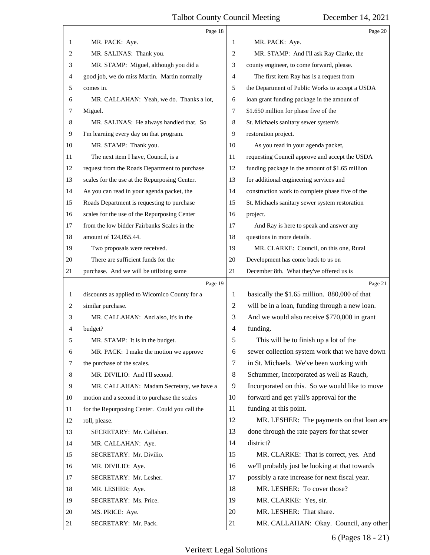|              | Page 18                                        |                | Page 20                                         |
|--------------|------------------------------------------------|----------------|-------------------------------------------------|
| 1            | MR. PACK: Aye.                                 | 1              | MR. PACK: Aye.                                  |
| 2            | MR. SALINAS: Thank you.                        | 2              | MR. STAMP: And I'll ask Ray Clarke, the         |
| 3            | MR. STAMP: Miguel, although you did a          | 3              | county engineer, to come forward, please.       |
| 4            | good job, we do miss Martin. Martin normally   | 4              | The first item Ray has is a request from        |
| 5            | comes in.                                      | 5              | the Department of Public Works to accept a USDA |
| 6            | MR. CALLAHAN: Yeah, we do. Thanks a lot,       | 6              | loan grant funding package in the amount of     |
| 7            | Miguel.                                        | 7              | \$1.650 million for phase five of the           |
| 8            | MR. SALINAS: He always handled that. So        | 8              | St. Michaels sanitary sewer system's            |
| 9            | I'm learning every day on that program.        | 9              | restoration project.                            |
| 10           | MR. STAMP: Thank you.                          | 10             | As you read in your agenda packet,              |
| 11           | The next item I have, Council, is a            | 11             | requesting Council approve and accept the USDA  |
| 12           | request from the Roads Department to purchase  | 12             | funding package in the amount of \$1.65 million |
| 13           | scales for the use at the Repurposing Center.  | 13             | for additional engineering services and         |
| 14           | As you can read in your agenda packet, the     | 14             | construction work to complete phase five of the |
| 15           | Roads Department is requesting to purchase     | 15             | St. Michaels sanitary sewer system restoration  |
| 16           | scales for the use of the Repurposing Center   | 16             | project.                                        |
| 17           | from the low bidder Fairbanks Scales in the    | 17             | And Ray is here to speak and answer any         |
| 18           | amount of 124,055.44.                          | 18             | questions in more details.                      |
| 19           | Two proposals were received.                   | 19             | MR. CLARKE: Council, on this one, Rural         |
| 20           | There are sufficient funds for the             | 20             | Development has come back to us on              |
| 21           | purchase. And we will be utilizing same        | 21             | December 8th. What they've offered us is        |
|              | Page 19                                        |                | Page 21                                         |
| $\mathbf{1}$ | discounts as applied to Wicomico County for a  | 1              | basically the \$1.65 million. 880,000 of that   |
| 2            | similar purchase.                              | $\overline{c}$ | will be in a loan, funding through a new loan.  |
| 3            | MR. CALLAHAN: And also, it's in the            | 3              | And we would also receive \$770,000 in grant    |
| 4            | budget?                                        | $\overline{4}$ | funding.                                        |
| 5            | MR. STAMP: It is in the budget.                | 5              | This will be to finish up a lot of the          |
| 6            | MR. PACK: I make the motion we approve         | 6              | sewer collection system work that we have down  |
| 7            | the purchase of the scales.                    | $\tau$         | in St. Michaels. We've been working with        |
| 8            | MR. DIVILIO: And I'll second.                  | 8              | Schummer, Incorporated as well as Rauch,        |
| 9            | MR. CALLAHAN: Madam Secretary, we have a       | 9              | Incorporated on this. So we would like to move  |
| 10           | motion and a second it to purchase the scales  | 10             | forward and get y'all's approval for the        |
| 11           | for the Repurposing Center. Could you call the | 11             | funding at this point.                          |
| 12           | roll, please.                                  | 12             | MR. LESHER: The payments on that loan are       |
| 13           | SECRETARY: Mr. Callahan.                       | 13             | done through the rate payers for that sewer     |
| 14           | MR. CALLAHAN: Aye.                             | 14             | district?                                       |
| 15           | SECRETARY: Mr. Divilio.                        | 15             | MR. CLARKE: That is correct, yes. And           |
| 16           | MR. DIVILIO: Aye.                              | 16             | we'll probably just be looking at that towards  |
| 17           | SECRETARY: Mr. Lesher.                         | 17             | possibly a rate increase for next fiscal year.  |
| 18           | MR. LESHER: Aye.                               | 18             | MR. LESHER: To cover those?                     |
| 19           | SECRETARY: Ms. Price.                          | 19             | MR. CLARKE: Yes, sir.                           |
| 20           | MS. PRICE: Aye.                                | 20             | MR. LESHER: That share.                         |
| 21           | SECRETARY: Mr. Pack.                           | 21             | MR. CALLAHAN: Okay. Council, any other          |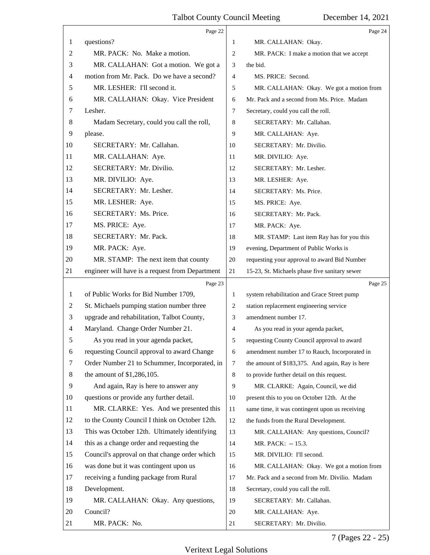|                | Page 22                                         |                | Page 24                                         |
|----------------|-------------------------------------------------|----------------|-------------------------------------------------|
| 1              | questions?                                      | 1              | MR. CALLAHAN: Okay.                             |
| $\overline{c}$ | MR. PACK: No. Make a motion.                    | 2              | MR. PACK: I make a motion that we accept        |
| 3              | MR. CALLAHAN: Got a motion. We got a            | 3              | the bid.                                        |
| 4              | motion from Mr. Pack. Do we have a second?      | $\overline{4}$ | MS. PRICE: Second.                              |
| 5              | MR. LESHER: I'll second it.                     | 5              | MR. CALLAHAN: Okay. We got a motion from        |
| 6              | MR. CALLAHAN: Okay. Vice President              | 6              | Mr. Pack and a second from Ms. Price. Madam     |
| 7              | Lesher.                                         | 7              | Secretary, could you call the roll.             |
| 8              | Madam Secretary, could you call the roll,       | 8              | SECRETARY: Mr. Callahan.                        |
| 9              | please.                                         | 9              | MR. CALLAHAN: Aye.                              |
| 10             | SECRETARY: Mr. Callahan.                        | 10             | SECRETARY: Mr. Divilio.                         |
| 11             | MR. CALLAHAN: Aye.                              | 11             | MR. DIVILIO: Aye.                               |
| 12             | SECRETARY: Mr. Divilio.                         | 12             | SECRETARY: Mr. Lesher.                          |
| 13             | MR. DIVILIO: Aye.                               | 13             | MR. LESHER: Aye.                                |
| 14             | SECRETARY: Mr. Lesher.                          | 14             | SECRETARY: Ms. Price.                           |
| 15             | MR. LESHER: Aye.                                | 15             | MS. PRICE: Aye.                                 |
| 16             | SECRETARY: Ms. Price.                           | 16             | SECRETARY: Mr. Pack.                            |
| 17             | MS. PRICE: Aye.                                 | 17             | MR. PACK: Aye.                                  |
| 18             | SECRETARY: Mr. Pack.                            | 18             | MR. STAMP: Last item Ray has for you this       |
| 19             | MR. PACK: Aye.                                  | 19             | evening, Department of Public Works is          |
| 20             | MR. STAMP: The next item that county            | 20             | requesting your approval to award Bid Number    |
| 21             | engineer will have is a request from Department | 21             | 15-23, St. Michaels phase five sanitary sewer   |
|                | Page 23                                         |                | Page 25                                         |
| 1              | of Public Works for Bid Number 1709,            | 1              | system rehabilitation and Grace Street pump     |
| 2              | St. Michaels pumping station number three       | 2              | station replacement engineering service         |
| 3              | upgrade and rehabilitation, Talbot County,      | 3              | amendment number 17.                            |
| $\overline{4}$ | Maryland. Change Order Number 21.               | 4              | As you read in your agenda packet,              |
| 5              | As you read in your agenda packet,              | 5              | requesting County Council approval to award     |
| 6              | requesting Council approval to award Change     | 6              | amendment number 17 to Rauch, Incorporated in   |
| 7              | Order Number 21 to Schummer, Incorporated, in   | $\tau$         | the amount of \$183,375. And again, Ray is here |
| 8              | the amount of $$1,286,105$ .                    | 8              | to provide further detail on this request.      |
| 9              | And again, Ray is here to answer any            | 9              | MR. CLARKE: Again, Council, we did              |
| 10             | questions or provide any further detail.        | 10             | present this to you on October 12th. At the     |
| 11             | MR. CLARKE: Yes. And we presented this          | 11             | same time, it was contingent upon us receiving  |
| 12             | to the County Council I think on October 12th.  | 12             | the funds from the Rural Development.           |
| 13             | This was October 12th. Ultimately identifying   | 13             | MR. CALLAHAN: Any questions, Council?           |
| 14             | this as a change order and requesting the       | 14             | MR. PACK: -- 15.3.                              |
| 15             | Council's approval on that change order which   | 15             | MR. DIVILIO: I'll second.                       |
|                | was done but it was contingent upon us          | 16             | MR. CALLAHAN: Okay. We got a motion from        |
| 16             | receiving a funding package from Rural          | 17             | Mr. Pack and a second from Mr. Divilio. Madam   |
| 17             |                                                 |                |                                                 |
| 18             | Development.                                    | 18             | Secretary, could you call the roll.             |
| 19             | MR. CALLAHAN: Okay. Any questions,              | 19             | SECRETARY: Mr. Callahan.                        |
| 20             | Council?                                        | 20             | MR. CALLAHAN: Aye.                              |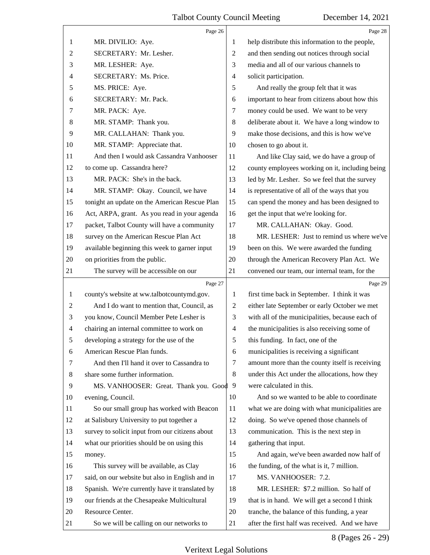|              | Page 26                                         |                | Page 28                                         |
|--------------|-------------------------------------------------|----------------|-------------------------------------------------|
| 1            | MR. DIVILIO: Aye.                               | 1              | help distribute this information to the people, |
| 2            | SECRETARY: Mr. Lesher.                          | $\overline{c}$ | and then sending out notices through social     |
| 3            | MR. LESHER: Aye.                                | 3              | media and all of our various channels to        |
| 4            | SECRETARY: Ms. Price.                           | $\overline{4}$ | solicit participation.                          |
| 5            | MS. PRICE: Aye.                                 | 5              | And really the group felt that it was           |
| 6            | SECRETARY: Mr. Pack.                            | 6              | important to hear from citizens about how this  |
| 7            | MR. PACK: Aye.                                  | 7              | money could be used. We want to be very         |
| 8            | MR. STAMP: Thank you.                           | 8              | deliberate about it. We have a long window to   |
| 9            | MR. CALLAHAN: Thank you.                        | 9              | make those decisions, and this is how we've     |
| 10           | MR. STAMP: Appreciate that.                     | 10             | chosen to go about it.                          |
| 11           | And then I would ask Cassandra Vanhooser        | 11             | And like Clay said, we do have a group of       |
| 12           | to come up. Cassandra here?                     | 12             | county employees working on it, including being |
| 13           | MR. PACK: She's in the back.                    | 13             | led by Mr. Lesher. So we feel that the survey   |
| 14           | MR. STAMP: Okay. Council, we have               | 14             | is representative of all of the ways that you   |
| 15           | tonight an update on the American Rescue Plan   | 15             | can spend the money and has been designed to    |
| 16           | Act, ARPA, grant. As you read in your agenda    | 16             | get the input that we're looking for.           |
| 17           | packet, Talbot County will have a community     | 17             | MR. CALLAHAN: Okay. Good.                       |
| 18           | survey on the American Rescue Plan Act          | 18             | MR. LESHER: Just to remind us where we've       |
| 19           | available beginning this week to garner input   | 19             | been on this. We were awarded the funding       |
| 20           | on priorities from the public.                  | 20             | through the American Recovery Plan Act. We      |
| 21           | The survey will be accessible on our            | 21             | convened our team, our internal team, for the   |
|              |                                                 |                |                                                 |
|              | Page 27                                         |                | Page 29                                         |
| $\mathbf{1}$ | county's website at ww.talbotcountymd.gov.      | $\mathbf{1}$   | first time back in September. I think it was    |
| 2            | And I do want to mention that, Council, as      | $\overline{2}$ | either late September or early October we met   |
| 3            | you know, Council Member Pete Lesher is         | 3              | with all of the municipalities, because each of |
| 4            | chairing an internal committee to work on       | $\overline{4}$ | the municipalities is also receiving some of    |
| 5            | developing a strategy for the use of the        | 5              | this funding. In fact, one of the               |
| 6            | American Rescue Plan funds.                     | 6              | municipalities is receiving a significant       |
| 7            | And then I'll hand it over to Cassandra to      | $\tau$         | amount more than the county itself is receiving |
| 8            | share some further information.                 | $\,8\,$        | under this Act under the allocations, how they  |
| 9            | MS. VANHOOSER: Great. Thank you. Good 9         |                | were calculated in this.                        |
| 10           | evening, Council.                               | 10             | And so we wanted to be able to coordinate       |
| 11           | So our small group has worked with Beacon       | 11             | what we are doing with what municipalities are  |
| 12           | at Salisbury University to put together a       | 12             | doing. So we've opened those channels of        |
| 13           | survey to solicit input from our citizens about | 13             | communication. This is the next step in         |
| 14           | what our priorities should be on using this     | 14             | gathering that input.                           |
| 15           | money.                                          | 15             | And again, we've been awarded now half of       |
| 16           | This survey will be available, as Clay          | 16             | the funding, of the what is it, 7 million.      |
| 17           | said, on our website but also in English and in | 17             | MS. VANHOOSER: 7.2.                             |
| 18           | Spanish. We're currently have it translated by  | 18             | MR. LESHER: \$7.2 million. So half of           |
| 19           | our friends at the Chesapeake Multicultural     | 19             | that is in hand. We will get a second I think   |
| 20           | Resource Center.                                | 20             | tranche, the balance of this funding, a year    |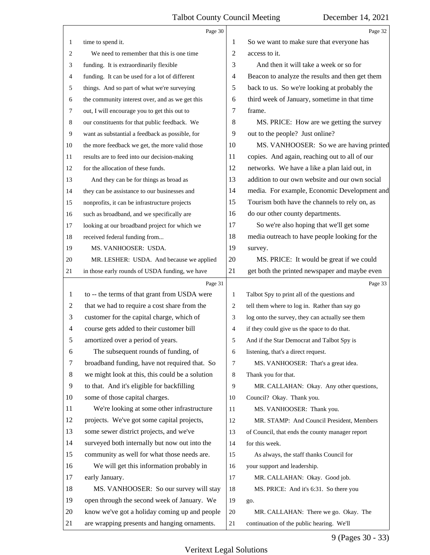|                | Page 30                                         |                | Page 32                                         |
|----------------|-------------------------------------------------|----------------|-------------------------------------------------|
| 1              | time to spend it.                               | 1              | So we want to make sure that everyone has       |
| 2              | We need to remember that this is one time       | $\overline{2}$ | access to it.                                   |
| 3              | funding. It is extraordinarily flexible         | 3              | And then it will take a week or so for          |
| 4              | funding. It can be used for a lot of different  | 4              | Beacon to analyze the results and then get them |
| 5              | things. And so part of what we're surveying     | 5              | back to us. So we're looking at probably the    |
| 6              | the community interest over, and as we get this | 6              | third week of January, sometime in that time    |
| 7              | out, I will encourage you to get this out to    | 7              | frame.                                          |
| 8              | our constituents for that public feedback. We   | 8              | MS. PRICE: How are we getting the survey        |
| 9              | want as substantial a feedback as possible, for | 9              | out to the people? Just online?                 |
| 10             | the more feedback we get, the more valid those  | 10             | MS. VANHOOSER: So we are having printed         |
| 11             | results are to feed into our decision-making    | 11             | copies. And again, reaching out to all of our   |
| 12             | for the allocation of these funds.              | 12             | networks. We have a like a plan laid out, in    |
| 13             | And they can be for things as broad as          | 13             | addition to our own website and our own social  |
| 14             | they can be assistance to our businesses and    | 14             | media. For example, Economic Development and    |
| 15             | nonprofits, it can be infrastructure projects   | 15             | Tourism both have the channels to rely on, as   |
| 16             | such as broadband, and we specifically are      | 16             | do our other county departments.                |
| 17             | looking at our broadband project for which we   | 17             | So we're also hoping that we'll get some        |
| 18             | received federal funding from                   | 18             | media outreach to have people looking for the   |
| 19             | MS. VANHOOSER: USDA.                            | 19             | survey.                                         |
| 20             | MR. LESHER: USDA. And because we applied        | 20             | MS. PRICE: It would be great if we could        |
| 21             | in those early rounds of USDA funding, we have  | 21             | get both the printed newspaper and maybe even   |
|                | Page 31                                         |                | Page 33                                         |
| 1              | to -- the terms of that grant from USDA were    | $\mathbf{1}$   | Talbot Spy to print all of the questions and    |
| $\overline{2}$ | that we had to require a cost share from the    | 2              | tell them where to log in. Rather than say go   |
|                |                                                 |                |                                                 |
| 3              | customer for the capital charge, which of       | 3              | log onto the survey, they can actually see them |
| $\overline{4}$ | course gets added to their customer bill        | $\overline{4}$ | if they could give us the space to do that.     |
| 5              | amortized over a period of years.               | 5              | And if the Star Democrat and Talbot Spy is      |
| 6              | The subsequent rounds of funding, of            | 6              | listening, that's a direct request.             |
| 7              | broadband funding, have not required that. So   | 7              | MS. VANHOOSER: That's a great idea.             |
| 8              | we might look at this, this could be a solution | 8              | Thank you for that.                             |
| 9              | to that. And it's eligible for backfilling      | 9              | MR. CALLAHAN: Okay. Any other questions,        |
| 10             | some of those capital charges.                  | 10             | Council? Okay. Thank you.                       |
| 11             | We're looking at some other infrastructure      | 11             | MS. VANHOOSER: Thank you.                       |
| 12             | projects. We've got some capital projects,      | 12             | MR. STAMP: And Council President, Members       |
| 13             | some sewer district projects, and we've         | 13             | of Council, that ends the county manager report |
| 14             | surveyed both internally but now out into the   | 14             | for this week.                                  |
| 15             | community as well for what those needs are.     | 15             | As always, the staff thanks Council for         |
| 16             | We will get this information probably in        | 16             | your support and leadership.                    |
| 17             | early January.                                  | 17             | MR. CALLAHAN: Okay. Good job.                   |
| 18             | MS. VANHOOSER: So our survey will stay          | 18             | MS. PRICE: And it's 6:31. So there you          |
| 19             | open through the second week of January. We     | 19             | go.                                             |
| 20             | know we've got a holiday coming up and people   | 20             | MR. CALLAHAN: There we go. Okay. The            |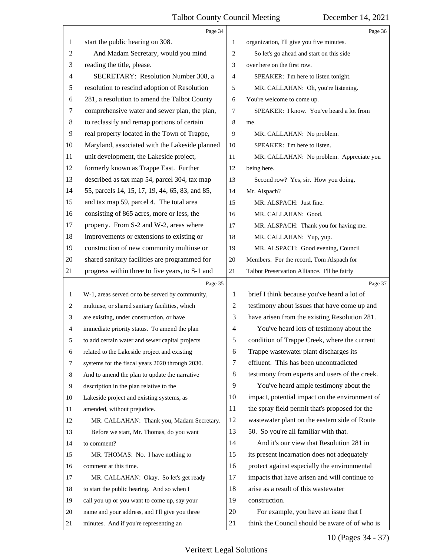|                | Page 34                                         |    | Page 36                                        |
|----------------|-------------------------------------------------|----|------------------------------------------------|
| 1              | start the public hearing on 308.                | 1  | organization, I'll give you five minutes.      |
| $\mathfrak{2}$ | And Madam Secretary, would you mind             | 2  | So let's go ahead and start on this side       |
| 3              | reading the title, please.                      | 3  | over here on the first row.                    |
| $\overline{4}$ | SECRETARY: Resolution Number 308, a             | 4  | SPEAKER: I'm here to listen tonight.           |
| 5              | resolution to rescind adoption of Resolution    | 5  | MR. CALLAHAN: Oh, you're listening.            |
| 6              | 281, a resolution to amend the Talbot County    | 6  | You're welcome to come up.                     |
| 7              | comprehensive water and sewer plan, the plan,   | 7  | SPEAKER: I know. You've heard a lot from       |
| 8              | to reclassify and remap portions of certain     | 8  | me.                                            |
| 9              | real property located in the Town of Trappe,    | 9  | MR. CALLAHAN: No problem.                      |
| 10             | Maryland, associated with the Lakeside planned  | 10 | SPEAKER: I'm here to listen.                   |
| 11             | unit development, the Lakeside project,         | 11 | MR. CALLAHAN: No problem. Appreciate you       |
| 12             | formerly known as Trappe East. Further          | 12 | being here.                                    |
| 13             | described as tax map 54, parcel 304, tax map    | 13 | Second row? Yes, sir. How you doing,           |
| 14             | 55, parcels 14, 15, 17, 19, 44, 65, 83, and 85, | 14 | Mr. Alspach?                                   |
| 15             | and tax map 59, parcel 4. The total area        | 15 | MR. ALSPACH: Just fine.                        |
| 16             | consisting of 865 acres, more or less, the      | 16 | MR. CALLAHAN: Good.                            |
| 17             | property. From S-2 and W-2, areas where         | 17 | MR. ALSPACH: Thank you for having me.          |
| 18             | improvements or extensions to existing or       | 18 | MR. CALLAHAN: Yup, yup.                        |
| 19             | construction of new community multiuse or       | 19 | MR. ALSPACH: Good evening, Council             |
| 20             | shared sanitary facilities are programmed for   | 20 | Members. For the record, Tom Alspach for       |
| 21             | progress within three to five years, to S-1 and | 21 | Talbot Preservation Alliance. I'll be fairly   |
|                | Page 35                                         |    | Page 37                                        |
| $\mathbf{1}$   | W-1, areas served or to be served by community, | 1  | brief I think because you've heard a lot of    |
| 2              | multiuse, or shared sanitary facilities, which  | 2  | testimony about issues that have come up and   |
| 3              | are existing, under construction, or have       | 3  | have arisen from the existing Resolution 281.  |
| $\overline{4}$ | immediate priority status. To amend the plan    | 4  | You've heard lots of testimony about the       |
| 5              | to add certain water and sewer capital projects | 5  | condition of Trappe Creek, where the current   |
| 6              | related to the Lakeside project and existing    | 6  | Trappe wastewater plant discharges its         |
| 7              | systems for the fiscal years 2020 through 2030. | 7  | effluent. This has been uncontradicted         |
| 8              | And to amend the plan to update the narrative   | 8  | testimony from experts and users of the creek. |
| 9              | description in the plan relative to the         | 9  | You've heard ample testimony about the         |
| 10             | Lakeside project and existing systems, as       | 10 | impact, potential impact on the environment of |
| 11             | amended, without prejudice.                     | 11 | the spray field permit that's proposed for the |
| 12             | MR. CALLAHAN: Thank you, Madam Secretary.       | 12 | wastewater plant on the eastern side of Route  |
| 13             | Before we start, Mr. Thomas, do you want        | 13 | 50. So you're all familiar with that.          |
| 14             | to comment?                                     | 14 | And it's our view that Resolution 281 in       |
| 15             | MR. THOMAS: No. I have nothing to               | 15 | its present incarnation does not adequately    |
| 16             | comment at this time.                           | 16 | protect against especially the environmental   |
| 17             | MR. CALLAHAN: Okay. So let's get ready          | 17 | impacts that have arisen and will continue to  |
| 18             | to start the public hearing. And so when I      | 18 | arise as a result of this wastewater           |
| 19             | call you up or you want to come up, say your    | 19 | construction.                                  |
| 20             | name and your address, and I'll give you three  | 20 | For example, you have an issue that I          |
| 21             | minutes. And if you're representing an          | 21 | think the Council should be aware of of who is |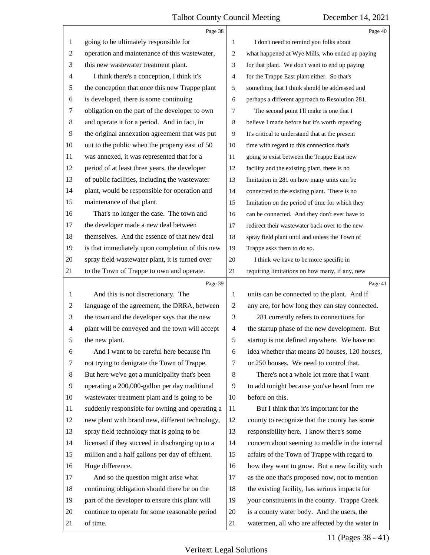|                | Page 38                                         |                | Page 40                                         |
|----------------|-------------------------------------------------|----------------|-------------------------------------------------|
| 1              | going to be ultimately responsible for          | 1              | I don't need to remind you folks about          |
| 2              | operation and maintenance of this wastewater,   | 2              | what happened at Wye Mills, who ended up paying |
| 3              | this new wastewater treatment plant.            | 3              | for that plant. We don't want to end up paying  |
| 4              | I think there's a conception, I think it's      | 4              | for the Trappe East plant either. So that's     |
| 5              | the conception that once this new Trappe plant  | 5              | something that I think should be addressed and  |
| 6              | is developed, there is some continuing          | 6              | perhaps a different approach to Resolution 281. |
| 7              | obligation on the part of the developer to own  | 7              | The second point I'll make is one that I        |
| 8              | and operate it for a period. And in fact, in    | 8              | believe I made before but it's worth repeating. |
| 9              | the original annexation agreement that was put  | 9              | It's critical to understand that at the present |
| 10             | out to the public when the property east of 50  | 10             | time with regard to this connection that's      |
| 11             | was annexed, it was represented that for a      | 11             | going to exist between the Trappe East new      |
| 12             | period of at least three years, the developer   | 12             | facility and the existing plant, there is no    |
| 13             | of public facilities, including the wastewater  | 13             | limitation in 281 on how many units can be      |
| 14             | plant, would be responsible for operation and   | 14             | connected to the existing plant. There is no    |
| 15             | maintenance of that plant.                      | 15             | limitation on the period of time for which they |
| 16             | That's no longer the case. The town and         | 16             | can be connected. And they don't ever have to   |
| 17             | the developer made a new deal between           | 17             | redirect their wastewater back over to the new  |
| 18             | themselves. And the essence of that new deal    | 18             | spray field plant until and unless the Town of  |
| 19             | is that immediately upon completion of this new | 19             | Trappe asks them to do so.                      |
| 20             | spray field wastewater plant, it is turned over | 20             | I think we have to be more specific in          |
| 21             | to the Town of Trappe to own and operate.       | 21             | requiring limitations on how many, if any, new  |
|                |                                                 |                |                                                 |
|                | Page 39                                         |                | Page 41                                         |
| 1              | And this is not discretionary. The              | 1              | units can be connected to the plant. And if     |
| $\overline{c}$ | language of the agreement, the DRRA, between    | $\mathfrak 2$  | any are, for how long they can stay connected.  |
| 3              | the town and the developer says that the new    | 3              | 281 currently refers to connections for         |
| $\overline{4}$ | plant will be conveyed and the town will accept | $\overline{4}$ | the startup phase of the new development. But   |
| 5              | the new plant.                                  | 5              | startup is not defined anywhere. We have no     |
| 6              | And I want to be careful here because I'm       | 6              | idea whether that means 20 houses, 120 houses,  |
| 7              | not trying to denigrate the Town of Trappe.     | 7              | or 250 houses. We need to control that.         |
| 8              | But here we've got a municipality that's been   | 8              | There's not a whole lot more that I want        |
| 9              | operating a 200,000-gallon per day traditional  | 9              | to add tonight because you've heard from me     |
| 10             | wastewater treatment plant and is going to be   | 10             | before on this.                                 |
| 11             | suddenly responsible for owning and operating a | 11             | But I think that it's important for the         |
| 12             | new plant with brand new, different technology, | 12             | county to recognize that the county has some    |
| 13             | spray field technology that is going to be      | 13             | responsibility here. I know there's some        |
| 14             | licensed if they succeed in discharging up to a | 14             | concern about seeming to meddle in the internal |
| 15             | million and a half gallons per day of effluent. | 15             | affairs of the Town of Trappe with regard to    |
| 16             | Huge difference.                                | 16             | how they want to grow. But a new facility such  |
| 17             | And so the question might arise what            | 17             | as the one that's proposed now, not to mention  |
| 18             | continuing obligation should there be on the    | 18             | the existing facility, has serious impacts for  |
| 19             | part of the developer to ensure this plant will | 19             | your constituents in the county. Trappe Creek   |
| 20             | continue to operate for some reasonable period  | 20             | is a county water body. And the users, the      |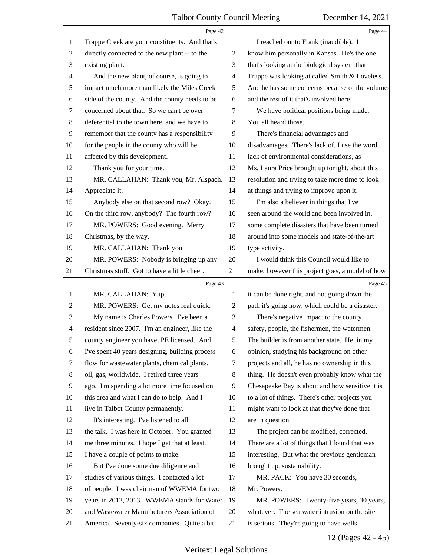|    | Page 42                                         |    | Page 44                                         |
|----|-------------------------------------------------|----|-------------------------------------------------|
| 1  | Trappe Creek are your constituents. And that's  | 1  | I reached out to Frank (inaudible). I           |
| 2  | directly connected to the new plant -- to the   | 2  | know him personally in Kansas. He's the one     |
| 3  | existing plant.                                 | 3  | that's looking at the biological system that    |
| 4  | And the new plant, of course, is going to       | 4  | Trappe was looking at called Smith & Loveless.  |
| 5  | impact much more than likely the Miles Creek    | 5  | And he has some concerns because of the volumes |
| 6  | side of the county. And the county needs to be  | 6  | and the rest of it that's involved here.        |
| 7  | concerned about that. So we can't be over       | 7  | We have political positions being made.         |
| 8  | deferential to the town here, and we have to    | 8  | You all heard those.                            |
| 9  | remember that the county has a responsibility   | 9  | There's financial advantages and                |
| 10 | for the people in the county who will be        | 10 | disadvantages. There's lack of, I use the word  |
| 11 | affected by this development.                   | 11 | lack of environmental considerations, as        |
| 12 | Thank you for your time.                        | 12 | Ms. Laura Price brought up tonight, about this  |
| 13 | MR. CALLAHAN: Thank you, Mr. Alspach.           | 13 | resolution and trying to take more time to look |
| 14 | Appreciate it.                                  | 14 | at things and trying to improve upon it.        |
| 15 | Anybody else on that second row? Okay.          | 15 | I'm also a believer in things that I've         |
| 16 | On the third row, anybody? The fourth row?      | 16 | seen around the world and been involved in,     |
| 17 | MR. POWERS: Good evening. Merry                 | 17 | some complete disasters that have been turned   |
| 18 | Christmas, by the way.                          | 18 | around into some models and state-of-the-art    |
| 19 | MR. CALLAHAN: Thank you.                        | 19 | type activity.                                  |
| 20 | MR. POWERS: Nobody is bringing up any           | 20 | I would think this Council would like to        |
| 21 | Christmas stuff. Got to have a little cheer.    | 21 | make, however this project goes, a model of how |
|    | Page 43                                         |    | Page 45                                         |
| 1  | MR. CALLAHAN: Yup.                              | 1  | it can be done right, and not going down the    |
| 2  | MR. POWERS: Get my notes real quick.            | 2  | path it's going now, which could be a disaster. |
| 3  | My name is Charles Powers. I've been a          | 3  | There's negative impact to the county,          |
| 4  | resident since 2007. I'm an engineer, like the  | 4  | safety, people, the fishermen, the watermen.    |
| 5  | county engineer you have, PE licensed. And      | 5  | The builder is from another state. He, in my    |
| 6  | I've spent 40 years designing, building process | 6  | opinion, studying his background on other       |
| 7  | flow for wastewater plants, chemical plants,    | 7  | projects and all, he has no ownership in this   |
| 8  | oil, gas, worldwide. I retired three years      | 8  | thing. He doesn't even probably know what the   |
| 9  | ago. I'm spending a lot more time focused on    | 9  | Chesapeake Bay is about and how sensitive it is |
| 10 | this area and what I can do to help. And I      | 10 | to a lot of things. There's other projects you  |
| 11 |                                                 |    |                                                 |
| 12 | live in Talbot County permanently.              | 11 | might want to look at that they've done that    |
|    | It's interesting. I've listened to all          | 12 | are in question.                                |
| 13 | the talk. I was here in October. You granted    | 13 | The project can be modified, corrected.         |
| 14 | me three minutes. I hope I get that at least.   | 14 | There are a lot of things that I found that was |
| 15 | I have a couple of points to make.              | 15 | interesting. But what the previous gentleman    |
| 16 | But I've done some due diligence and            | 16 | brought up, sustainability.                     |
| 17 | studies of various things. I contacted a lot    | 17 | MR. PACK: You have 30 seconds,                  |
| 18 | of people. I was chairman of WWEMA for two      | 18 | Mr. Powers.                                     |
| 19 | years in 2012, 2013. WWEMA stands for Water     | 19 | MR. POWERS: Twenty-five years, 30 years,        |
| 20 | and Wastewater Manufacturers Association of     | 20 | whatever. The sea water intrusion on the site   |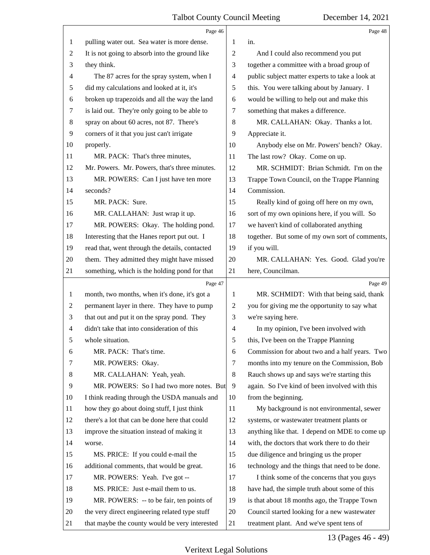|    | Page 46                                        |                          | Page 48                                         |
|----|------------------------------------------------|--------------------------|-------------------------------------------------|
| 1  | pulling water out. Sea water is more dense.    | 1                        | in.                                             |
| 2  | It is not going to absorb into the ground like | 2                        | And I could also recommend you put              |
| 3  | they think.                                    | 3                        | together a committee with a broad group of      |
| 4  | The 87 acres for the spray system, when I      | $\overline{\mathcal{A}}$ | public subject matter experts to take a look at |
| 5  | did my calculations and looked at it, it's     | 5                        | this. You were talking about by January. I      |
| 6  | broken up trapezoids and all the way the land  | 6                        | would be willing to help out and make this      |
| 7  | is laid out. They're only going to be able to  | 7                        | something that makes a difference.              |
| 8  | spray on about 60 acres, not 87. There's       | 8                        | MR. CALLAHAN: Okay. Thanks a lot.               |
| 9  | corners of it that you just can't irrigate     | 9                        | Appreciate it.                                  |
| 10 | properly.                                      | 10                       | Anybody else on Mr. Powers' bench? Okay.        |
| 11 | MR. PACK: That's three minutes,                | 11                       | The last row? Okay. Come on up.                 |
| 12 | Mr. Powers. Mr. Powers, that's three minutes.  | 12                       | MR. SCHMIDT: Brian Schmidt. I'm on the          |
| 13 | MR. POWERS: Can I just have ten more           | 13                       | Trappe Town Council, on the Trappe Planning     |
| 14 | seconds?                                       | 14                       | Commission.                                     |
| 15 | MR. PACK: Sure.                                | 15                       | Really kind of going off here on my own,        |
| 16 | MR. CALLAHAN: Just wrap it up.                 | 16                       | sort of my own opinions here, if you will. So   |
| 17 | MR. POWERS: Okay. The holding pond.            | 17                       | we haven't kind of collaborated anything        |
| 18 | Interesting that the Hanes report put out. I   | 18                       | together. But some of my own sort of comments,  |
| 19 | read that, went through the details, contacted | 19                       | if you will.                                    |
| 20 | them. They admitted they might have missed     | 20                       | MR. CALLAHAN: Yes. Good. Glad you're            |
| 21 | something, which is the holding pond for that  | 21                       | here, Councilman.                               |
|    |                                                |                          |                                                 |
|    | Page 47                                        |                          | Page 49                                         |
| 1  | month, two months, when it's done, it's got a  | 1                        | MR. SCHMIDT: With that being said, thank        |
| 2  | permanent layer in there. They have to pump    | $\overline{c}$           | you for giving me the opportunity to say what   |
| 3  | that out and put it on the spray pond. They    | 3                        | we're saying here.                              |
| 4  | didn't take that into consideration of this    | $\overline{4}$           | In my opinion, I've been involved with          |
| 5  | whole situation.                               | 5                        | this, I've been on the Trappe Planning          |
| 6  | MR. PACK: That's time.                         | 6                        | Commission for about two and a half years. Two  |
| 7  | MR. POWERS: Okay.                              | 7                        | months into my tenure on the Commission, Bob    |
| 8  | MR. CALLAHAN: Yeah, yeah.                      | 8                        | Rauch shows up and says we're starting this     |
| 9  | MR. POWERS: So I had two more notes. But       | 9                        | again. So I've kind of been involved with this  |
| 10 | I think reading through the USDA manuals and   | 10                       | from the beginning.                             |
| 11 | how they go about doing stuff, I just think    | 11                       | My background is not environmental, sewer       |
| 12 | there's a lot that can be done here that could | 12                       | systems, or wastewater treatment plants or      |
| 13 | improve the situation instead of making it     | 13                       | anything like that. I depend on MDE to come up  |
| 14 | worse.                                         | 14                       | with, the doctors that work there to do their   |
| 15 | MS. PRICE: If you could e-mail the             | 15                       | due diligence and bringing us the proper        |
| 16 | additional comments, that would be great.      | 16                       | technology and the things that need to be done. |
| 17 | MR. POWERS: Yeah. I've got --                  | 17                       | I think some of the concerns that you guys      |
| 18 | MS. PRICE: Just e-mail them to us.             | 18                       | have had, the simple truth about some of this   |
| 19 | MR. POWERS: -- to be fair, ten points of       | 19                       | is that about 18 months ago, the Trappe Town    |
| 20 | the very direct engineering related type stuff | 20                       | Council started looking for a new wastewater    |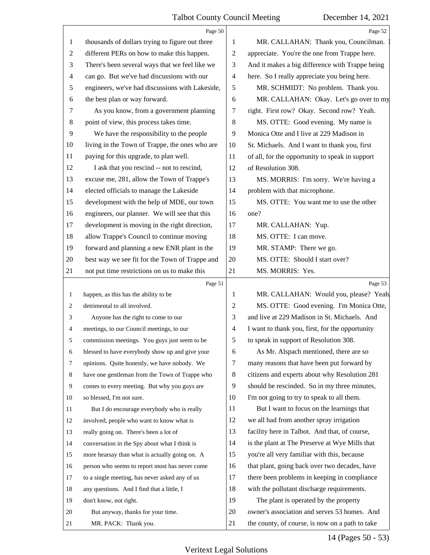|                | Page 50                                         |                          | Page 52                                         |
|----------------|-------------------------------------------------|--------------------------|-------------------------------------------------|
| 1              | thousands of dollars trying to figure out three | 1                        | MR. CALLAHAN: Thank you, Councilman.            |
| 2              | different PERs on how to make this happen.      | $\overline{c}$           | appreciate. You're the one from Trappe here.    |
| 3              | There's been several ways that we feel like we  | 3                        | And it makes a big difference with Trappe being |
| $\overline{4}$ | can go. But we've had discussions with our      | $\overline{\mathcal{A}}$ | here. So I really appreciate you being here.    |
| 5              | engineers, we've had discussions with Lakeside, | 5                        | MR. SCHMIDT: No problem. Thank you.             |
| 6              | the best plan or way forward.                   | 6                        | MR. CALLAHAN: Okay. Let's go over to my         |
| 7              | As you know, from a government planning         | 7                        | right. First row? Okay. Second row? Yeah.       |
| 8              | point of view, this process takes time.         | $\,8\,$                  | MS. OTTE: Good evening. My name is              |
| 9              | We have the responsibility to the people        | 9                        | Monica Otte and I live at 229 Madison in        |
| 10             | living in the Town of Trappe, the ones who are  | 10                       | St. Michaels. And I want to thank you, first    |
| 11             | paying for this upgrade, to plan well.          | 11                       | of all, for the opportunity to speak in support |
| 12             | I ask that you rescind -- not to rescind,       | 12                       | of Resolution 308.                              |
| 13             | excuse me, 281, allow the Town of Trappe's      | 13                       | MS. MORRIS: I'm sorry. We're having a           |
| 14             | elected officials to manage the Lakeside        | 14                       | problem with that microphone.                   |
| 15             | development with the help of MDE, our town      | 15                       | MS. OTTE: You want me to use the other          |
| 16             | engineers, our planner. We will see that this   | 16                       | one?                                            |
| 17             | development is moving in the right direction,   | 17                       | MR. CALLAHAN: Yup.                              |
| 18             | allow Trappe's Council to continue moving       | 18                       | MS. OTTE: I can move.                           |
| 19             | forward and planning a new ENR plant in the     | 19                       | MR. STAMP: There we go.                         |
| 20             | best way we see fit for the Town of Trappe and  | 20                       | MS. OTTE: Should I start over?                  |
| 21             | not put time restrictions on us to make this    | 21                       | MS. MORRIS: Yes.                                |
|                |                                                 |                          |                                                 |
|                | Page 51                                         |                          | Page 53                                         |
| 1              | happen, as this has the ability to be           | 1                        | MR. CALLAHAN: Would you, please? Yeah.          |
| 2              | detrimental to all involved.                    | $\overline{c}$           | MS. OTTE: Good evening. I'm Monica Otte,        |
| 3              | Anyone has the right to come to our             | 3                        | and live at 229 Madison in St. Michaels. And    |
| 4              | meetings, to our Council meetings, to our       | $\overline{\mathcal{A}}$ | I want to thank you, first, for the opportunity |
| 5              | commission meetings. You guys just seem to be   | 5 <sup>1</sup>           | to speak in support of Resolution 308.          |
| 6              | blessed to have everybody show up and give your | 6                        | As Mr. Alspach mentioned, there are so          |
| 7              | opinions. Quite honestly, we have nobody. We    | 7                        | many reasons that have been put forward by      |
| 8              | have one gentleman from the Town of Trappe who  | 8                        | citizens and experts about why Resolution 281   |
| 9              | comes to every meeting. But why you guys are    | 9                        | should be rescinded. So in my three minutes,    |
| 10             | so blessed, I'm not sure.                       | 10                       | I'm not going to try to speak to all them.      |
| 11             | But I do encourage everybody who is really      | 11                       | But I want to focus on the learnings that       |
| 12             | involved, people who want to know what is       | 12                       | we all had from another spray irrigation        |
| 13             | really going on. There's been a lot of          | 13                       | facility here in Talbot. And that, of course,   |
| 14             | conversation in the Spy about what I think is   | 14                       | is the plant at The Preserve at Wye Mills that  |
| 15             | more hearsay than what is actually going on. A  | 15                       | you're all very familiar with this, because     |
| 16             | person who seems to report most has never come  | 16                       | that plant, going back over two decades, have   |
| 17             | to a single meeting, has never asked any of us  | 17                       | there been problems in keeping in compliance    |
| 18             | any questions. And I find that a little, I      | 18                       | with the pollutant discharge requirements.      |
| 19             | don't know, not right.                          | 19                       | The plant is operated by the property           |
| 20             | But anyway, thanks for your time.               | 20                       | owner's association and serves 53 homes. And    |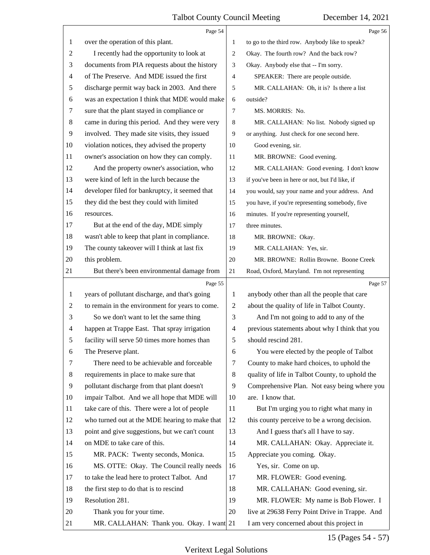|                          | Page 54                                         |                | Page 56                                         |
|--------------------------|-------------------------------------------------|----------------|-------------------------------------------------|
| 1                        | over the operation of this plant.               | 1              | to go to the third row. Anybody like to speak?  |
| 2                        | I recently had the opportunity to look at       | 2              | Okay. The fourth row? And the back row?         |
| 3                        | documents from PIA requests about the history   | 3              | Okay. Anybody else that -- I'm sorry.           |
| $\overline{\mathcal{A}}$ | of The Preserve. And MDE issued the first       | 4              | SPEAKER: There are people outside.              |
| $\sqrt{5}$               | discharge permit way back in 2003. And there    | 5              | MR. CALLAHAN: Oh, it is? Is there a list        |
| $\sqrt{6}$               | was an expectation I think that MDE would make  | 6              | outside?                                        |
| $\tau$                   | sure that the plant stayed in compliance or     | 7              | MS. MORRIS: No.                                 |
| $8\,$                    | came in during this period. And they were very  | 8              | MR. CALLAHAN: No list. Nobody signed up         |
| 9                        | involved. They made site visits, they issued    | 9              | or anything. Just check for one second here.    |
| 10                       | violation notices, they advised the property    | 10             | Good evening, sir.                              |
| 11                       | owner's association on how they can comply.     | 11             | MR. BROWNE: Good evening.                       |
| 12                       | And the property owner's association, who       | 12             | MR. CALLAHAN: Good evening. I don't know        |
| 13                       | were kind of left in the lurch because the      | 13             | if you've been in here or not, but I'd like, if |
| 14                       | developer filed for bankruptcy, it seemed that  | 14             | you would, say your name and your address. And  |
| 15                       | they did the best they could with limited       | 15             | you have, if you're representing somebody, five |
| 16                       | resources.                                      | 16             | minutes. If you're representing yourself,       |
| 17                       | But at the end of the day, MDE simply           | 17             | three minutes.                                  |
| 18                       | wasn't able to keep that plant in compliance.   | 18             | MR. BROWNE: Okay.                               |
| 19                       | The county takeover will I think at last fix    | 19             | MR. CALLAHAN: Yes, sir.                         |
| 20                       | this problem.                                   | 20             | MR. BROWNE: Rollin Browne. Boone Creek          |
| 21                       | But there's been environmental damage from      | 21             | Road, Oxford, Maryland. I'm not representing    |
|                          |                                                 |                |                                                 |
|                          | Page 55                                         |                | Page 57                                         |
| 1                        | years of pollutant discharge, and that's going  | 1              | anybody other than all the people that care     |
| $\overline{c}$           | to remain in the environment for years to come. | $\mathfrak{2}$ | about the quality of life in Talbot County.     |
| 3                        | So we don't want to let the same thing          | 3              | And I'm not going to add to any of the          |
| $\overline{4}$           | happen at Trappe East. That spray irrigation    | 4              | previous statements about why I think that you  |
| 5                        | facility will serve 50 times more homes than    | 5              | should rescind 281.                             |
| 6                        | The Preserve plant.                             | 6              | You were elected by the people of Talbot        |
| 7                        | There need to be achievable and forceable       | 7              | County to make hard choices, to uphold the      |
| 8                        | requirements in place to make sure that         | $\,8\,$        | quality of life in Talbot County, to uphold the |
| $\overline{9}$           | pollutant discharge from that plant doesn't     | 9              | Comprehensive Plan. Not easy being where you    |
| 10                       | impair Talbot. And we all hope that MDE will    | 10             | are. I know that.                               |
| 11                       | take care of this. There were a lot of people   | 11             | But I'm urging you to right what many in        |
| 12                       | who turned out at the MDE hearing to make that  | 12             | this county perceive to be a wrong decision.    |
| 13                       | point and give suggestions, but we can't count  | 13             | And I guess that's all I have to say.           |
| 14                       | on MDE to take care of this.                    | 14             | MR. CALLAHAN: Okay. Appreciate it.              |
| 15                       | MR. PACK: Twenty seconds, Monica.               | 15             | Appreciate you coming. Okay.                    |
| 16                       | MS. OTTE: Okay. The Council really needs        | 16             | Yes, sir. Come on up.                           |
| 17                       | to take the lead here to protect Talbot. And    | 17             | MR. FLOWER: Good evening.                       |
| 18                       | the first step to do that is to rescind         | 18             | MR. CALLAHAN: Good evening, sir.                |
| 19                       | Resolution 281.                                 | 19             | MR. FLOWER: My name is Bob Flower. I            |
| 20                       | Thank you for your time.                        | 20             | live at 29638 Ferry Point Drive in Trappe. And  |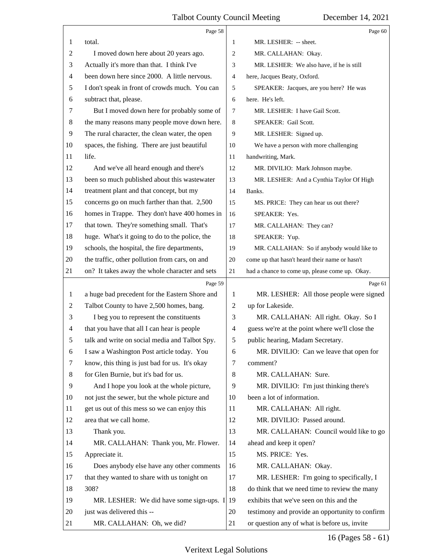|              | Page 58                                        |                | Page 60                                         |
|--------------|------------------------------------------------|----------------|-------------------------------------------------|
| 1            | total.                                         | 1              | MR. LESHER: -- sheet.                           |
| 2            | I moved down here about 20 years ago.          | $\overline{c}$ | MR. CALLAHAN: Okay.                             |
| 3            | Actually it's more than that. I think I've     | 3              | MR. LESHER: We also have, if he is still        |
| 4            | been down here since 2000. A little nervous.   | 4              | here, Jacques Beaty, Oxford.                    |
| 5            | I don't speak in front of crowds much. You can | 5              | SPEAKER: Jacques, are you here? He was          |
| 6            | subtract that, please.                         | 6              | here. He's left.                                |
| 7            | But I moved down here for probably some of     | 7              | MR. LESHER: I have Gail Scott.                  |
| 8            | the many reasons many people move down here.   | 8              | SPEAKER: Gail Scott.                            |
| 9            | The rural character, the clean water, the open | 9              | MR. LESHER: Signed up.                          |
| 10           | spaces, the fishing. There are just beautiful  | 10             | We have a person with more challenging          |
| 11           | life.                                          | 11             | handwriting, Mark.                              |
| 12           | And we've all heard enough and there's         | 12             | MR. DIVILIO: Mark Johnson maybe.                |
| 13           | been so much published about this wastewater   | 13             | MR. LESHER: And a Cynthia Taylor Of High        |
| 14           | treatment plant and that concept, but my       | 14             | Banks.                                          |
| 15           | concerns go on much farther than that. 2,500   | 15             | MS. PRICE: They can hear us out there?          |
| 16           | homes in Trappe. They don't have 400 homes in  | 16             | SPEAKER: Yes.                                   |
| 17           | that town. They're something small. That's     | 17             | MR. CALLAHAN: They can?                         |
| 18           | huge. What's it going to do to the police, the | 18             | SPEAKER: Yup.                                   |
| 19           | schools, the hospital, the fire departments,   | 19             | MR. CALLAHAN: So if anybody would like to       |
| 20           | the traffic, other pollution from cars, on and | 20             | come up that hasn't heard their name or hasn't  |
| 21           | on? It takes away the whole character and sets | 21             | had a chance to come up, please come up. Okay.  |
|              | Page 59                                        |                | Page 61                                         |
| $\mathbf{1}$ | a huge bad precedent for the Eastern Shore and | 1              | MR. LESHER: All those people were signed        |
| 2            | Talbot County to have 2,500 homes, bang.       | $\overline{c}$ | up for Lakeside.                                |
| 3            | I beg you to represent the constituents        | 3              | MR. CALLAHAN: All right. Okay. So I             |
| 4            | that you have that all I can hear is people    | $\overline{4}$ | guess we're at the point where we'll close the  |
| 5            | talk and write on social media and Talbot Spy. | 5              | public hearing, Madam Secretary.                |
| 6            | I saw a Washington Post article today. You     | 6              | MR. DIVILIO: Can we leave that open for         |
| 7            | know, this thing is just bad for us. It's okay | 7              | comment?                                        |
| 8            | for Glen Burnie, but it's bad for us.          | 8              | MR. CALLAHAN: Sure.                             |
| 9            | And I hope you look at the whole picture,      | 9              | MR. DIVILIO: I'm just thinking there's          |
| 10           | not just the sewer, but the whole picture and  | 10             | been a lot of information.                      |
| 11           | get us out of this mess so we can enjoy this   | 11             | MR. CALLAHAN: All right.                        |
| 12           | area that we call home.                        | 12             | MR. DIVILIO: Passed around.                     |
| 13           | Thank you.                                     | 13             | MR. CALLAHAN: Council would like to go          |
| 14           | MR. CALLAHAN: Thank you, Mr. Flower.           | 14             | ahead and keep it open?                         |
| 15           | Appreciate it.                                 | 15             | MS. PRICE: Yes.                                 |
| 16           |                                                |                | MR. CALLAHAN: Okay.                             |
| 17           | Does anybody else have any other comments      | 16             |                                                 |
|              | that they wanted to share with us tonight on   | 17             | MR. LESHER: I'm going to specifically, I        |
| 18           | 308?                                           | 18             | do think that we need time to review the many   |
| 19           | MR. LESHER: We did have some sign-ups. $I$ 19  |                | exhibits that we've seen on this and the        |
| 20           | just was delivered this --                     | 20             | testimony and provide an opportunity to confirm |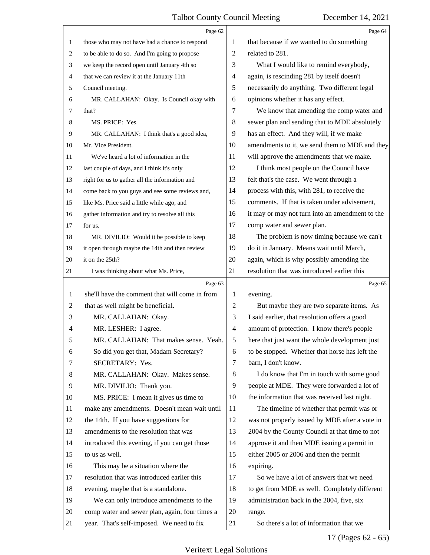|                | Page 62                                         |                | Page 64                                         |
|----------------|-------------------------------------------------|----------------|-------------------------------------------------|
| 1              | those who may not have had a chance to respond  | 1              | that because if we wanted to do something       |
| 2              | to be able to do so. And I'm going to propose   | 2              | related to 281.                                 |
| 3              | we keep the record open until January 4th so    | 3              | What I would like to remind everybody,          |
| 4              | that we can review it at the January 11th       | 4              | again, is rescinding 281 by itself doesn't      |
| 5              | Council meeting.                                | 5              | necessarily do anything. Two different legal    |
| 6              | MR. CALLAHAN: Okay. Is Council okay with        | 6              | opinions whether it has any effect.             |
| 7              | that?                                           | 7              | We know that amending the comp water and        |
| 8              | MS. PRICE: Yes.                                 | 8              | sewer plan and sending that to MDE absolutely   |
| 9              | MR. CALLAHAN: I think that's a good idea,       | 9              | has an effect. And they will, if we make        |
| 10             | Mr. Vice President.                             | 10             | amendments to it, we send them to MDE and they  |
| 11             | We've heard a lot of information in the         | 11             | will approve the amendments that we make.       |
| 12             | last couple of days, and I think it's only      | 12             | I think most people on the Council have         |
| 13             | right for us to gather all the information and  | 13             | felt that's the case. We went through a         |
| 14             | come back to you guys and see some reviews and, | 14             | process with this, with 281, to receive the     |
| 15             | like Ms. Price said a little while ago, and     | 15             | comments. If that is taken under advisement,    |
| 16             | gather information and try to resolve all this  | 16             | it may or may not turn into an amendment to the |
| 17             | for us.                                         | 17             | comp water and sewer plan.                      |
| 18             | MR. DIVILIO: Would it be possible to keep       | 18             | The problem is now timing because we can't      |
| 19             | it open through maybe the 14th and then review  | 19             | do it in January. Means wait until March,       |
| 20             | it on the 25th?                                 | 20             | again, which is why possibly amending the       |
| 21             | I was thinking about what Ms. Price,            | 21             | resolution that was introduced earlier this     |
|                |                                                 |                |                                                 |
|                | Page 63                                         |                | Page 65                                         |
| 1              | she'll have the comment that will come in from  | 1              | evening.                                        |
| $\overline{c}$ | that as well might be beneficial.               | $\mathbf{2}$   | But maybe they are two separate items. As       |
| 3              | MR. CALLAHAN: Okay.                             | 3              | I said earlier, that resolution offers a good   |
| 4              | MR. LESHER: I agree.                            | $\overline{4}$ | amount of protection. I know there's people     |
|                | MR. CALLAHAN: That makes sense. Yeah.           | 5              | here that just want the whole development just  |
| 6              | So did you get that, Madam Secretary?           | 6              | to be stopped. Whether that horse has left the  |
| 7              | SECRETARY: Yes.                                 | 7              | barn, I don't know.                             |
| 8              | MR. CALLAHAN: Okay. Makes sense.                | 8              | I do know that I'm in touch with some good      |
| 9              | MR. DIVILIO: Thank you.                         | 9              | people at MDE. They were forwarded a lot of     |
| 10             | MS. PRICE: I mean it gives us time to           | 10             | the information that was received last night.   |
| 11             | make any amendments. Doesn't mean wait until    | 11             | The timeline of whether that permit was or      |
| 12             | the 14th. If you have suggestions for           | 12             | was not properly issued by MDE after a vote in  |
| 13             | amendments to the resolution that was           | 13             | 2004 by the County Council at that time to not  |
| 14             | introduced this evening, if you can get those   | 14             | approve it and then MDE issuing a permit in     |
| 15             | to us as well.                                  | 15             | either 2005 or 2006 and then the permit         |
| 16             | This may be a situation where the               | 16             | expiring.                                       |
| 17             | resolution that was introduced earlier this     | 17             | So we have a lot of answers that we need        |
| 18             | evening, maybe that is a standalone.            | 18             | to get from MDE as well. Completely different   |
| 19             | We can only introduce amendments to the         | 19             | administration back in the 2004, five, six      |
| 20             | comp water and sewer plan, again, four times a  | 20             | range.                                          |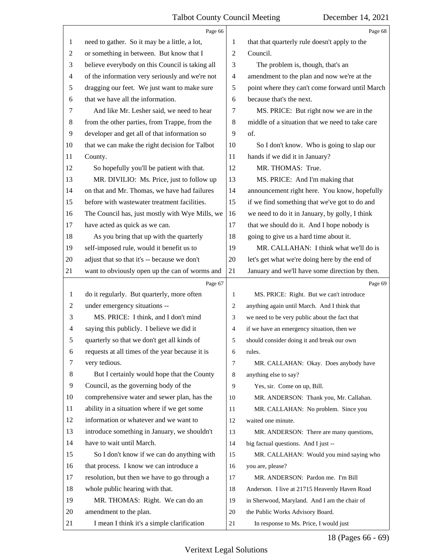|                | Page 66                                         |                | Page 68                                         |
|----------------|-------------------------------------------------|----------------|-------------------------------------------------|
| 1              | need to gather. So it may be a little, a lot,   | 1              | that that quarterly rule doesn't apply to the   |
| 2              | or something in between. But know that I        | $\overline{2}$ | Council.                                        |
| 3              | believe everybody on this Council is taking all | 3              | The problem is, though, that's an               |
| $\overline{4}$ | of the information very seriously and we're not | $\overline{4}$ | amendment to the plan and now we're at the      |
| 5              | dragging our feet. We just want to make sure    | 5              | point where they can't come forward until March |
| 6              | that we have all the information.               | 6              | because that's the next.                        |
| 7              | And like Mr. Lesher said, we need to hear       | 7              | MS. PRICE: But right now we are in the          |
| 8              | from the other parties, from Trappe, from the   | 8              | middle of a situation that we need to take care |
| 9              | developer and get all of that information so    | 9              | of.                                             |
| 10             | that we can make the right decision for Talbot  | 10             | So I don't know. Who is going to slap our       |
| 11             | County.                                         | 11             | hands if we did it in January?                  |
| 12             | So hopefully you'll be patient with that.       | 12             | MR. THOMAS: True.                               |
| 13             | MR. DIVILIO: Ms. Price, just to follow up       | 13             | MS. PRICE: And I'm making that                  |
| 14             | on that and Mr. Thomas, we have had failures    | 14             | announcement right here. You know, hopefully    |
| 15             | before with wastewater treatment facilities.    | 15             | if we find something that we've got to do and   |
| 16             | The Council has, just mostly with Wye Mills, we | 16             | we need to do it in January, by golly, I think  |
| 17             | have acted as quick as we can.                  | 17             | that we should do it. And I hope nobody is      |
| 18             | As you bring that up with the quarterly         | 18             | going to give us a hard time about it.          |
| 19             | self-imposed rule, would it benefit us to       | 19             | MR. CALLAHAN: I think what we'll do is          |
| 20             | adjust that so that it's -- because we don't    | 20             | let's get what we're doing here by the end of   |
| 21             | want to obviously open up the can of worms and  | 21             | January and we'll have some direction by then.  |
|                | Page 67                                         |                | Page 69                                         |
| $\mathbf{1}$   | do it regularly. But quarterly, more often      | $\mathbf{1}$   | MS. PRICE: Right. But we can't introduce        |
| $\overline{2}$ | under emergency situations --                   | $\overline{2}$ | anything again until March. And I think that    |
| 3              | MS. PRICE: I think, and I don't mind            | 3              | we need to be very public about the fact that   |
| $\overline{4}$ | saying this publicly. I believe we did it       | $\overline{4}$ | if we have an emergency situation, then we      |
| 5              | quarterly so that we don't get all kinds of     | 5              |                                                 |
| 6              |                                                 |                | should consider doing it and break our own      |
| 7              | requests at all times of the year because it is | 6              | rules.                                          |
|                | very tedious.                                   | $\tau$         | MR. CALLAHAN: Okay. Does anybody have           |
| 8              | But I certainly would hope that the County      | 8              | anything else to say?                           |
| 9              | Council, as the governing body of the           | 9              | Yes, sir. Come on up, Bill.                     |
| 10             | comprehensive water and sewer plan, has the     | 10             | MR. ANDERSON: Thank you, Mr. Callahan.          |
| 11             | ability in a situation where if we get some     | 11             | MR. CALLAHAN: No problem. Since you             |
| 12             | information or whatever and we want to          | 12             | waited one minute.                              |
| 13             | introduce something in January, we shouldn't    | 13             | MR. ANDERSON: There are many questions,         |
| 14             | have to wait until March.                       | 14             | big factual questions. And I just --            |
| 15             | So I don't know if we can do anything with      | 15             | MR. CALLAHAN: Would you mind saying who         |
| 16             | that process. I know we can introduce a         | 16             | you are, please?                                |
| 17             | resolution, but then we have to go through a    | 17             | MR. ANDERSON: Pardon me. I'm Bill               |
| 18             | whole public hearing with that.                 | 18             | Anderson. I live at 21715 Heavenly Haven Road   |
| 19             | MR. THOMAS: Right. We can do an                 | 19             | in Sherwood, Maryland. And I am the chair of    |
| 20             | amendment to the plan.                          | 20             | the Public Works Advisory Board.                |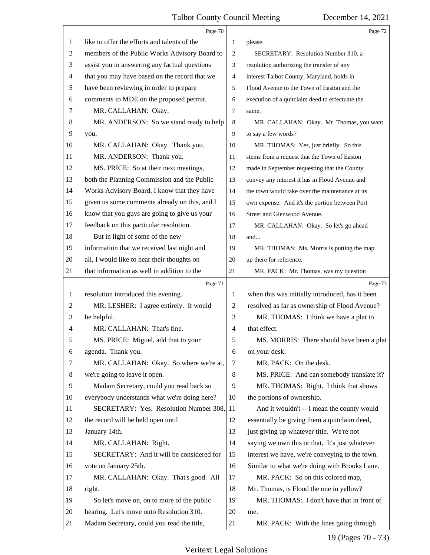|                | Page 70                                       |    | Page 72                                         |
|----------------|-----------------------------------------------|----|-------------------------------------------------|
| 1              | like to offer the efforts and talents of the  | 1  | please.                                         |
| 2              | members of the Public Works Advisory Board to | 2  | SECRETARY: Resolution Number 310, a             |
| 3              | assist you in answering any factual questions | 3  | resolution authorizing the transfer of any      |
| 4              | that you may have based on the record that we | 4  | interest Talbot County, Maryland, holds in      |
| 5              | have been reviewing in order to prepare       | 5  | Flood Avenue to the Town of Easton and the      |
| 6              | comments to MDE on the proposed permit.       | 6  | execution of a quitclaim deed to effectuate the |
| 7              | MR. CALLAHAN: Okay.                           | 7  | same.                                           |
| 8              | MR. ANDERSON: So we stand ready to help       | 8  | MR. CALLAHAN: Okay. Mr. Thomas, you want        |
| 9              | you.                                          | 9  | to say a few words?                             |
| 10             | MR. CALLAHAN: Okay. Thank you.                | 10 | MR. THOMAS: Yes, just briefly. So this          |
| 11             | MR. ANDERSON: Thank you.                      | 11 | stems from a request that the Town of Easton    |
| 12             | MS. PRICE: So at their next meetings,         | 12 | made in September requesting that the County    |
| 13             | both the Planning Commission and the Public   | 13 | convey any interest it has in Flood Avenue and  |
| 14             | Works Advisory Board, I know that they have   | 14 | the town would take over the maintenance at its |
| 15             | given us some comments already on this, and I | 15 | own expense. And it's the portion between Port  |
| 16             | know that you guys are going to give us your  | 16 | Street and Glenwood Avenue.                     |
| 17             | feedback on this particular resolution.       | 17 | MR. CALLAHAN: Okay. So let's go ahead           |
| 18             | But in light of some of the new               | 18 | and                                             |
| 19             | information that we received last night and   | 19 | MR. THOMAS: Ms. Morris is putting the map       |
| 20             | all, I would like to hear their thoughts on   | 20 | up there for reference.                         |
| 21             | that information as well in addition to the   | 21 | MR. PACK: Mr. Thomas, was my question           |
|                | Page 71                                       |    |                                                 |
|                |                                               |    | Page 73                                         |
| 1              | resolution introduced this evening.           | 1  | when this was initially introduced, has it been |
| $\overline{c}$ | MR. LESHER: I agree entirely. It would        | 2  | resolved as far as ownership of Flood Avenue?   |
| 3              | be helpful.                                   | 3  | MR. THOMAS: I think we have a plat to           |
| 4              | MR. CALLAHAN: That's fine.                    | 4  | that effect.                                    |
| 5              | MS. PRICE: Miguel, add that to your           | 5  | MS. MORRIS: There should have been a plat       |
| 6              | agenda. Thank you.                            | 6  | on your desk.                                   |
| 7              | MR. CALLAHAN: Okay. So where we're at,        | 7  | MR. PACK: On the desk.                          |
| 8              | we're going to leave it open.                 | 8  | MS. PRICE: And can somebody translate it?       |
| 9              | Madam Secretary, could you read back so       | 9  | MR. THOMAS: Right. I think that shows           |
| 10             | everybody understands what we're doing here?  | 10 | the portions of ownership.                      |
| 11             | SECRETARY: Yes. Resolution Number 308,        | 11 | And it wouldn't -- I mean the county would      |
| 12             | the record will be held open until            | 12 | essentially be giving them a quitclaim deed,    |
| 13             | January 14th.                                 | 13 | just giving up whatever title. We're not        |
| 14             | MR. CALLAHAN: Right.                          | 14 | saying we own this or that. It's just whatever  |
| 15             | SECRETARY: And it will be considered for      | 15 | interest we have, we're conveying to the town.  |
| 16             | vote on January 25th.                         | 16 | Similar to what we're doing with Brooks Lane.   |
| 17             | MR. CALLAHAN: Okay. That's good. All          | 17 | MR. PACK: So on this colored map,               |
| 18             | right.                                        | 18 | Mr. Thomas, is Flood the one in yellow?         |
| 19             | So let's move on, on to more of the public    | 19 | MR. THOMAS: I don't have that in front of       |
| 20             | hearing. Let's move onto Resolution 310.      | 20 | me.                                             |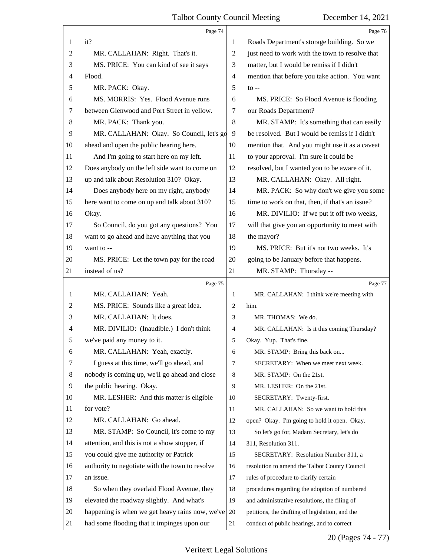|                | Page 74                                         |                | Page 76                                         |
|----------------|-------------------------------------------------|----------------|-------------------------------------------------|
| 1              | it?                                             | 1              | Roads Department's storage building. So we      |
| 2              | MR. CALLAHAN: Right. That's it.                 | $\overline{2}$ | just need to work with the town to resolve that |
| 3              | MS. PRICE: You can kind of see it says          | 3              | matter, but I would be remiss if I didn't       |
| 4              | Flood.                                          | $\overline{4}$ | mention that before you take action. You want   |
| 5              | MR. PACK: Okay.                                 | 5              | $\mathfrak{g}$ --                               |
| 6              | MS. MORRIS: Yes. Flood Avenue runs              | 6              | MS. PRICE: So Flood Avenue is flooding          |
| 7              | between Glenwood and Port Street in yellow.     | 7              | our Roads Department?                           |
| 8              | MR. PACK: Thank you.                            | $\,8\,$        | MR. STAMP: It's something that can easily       |
| 9              | MR. CALLAHAN: Okay. So Council, let's go        | 9              | be resolved. But I would be remiss if I didn't  |
| 10             | ahead and open the public hearing here.         | 10             | mention that. And you might use it as a caveat  |
| 11             | And I'm going to start here on my left.         | 11             | to your approval. I'm sure it could be          |
| 12             | Does anybody on the left side want to come on   | 12             | resolved, but I wanted you to be aware of it.   |
| 13             | up and talk about Resolution 310? Okay.         | 13             | MR. CALLAHAN: Okay. All right.                  |
| 14             | Does anybody here on my right, anybody          | 14             | MR. PACK: So why don't we give you some         |
| 15             | here want to come on up and talk about 310?     | 15             | time to work on that, then, if that's an issue? |
| 16             | Okay.                                           | 16             | MR. DIVILIO: If we put it off two weeks,        |
| 17             | So Council, do you got any questions? You       | 17             | will that give you an opportunity to meet with  |
| 18             | want to go ahead and have anything that you     | 18             | the mayor?                                      |
| 19             | want to --                                      | 19             | MS. PRICE: But it's not two weeks. It's         |
| 20             | MS. PRICE: Let the town pay for the road        | 20             | going to be January before that happens.        |
| 21             | instead of us?                                  | 21             | MR. STAMP: Thursday --                          |
|                |                                                 |                |                                                 |
|                | Page 75                                         |                | Page 77                                         |
| 1              | MR. CALLAHAN: Yeah.                             | 1              | MR. CALLAHAN: I think we're meeting with        |
| 2              | MS. PRICE: Sounds like a great idea.            | 2              | him.                                            |
| 3              | MR. CALLAHAN: It does.                          | 3              | MR. THOMAS: We do.                              |
| 4              | MR. DIVILIO: (Inaudible.) I don't think         | $\overline{4}$ | MR. CALLAHAN: Is it this coming Thursday?       |
| 5              | we've paid any money to it.                     | 5              | Okay. Yup. That's fine.                         |
| 6              | MR. CALLAHAN: Yeah, exactly.                    | 6              | MR. STAMP: Bring this back on                   |
| 7              | I guess at this time, we'll go ahead, and       | 7              | SECRETARY: When we meet next week.              |
| 8              | nobody is coming up, we'll go ahead and close   | 8              | MR. STAMP: On the 21st.                         |
| $\overline{9}$ | the public hearing. Okay.                       | 9              | MR. LESHER: On the 21st.                        |
| 10             | MR. LESHER: And this matter is eligible         | 10             | SECRETARY: Twenty-first.                        |
| 11             | for vote?                                       | 11             | MR. CALLAHAN: So we want to hold this           |
| 12             | MR. CALLAHAN: Go ahead.                         | 12             | open? Okay. I'm going to hold it open. Okay.    |
| 13             | MR. STAMP: So Council, it's come to my          | 13             | So let's go for, Madam Secretary, let's do      |
| 14             | attention, and this is not a show stopper, if   | 14             | 311, Resolution 311.                            |
| 15             | you could give me authority or Patrick          | 15             | SECRETARY: Resolution Number 311, a             |
| 16             | authority to negotiate with the town to resolve | 16             | resolution to amend the Talbot County Council   |
| 17             | an issue.                                       | 17             | rules of procedure to clarify certain           |
| 18             | So when they overlaid Flood Avenue, they        | 18             | procedures regarding the adoption of numbered   |
| 19             | elevated the roadway slightly. And what's       | 19             | and administrative resolutions, the filing of   |
| 20             | happening is when we get heavy rains now, we've | 20             | petitions, the drafting of legislation, and the |

20 (Pages 74 - 77)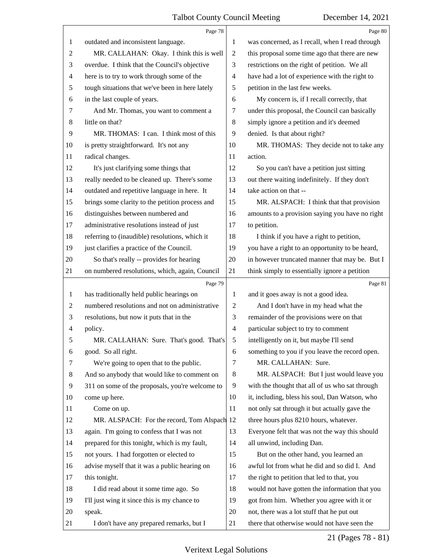|                | Page 78                                         |                          | Page 80                                         |
|----------------|-------------------------------------------------|--------------------------|-------------------------------------------------|
| 1              | outdated and inconsistent language.             | 1                        | was concerned, as I recall, when I read through |
| $\overline{c}$ | MR. CALLAHAN: Okay. I think this is well        | $\overline{c}$           | this proposal some time ago that there are new  |
| 3              | overdue. I think that the Council's objective   | 3                        | restrictions on the right of petition. We all   |
| 4              | here is to try to work through some of the      | $\overline{\mathcal{A}}$ | have had a lot of experience with the right to  |
| 5              | tough situations that we've been in here lately | 5                        | petition in the last few weeks.                 |
| 6              | in the last couple of years.                    | 6                        | My concern is, if I recall correctly, that      |
| 7              | And Mr. Thomas, you want to comment a           | 7                        | under this proposal, the Council can basically  |
| 8              | little on that?                                 | 8                        | simply ignore a petition and it's deemed        |
| 9              | MR. THOMAS: I can. I think most of this         | 9                        | denied. Is that about right?                    |
| 10             | is pretty straightforward. It's not any         | 10                       | MR. THOMAS: They decide not to take any         |
| 11             | radical changes.                                | 11                       | action.                                         |
| 12             | It's just clarifying some things that           | 12                       | So you can't have a petition just sitting       |
| 13             | really needed to be cleaned up. There's some    | 13                       | out there waiting indefinitely. If they don't   |
| 14             | outdated and repetitive language in here. It    | 14                       | take action on that --                          |
| 15             | brings some clarity to the petition process and | 15                       | MR. ALSPACH: I think that that provision        |
| 16             | distinguishes between numbered and              | 16                       | amounts to a provision saying you have no right |
| 17             | administrative resolutions instead of just      | 17                       | to petition.                                    |
| 18             | referring to (inaudible) resolutions, which it  | 18                       | I think if you have a right to petition,        |
| 19             | just clarifies a practice of the Council.       | 19                       | you have a right to an opportunity to be heard, |
| 20             | So that's really -- provides for hearing        | 20                       | in however truncated manner that may be. But I  |
| 21             | on numbered resolutions, which, again, Council  | 21                       | think simply to essentially ignore a petition   |
|                |                                                 |                          |                                                 |
|                | Page 79                                         |                          | Page 81                                         |
| $\mathbf{1}$   | has traditionally held public hearings on       | 1                        | and it goes away is not a good idea.            |
| 2              | numbered resolutions and not on administrative  | $\overline{c}$           | And I don't have in my head what the            |
| 3              | resolutions, but now it puts that in the        | 3                        | remainder of the provisions were on that        |
| 4              | policy.                                         | $\overline{\mathcal{A}}$ | particular subject to try to comment            |
| 5              | MR. CALLAHAN: Sure. That's good. That's         | 5 <sup>5</sup>           | intelligently on it, but maybe I'll send        |
| 6              | good. So all right.                             | 6                        | something to you if you leave the record open.  |
| 7              | We're going to open that to the public.         | 7                        | MR. CALLAHAN: Sure.                             |
| 8              | And so anybody that would like to comment on    | $\,8\,$                  | MR. ALSPACH: But I just would leave you         |
| 9              | 311 on some of the proposals, you're welcome to | 9                        | with the thought that all of us who sat through |
| 10             | come up here.                                   | 10                       | it, including, bless his soul, Dan Watson, who  |
| 11             | Come on up.                                     | 11                       | not only sat through it but actually gave the   |
| 12             | MR. ALSPACH: For the record, Tom Alspach 12     |                          | three hours plus 8210 hours, whatever.          |
| 13             | again. I'm going to confess that I was not      | 13                       | Everyone felt that was not the way this should  |
| 14             | prepared for this tonight, which is my fault,   | 14                       | all unwind, including Dan.                      |
| 15             | not yours. I had forgotten or elected to        | 15                       | But on the other hand, you learned an           |
| 16             | advise myself that it was a public hearing on   | 16                       | awful lot from what he did and so did I. And    |
| 17             | this tonight.                                   | 17                       | the right to petition that led to that, you     |
| 18             | I did read about it some time ago. So           | 18                       | would not have gotten the information that you  |
| 19             | I'll just wing it since this is my chance to    | 19                       | got from him. Whether you agree with it or      |
| 20             | speak.                                          | 20                       | not, there was a lot stuff that he put out      |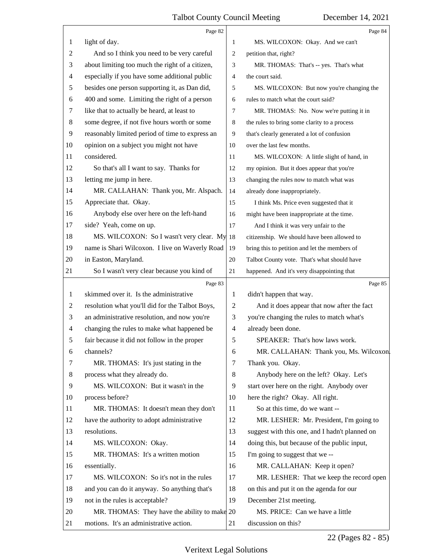|                | Page 82                                         |                | Page 84                                        |
|----------------|-------------------------------------------------|----------------|------------------------------------------------|
| 1              | light of day.                                   | 1              | MS. WILCOXON: Okay. And we can't               |
| 2              | And so I think you need to be very careful      | $\overline{c}$ | petition that, right?                          |
| 3              | about limiting too much the right of a citizen, | 3              | MR. THOMAS: That's -- yes. That's what         |
| 4              | especially if you have some additional public   | $\overline{4}$ | the court said.                                |
| 5              | besides one person supporting it, as Dan did,   | 5              | MS. WILCOXON: But now you're changing the      |
| 6              | 400 and some. Limiting the right of a person    | 6              | rules to match what the court said?            |
| 7              | like that to actually be heard, at least to     | 7              | MR. THOMAS: No. Now we're putting it in        |
| 8              | some degree, if not five hours worth or some    | $\,8\,$        | the rules to bring some clarity to a process   |
| 9              | reasonably limited period of time to express an | 9              | that's clearly generated a lot of confusion    |
| 10             | opinion on a subject you might not have         | 10             | over the last few months.                      |
| 11             | considered.                                     | 11             | MS. WILCOXON: A little slight of hand, in      |
| 12             | So that's all I want to say. Thanks for         | 12             | my opinion. But it does appear that you're     |
| 13             | letting me jump in here.                        | 13             | changing the rules now to match what was       |
| 14             | MR. CALLAHAN: Thank you, Mr. Alspach.           | 14             | already done inappropriately.                  |
| 15             | Appreciate that. Okay.                          | 15             | I think Ms. Price even suggested that it       |
| 16             | Anybody else over here on the left-hand         | 16             | might have been inappropriate at the time.     |
| 17             | side? Yeah, come on up.                         | 17             | And I think it was very unfair to the          |
| 18             | MS. WILCOXON: So I wasn't very clear. My 18     |                | citizenship. We should have been allowed to    |
| 19             | name is Shari Wilcoxon. I live on Waverly Road  | 19             | bring this to petition and let the members of  |
| 20             | in Easton, Maryland.                            | 20             | Talbot County vote. That's what should have    |
| 21             | So I wasn't very clear because you kind of      | 21             | happened. And it's very disappointing that     |
|                |                                                 |                |                                                |
|                | Page 83                                         |                | Page 85                                        |
| 1              | skimmed over it. Is the administrative          | 1              | didn't happen that way.                        |
| 2              | resolution what you'll did for the Talbot Boys, | $\overline{c}$ | And it does appear that now after the fact     |
| 3              | an administrative resolution, and now you're    | 3              | you're changing the rules to match what's      |
| $\overline{4}$ | changing the rules to make what happened be     | $\overline{4}$ | already been done.                             |
| 5              | fair because it did not follow in the proper    | 5              | SPEAKER: That's how laws work.                 |
| 6              | channels?                                       | 6              | MR. CALLAHAN: Thank you, Ms. Wilcoxon.         |
| 7              | MR. THOMAS: It's just stating in the            | 7              | Thank you. Okay.                               |
| 8              | process what they already do.                   | 8              | Anybody here on the left? Okay. Let's          |
| 9              | MS. WILCOXON: But it wasn't in the              | 9              | start over here on the right. Anybody over     |
| 10             | process before?                                 | 10             | here the right? Okay. All right.               |
| 11             | MR. THOMAS: It doesn't mean they don't          | 11             | So at this time, do we want --                 |
| 12             | have the authority to adopt administrative      | 12             | MR. LESHER: Mr. President, I'm going to        |
| 13             | resolutions.                                    | 13             | suggest with this one, and I hadn't planned on |
| 14             | MS. WILCOXON: Okay.                             | 14             | doing this, but because of the public input,   |
| 15             | MR. THOMAS: It's a written motion               | 15             | I'm going to suggest that we --                |
| 16             | essentially.                                    | 16             | MR. CALLAHAN: Keep it open?                    |
| 17             | MS. WILCOXON: So it's not in the rules          | 17             | MR. LESHER: That we keep the record open       |
| 18             | and you can do it anyway. So anything that's    | 18             | on this and put it on the agenda for our       |
| 19             | not in the rules is acceptable?                 | 19             | December 21st meeting.                         |
| 20             | MR. THOMAS: They have the ability to make 20    |                | MS. PRICE: Can we have a little                |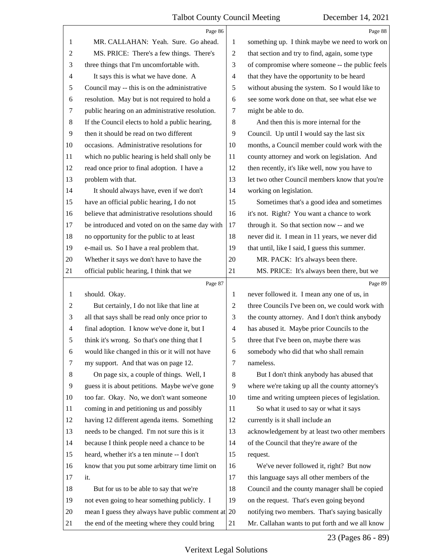|                | Page 86                                                                                                       |                | Page 88                                                                                           |
|----------------|---------------------------------------------------------------------------------------------------------------|----------------|---------------------------------------------------------------------------------------------------|
| 1              | MR. CALLAHAN: Yeah. Sure. Go ahead.                                                                           | 1              | something up. I think maybe we need to work on                                                    |
| 2              | MS. PRICE: There's a few things. There's                                                                      | 2              | that section and try to find, again, some type                                                    |
| 3              | three things that I'm uncomfortable with.                                                                     | 3              | of compromise where someone -- the public feels                                                   |
| $\overline{4}$ | It says this is what we have done. A                                                                          | 4              | that they have the opportunity to be heard                                                        |
| 5              | Council may -- this is on the administrative                                                                  | 5              | without abusing the system. So I would like to                                                    |
| 6              | resolution. May but is not required to hold a                                                                 | 6              | see some work done on that, see what else we                                                      |
| 7              | public hearing on an administrative resolution.                                                               | 7              | might be able to do.                                                                              |
| 8              | If the Council elects to hold a public hearing,                                                               | 8              | And then this is more internal for the                                                            |
| 9              | then it should be read on two different                                                                       | 9              | Council. Up until I would say the last six                                                        |
| 10             | occasions. Administrative resolutions for                                                                     | 10             | months, a Council member could work with the                                                      |
| 11             | which no public hearing is held shall only be                                                                 | 11             | county attorney and work on legislation. And                                                      |
| 12             | read once prior to final adoption. I have a                                                                   | 12             | then recently, it's like well, now you have to                                                    |
| 13             | problem with that.                                                                                            | 13             | let two other Council members know that you're                                                    |
| 14             | It should always have, even if we don't                                                                       | 14             | working on legislation.                                                                           |
| 15             | have an official public hearing, I do not                                                                     | 15             | Sometimes that's a good idea and sometimes                                                        |
| 16             | believe that administrative resolutions should                                                                | 16             | it's not. Right? You want a chance to work                                                        |
| 17             | be introduced and voted on on the same day with                                                               | 17             | through it. So that section now -- and we                                                         |
| 18             | no opportunity for the public to at least                                                                     | 18             | never did it. I mean in 11 years, we never did                                                    |
| 19             | e-mail us. So I have a real problem that.                                                                     | 19             | that until, like I said, I guess this summer.                                                     |
| 20             | Whether it says we don't have to have the                                                                     | 20             | MR. PACK: It's always been there.                                                                 |
| 21             | official public hearing, I think that we                                                                      | 21             | MS. PRICE: It's always been there, but we                                                         |
|                | Page 87                                                                                                       |                | Page 89                                                                                           |
| 1              | should. Okay.                                                                                                 | 1              | never followed it. I mean any one of us, in                                                       |
| $\overline{c}$ | But certainly, I do not like that line at                                                                     | 2              | three Councils I've been on, we could work with                                                   |
| 3              | all that says shall be read only once prior to                                                                | 3              | the county attorney. And I don't think anybody                                                    |
| $\overline{4}$ | final adoption. I know we've done it, but I                                                                   | $\overline{4}$ | has abused it. Maybe prior Councils to the                                                        |
| 5              | think it's wrong. So that's one thing that I                                                                  | 5              | three that I've been on, maybe there was                                                          |
| 6              | would like changed in this or it will not have                                                                | 6              |                                                                                                   |
| 7              |                                                                                                               |                | somebody who did that who shall remain                                                            |
| 8              | my support. And that was on page 12.                                                                          | 7              | nameless.                                                                                         |
|                | On page six, a couple of things. Well, I                                                                      | 8              | But I don't think anybody has abused that                                                         |
| 9              | guess it is about petitions. Maybe we've gone                                                                 | 9              | where we're taking up all the county attorney's                                                   |
| 10             | too far. Okay. No, we don't want someone                                                                      | 10             | time and writing umpteen pieces of legislation.                                                   |
| 11             | coming in and petitioning us and possibly                                                                     | 11             | So what it used to say or what it says                                                            |
| 12             | having 12 different agenda items. Something                                                                   | 12             | currently is it shall include an                                                                  |
| 13             | needs to be changed. I'm not sure this is it                                                                  | 13             | acknowledgement by at least two other members                                                     |
| 14             | because I think people need a chance to be                                                                    | 14             | of the Council that they're aware of the                                                          |
| 15             | heard, whether it's a ten minute -- I don't                                                                   | 15             | request.                                                                                          |
| 16             | know that you put some arbitrary time limit on                                                                | 16             | We've never followed it, right? But now                                                           |
| 17             | it.                                                                                                           | 17             | this language says all other members of the                                                       |
| 18             | But for us to be able to say that we're                                                                       | 18             | Council and the county manager shall be copied                                                    |
| 19             | not even going to hear something publicly. I                                                                  | 19             | on the request. That's even going beyond                                                          |
| 20<br>21       | mean I guess they always have public comment at $ 20\rangle$<br>the end of the meeting where they could bring | 21             | notifying two members. That's saying basically<br>Mr. Callahan wants to put forth and we all know |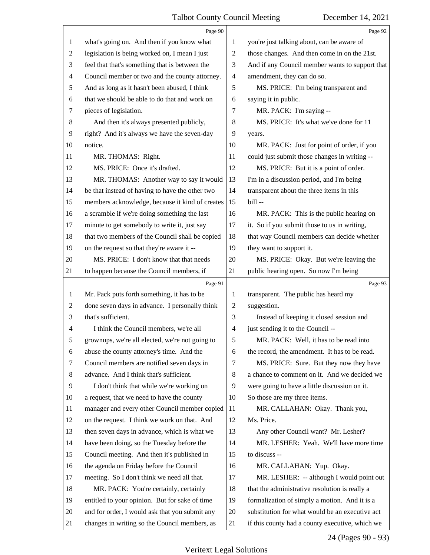|    | Page 90                                         |                | Page 92                                         |
|----|-------------------------------------------------|----------------|-------------------------------------------------|
| 1  | what's going on. And then if you know what      | 1              | you're just talking about, can be aware of      |
| 2  | legislation is being worked on, I mean I just   | $\overline{c}$ | those changes. And then come in on the 21st.    |
| 3  | feel that that's something that is between the  | 3              | And if any Council member wants to support that |
| 4  | Council member or two and the county attorney.  | 4              | amendment, they can do so.                      |
| 5  | And as long as it hasn't been abused, I think   | 5              | MS. PRICE: I'm being transparent and            |
| 6  | that we should be able to do that and work on   | 6              | saying it in public.                            |
| 7  | pieces of legislation.                          | 7              | MR. PACK: I'm saying --                         |
| 8  | And then it's always presented publicly,        | 8              | MS. PRICE: It's what we've done for 11          |
| 9  | right? And it's always we have the seven-day    | 9              | years.                                          |
| 10 | notice.                                         | 10             | MR. PACK: Just for point of order, if you       |
| 11 | MR. THOMAS: Right.                              | 11             | could just submit those changes in writing --   |
| 12 | MS. PRICE: Once it's drafted.                   | 12             | MS. PRICE: But it is a point of order.          |
| 13 | MR. THOMAS: Another way to say it would         | 13             | I'm in a discussion period, and I'm being       |
| 14 | be that instead of having to have the other two | 14             | transparent about the three items in this       |
| 15 | members acknowledge, because it kind of creates | 15             | bill --                                         |
| 16 | a scramble if we're doing something the last    | 16             | MR. PACK: This is the public hearing on         |
| 17 | minute to get somebody to write it, just say    | 17             | it. So if you submit those to us in writing,    |
| 18 | that two members of the Council shall be copied | 18             | that way Council members can decide whether     |
| 19 | on the request so that they're aware it --      | 19             | they want to support it.                        |
| 20 | MS. PRICE: I don't know that that needs         | 20             | MS. PRICE: Okay. But we're leaving the          |
| 21 | to happen because the Council members, if       | 21             | public hearing open. So now I'm being           |
|    |                                                 |                |                                                 |
|    | Page 91                                         |                | Page 93                                         |
| 1  | Mr. Pack puts forth something, it has to be     | 1              | transparent. The public has heard my            |
| 2  | done seven days in advance. I personally think  | 2              | suggestion.                                     |
| 3  | that's sufficient.                              | 3              | Instead of keeping it closed session and        |
| 4  | I think the Council members, we're all          | $\overline{4}$ | just sending it to the Council --               |
|    | grownups, we're all elected, we're not going to | 5              | MR. PACK: Well, it has to be read into          |
| 6  | abuse the county attorney's time. And the       | 6              | the record, the amendment. It has to be read.   |
| 7  | Council members are notified seven days in      | 7              | MS. PRICE: Sure. But they now they have         |
| 8  | advance. And I think that's sufficient.         | 8              | a chance to comment on it. And we decided we    |
| 9  | I don't think that while we're working on       | 9              | were going to have a little discussion on it.   |
| 10 | a request, that we need to have the county      | 10             | So those are my three items.                    |
| 11 | manager and every other Council member copied   | 11             | MR. CALLAHAN: Okay. Thank you,                  |
| 12 | on the request. I think we work on that. And    | 12             | Ms. Price.                                      |
| 13 | then seven days in advance, which is what we    | 13             | Any other Council want? Mr. Lesher?             |
| 14 | have been doing, so the Tuesday before the      | 14             | MR. LESHER: Yeah. We'll have more time          |
| 15 | Council meeting. And then it's published in     | 15             | to discuss --                                   |
| 16 | the agenda on Friday before the Council         | 16             | MR. CALLAHAN: Yup. Okay.                        |
| 17 | meeting. So I don't think we need all that.     | 17             | MR. LESHER: -- although I would point out       |
| 18 | MR. PACK: You're certainly, certainly           | 18             | that the administrative resolution is really a  |
| 19 | entitled to your opinion. But for sake of time  | 19             | formalization of simply a motion. And it is a   |
| 20 | and for order, I would ask that you submit any  | 20             | substitution for what would be an executive act |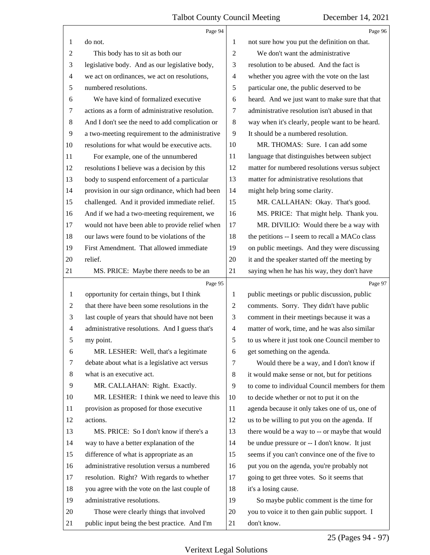|                | Page 94                                         |                | Page 96                                         |
|----------------|-------------------------------------------------|----------------|-------------------------------------------------|
| 1              | do not.                                         | 1              | not sure how you put the definition on that.    |
| $\overline{c}$ | This body has to sit as both our                | $\overline{2}$ | We don't want the administrative                |
| 3              | legislative body. And as our legislative body,  | 3              | resolution to be abused. And the fact is        |
| 4              | we act on ordinances, we act on resolutions,    | $\overline{4}$ | whether you agree with the vote on the last     |
| 5              | numbered resolutions.                           | 5              | particular one, the public deserved to be       |
| 6              | We have kind of formalized executive            | 6              | heard. And we just want to make sure that that  |
| 7              | actions as a form of administrative resolution. | 7              | administrative resolution isn't abused in that  |
| $8\,$          | And I don't see the need to add complication or | 8              | way when it's clearly, people want to be heard. |
| $\overline{9}$ | a two-meeting requirement to the administrative | 9              | It should be a numbered resolution.             |
| 10             | resolutions for what would be executive acts.   | 10             | MR. THOMAS: Sure. I can add some                |
| 11             | For example, one of the unnumbered              | 11             | language that distinguishes between subject     |
| 12             | resolutions I believe was a decision by this    | 12             | matter for numbered resolutions versus subject  |
| 13             | body to suspend enforcement of a particular     | 13             | matter for administrative resolutions that      |
| 14             | provision in our sign ordinance, which had been | 14             | might help bring some clarity.                  |
| 15             | challenged. And it provided immediate relief.   | 15             | MR. CALLAHAN: Okay. That's good.                |
| 16             | And if we had a two-meeting requirement, we     | 16             | MS. PRICE: That might help. Thank you.          |
| 17             | would not have been able to provide relief when | 17             | MR. DIVILIO: Would there be a way with          |
| 18             | our laws were found to be violations of the     | 18             | the petitions -- I seem to recall a MACo class  |
| 19             | First Amendment. That allowed immediate         | 19             | on public meetings. And they were discussing    |
| 20             | relief.                                         | 20             | it and the speaker started off the meeting by   |
| 21             | MS. PRICE: Maybe there needs to be an           | 21             | saying when he has his way, they don't have     |
|                |                                                 |                |                                                 |
|                | Page 95                                         |                | Page 97                                         |
| $\mathbf{1}$   | opportunity for certain things, but I think     | 1              | public meetings or public discussion, public    |
| $\overline{c}$ | that there have been some resolutions in the    | $\overline{c}$ | comments. Sorry. They didn't have public        |
| 3              | last couple of years that should have not been  | 3              | comment in their meetings because it was a      |
| $\overline{4}$ | administrative resolutions. And I guess that's  | 4              | matter of work, time, and he was also similar   |
| 5              | my point.                                       | 5              | to us where it just took one Council member to  |
| 6              | MR. LESHER: Well, that's a legitimate           | 6              | get something on the agenda.                    |
| 7              | debate about what is a legislative act versus   | 7              | Would there be a way, and I don't know if       |
| 8              | what is an executive act.                       | 8              | it would make sense or not, but for petitions   |
| 9              | MR. CALLAHAN: Right. Exactly.                   | 9              | to come to individual Council members for them  |
| 10             | MR. LESHER: I think we need to leave this       | 10             | to decide whether or not to put it on the       |
| 11             | provision as proposed for those executive       | 11             | agenda because it only takes one of us, one of  |
| 12             | actions.                                        | 12             | us to be willing to put you on the agenda. If   |
| 13             | MS. PRICE: So I don't know if there's a         | 13             | there would be a way to -- or maybe that would  |
| 14             | way to have a better explanation of the         | 14             | be undue pressure or -- I don't know. It just   |
| 15             | difference of what is appropriate as an         | 15             | seems if you can't convince one of the five to  |
| 16             | administrative resolution versus a numbered     | 16             | put you on the agenda, you're probably not      |
| 17             | resolution. Right? With regards to whether      | 17             | going to get three votes. So it seems that      |
| 18             | you agree with the vote on the last couple of   | 18             | it's a losing cause.                            |
| 19             | administrative resolutions.                     | 19             | So maybe public comment is the time for         |
| 20             | Those were clearly things that involved         | 20             | you to voice it to then gain public support. I  |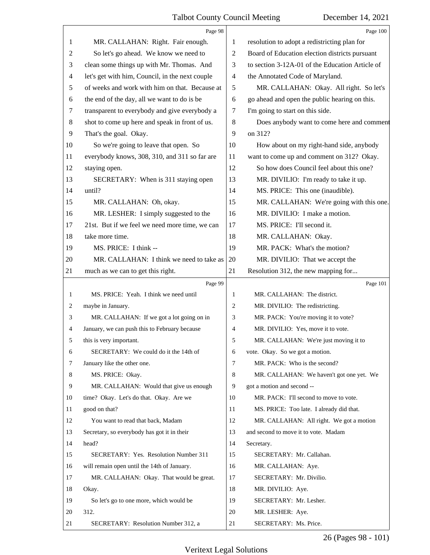|                | Page 98                                         |                | Page 100                                        |
|----------------|-------------------------------------------------|----------------|-------------------------------------------------|
| 1              | MR. CALLAHAN: Right. Fair enough.               | 1              | resolution to adopt a redistricting plan for    |
| $\overline{c}$ | So let's go ahead. We know we need to           | 2              | Board of Education election districts pursuant  |
| 3              | clean some things up with Mr. Thomas. And       | 3              | to section 3-12A-01 of the Education Article of |
| $\overline{4}$ | let's get with him, Council, in the next couple | $\overline{4}$ | the Annotated Code of Maryland.                 |
| 5              | of weeks and work with him on that. Because at  | 5              | MR. CALLAHAN: Okay. All right. So let's         |
| 6              | the end of the day, all we want to do is be     | 6              | go ahead and open the public hearing on this.   |
| 7              | transparent to everybody and give everybody a   | 7              | I'm going to start on this side.                |
| 8              | shot to come up here and speak in front of us.  | 8              | Does anybody want to come here and comment      |
| 9              | That's the goal. Okay.                          | 9              | on 312?                                         |
| 10             | So we're going to leave that open. So           | 10             | How about on my right-hand side, anybody        |
| 11             | everybody knows, 308, 310, and 311 so far are   | 11             | want to come up and comment on 312? Okay.       |
| 12             | staying open.                                   | 12             | So how does Council feel about this one?        |
| 13             | SECRETARY: When is 311 staying open             | 13             | MR. DIVILIO: I'm ready to take it up.           |
| 14             | until?                                          | 14             | MS. PRICE: This one (inaudible).                |
| 15             | MR. CALLAHAN: Oh, okay.                         | 15             | MR. CALLAHAN: We're going with this one.        |
| 16             | MR. LESHER: I simply suggested to the           | 16             | MR. DIVILIO: I make a motion.                   |
| 17             | 21st. But if we feel we need more time, we can  | 17             | MS. PRICE: I'll second it.                      |
| 18             | take more time.                                 | 18             | MR. CALLAHAN: Okay.                             |
| 19             | MS. PRICE: I think --                           | 19             | MR. PACK: What's the motion?                    |
| 20             | MR. CALLAHAN: I think we need to take as        | 20             | MR. DIVILIO: That we accept the                 |
| 21             | much as we can to get this right.               | 21             | Resolution 312, the new mapping for             |
|                |                                                 |                |                                                 |
|                | Page 99                                         |                | Page 101                                        |
| 1              | MS. PRICE: Yeah. I think we need until          | 1              | MR. CALLAHAN: The district.                     |
| 2              | maybe in January.                               | $\overline{2}$ | MR. DIVILIO: The redistricting.                 |
| 3              | MR. CALLAHAN: If we got a lot going on in       | 3              | MR. PACK: You're moving it to vote?             |
| 4              | January, we can push this to February because   | 4              | MR. DIVILIO: Yes, move it to vote.              |
| 5              | this is very important.                         | 5              | MR. CALLAHAN: We're just moving it to           |
| 6              | SECRETARY: We could do it the 14th of           | 6              | vote. Okay. So we got a motion.                 |
| 7              | January like the other one.                     | 7              | MR. PACK: Who is the second?                    |
| 8              | MS. PRICE: Okay.                                | 8              | MR. CALLAHAN: We haven't got one yet. We        |
| 9              | MR. CALLAHAN: Would that give us enough         | 9              | got a motion and second --                      |
| 10             | time? Okay. Let's do that. Okay. Are we         | 10             | MR. PACK: I'll second to move to vote.          |
| 11             | good on that?                                   | 11             | MS. PRICE: Too late. I already did that.        |
| 12             | You want to read that back, Madam               | 12             | MR. CALLAHAN: All right. We got a motion        |
| 13             | Secretary, so everybody has got it in their     | 13             | and second to move it to vote. Madam            |
| 14             | head?                                           | 14             | Secretary.                                      |
| 15             | SECRETARY: Yes. Resolution Number 311           | 15             | SECRETARY: Mr. Callahan.                        |
| 16             | will remain open until the 14th of January.     | 16             | MR. CALLAHAN: Aye.                              |
| 17             | MR. CALLAHAN: Okay. That would be great.        | 17             | SECRETARY: Mr. Divilio.                         |
| 18             | Okay.                                           | 18             | MR. DIVILIO: Aye.                               |
| 19             | So let's go to one more, which would be         | 19             | SECRETARY: Mr. Lesher.                          |
| 20             | 312.                                            | 20             | MR. LESHER: Aye.                                |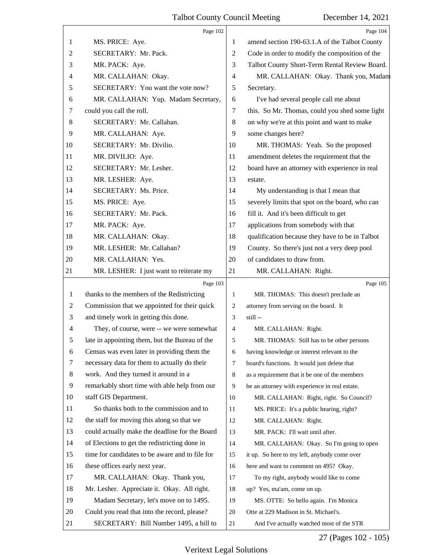|                  | Page 102                                        |                | Page 104                                        |
|------------------|-------------------------------------------------|----------------|-------------------------------------------------|
| 1                | MS. PRICE: Aye.                                 | 1              | amend section 190-63.1.A of the Talbot County   |
| 2                | SECRETARY: Mr. Pack.                            | $\overline{c}$ | Code in order to modify the composition of the  |
| 3                | MR. PACK: Aye.                                  | 3              | Talbot County Short-Term Rental Review Board.   |
| 4                | MR. CALLAHAN: Okay.                             | $\overline{4}$ | MR. CALLAHAN: Okay. Thank you, Madam            |
| 5                | SECRETARY: You want the vote now?               | 5              | Secretary.                                      |
| 6                | MR. CALLAHAN: Yup. Madam Secretary,             | 6              | I've had several people call me about           |
| 7                | could you call the roll.                        | 7              | this. So Mr. Thomas, could you shed some light  |
| 8                | SECRETARY: Mr. Callahan.                        | 8              | on why we're at this point and want to make     |
| 9                | MR. CALLAHAN: Aye.                              | 9              | some changes here?                              |
| 10               | SECRETARY: Mr. Divilio.                         | 10             | MR. THOMAS: Yeah. So the proposed               |
| 11               | MR. DIVILIO: Aye.                               | 11             | amendment deletes the requirement that the      |
| 12               | SECRETARY: Mr. Lesher.                          | 12             | board have an attorney with experience in real  |
| 13               | MR. LESHER: Aye.                                | 13             | estate.                                         |
| 14               | SECRETARY: Ms. Price.                           | 14             | My understanding is that I mean that            |
| 15               | MS. PRICE: Aye.                                 | 15             | severely limits that spot on the board, who can |
| 16               | SECRETARY: Mr. Pack.                            | 16             | fill it. And it's been difficult to get         |
| 17               | MR. PACK: Aye.                                  | 17             | applications from somebody with that            |
| 18               | MR. CALLAHAN: Okay.                             | 18             | qualification because they have to be in Talbot |
| 19               | MR. LESHER: Mr. Callahan?                       | 19             | County. So there's just not a very deep pool    |
| 20               | MR. CALLAHAN: Yes.                              | 20             | of candidates to draw from.                     |
| 21               | MR. LESHER: I just want to reiterate my         | 21             | MR. CALLAHAN: Right.                            |
|                  | Page 103                                        |                | Page 105                                        |
| 1                | thanks to the members of the Redistricting      | 1              | MR. THOMAS: This doesn't preclude an            |
| $\overline{c}$   | Commission that we appointed for their quick    | 2              | attorney from serving on the board. It          |
| 3                | and timely work in getting this done.           | 3              | still --                                        |
| 4                | They, of course, were -- we were somewhat       | 4              | MR. CALLAHAN: Right.                            |
| 5                | late in appointing them, but the Bureau of the  | 5              | MR. THOMAS: Still has to be other persons       |
| $\boldsymbol{6}$ | Census was even later in providing them the     | 6              | having knowledge or interest relevant to the    |
| 7                | necessary data for them to actually do their    | $\overline{7}$ | board's functions. It would just delete that    |
| $\,8\,$          | work. And they turned it around in a            | 8              | as a requirement that it be one of the members  |
| $\overline{9}$   | remarkably short time with able help from our   | 9              | be an attorney with experience in real estate.  |
| 10               | staff GIS Department.                           | 10             | MR. CALLAHAN: Right, right. So Council?         |
| 11               | So thanks both to the commission and to         | 11             | MS. PRICE: It's a public hearing, right?        |
| 12               | the staff for moving this along so that we      | 12             | MR. CALLAHAN: Right.                            |
| 13               | could actually make the deadline for the Board  | 13             | MR. PACK: I'll wait until after.                |
| 14               | of Elections to get the redistricting done in   | 14             | MR. CALLAHAN: Okay. So I'm going to open        |
| 15               | time for candidates to be aware and to file for | 15             | it up. So here to my left, anybody come over    |
| 16               | these offices early next year.                  | 16             | here and want to comment on 495? Okay.          |
| 17               | MR. CALLAHAN: Okay. Thank you,                  | 17             | To my right, anybody would like to come         |
| 18               | Mr. Lesher. Appreciate it. Okay. All right.     | 18             | up? Yes, ma'am, come on up.                     |
| 19               | Madam Secretary, let's move on to 1495.         | 19             | MS. OTTE: So hello again. I'm Monica            |
| 20               | Could you read that into the record, please?    | 20             | Otte at 229 Madison in St. Michael's.           |
| 21               | SECRETARY: Bill Number 1495, a bill to          | 21             | And I've actually watched most of the STR       |

27 (Pages 102 - 105)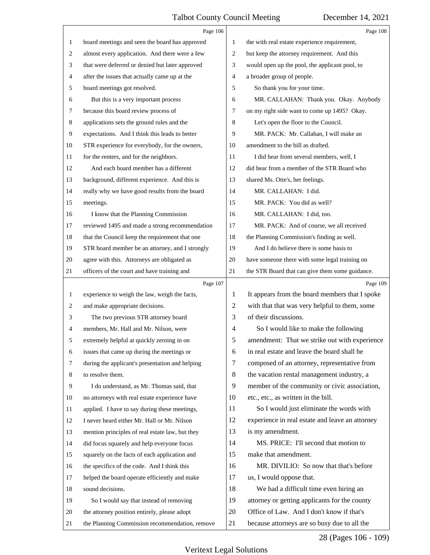|              | Page 106                                        |                | Page 108                                        |
|--------------|-------------------------------------------------|----------------|-------------------------------------------------|
| $\mathbf{1}$ | board meetings and seen the board has approved  | 1              | the with real estate experience requirement,    |
| 2            | almost every application. And there were a few  | 2              | but keep the attorney requirement. And this     |
| 3            | that were deferred or denied but later approved | 3              | would open up the pool, the applicant pool, to  |
| 4            | after the issues that actually came up at the   | $\overline{4}$ | a broader group of people.                      |
| 5            | board meetings got resolved.                    | 5              | So thank you for your time.                     |
| 6            | But this is a very important process            | 6              | MR. CALLAHAN: Thank you. Okay. Anybody          |
| 7            | because this board review process of            | 7              | on my right side want to come up 1495? Okay.    |
| 8            | applications sets the ground rules and the      | 8              | Let's open the floor to the Council.            |
| 9            | expectations. And I think this leads to better  | 9              | MR. PACK: Mr. Callahan, I will make an          |
| 10           | STR experience for everybody, for the owners,   | 10             | amendment to the bill as drafted.               |
| 11           | for the renters, and for the neighbors.         | 11             | I did hear from several members, well, I        |
| 12           | And each board member has a different           | 12             | did hear from a member of the STR Board who     |
| 13           | background, different experience. And this is   | 13             | shared Ms. Otte's, her feelings.                |
| 14           | really why we have good results from the board  | 14             | MR. CALLAHAN: I did.                            |
| 15           | meetings.                                       | 15             | MR. PACK: You did as well?                      |
| 16           | I know that the Planning Commission             | 16             | MR. CALLAHAN: I did, too.                       |
| 17           | reviewed 1495 and made a strong recommendation  | 17             | MR. PACK: And of course, we all received        |
| 18           | that the Council keep the requirement that one  | 18             | the Planning Commission's finding as well.      |
| 19           | STR board member be an attorney, and I strongly | 19             | And I do believe there is some basis to         |
| 20           | agree with this. Attorneys are obligated as     | 20             | have someone there with some legal training on  |
| 21           | officers of the court and have training and     | 21             | the STR Board that can give them some guidance. |
|              |                                                 |                |                                                 |
|              | Page 107                                        |                | Page 109                                        |
| $\mathbf{1}$ | experience to weigh the law, weigh the facts,   | 1              | It appears from the board members that I spoke  |
| 2            | and make appropriate decisions.                 | $\overline{c}$ | with that that was very helpful to them, some   |
| 3            | The two previous STR attorney board             | 3              | of their discussions.                           |
| 4            | members, Mr. Hall and Mr. Nilson, were          | 4              | So I would like to make the following           |
| 5            | extremely helpful at quickly zeroing in on      | 5              | amendment: That we strike out with experience   |
| 6            | issues that came up during the meetings or      | 6              | in real estate and leave the board shall be     |
| 7            | during the applicant's presentation and helping | 7              | composed of an attorney, representative from    |
| 8            | to resolve them.                                | 8              | the vacation rental management industry, a      |
| 9            | I do understand, as Mr. Thomas said, that       | 9              | member of the community or civic association,   |
| 10           | no attorneys with real estate experience have   | 10             | etc., etc., as written in the bill.             |
| 11           | applied. I have to say during these meetings,   | 11             | So I would just eliminate the words with        |
| 12           | I never heard either Mr. Hall or Mr. Nilson     | 12             | experience in real estate and leave an attorney |
| 13           | mention principles of real estate law, but they | 13             | is my amendment.                                |
| 14           | did focus squarely and help everyone focus      | 14             | MS. PRICE: I'll second that motion to           |
| 15           | squarely on the facts of each application and   | 15             | make that amendment.                            |
| 16           | the specifics of the code. And I think this     | 16             | MR. DIVILIO: So now that that's before          |
| 17           | helped the board operate efficiently and make   | 17             | us, I would oppose that.                        |
| 18           | sound decisions.                                | 18             | We had a difficult time even hiring an          |
| 19           | So I would say that instead of removing         | 19             | attorney or getting applicants for the county   |
| 20           | the attorney position entirely, please adopt    | 20             | Office of Law. And I don't know if that's       |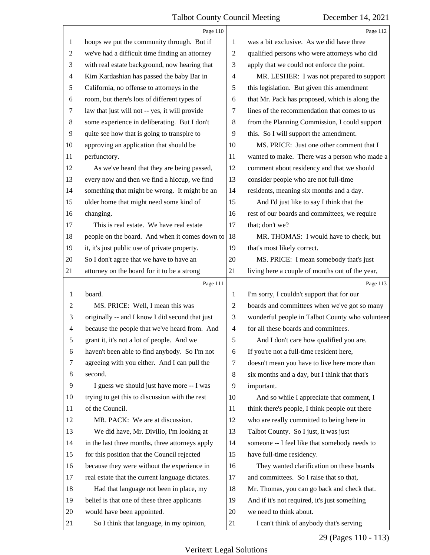|                | Page 110                                        |    | Page 112                                        |
|----------------|-------------------------------------------------|----|-------------------------------------------------|
| 1              | hoops we put the community through. But if      | 1  | was a bit exclusive. As we did have three       |
| 2              | we've had a difficult time finding an attorney  | 2  | qualified persons who were attorneys who did    |
| 3              | with real estate background, now hearing that   | 3  | apply that we could not enforce the point.      |
| 4              | Kim Kardashian has passed the baby Bar in       | 4  | MR. LESHER: I was not prepared to support       |
| 5              | California, no offense to attorneys in the      | 5  | this legislation. But given this amendment      |
| 6              | room, but there's lots of different types of    | 6  | that Mr. Pack has proposed, which is along the  |
| 7              | law that just will not -- yes, it will provide  | 7  | lines of the recommendation that comes to us    |
| 8              | some experience in deliberating. But I don't    | 8  | from the Planning Commission, I could support   |
| 9              | quite see how that is going to transpire to     | 9  | this. So I will support the amendment.          |
| 10             | approving an application that should be         | 10 | MS. PRICE: Just one other comment that I        |
| 11             | perfunctory.                                    | 11 | wanted to make. There was a person who made a   |
| 12             | As we've heard that they are being passed,      | 12 | comment about residency and that we should      |
| 13             | every now and then we find a hiccup, we find    | 13 | consider people who are not full-time           |
| 14             | something that might be wrong. It might be an   | 14 | residents, meaning six months and a day.        |
| 15             | older home that might need some kind of         | 15 | And I'd just like to say I think that the       |
| 16             | changing.                                       | 16 | rest of our boards and committees, we require   |
| 17             | This is real estate. We have real estate        | 17 | that; don't we?                                 |
| 18             | people on the board. And when it comes down to  | 18 | MR. THOMAS: I would have to check, but          |
| 19             | it, it's just public use of private property.   | 19 | that's most likely correct.                     |
| 20             | So I don't agree that we have to have an        | 20 | MS. PRICE: I mean somebody that's just          |
| 21             | attorney on the board for it to be a strong     | 21 | living here a couple of months out of the year, |
|                |                                                 |    |                                                 |
|                | Page 111                                        |    | Page 113                                        |
| 1              | board.                                          | 1  | I'm sorry, I couldn't support that for our      |
| 2              | MS. PRICE: Well, I mean this was                | 2  | boards and committees when we've got so many    |
| 3              | originally -- and I know I did second that just | 3  | wonderful people in Talbot County who volunteer |
| $\overline{4}$ | because the people that we've heard from. And   | 4  | for all these boards and committees.            |
| 5              | grant it, it's not a lot of people. And we      | 5  | And I don't care how qualified you are.         |
| 6              | haven't been able to find anybody. So I'm not   | 6  | If you're not a full-time resident here,        |
| 7              | agreeing with you either. And I can pull the    | 7  | doesn't mean you have to live here more than    |
| 8              | second.                                         | 8  | six months and a day, but I think that that's   |
| 9              | I guess we should just have more -- I was       | 9  | important.                                      |
| 10             | trying to get this to discussion with the rest  | 10 | And so while I appreciate that comment, I       |
| 11             | of the Council.                                 | 11 | think there's people, I think people out there  |
| 12             | MR. PACK: We are at discussion.                 | 12 | who are really committed to being here in       |
| 13             | We did have, Mr. Divilio, I'm looking at        | 13 | Talbot County. So I just, it was just           |
| 14             | in the last three months, three attorneys apply | 14 | someone -- I feel like that somebody needs to   |
| 15             | for this position that the Council rejected     | 15 | have full-time residency.                       |
| 16             | because they were without the experience in     | 16 | They wanted clarification on these boards       |
| 17             | real estate that the current language dictates. | 17 | and committees. So I raise that so that,        |
| 18             | Had that language not been in place, my         | 18 | Mr. Thomas, you can go back and check that.     |
| 19             | belief is that one of these three applicants    | 19 | And if it's not required, it's just something   |
| 20             | would have been appointed.                      | 20 | we need to think about.                         |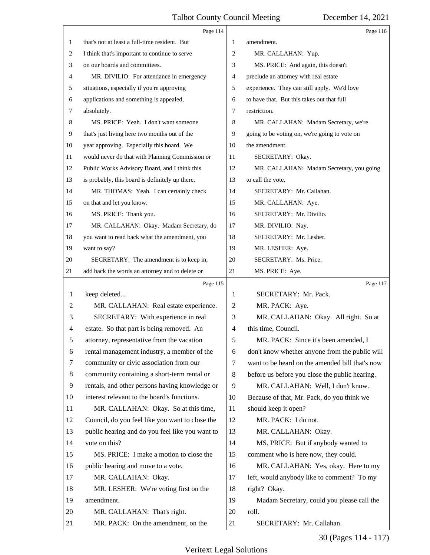|                | Page 114                                        |    | Page 116                                        |
|----------------|-------------------------------------------------|----|-------------------------------------------------|
| 1              | that's not at least a full-time resident. But   | 1  | amendment.                                      |
| 2              | I think that's important to continue to serve   | 2  | MR. CALLAHAN: Yup.                              |
| 3              | on our boards and committees.                   | 3  | MS. PRICE: And again, this doesn't              |
| 4              | MR. DIVILIO: For attendance in emergency        | 4  | preclude an attorney with real estate           |
| 5              | situations, especially if you're approving      | 5  | experience. They can still apply. We'd love     |
| 6              | applications and something is appealed,         | 6  | to have that. But this takes out that full      |
| 7              | absolutely.                                     | 7  | restriction.                                    |
| 8              | MS. PRICE: Yeah. I don't want someone           | 8  | MR. CALLAHAN: Madam Secretary, we're            |
| 9              | that's just living here two months out of the   | 9  | going to be voting on, we're going to vote on   |
| $10\,$         | year approving. Especially this board. We       | 10 | the amendment.                                  |
| 11             | would never do that with Planning Commission or | 11 | SECRETARY: Okay.                                |
| 12             | Public Works Advisory Board, and I think this   | 12 | MR. CALLAHAN: Madam Secretary, you going        |
| 13             | is probably, this board is definitely up there. | 13 | to call the vote.                               |
| 14             | MR. THOMAS: Yeah. I can certainly check         | 14 | SECRETARY: Mr. Callahan.                        |
| 15             | on that and let you know.                       | 15 | MR. CALLAHAN: Aye.                              |
| 16             | MS. PRICE: Thank you.                           | 16 | SECRETARY: Mr. Divilio.                         |
| 17             | MR. CALLAHAN: Okay. Madam Secretary, do         | 17 | MR. DIVILIO: Nay.                               |
| 18             | you want to read back what the amendment, you   | 18 | SECRETARY: Mr. Lesher.                          |
| 19             | want to say?                                    | 19 | MR. LESHER: Aye.                                |
| 20             | SECRETARY: The amendment is to keep in,         | 20 | SECRETARY: Ms. Price.                           |
| 21             | add back the words an attorney and to delete or | 21 | MS. PRICE: Aye.                                 |
|                | Page 115                                        |    | Page 117                                        |
| 1              | keep deleted                                    | 1  | SECRETARY: Mr. Pack.                            |
| $\overline{c}$ | MR. CALLAHAN: Real estate experience.           | 2  |                                                 |
|                |                                                 |    | MR. PACK: Aye.                                  |
| 3              | SECRETARY: With experience in real              | 3  | MR. CALLAHAN: Okay. All right. So at            |
| 4              | estate. So that part is being removed. An       | 4  | this time, Council.                             |
| 5              | attorney, representative from the vacation      | 5  | MR. PACK: Since it's been amended, I            |
| 6              | rental management industry, a member of the     | 6  | don't know whether anyone from the public will  |
| 7              | community or civic association from our         | 7  | want to be heard on the amended bill that's now |
| 8              | community containing a short-term rental or     | 8  | before us before you close the public hearing.  |
| 9              | rentals, and other persons having knowledge or  | 9  | MR. CALLAHAN: Well, I don't know.               |
| 10             | interest relevant to the board's functions.     | 10 | Because of that, Mr. Pack, do you think we      |
| 11             | MR. CALLAHAN: Okay. So at this time,            | 11 | should keep it open?                            |
| 12             | Council, do you feel like you want to close the | 12 | MR. PACK: I do not.                             |
| 13             | public hearing and do you feel like you want to | 13 | MR. CALLAHAN: Okay.                             |
| 14             | vote on this?                                   | 14 | MS. PRICE: But if anybody wanted to             |
| 15             | MS. PRICE: I make a motion to close the         | 15 | comment who is here now, they could.            |
| 16             | public hearing and move to a vote.              | 16 | MR. CALLAHAN: Yes, okay. Here to my             |
| 17             | MR. CALLAHAN: Okay.                             | 17 | left, would anybody like to comment? To my      |
| 18             | MR. LESHER: We're voting first on the           | 18 | right? Okay.                                    |
| 19             | amendment.                                      | 19 | Madam Secretary, could you please call the      |
| 20             | MR. CALLAHAN: That's right.                     | 20 | roll.                                           |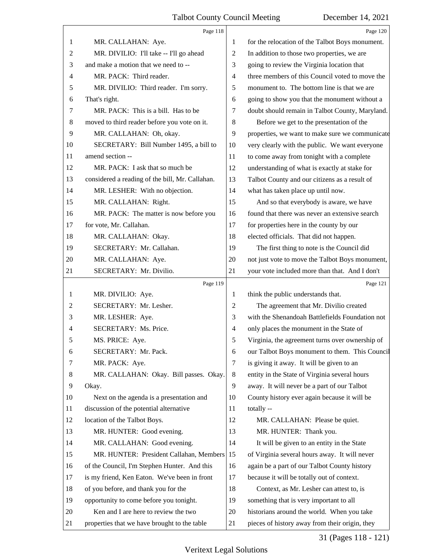|                | Page 118                                        |                | Page 120                                        |
|----------------|-------------------------------------------------|----------------|-------------------------------------------------|
| 1              | MR. CALLAHAN: Aye.                              | 1              | for the relocation of the Talbot Boys monument. |
| $\overline{2}$ | MR. DIVILIO: I'll take -- I'll go ahead         | $\overline{2}$ | In addition to those two properties, we are     |
| 3              | and make a motion that we need to --            | 3              | going to review the Virginia location that      |
| $\overline{4}$ | MR. PACK: Third reader.                         | 4              | three members of this Council voted to move the |
| 5              | MR. DIVILIO: Third reader. I'm sorry.           | 5              | monument to. The bottom line is that we are     |
| 6              | That's right.                                   | 6              | going to show you that the monument without a   |
| $\tau$         | MR. PACK: This is a bill. Has to be             | $\tau$         | doubt should remain in Talbot County, Maryland. |
| 8              | moved to third reader before you vote on it.    | 8              | Before we get to the presentation of the        |
| 9              | MR. CALLAHAN: Oh, okay.                         | 9              | properties, we want to make sure we communicate |
| 10             | SECRETARY: Bill Number 1495, a bill to          | 10             | very clearly with the public. We want everyone  |
| 11             | amend section --                                | 11             | to come away from tonight with a complete       |
| 12             | MR. PACK: I ask that so much be                 | 12             | understanding of what is exactly at stake for   |
| 13             | considered a reading of the bill, Mr. Callahan. | 13             | Talbot County and our citizens as a result of   |
| 14             | MR. LESHER: With no objection.                  | 14             | what has taken place up until now.              |
| 15             | MR. CALLAHAN: Right.                            | 15             | And so that everybody is aware, we have         |
| 16             | MR. PACK: The matter is now before you          | 16             | found that there was never an extensive search  |
| 17             | for vote, Mr. Callahan.                         | 17             | for properties here in the county by our        |
| 18             | MR. CALLAHAN: Okay.                             | 18             | elected officials. That did not happen.         |
| 19             | SECRETARY: Mr. Callahan.                        | 19             | The first thing to note is the Council did      |
| 20             | MR. CALLAHAN: Aye.                              | 20             | not just vote to move the Talbot Boys monument, |
| 21             | SECRETARY: Mr. Divilio.                         | 21             | your vote included more than that. And I don't  |
|                |                                                 |                |                                                 |
|                | Page 119                                        |                | Page 121                                        |
| 1              | MR. DIVILIO: Aye.                               | 1              | think the public understands that.              |
| $\overline{2}$ | SECRETARY: Mr. Lesher.                          | $\overline{2}$ | The agreement that Mr. Divilio created          |
| 3              | MR. LESHER: Aye.                                | 3              | with the Shenandoah Battlefields Foundation not |
| $\overline{4}$ | SECRETARY: Ms. Price.                           | $\overline{4}$ | only places the monument in the State of        |
| 5              | MS. PRICE: Aye.                                 | 5              | Virginia, the agreement turns over ownership of |
| 6              | SECRETARY: Mr. Pack.                            | 6              | our Talbot Boys monument to them. This Council  |
| 7              | MR. PACK: Aye.                                  | 7              | is giving it away. It will be given to an       |
| 8              | MR. CALLAHAN: Okay. Bill passes. Okay.          | 8              | entity in the State of Virginia several hours   |
| 9              | Okay.                                           | 9              | away. It will never be a part of our Talbot     |
| 10             | Next on the agenda is a presentation and        | 10             | County history ever again because it will be    |
| 11             | discussion of the potential alternative         | 11             | totally --                                      |
| 12             | location of the Talbot Boys.                    | 12             | MR. CALLAHAN: Please be quiet.                  |
| 13             | MR. HUNTER: Good evening.                       | 13             | MR. HUNTER: Thank you.                          |
| 14             | MR. CALLAHAN: Good evening.                     | 14             | It will be given to an entity in the State      |
| 15             | MR. HUNTER: President Callahan, Members         | 15             | of Virginia several hours away. It will never   |
| 16             | of the Council, I'm Stephen Hunter. And this    | 16             | again be a part of our Talbot County history    |
| 17             | is my friend, Ken Eaton. We've been in front    | 17             | because it will be totally out of context.      |
| 18             | of you before, and thank you for the            | 18             | Context, as Mr. Lesher can attest to, is        |
| 19             | opportunity to come before you tonight.         | 19             | something that is very important to all         |
| 20             | Ken and I are here to review the two            | 20             | historians around the world. When you take      |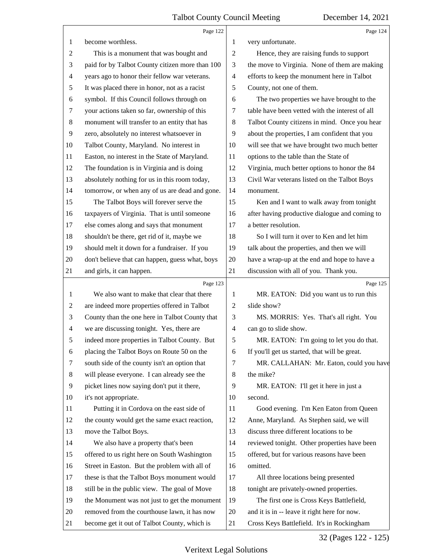|                | Page 122                                        |                | Page 124                                        |
|----------------|-------------------------------------------------|----------------|-------------------------------------------------|
| 1              | become worthless.                               | 1              | very unfortunate.                               |
| 2              | This is a monument that was bought and          | $\overline{2}$ | Hence, they are raising funds to support        |
| 3              | paid for by Talbot County citizen more than 100 | 3              | the move to Virginia. None of them are making   |
| 4              | years ago to honor their fellow war veterans.   | $\overline{4}$ | efforts to keep the monument here in Talbot     |
| 5              | It was placed there in honor, not as a racist   | 5              | County, not one of them.                        |
| 6              | symbol. If this Council follows through on      | 6              | The two properties we have brought to the       |
| 7              | your actions taken so far, ownership of this    | 7              | table have been vetted with the interest of all |
| $\,8$          | monument will transfer to an entity that has    | 8              | Talbot County citizens in mind. Once you hear   |
| 9              | zero, absolutely no interest whatsoever in      | 9              | about the properties, I am confident that you   |
| 10             | Talbot County, Maryland. No interest in         | 10             | will see that we have brought two much better   |
| 11             | Easton, no interest in the State of Maryland.   | 11             | options to the table than the State of          |
| 12             | The foundation is in Virginia and is doing      | 12             | Virginia, much better options to honor the 84   |
| 13             | absolutely nothing for us in this room today,   | 13             | Civil War veterans listed on the Talbot Boys    |
| 14             | tomorrow, or when any of us are dead and gone.  | 14             | monument.                                       |
| 15             | The Talbot Boys will forever serve the          | 15             | Ken and I want to walk away from tonight        |
| 16             | taxpayers of Virginia. That is until someone    | 16             | after having productive dialogue and coming to  |
| 17             | else comes along and says that monument         | 17             | a better resolution.                            |
| 18             | shouldn't be there, get rid of it, maybe we     | 18             | So I will turn it over to Ken and let him       |
| 19             | should melt it down for a fundraiser. If you    | 19             | talk about the properties, and then we will     |
| 20             | don't believe that can happen, guess what, boys | 20             | have a wrap-up at the end and hope to have a    |
| 21             | and girls, it can happen.                       | 21             | discussion with all of you. Thank you.          |
|                |                                                 |                |                                                 |
|                | Page 123                                        |                | Page 125                                        |
| 1              | We also want to make that clear that there      | 1              | MR. EATON: Did you want us to run this          |
| 2              | are indeed more properties offered in Talbot    | $\overline{2}$ | slide show?                                     |
| 3              | County than the one here in Talbot County that  | 3              | MS. MORRIS: Yes. That's all right. You          |
| $\overline{4}$ | we are discussing tonight. Yes, there are       | $\overline{4}$ | can go to slide show.                           |
| 5              | indeed more properties in Talbot County. But    | 5              | MR. EATON: I'm going to let you do that.        |
| 6              | placing the Talbot Boys on Route 50 on the      | 6              | If you'll get us started, that will be great.   |
| 7              | south side of the county isn't an option that   | 7              | MR. CALLAHAN: Mr. Eaton, could you have         |
| 8              | will please everyone. I can already see the     | 8              | the mike?                                       |
| 9              | picket lines now saying don't put it there,     | 9              | MR. EATON: I'll get it here in just a           |
| 10             | it's not appropriate.                           | 10             | second.                                         |
| 11             | Putting it in Cordova on the east side of       | 11             | Good evening. I'm Ken Eaton from Queen          |
| 12             | the county would get the same exact reaction,   | 12             | Anne, Maryland. As Stephen said, we will        |
| 13             | move the Talbot Boys.                           | 13             | discuss three different locations to be         |
| 14             | We also have a property that's been             | 14             | reviewed tonight. Other properties have been    |
| 15             | offered to us right here on South Washington    | 15             | offered, but for various reasons have been      |
| 16             | Street in Easton. But the problem with all of   | 16             | omitted.                                        |
| 17             | these is that the Talbot Boys monument would    | 17             | All three locations being presented             |
| 18             | still be in the public view. The goal of Move   | 18             | tonight are privately-owned properties.         |
| 19             | the Monument was not just to get the monument   | 19             | The first one is Cross Keys Battlefield,        |
| 20             | removed from the courthouse lawn, it has now    | 20             | and it is in -- leave it right here for now.    |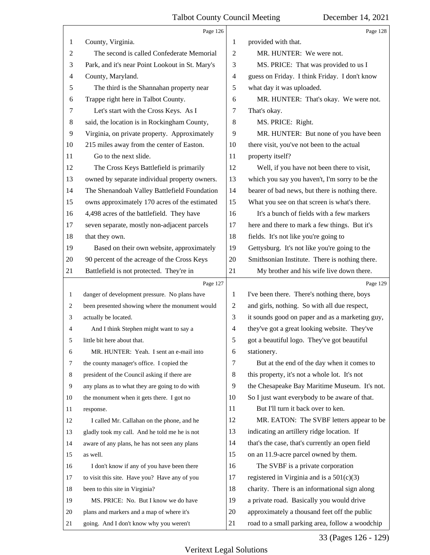|                | Page 126                                        |                | Page 128                                        |
|----------------|-------------------------------------------------|----------------|-------------------------------------------------|
| 1              | County, Virginia.                               | 1              | provided with that.                             |
| $\overline{c}$ | The second is called Confederate Memorial       | $\overline{2}$ | MR. HUNTER: We were not.                        |
| 3              | Park, and it's near Point Lookout in St. Mary's | 3              | MS. PRICE: That was provided to us I            |
| 4              | County, Maryland.                               | $\overline{4}$ | guess on Friday. I think Friday. I don't know   |
| 5              | The third is the Shannahan property near        | 5              | what day it was uploaded.                       |
| 6              | Trappe right here in Talbot County.             | 6              | MR. HUNTER: That's okay. We were not.           |
| 7              | Let's start with the Cross Keys. As I           | 7              | That's okay.                                    |
| 8              | said, the location is in Rockingham County,     | 8              | MS. PRICE: Right.                               |
| 9              | Virginia, on private property. Approximately    | 9              | MR. HUNTER: But none of you have been           |
| 10             | 215 miles away from the center of Easton.       | 10             | there visit, you've not been to the actual      |
| 11             | Go to the next slide.                           | 11             | property itself?                                |
| 12             | The Cross Keys Battlefield is primarily         | 12             | Well, if you have not been there to visit,      |
| 13             | owned by separate individual property owners.   | 13             | which you say you haven't, I'm sorry to be the  |
| 14             | The Shenandoah Valley Battlefield Foundation    | 14             | bearer of bad news, but there is nothing there. |
| 15             | owns approximately 170 acres of the estimated   | 15             | What you see on that screen is what's there.    |
| 16             | 4,498 acres of the battlefield. They have       | 16             | It's a bunch of fields with a few markers       |
| 17             | seven separate, mostly non-adjacent parcels     | 17             | here and there to mark a few things. But it's   |
| 18             | that they own.                                  | 18             | fields. It's not like you're going to           |
| 19             | Based on their own website, approximately       | 19             | Gettysburg. It's not like you're going to the   |
| 20             | 90 percent of the acreage of the Cross Keys     | 20             | Smithsonian Institute. There is nothing there.  |
| 21             | Battlefield is not protected. They're in        | 21             | My brother and his wife live down there.        |
|                |                                                 |                |                                                 |
|                | Page 127                                        |                | Page 129                                        |
| $\mathbf{1}$   | danger of development pressure. No plans have   | $\mathbf{1}$   | I've been there. There's nothing there, boys    |
| 2              | been presented showing where the monument would | $\overline{c}$ | and girls, nothing. So with all due respect,    |
| 3              | actually be located.                            | 3              | it sounds good on paper and as a marketing guy, |
| 4              | And I think Stephen might want to say a         | $\overline{4}$ | they've got a great looking website. They've    |
| 5              | little bit here about that.                     | 5              | got a beautiful logo. They've got beautiful     |
| 6              | MR. HUNTER: Yeah. I sent an e-mail into         | 6              | stationery.                                     |
| 7              | the county manager's office. I copied the       | 7              | But at the end of the day when it comes to      |
| 8              | president of the Council asking if there are    | 8              | this property, it's not a whole lot. It's not   |
| 9              | any plans as to what they are going to do with  | 9              | the Chesapeake Bay Maritime Museum. It's not.   |
| 10             | the monument when it gets there. I got no       | 10             | So I just want everybody to be aware of that.   |
| 11             | response.                                       | 11             | But I'll turn it back over to ken.              |
| 12             | I called Mr. Callahan on the phone, and he      | 12             | MR. EATON: The SVBF letters appear to be        |
| 13             | gladly took my call. And he told me he is not   | 13             | indicating an artillery ridge location. If      |
| 14             | aware of any plans, he has not seen any plans   | 14             | that's the case, that's currently an open field |
| 15             | as well.                                        | 15             | on an 11.9-acre parcel owned by them.           |
| 16             | I don't know if any of you have been there      | 16             | The SVBF is a private corporation               |
| 17             | to visit this site. Have you? Have any of you   | 17             | registered in Virginia and is a $501(c)(3)$     |
| 18             | been to this site in Virginia?                  | 18             | charity. There is an informational sign along   |
| 19             | MS. PRICE: No. But I know we do have            | 19             | a private road. Basically you would drive       |
| 20             | plans and markers and a map of where it's       | 20             | approximately a thousand feet off the public    |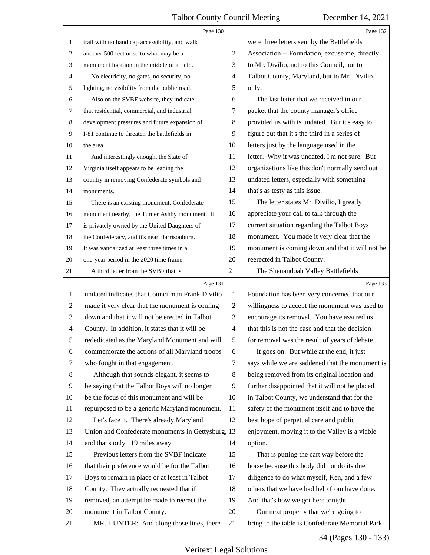|                | Page 130                                        |                | Page 132                                        |
|----------------|-------------------------------------------------|----------------|-------------------------------------------------|
| 1              | trail with no handicap accessibility, and walk  | 1              | were three letters sent by the Battlefields     |
| 2              | another 500 feet or so to what may be a         | 2              | Association -- Foundation, excuse me, directly  |
| 3              | monument location in the middle of a field.     | 3              | to Mr. Divilio, not to this Council, not to     |
| 4              | No electricity, no gates, no security, no       | 4              | Talbot County, Maryland, but to Mr. Divilio     |
| 5              | lighting, no visibility from the public road.   | 5              | only.                                           |
| 6              | Also on the SVBF website, they indicate         | 6              | The last letter that we received in our         |
| 7              | that residential, commercial, and industrial    | 7              | packet that the county manager's office         |
| 8              | development pressures and future expansion of   | 8              | provided us with is undated. But it's easy to   |
| $\overline{9}$ | I-81 continue to threaten the battlefields in   | 9              | figure out that it's the third in a series of   |
| 10             | the area.                                       | 10             | letters just by the language used in the        |
| 11             | And interestingly enough, the State of          | 11             | letter. Why it was undated, I'm not sure. But   |
| 12             | Virginia itself appears to be leading the       | 12             | organizations like this don't normally send out |
| 13             | country in removing Confederate symbols and     | 13             | undated letters, especially with something      |
| 14             | monuments.                                      | 14             | that's as testy as this issue.                  |
| 15             | There is an existing monument, Confederate      | 15             | The letter states Mr. Divilio, I greatly        |
| 16             | monument nearby, the Turner Ashby monument. It  | 16             | appreciate your call to talk through the        |
| 17             | is privately owned by the United Daughters of   | 17             | current situation regarding the Talbot Boys     |
| 18             | the Confederacy, and it's near Harrisonburg.    | 18             | monument. You made it very clear that the       |
| 19             | It was vandalized at least three times in a     | 19             | monument is coming down and that it will not be |
| 20             | one-year period in the 2020 time frame.         | 20             | reerected in Talbot County.                     |
| 21             | A third letter from the SVBF that is            | 21             | The Shenandoah Valley Battlefields              |
|                |                                                 |                |                                                 |
|                | Page 131                                        |                | Page 133                                        |
| $\mathbf{1}$   | undated indicates that Councilman Frank Divilio | 1              | Foundation has been very concerned that our     |
| 2              | made it very clear that the monument is coming  | $\overline{c}$ | willingness to accept the monument was used to  |
| 3              | down and that it will not be erected in Talbot  | 3              | encourage its removal. You have assured us      |
| $\overline{4}$ | County. In addition, it states that it will be  | $\overline{4}$ | that this is not the case and that the decision |
| 5              | rededicated as the Maryland Monument and will   | 5              | for removal was the result of years of debate.  |
| 6              | commemorate the actions of all Maryland troops  | 6              | It goes on. But while at the end, it just       |
| 7              | who fought in that engagement.                  | 7              | says while we are saddened that the monument is |
| 8              | Although that sounds elegant, it seems to       | 8              | being removed from its original location and    |
| 9              | be saying that the Talbot Boys will no longer   | 9              | further disappointed that it will not be placed |
| 10             | be the focus of this monument and will be       | 10             | in Talbot County, we understand that for the    |
| 11             | repurposed to be a generic Maryland monument.   | 11             | safety of the monument itself and to have the   |
| 12             | Let's face it. There's already Maryland         | 12             | best hope of perpetual care and public          |
| 13             | Union and Confederate monuments in Gettysburg,  | 13             | enjoyment, moving it to the Valley is a viable  |
| 14             | and that's only 119 miles away.                 | 14             | option.                                         |
| 15             | Previous letters from the SVBF indicate         | 15             | That is putting the cart way before the         |
| 16             | that their preference would be for the Talbot   | 16             | horse because this body did not do its due      |
| 17             | Boys to remain in place or at least in Talbot   | 17             | diligence to do what myself, Ken, and a few     |
| 18             | County. They actually requested that if         | 18             | others that we have had help from have done.    |
| 19             | removed, an attempt be made to reerect the      | 19             | And that's how we got here tonight.             |
| 20             | monument in Talbot County.                      | 20             | Our next property that we're going to           |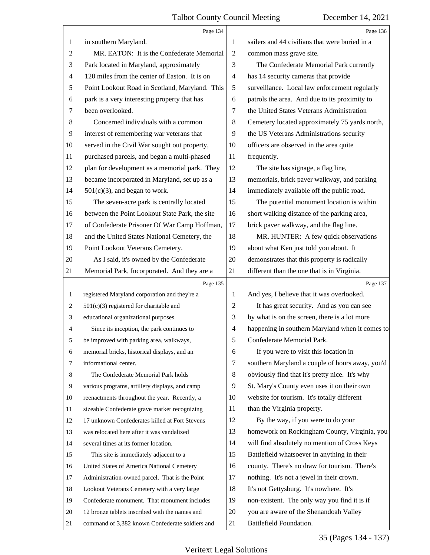|                | Page 134                                       |                | Page 136                                        |
|----------------|------------------------------------------------|----------------|-------------------------------------------------|
| 1              | in southern Maryland.                          | 1              | sailers and 44 civilians that were buried in a  |
| $\overline{c}$ | MR. EATON: It is the Confederate Memorial      | $\overline{2}$ | common mass grave site.                         |
| 3              | Park located in Maryland, approximately        | 3              | The Confederate Memorial Park currently         |
| 4              | 120 miles from the center of Easton. It is on  | $\overline{4}$ | has 14 security cameras that provide            |
| 5              | Point Lookout Road in Scotland, Maryland. This | 5              | surveillance. Local law enforcement regularly   |
| 6              | park is a very interesting property that has   | 6              | patrols the area. And due to its proximity to   |
| 7              | been overlooked.                               | 7              | the United States Veterans Administration       |
| $8\,$          | Concerned individuals with a common            | 8              | Cemetery located approximately 75 yards north,  |
| $\overline{9}$ | interest of remembering war veterans that      | 9              | the US Veterans Administrations security        |
| 10             | served in the Civil War sought out property,   | 10             | officers are observed in the area quite         |
| 11             | purchased parcels, and began a multi-phased    | 11             | frequently.                                     |
| 12             | plan for development as a memorial park. They  | 12             | The site has signage, a flag line,              |
| 13             | became incorporated in Maryland, set up as a   | 13             | memorials, brick paver walkway, and parking     |
| 14             | $501(c)(3)$ , and began to work.               | 14             | immediately available off the public road.      |
| 15             | The seven-acre park is centrally located       | 15             | The potential monument location is within       |
| 16             | between the Point Lookout State Park, the site | 16             | short walking distance of the parking area,     |
| 17             | of Confederate Prisoner Of War Camp Hoffman,   | 17             | brick paver walkway, and the flag line.         |
| 18             | and the United States National Cemetery, the   | 18             | MR. HUNTER: A few quick observations            |
| 19             | Point Lookout Veterans Cemetery.               | 19             | about what Ken just told you about. It          |
| 20             | As I said, it's owned by the Confederate       | 20             | demonstrates that this property is radically    |
| 21             | Memorial Park, Incorporated. And they are a    | 21             | different than the one that is in Virginia.     |
|                |                                                |                |                                                 |
|                | Page 135                                       |                | Page 137                                        |
| 1              | registered Maryland corporation and they're a  | 1              | And yes, I believe that it was overlooked.      |
| 2              | $501(c)(3)$ registered for charitable and      | 2              | It has great security. And as you can see       |
| 3              | educational organizational purposes.           | 3              | by what is on the screen, there is a lot more   |
| 4              | Since its inception, the park continues to     | 4              | happening in southern Maryland when it comes to |
|                | be improved with parking area, walkways,       | 5              | Confederate Memorial Park.                      |
| 6              | memorial bricks, historical displays, and an   | 6              | If you were to visit this location in           |
| 7              | informational center.                          | 7              | southern Maryland a couple of hours away, you'd |
| 8              | The Confederate Memorial Park holds            | 8              | obviously find that it's pretty nice. It's why  |
| 9              | various programs, artillery displays, and camp | 9              | St. Mary's County even uses it on their own     |
| 10             | reenactments throughout the year. Recently, a  | 10             | website for tourism. It's totally different     |
| 11             | sizeable Confederate grave marker recognizing  | 11             | than the Virginia property.                     |
| 12             | 17 unknown Confederates killed at Fort Stevens | 12             | By the way, if you were to do your              |
| 13             | was relocated here after it was vandalized     | 13             | homework on Rockingham County, Virginia, you    |
| 14             | several times at its former location.          | 14             | will find absolutely no mention of Cross Keys   |
| 15             | This site is immediately adjacent to a         | 15             | Battlefield whatsoever in anything in their     |
| 16             | United States of America National Cemetery     | 16             | county. There's no draw for tourism. There's    |
| 17             | Administration-owned parcel. That is the Point | 17             | nothing. It's not a jewel in their crown.       |
| 18             | Lookout Veterans Cemetery with a very large    | 18             | It's not Gettysburg. It's nowhere. It's         |
| 19             | Confederate monument. That monument includes   | 19             | non-existent. The only way you find it is if    |
| 20             | 12 bronze tablets inscribed with the names and | 20             | you are aware of the Shenandoah Valley          |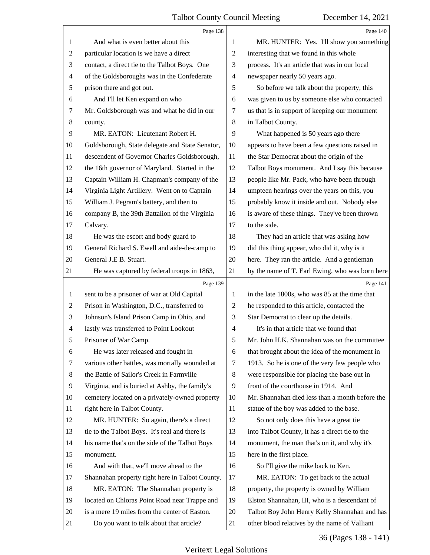<span id="page-36-0"></span>

|                | Page 138                                        |                | Page 140                                        |
|----------------|-------------------------------------------------|----------------|-------------------------------------------------|
| 1              | And what is even better about this              | 1              | MR. HUNTER: Yes. I'll show you something        |
| $\overline{c}$ | particular location is we have a direct         | 2              | interesting that we found in this whole         |
| 3              | contact, a direct tie to the Talbot Boys. One   | 3              | process. It's an article that was in our local  |
| 4              | of the Goldsboroughs was in the Confederate     | 4              | newspaper nearly 50 years ago.                  |
| 5              | prison there and got out.                       | 5              | So before we talk about the property, this      |
| 6              | And I'll let Ken expand on who                  | 6              | was given to us by someone else who contacted   |
| 7              | Mr. Goldsborough was and what he did in our     | 7              | us that is in support of keeping our monument   |
| $\,8\,$        | county.                                         | 8              | in Talbot County.                               |
| 9              | MR. EATON: Lieutenant Robert H.                 | 9              | What happened is 50 years ago there             |
| 10             | Goldsborough, State delegate and State Senator, | 10             | appears to have been a few questions raised in  |
| 11             | descendent of Governor Charles Goldsborough,    | 11             | the Star Democrat about the origin of the       |
| 12             | the 16th governor of Maryland. Started in the   | 12             | Talbot Boys monument. And I say this because    |
| 13             | Captain William H. Chapman's company of the     | 13             | people like Mr. Pack, who have been through     |
| 14             | Virginia Light Artillery. Went on to Captain    | 14             | umpteen hearings over the years on this, you    |
| 15             | William J. Pegram's battery, and then to        | 15             | probably know it inside and out. Nobody else    |
| 16             | company B, the 39th Battalion of the Virginia   | 16             | is aware of these things. They've been thrown   |
| 17             | Calvary.                                        | 17             | to the side.                                    |
| 18             | He was the escort and body guard to             | 18             | They had an article that was asking how         |
| 19             | General Richard S. Ewell and aide-de-camp to    | 19             | did this thing appear, who did it, why is it    |
| 20             | General J.E B. Stuart.                          | 20             | here. They ran the article. And a gentleman     |
| 21             | He was captured by federal troops in 1863,      | 21             | by the name of T. Earl Ewing, who was born here |
|                |                                                 |                |                                                 |
|                | Page 139                                        |                | Page 141                                        |
| 1              | sent to be a prisoner of war at Old Capital     | 1              | in the late 1800s, who was 85 at the time that  |
| 2              | Prison in Washington, D.C., transferred to      | $\overline{c}$ | he responded to this article, contacted the     |
| 3              | Johnson's Island Prison Camp in Ohio, and       | 3              | Star Democrat to clear up the details.          |
| 4              | lastly was transferred to Point Lookout         | 4              | It's in that article that we found that         |
| 5              | Prisoner of War Camp.                           | 5              | Mr. John H.K. Shannahan was on the committee    |
| 6              | He was later released and fought in             | 6              | that brought about the idea of the monument in  |
| 7              | various other battles, was mortally wounded at  | 7              | 1913. So he is one of the very few people who   |
| 8              | the Battle of Sailor's Creek in Farmville       | 8              | were responsible for placing the base out in    |
| $\overline{9}$ | Virginia, and is buried at Ashby, the family's  | 9              | front of the courthouse in 1914. And            |
| 10             | cemetery located on a privately-owned property  | 10             | Mr. Shannahan died less than a month before the |
| 11             | right here in Talbot County.                    | 11             | statue of the boy was added to the base.        |
| 12             | MR. HUNTER: So again, there's a direct          | 12             | So not only does this have a great tie          |
| 13             | tie to the Talbot Boys. It's real and there is  | 13             | into Talbot County, it has a direct tie to the  |
| 14             | his name that's on the side of the Talbot Boys  | 14             | monument, the man that's on it, and why it's    |
| 15             | monument.                                       | 15             | here in the first place.                        |
| 16             | And with that, we'll move ahead to the          | 16             | So I'll give the mike back to Ken.              |
| 17             | Shannahan property right here in Talbot County. | 17             | MR. EATON: To get back to the actual            |
| 18             | MR. EATON: The Shannahan property is            | 18             | property, the property is owned by William      |
| 19             | located on Chloras Point Road near Trappe and   | 19             | Elston Shannahan, III, who is a descendant of   |
| 20             | is a mere 19 miles from the center of Easton.   | 20             | Talbot Boy John Henry Kelly Shannahan and has   |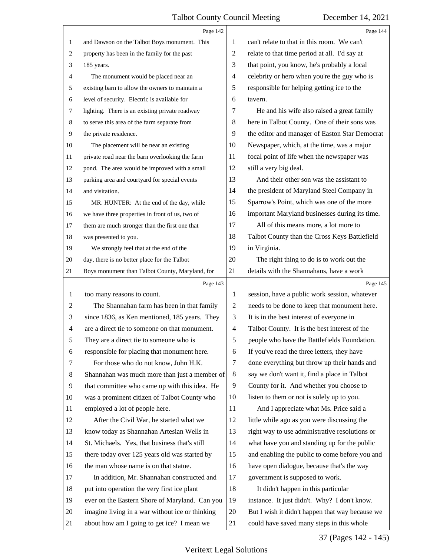<span id="page-37-0"></span>

|                | Page 142                                                                                      |                | Page 144                                                                                     |
|----------------|-----------------------------------------------------------------------------------------------|----------------|----------------------------------------------------------------------------------------------|
| 1              | and Dawson on the Talbot Boys monument. This                                                  | 1              | can't relate to that in this room. We can't                                                  |
| 2              | property has been in the family for the past                                                  | $\overline{c}$ | relate to that time period at all. I'd say at                                                |
| 3              | 185 years.                                                                                    | 3              | that point, you know, he's probably a local                                                  |
| 4              | The monument would be placed near an                                                          | $\overline{4}$ | celebrity or hero when you're the guy who is                                                 |
| 5              | existing barn to allow the owners to maintain a                                               | 5              | responsible for helping getting ice to the                                                   |
| 6              | level of security. Electric is available for                                                  | 6              | tavern.                                                                                      |
| 7              | lighting. There is an existing private roadway                                                | 7              | He and his wife also raised a great family                                                   |
| 8              | to serve this area of the farm separate from                                                  | 8              | here in Talbot County. One of their sons was                                                 |
| $\overline{9}$ | the private residence.                                                                        | 9              | the editor and manager of Easton Star Democrat                                               |
| 10             | The placement will be near an existing                                                        | 10             | Newspaper, which, at the time, was a major                                                   |
| 11             | private road near the barn overlooking the farm                                               | 11             | focal point of life when the newspaper was                                                   |
| 12             | pond. The area would be improved with a small                                                 | 12             | still a very big deal.                                                                       |
| 13             | parking area and courtyard for special events                                                 | 13             | And their other son was the assistant to                                                     |
| 14             | and visitation.                                                                               | 14             | the president of Maryland Steel Company in                                                   |
| 15             | MR. HUNTER: At the end of the day, while                                                      | 15             | Sparrow's Point, which was one of the more                                                   |
| 16             | we have three properties in front of us, two of                                               | 16             | important Maryland businesses during its time.                                               |
| 17             | them are much stronger than the first one that                                                | 17             | All of this means more, a lot more to                                                        |
| 18             | was presented to you.                                                                         | 18             | Talbot County than the Cross Keys Battlefield                                                |
| 19             | We strongly feel that at the end of the                                                       | 19             | in Virginia.                                                                                 |
| 20             | day, there is no better place for the Talbot                                                  | 20             | The right thing to do is to work out the                                                     |
| 21             | Boys monument than Talbot County, Maryland, for                                               | 21             | details with the Shannahans, have a work                                                     |
|                | Page 143                                                                                      |                | Page 145                                                                                     |
| 1              | too many reasons to count.                                                                    | 1              | session, have a public work session, whatever                                                |
| $\overline{c}$ | The Shannahan farm has been in that family                                                    | $\overline{c}$ | needs to be done to keep that monument here.                                                 |
| 3              | since 1836, as Ken mentioned, 185 years. They                                                 | 3              | It is in the best interest of everyone in                                                    |
| 4              | are a direct tie to someone on that monument.                                                 | 4              | Talbot County. It is the best interest of the                                                |
| 5              | They are a direct tie to someone who is                                                       | 5              | people who have the Battlefields Foundation.                                                 |
| 6              | responsible for placing that monument here.                                                   | 6              | If you've read the three letters, they have                                                  |
| 7              | For those who do not know, John H.K.                                                          | 7              | done everything but throw up their hands and                                                 |
| 8              | Shannahan was much more than just a member of                                                 | 8              | say we don't want it, find a place in Talbot                                                 |
| 9              | that committee who came up with this idea. He                                                 | 9              | County for it. And whether you choose to                                                     |
| 10             | was a prominent citizen of Talbot County who                                                  | 10             | listen to them or not is solely up to you.                                                   |
| 11             | employed a lot of people here.                                                                | 11             | And I appreciate what Ms. Price said a                                                       |
| 12             | After the Civil War, he started what we                                                       | 12             | little while ago as you were discussing the                                                  |
| 13             | know today as Shannahan Artesian Wells in                                                     | 13             | right way to use administrative resolutions or                                               |
| 14             | St. Michaels. Yes, that business that's still                                                 | 14             | what have you and standing up for the public                                                 |
| 15             | there today over 125 years old was started by                                                 | 15             | and enabling the public to come before you and                                               |
| 16             |                                                                                               |                |                                                                                              |
|                | the man whose name is on that statue.                                                         | 16             | have open dialogue, because that's the way                                                   |
| 17             | In addition, Mr. Shannahan constructed and                                                    | 17             | government is supposed to work.                                                              |
| 18             | put into operation the very first ice plant                                                   | 18             | It didn't happen in this particular                                                          |
| 19             | ever on the Eastern Shore of Maryland. Can you                                                | 19             | instance. It just didn't. Why? I don't know.                                                 |
| 20             | imagine living in a war without ice or thinking<br>about how am I going to get ice? I mean we | 20             | But I wish it didn't happen that way because we<br>could have saved many steps in this whole |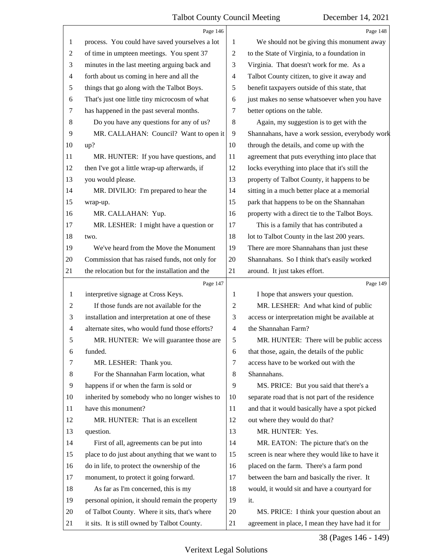<span id="page-38-0"></span>

|                          | Page 146                                        |                | Page 148                                        |
|--------------------------|-------------------------------------------------|----------------|-------------------------------------------------|
| 1                        | process. You could have saved yourselves a lot  | 1              | We should not be giving this monument away      |
| $\overline{c}$           | of time in umpteen meetings. You spent 37       | $\overline{2}$ | to the State of Virginia, to a foundation in    |
| 3                        | minutes in the last meeting arguing back and    | 3              | Virginia. That doesn't work for me. As a        |
| $\overline{4}$           | forth about us coming in here and all the       | 4              | Talbot County citizen, to give it away and      |
| 5                        | things that go along with the Talbot Boys.      | 5              | benefit taxpayers outside of this state, that   |
| 6                        | That's just one little tiny microcosm of what   | 6              | just makes no sense whatsoever when you have    |
| 7                        | has happened in the past several months.        | 7              | better options on the table.                    |
| 8                        | Do you have any questions for any of us?        | 8              | Again, my suggestion is to get with the         |
| 9                        | MR. CALLAHAN: Council? Want to open it          | 9              | Shannahans, have a work session, everybody work |
| 10                       | up?                                             | 10             | through the details, and come up with the       |
| 11                       | MR. HUNTER: If you have questions, and          | 11             | agreement that puts everything into place that  |
| 12                       | then I've got a little wrap-up afterwards, if   | 12             | locks everything into place that it's still the |
| 13                       | you would please.                               | 13             | property of Talbot County, it happens to be     |
| 14                       | MR. DIVILIO: I'm prepared to hear the           | 14             | sitting in a much better place at a memorial    |
| 15                       | wrap-up.                                        | 15             | park that happens to be on the Shannahan        |
| 16                       | MR. CALLAHAN: Yup.                              | 16             | property with a direct tie to the Talbot Boys.  |
| 17                       | MR. LESHER: I might have a question or          | 17             | This is a family that has contributed a         |
| 18                       | two.                                            | 18             | lot to Talbot County in the last 200 years.     |
| 19                       | We've heard from the Move the Monument          | 19             | There are more Shannahans than just these       |
| 20                       | Commission that has raised funds, not only for  | 20             | Shannahans. So I think that's easily worked     |
| 21                       | the relocation but for the installation and the | 21             | around. It just takes effort.                   |
|                          | Page 147                                        |                | Page 149                                        |
| 1                        | interpretive signage at Cross Keys.             | 1              | I hope that answers your question.              |
| $\overline{c}$           | If those funds are not available for the        | 2              | MR. LESHER: And what kind of public             |
| 3                        | installation and interpretation at one of these | 3              | access or interpretation might be available at  |
| $\overline{\mathcal{A}}$ | alternate sites, who would fund those efforts?  | $\overline{4}$ | the Shannahan Farm?                             |
| 5                        | MR. HUNTER: We will guarantee those are         | 5              | MR. HUNTER: There will be public access         |
| 6                        | funded.                                         | 6              | that those, again, the details of the public    |
| 7                        | MR. LESHER: Thank you.                          | 7              | access have to be worked out with the           |
| 8                        | For the Shannahan Farm location, what           | 8              | Shannahans.                                     |
| 9                        | happens if or when the farm is sold or          |                |                                                 |
| 10                       |                                                 | 9              | MS. PRICE: But you said that there's a          |
|                          | inherited by somebody who no longer wishes to   | 10             | separate road that is not part of the residence |
| 11                       | have this monument?                             | 11             | and that it would basically have a spot picked  |
| 12                       | MR. HUNTER: That is an excellent                | 12             | out where they would do that?                   |
| 13                       | question.                                       | 13             | MR. HUNTER: Yes.                                |
| 14                       | First of all, agreements can be put into        | 14             | MR. EATON: The picture that's on the            |
| 15                       | place to do just about anything that we want to | 15             | screen is near where they would like to have it |
| 16                       | do in life, to protect the ownership of the     | 16             | placed on the farm. There's a farm pond         |
| 17                       | monument, to protect it going forward.          | 17             | between the barn and basically the river. It    |
| 18                       | As far as I'm concerned, this is my             | 18             | would, it would sit and have a courtyard for    |
| 19                       | personal opinion, it should remain the property | 19             | it.                                             |
| 20                       | of Talbot County. Where it sits, that's where   | 20             | MS. PRICE: I think your question about an       |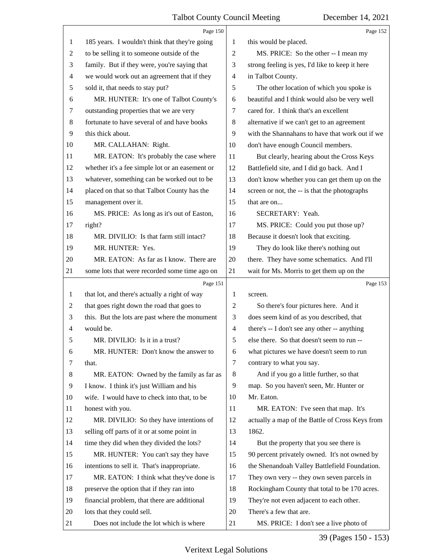<span id="page-39-0"></span>

|    | Page 150                                        |                | Page 152                                        |
|----|-------------------------------------------------|----------------|-------------------------------------------------|
| 1  | 185 years. I wouldn't think that they're going  | 1              | this would be placed.                           |
| 2  | to be selling it to someone outside of the      | 2              | MS. PRICE: So the other -- I mean my            |
| 3  | family. But if they were, you're saying that    | 3              | strong feeling is yes, I'd like to keep it here |
| 4  | we would work out an agreement that if they     | $\overline{4}$ | in Talbot County.                               |
| 5  | sold it, that needs to stay put?                | 5              | The other location of which you spoke is        |
| 6  | MR. HUNTER: It's one of Talbot County's         | 6              | beautiful and I think would also be very well   |
| 7  | outstanding properties that we are very         | 7              | cared for. I think that's an excellent          |
| 8  | fortunate to have several of and have books     | 8              | alternative if we can't get to an agreement     |
| 9  | this thick about.                               | 9              | with the Shannahans to have that work out if we |
| 10 | MR. CALLAHAN: Right.                            | 10             | don't have enough Council members.              |
| 11 | MR. EATON: It's probably the case where         | 11             | But clearly, hearing about the Cross Keys       |
| 12 | whether it's a fee simple lot or an easement or | 12             | Battlefield site, and I did go back. And I      |
| 13 | whatever, something can be worked out to be     | 13             | don't know whether you can get them up on the   |
| 14 | placed on that so that Talbot County has the    | 14             | screen or not, the -- is that the photographs   |
| 15 | management over it.                             | 15             | that are on                                     |
| 16 | MS. PRICE: As long as it's out of Easton,       | 16             | SECRETARY: Yeah.                                |
| 17 | right?                                          | 17             | MS. PRICE: Could you put those up?              |
| 18 | MR. DIVILIO: Is that farm still intact?         | 18             | Because it doesn't look that exciting.          |
| 19 | MR. HUNTER: Yes.                                | 19             | They do look like there's nothing out           |
| 20 | MR. EATON: As far as I know. There are          | 20             | there. They have some schematics. And I'll      |
| 21 | some lots that were recorded some time ago on   | 21             | wait for Ms. Morris to get them up on the       |
|    |                                                 |                |                                                 |
|    | Page 151                                        |                | Page 153                                        |
| 1  | that lot, and there's actually a right of way   | 1              | screen.                                         |
| 2  | that goes right down the road that goes to      | $\overline{c}$ | So there's four pictures here. And it           |
| 3  | this. But the lots are past where the monument  | 3              | does seem kind of as you described, that        |
| 4  | would be.                                       | $\overline{4}$ | there's -- I don't see any other -- anything    |
| 5  | MR. DIVILIO: Is it in a trust?                  | 5              | else there. So that doesn't seem to run --      |
| 6  | MR. HUNTER: Don't know the answer to            | 6              | what pictures we have doesn't seem to run       |
| 7  | that.                                           | 7              | contrary to what you say.                       |
| 8  | MR. EATON: Owned by the family as far as        | 8              | And if you go a little further, so that         |
| 9  | I know. I think it's just William and his       | 9              | map. So you haven't seen, Mr. Hunter or         |
| 10 | wife. I would have to check into that, to be    | 10             | Mr. Eaton.                                      |
| 11 | honest with you.                                | 11             | MR. EATON: I've seen that map. It's             |
| 12 | MR. DIVILIO: So they have intentions of         | 12             | actually a map of the Battle of Cross Keys from |
| 13 | selling off parts of it or at some point in     | 13             | 1862.                                           |
| 14 | time they did when they divided the lots?       | 14             | But the property that you see there is          |
| 15 | MR. HUNTER: You can't say they have             | 15             | 90 percent privately owned. It's not owned by   |
| 16 | intentions to sell it. That's inappropriate.    | 16             | the Shenandoah Valley Battlefield Foundation.   |
| 17 | MR. EATON: I think what they've done is         | 17             | They own very -- they own seven parcels in      |
| 18 | preserve the option that if they ran into       | 18             | Rockingham County that total to be 170 acres.   |
| 19 | financial problem, that there are additional    | 19             | They're not even adjacent to each other.        |
| 20 | lots that they could sell.                      | 20             | There's a few that are.                         |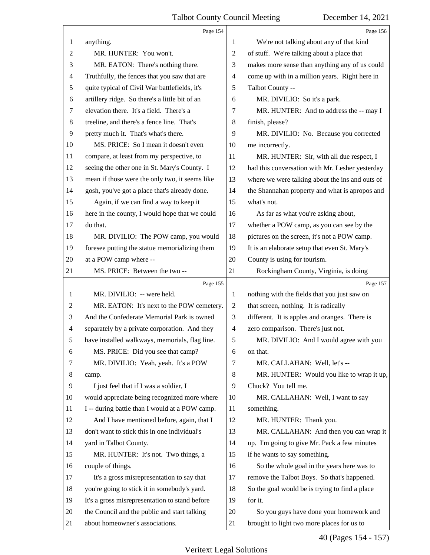<span id="page-40-0"></span>

|                | Page 154                                                                                       |                | Page 156                                                                                  |
|----------------|------------------------------------------------------------------------------------------------|----------------|-------------------------------------------------------------------------------------------|
| 1              | anything.                                                                                      | 1              | We're not talking about any of that kind                                                  |
| $\overline{c}$ | MR. HUNTER: You won't.                                                                         | 2              | of stuff. We're talking about a place that                                                |
| 3              | MR. EATON: There's nothing there.                                                              | 3              | makes more sense than anything any of us could                                            |
| 4              | Truthfully, the fences that you saw that are                                                   | 4              | come up with in a million years. Right here in                                            |
| 5              | quite typical of Civil War battlefields, it's                                                  | 5              | Talbot County --                                                                          |
| 6              | artillery ridge. So there's a little bit of an                                                 | 6              | MR. DIVILIO: So it's a park.                                                              |
| 7              | elevation there. It's a field. There's a                                                       | 7              | MR. HUNTER: And to address the -- may I                                                   |
| $\,8\,$        | treeline, and there's a fence line. That's                                                     | 8              | finish, please?                                                                           |
| 9              | pretty much it. That's what's there.                                                           | 9              | MR. DIVILIO: No. Because you corrected                                                    |
| 10             | MS. PRICE: So I mean it doesn't even                                                           | 10             | me incorrectly.                                                                           |
| 11             | compare, at least from my perspective, to                                                      | 11             | MR. HUNTER: Sir, with all due respect, I                                                  |
| 12             | seeing the other one in St. Mary's County. I                                                   | 12             | had this conversation with Mr. Lesher yesterday                                           |
| 13             | mean if those were the only two, it seems like                                                 | 13             | where we were talking about the ins and outs of                                           |
| 14             | gosh, you've got a place that's already done.                                                  | 14             | the Shannahan property and what is apropos and                                            |
| 15             | Again, if we can find a way to keep it                                                         | 15             | what's not.                                                                               |
| 16             | here in the county, I would hope that we could                                                 | 16             | As far as what you're asking about,                                                       |
| 17             | do that.                                                                                       | 17             | whether a POW camp, as you can see by the                                                 |
| 18             | MR. DIVILIO: The POW camp, you would                                                           | 18             | pictures on the screen, it's not a POW camp.                                              |
| 19             | foresee putting the statue memorializing them                                                  | 19             | It is an elaborate setup that even St. Mary's                                             |
| 20             | at a POW camp where --                                                                         | 20             | County is using for tourism.                                                              |
| 21             | MS. PRICE: Between the two --                                                                  | 21             | Rockingham County, Virginia, is doing                                                     |
|                |                                                                                                |                |                                                                                           |
|                | Page 155                                                                                       |                | Page 157                                                                                  |
| $\mathbf{1}$   | MR. DIVILIO: -- were held.                                                                     | $\mathbf{1}$   | nothing with the fields that you just saw on                                              |
| 2              | MR. EATON: It's next to the POW cemetery.                                                      | $\overline{2}$ | that screen, nothing. It is radically                                                     |
| 3              | And the Confederate Memorial Park is owned                                                     | 3              | different. It is apples and oranges. There is                                             |
| 4              | separately by a private corporation. And they                                                  | $\overline{4}$ | zero comparison. There's just not.                                                        |
| 5              | have installed walkways, memorials, flag line.                                                 | 5              | MR. DIVILIO: And I would agree with you                                                   |
| 6              | MS. PRICE: Did you see that camp?                                                              | 6              | on that.                                                                                  |
| 7              | MR. DIVILIO: Yeah, yeah. It's a POW                                                            | 7              | MR. CALLAHAN: Well, let's --                                                              |
| 8              | camp.                                                                                          | 8              | MR. HUNTER: Would you like to wrap it up,                                                 |
| 9              | I just feel that if I was a soldier, I                                                         | 9              | Chuck? You tell me.                                                                       |
| 10             | would appreciate being recognized more where                                                   | 10             | MR. CALLAHAN: Well, I want to say                                                         |
| 11             | I -- during battle than I would at a POW camp.                                                 | 11             | something.                                                                                |
| 12             | And I have mentioned before, again, that I                                                     | 12             | MR. HUNTER: Thank you.                                                                    |
| 13             | don't want to stick this in one individual's                                                   | 13             | MR. CALLAHAN: And then you can wrap it                                                    |
| 14             |                                                                                                | 14             |                                                                                           |
| 15             | yard in Talbot County.                                                                         | 15             | up. I'm going to give Mr. Pack a few minutes                                              |
| 16             | MR. HUNTER: It's not. Two things, a                                                            | 16             | if he wants to say something.                                                             |
| 17             | couple of things.<br>It's a gross misrepresentation to say that                                | 17             | So the whole goal in the years here was to<br>remove the Talbot Boys. So that's happened. |
| 18             |                                                                                                | 18             |                                                                                           |
| 19             | you're going to stick it in somebody's yard.                                                   | 19             | So the goal would be is trying to find a place<br>for it.                                 |
| 20             | It's a gross misrepresentation to stand before<br>the Council and the public and start talking | 20             | So you guys have done your homework and                                                   |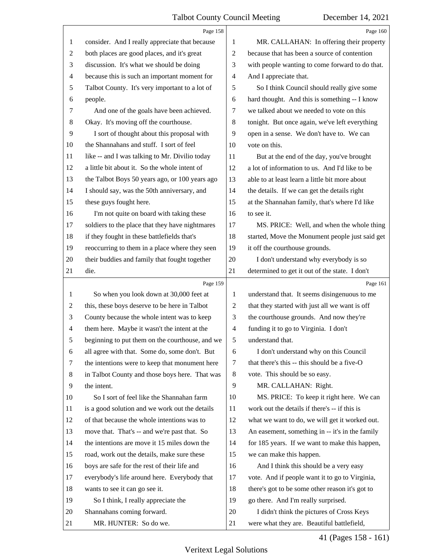<span id="page-41-0"></span>

|                | Page 158                                        |                | Page 160                                        |
|----------------|-------------------------------------------------|----------------|-------------------------------------------------|
| 1              | consider. And I really appreciate that because  | 1              | MR. CALLAHAN: In offering their property        |
| $\overline{2}$ | both places are good places, and it's great     | $\overline{c}$ | because that has been a source of contention    |
| 3              | discussion. It's what we should be doing        | 3              | with people wanting to come forward to do that. |
| $\overline{4}$ | because this is such an important moment for    | $\overline{4}$ | And I appreciate that.                          |
| 5              | Talbot County. It's very important to a lot of  | 5              | So I think Council should really give some      |
| 6              | people.                                         | 6              | hard thought. And this is something -- I know   |
| 7              | And one of the goals have been achieved.        | 7              | we talked about we needed to vote on this       |
| 8              | Okay. It's moving off the courthouse.           | 8              | tonight. But once again, we've left everything  |
| 9              | I sort of thought about this proposal with      | 9              | open in a sense. We don't have to. We can       |
| 10             | the Shannahans and stuff. I sort of feel        | 10             | vote on this.                                   |
| 11             | like -- and I was talking to Mr. Divilio today  | 11             | But at the end of the day, you've brought       |
| 12             | a little bit about it. So the whole intent of   | 12             | a lot of information to us. And I'd like to be  |
| 13             | the Talbot Boys 50 years ago, or 100 years ago  | 13             | able to at least learn a little bit more about  |
| 14             | I should say, was the 50th anniversary, and     | 14             | the details. If we can get the details right    |
| 15             | these guys fought here.                         | 15             | at the Shannahan family, that's where I'd like  |
| 16             | I'm not quite on board with taking these        | 16             | to see it.                                      |
| 17             | soldiers to the place that they have nightmares | 17             | MS. PRICE: Well, and when the whole thing       |
| 18             | if they fought in these battlefields that's     | 18             | started, Move the Monument people just said get |
| 19             | reoccurring to them in a place where they seen  | 19             | it off the courthouse grounds.                  |
| 20             | their buddies and family that fought together   | 20             | I don't understand why everybody is so          |
| 21             | die.                                            | 21             | determined to get it out of the state. I don't  |
|                | Page 159                                        |                | Page 161                                        |
| 1              | So when you look down at 30,000 feet at         | 1              | understand that. It seems disingenuous to me    |
| 2              | this, these boys deserve to be here in Talbot   | $\overline{c}$ | that they started with just all we want is off  |
| 3              | County because the whole intent was to keep     | 3              | the courthouse grounds. And now they're         |
| $\overline{4}$ | them here. Maybe it wasn't the intent at the    | $\overline{4}$ | funding it to go to Virginia. I don't           |
| 5              | beginning to put them on the courthouse, and we | 5              | understand that.                                |
| 6              | all agree with that. Some do, some don't. But   | 6              | I don't understand why on this Council          |
| 7              | the intentions were to keep that monument here  | 7              | that there's this -- this should be a five-O    |
| 8              | in Talbot County and those boys here. That was  | 8              | vote. This should be so easy.                   |
| 9              | the intent.                                     | 9              | MR. CALLAHAN: Right.                            |
| 10             |                                                 |                |                                                 |
| 11             | So I sort of feel like the Shannahan farm       | 10             | MS. PRICE: To keep it right here. We can        |
|                | is a good solution and we work out the details  | 11             | work out the details if there's -- if this is   |
| 12             | of that because the whole intentions was to     | 12             | what we want to do, we will get it worked out.  |
| 13             | move that. That's -- and we're past that. So    | 13             | An easement, something in -- it's in the family |
| 14             | the intentions are move it 15 miles down the    | 14             | for 185 years. If we want to make this happen,  |
| 15             | road, work out the details, make sure these     | 15             | we can make this happen.                        |
| 16             | boys are safe for the rest of their life and    | 16             | And I think this should be a very easy          |
| 17             | everybody's life around here. Everybody that    | 17             | vote. And if people want it to go to Virginia,  |
| 18             | wants to see it can go see it.                  | 18             | there's got to be some other reason it's got to |
| 19             | So I think, I really appreciate the             | 19             | go there. And I'm really surprised.             |
| 20             | Shannahans coming forward.                      | 20             | I didn't think the pictures of Cross Keys       |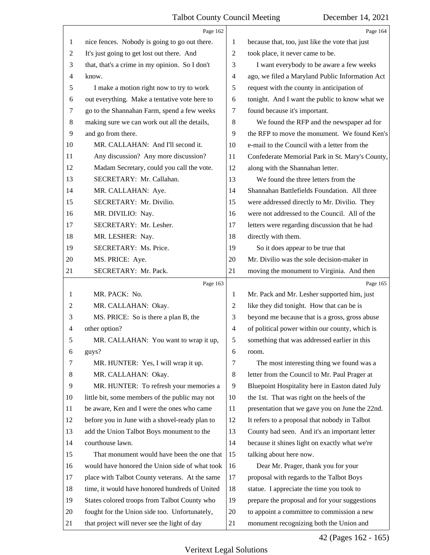<span id="page-42-0"></span>

|                | Page 162                                                                                      |                | Page 164                                                                              |
|----------------|-----------------------------------------------------------------------------------------------|----------------|---------------------------------------------------------------------------------------|
| 1              | nice fences. Nobody is going to go out there.                                                 | 1              | because that, too, just like the vote that just                                       |
| $\overline{2}$ | It's just going to get lost out there. And                                                    | $\overline{2}$ | took place, it never came to be.                                                      |
| 3              | that, that's a crime in my opinion. So I don't                                                | 3              | I want everybody to be aware a few weeks                                              |
| 4              | know.                                                                                         | $\overline{4}$ | ago, we filed a Maryland Public Information Act                                       |
| 5              | I make a motion right now to try to work                                                      | 5              | request with the county in anticipation of                                            |
| 6              | out everything. Make a tentative vote here to                                                 | 6              | tonight. And I want the public to know what we                                        |
| 7              | go to the Shannahan Farm, spend a few weeks                                                   | 7              | found because it's important.                                                         |
| 8              | making sure we can work out all the details,                                                  | $\,8$          | We found the RFP and the newspaper ad for                                             |
| 9              | and go from there.                                                                            | 9              | the RFP to move the monument. We found Ken's                                          |
| 10             | MR. CALLAHAN: And I'll second it.                                                             | 10             | e-mail to the Council with a letter from the                                          |
| 11             | Any discussion? Any more discussion?                                                          | 11             | Confederate Memorial Park in St. Mary's County,                                       |
| 12             | Madam Secretary, could you call the vote.                                                     | 12             | along with the Shannahan letter.                                                      |
| 13             | SECRETARY: Mr. Callahan.                                                                      | 13             | We found the three letters from the                                                   |
| 14             | MR. CALLAHAN: Aye.                                                                            | 14             | Shannahan Battlefields Foundation. All three                                          |
| 15             | SECRETARY: Mr. Divilio.                                                                       | 15             | were addressed directly to Mr. Divilio. They                                          |
| 16             | MR. DIVILIO: Nay.                                                                             | 16             | were not addressed to the Council. All of the                                         |
| 17             | SECRETARY: Mr. Lesher.                                                                        | 17             | letters were regarding discussion that he had                                         |
| 18             | MR. LESHER: Nay.                                                                              | 18             | directly with them.                                                                   |
| 19             | SECRETARY: Ms. Price.                                                                         | 19             | So it does appear to be true that                                                     |
| 20             | MS. PRICE: Aye.                                                                               | 20             | Mr. Divilio was the sole decision-maker in                                            |
| 21             | SECRETARY: Mr. Pack.                                                                          | 21             | moving the monument to Virginia. And then                                             |
|                | Page 163                                                                                      |                | Page 165                                                                              |
| 1              | MR. PACK: No.                                                                                 | 1              | Mr. Pack and Mr. Lesher supported him, just                                           |
|                |                                                                                               |                |                                                                                       |
| 2              | MR. CALLAHAN: Okay.                                                                           | 2              | like they did tonight. How that can be is                                             |
| 3              | MS. PRICE: So is there a plan B, the                                                          | 3              | beyond me because that is a gross, gross abuse                                        |
| 4              | other option?                                                                                 | $\overline{4}$ | of political power within our county, which is                                        |
| 5              | MR. CALLAHAN: You want to wrap it up,                                                         | 5              | something that was addressed earlier in this                                          |
| 6              | guys?                                                                                         | 6              | room.                                                                                 |
| 7              | MR. HUNTER: Yes, I will wrap it up.                                                           | $\tau$         | The most interesting thing we found was a                                             |
| 8              | MR. CALLAHAN: Okay.                                                                           | $\,8\,$        | letter from the Council to Mr. Paul Prager at                                         |
| 9              | MR. HUNTER: To refresh your memories a                                                        | 9              | Bluepoint Hospitality here in Easton dated July                                       |
| 10             | little bit, some members of the public may not                                                | 10             | the 1st. That was right on the heels of the                                           |
| 11             | be aware, Ken and I were the ones who came                                                    | 11             | presentation that we gave you on June the 22nd.                                       |
| 12             | before you in June with a shovel-ready plan to                                                | 12             | It refers to a proposal that nobody in Talbot                                         |
| 13             | add the Union Talbot Boys monument to the                                                     | 13             | County had seen. And it's an important letter                                         |
| 14             | courthouse lawn.                                                                              | 14             | because it shines light on exactly what we're                                         |
| 15             | That monument would have been the one that                                                    | 15             | talking about here now.                                                               |
| 16             | would have honored the Union side of what took                                                | 16             | Dear Mr. Prager, thank you for your                                                   |
| 17             | place with Talbot County veterans. At the same                                                | 17             | proposal with regards to the Talbot Boys                                              |
| 18             | time, it would have honored hundreds of United                                                | 18             | statue. I appreciate the time you took to                                             |
| 19             | States colored troops from Talbot County who                                                  | 19             | prepare the proposal and for your suggestions                                         |
| 20             | fought for the Union side too. Unfortunately,<br>that project will never see the light of day | 20             | to appoint a committee to commission a new<br>monument recognizing both the Union and |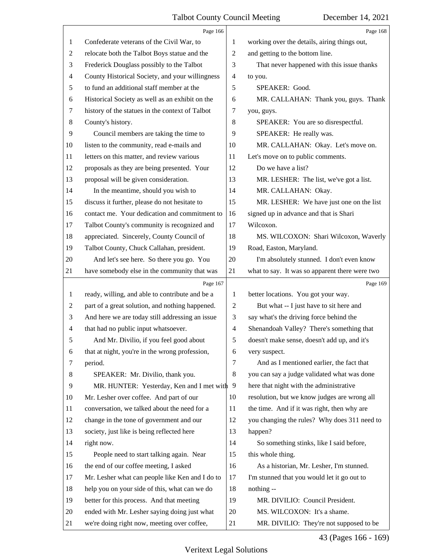<span id="page-43-0"></span>

|    | Page 166                                        |                          | Page 168                                       |
|----|-------------------------------------------------|--------------------------|------------------------------------------------|
| 1  | Confederate veterans of the Civil War, to       | 1                        | working over the details, airing things out,   |
| 2  | relocate both the Talbot Boys statue and the    | 2                        | and getting to the bottom line.                |
| 3  | Frederick Douglass possibly to the Talbot       | 3                        | That never happened with this issue thanks     |
| 4  | County Historical Society, and your willingness | $\overline{\mathcal{A}}$ | to you.                                        |
| 5  | to fund an additional staff member at the       | 5                        | SPEAKER: Good.                                 |
| 6  | Historical Society as well as an exhibit on the | 6                        | MR. CALLAHAN: Thank you, guys. Thank           |
| 7  | history of the statues in the context of Talbot | 7                        | you, guys.                                     |
| 8  | County's history.                               | 8                        | SPEAKER: You are so disrespectful.             |
| 9  | Council members are taking the time to          | 9                        | SPEAKER: He really was.                        |
| 10 | listen to the community, read e-mails and       | 10                       | MR. CALLAHAN: Okay. Let's move on.             |
| 11 | letters on this matter, and review various      | 11                       | Let's move on to public comments.              |
| 12 | proposals as they are being presented. Your     | 12                       | Do we have a list?                             |
| 13 | proposal will be given consideration.           | 13                       | MR. LESHER: The list, we've got a list.        |
| 14 | In the meantime, should you wish to             | 14                       | MR. CALLAHAN: Okay.                            |
| 15 | discuss it further, please do not hesitate to   | 15                       | MR. LESHER: We have just one on the list       |
| 16 | contact me. Your dedication and commitment to   | 16                       | signed up in advance and that is Shari         |
| 17 | Talbot County's community is recognized and     | 17                       | Wilcoxon.                                      |
| 18 | appreciated. Sincerely, County Council of       | 18                       | MS. WILCOXON: Shari Wilcoxon, Waverly          |
| 19 | Talbot County, Chuck Callahan, president.       | 19                       | Road, Easton, Maryland.                        |
| 20 | And let's see here. So there you go. You        | 20                       | I'm absolutely stunned. I don't even know      |
| 21 | have somebody else in the community that was    | 21                       | what to say. It was so apparent there were two |
|    |                                                 |                          |                                                |
|    | Page 167                                        |                          | Page 169                                       |
| 1  | ready, willing, and able to contribute and be a | 1                        | better locations. You got your way.            |
| 2  | part of a great solution, and nothing happened. | $\overline{c}$           | But what -- I just have to sit here and        |
| 3  | And here we are today still addressing an issue | 3                        | say what's the driving force behind the        |
| 4  | that had no public input whatsoever.            | $\overline{4}$           | Shenandoah Valley? There's something that      |
| 5  | And Mr. Divilio, if you feel good about         | 5                        | doesn't make sense, doesn't add up, and it's   |
| 6  | that at night, you're in the wrong profession,  | 6                        | very suspect.                                  |
| 7  | period.                                         | 7                        | And as I mentioned earlier, the fact that      |
| 8  | SPEAKER: Mr. Divilio, thank you.                | 8                        | you can say a judge validated what was done    |
| 9  | MR. HUNTER: Yesterday, Ken and I met with 9     |                          | here that night with the administrative        |
| 10 | Mr. Lesher over coffee. And part of our         | 10                       | resolution, but we know judges are wrong all   |
| 11 | conversation, we talked about the need for a    | 11                       | the time. And if it was right, then why are    |
| 12 | change in the tone of government and our        | 12                       | you changing the rules? Why does 311 need to   |
| 13 | society, just like is being reflected here      | 13                       | happen?                                        |
| 14 | right now.                                      | 14                       | So something stinks, like I said before,       |
| 15 | People need to start talking again. Near        | 15                       | this whole thing.                              |
| 16 | the end of our coffee meeting, I asked          | 16                       | As a historian, Mr. Lesher, I'm stunned.       |
| 17 | Mr. Lesher what can people like Ken and I do to | 17                       | I'm stunned that you would let it go out to    |
| 18 | help you on your side of this, what can we do   | 18                       | nothing --                                     |
| 19 | better for this process. And that meeting       | 19                       | MR. DIVILIO: Council President.                |
| 20 | ended with Mr. Lesher saying doing just what    | 20                       | MS. WILCOXON: It's a shame.                    |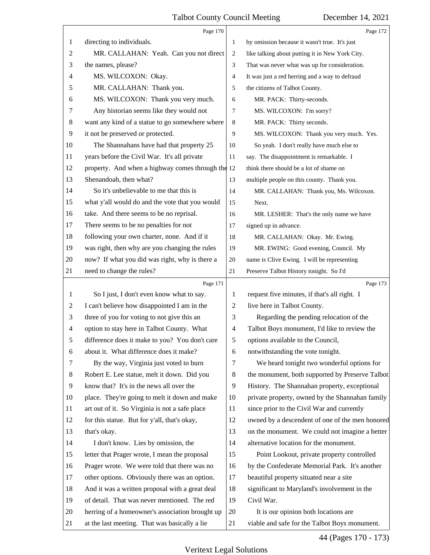<span id="page-44-0"></span>

|                | Page 170                                          |                | Page 172                                        |
|----------------|---------------------------------------------------|----------------|-------------------------------------------------|
| 1              | directing to individuals.                         | 1              | by omission because it wasn't true. It's just   |
| $\overline{c}$ | MR. CALLAHAN: Yeah. Can you not direct            | 2              | like talking about putting it in New York City. |
| 3              | the names, please?                                | 3              | That was never what was up for consideration.   |
| 4              | MS. WILCOXON: Okay.                               | 4              | It was just a red herring and a way to defraud  |
| 5              | MR. CALLAHAN: Thank you.                          | 5              | the citizens of Talbot County.                  |
| 6              | MS. WILCOXON: Thank you very much.                | 6              | MR. PACK: Thirty-seconds.                       |
| 7              | Any historian seems like they would not           | $\overline{7}$ | MS. WILCOXON: I'm sorry?                        |
| 8              | want any kind of a statue to go somewhere where   | 8              | MR. PACK: Thirty seconds.                       |
| 9              | it not be preserved or protected.                 | 9              | MS. WILCOXON: Thank you very much. Yes.         |
| 10             | The Shannahans have had that property 25          | 10             | So yeah. I don't really have much else to       |
| 11             | years before the Civil War. It's all private      | 11             | say. The disappointment is remarkable. I        |
| 12             | property. And when a highway comes through the 12 |                | think there should be a lot of shame on         |
| 13             | Shenandoah, then what?                            | 13             | multiple people on this county. Thank you.      |
| 14             | So it's unbelievable to me that this is           | 14             | MR. CALLAHAN: Thank you, Ms. Wilcoxon.          |
| 15             | what y'all would do and the vote that you would   | 15             | Next.                                           |
| 16             | take. And there seems to be no reprisal.          | 16             | MR. LESHER: That's the only name we have        |
| 17             | There seems to be no penalties for not            | 17             | signed up in advance.                           |
| 18             | following your own charter, none. And if it       | 18             | MR. CALLAHAN: Okay. Mr. Ewing.                  |
| 19             | was right, then why are you changing the rules    | 19             | MR. EWING: Good evening, Council. My            |
| 20             | now? If what you did was right, why is there a    | 20             | name is Clive Ewing. I will be representing     |
| 21             | need to change the rules?                         | 21             | Preserve Talbot History tonight. So I'd         |
|                | Page 171                                          |                | Page 173                                        |
| $\mathbf{1}$   |                                                   |                |                                                 |
|                | So I just, I don't even know what to say.         | 1              | request five minutes, if that's all right. I    |
| 2              | I can't believe how disappointed I am in the      | 2              | live here in Talbot County.                     |
| 3              | three of you for voting to not give this an       | 3              | Regarding the pending relocation of the         |
| $\overline{4}$ | option to stay here in Talbot County. What        | 4              | Talbot Boys monument, I'd like to review the    |
| 5              | difference does it make to you? You don't care    | 5              | options available to the Council,               |
| 6              | about it. What difference does it make?           | 6              | notwithstanding the vote tonight.               |
| 7              | By the way, Virginia just voted to burn           | 7              | We heard tonight two wonderful options for      |
| 8              | Robert E. Lee statue, melt it down. Did you       | 8              | the monument, both supported by Preserve Talbot |
| 9              | know that? It's in the news all over the          | 9              | History. The Shannahan property, exceptional    |
| 10             | place. They're going to melt it down and make     | 10             | private property, owned by the Shannahan family |
| 11             | art out of it. So Virginia is not a safe place    | 11             | since prior to the Civil War and currently      |
| 12             | for this statue. But for y'all, that's okay,      | 12             | owned by a descendent of one of the men honored |
| 13             | that's okay.                                      | 13             | on the monument. We could not imagine a better  |
| 14             | I don't know. Lies by omission, the               | 14             | alternative location for the monument.          |
| 15             | letter that Prager wrote, I mean the proposal     | 15             | Point Lookout, private property controlled      |
| 16             | Prager wrote. We were told that there was no      | 16             | by the Confederate Memorial Park. It's another  |
| 17             | other options. Obviously there was an option.     | 17             | beautiful property situated near a site         |
| 18             | And it was a written proposal with a great deal   | 18             | significant to Maryland's involvement in the    |
| 19             | of detail. That was never mentioned. The red      | 19             | Civil War.                                      |
| 20             | herring of a homeowner's association brought up   | 20             | It is our opinion both locations are            |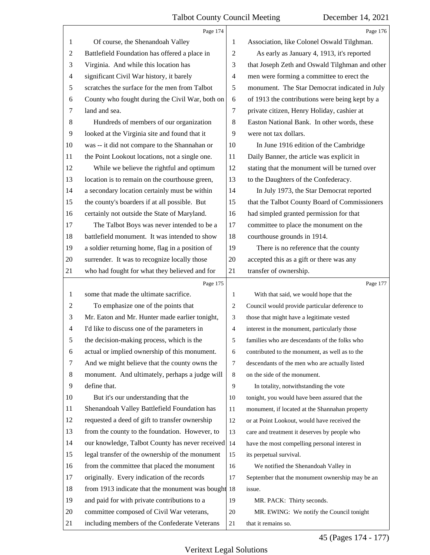<span id="page-45-0"></span>

|                | Page 174                                           |                          | Page 176                                        |
|----------------|----------------------------------------------------|--------------------------|-------------------------------------------------|
| 1              | Of course, the Shenandoah Valley                   | 1                        | Association, like Colonel Oswald Tilghman.      |
| $\overline{2}$ | Battlefield Foundation has offered a place in      | 2                        | As early as January 4, 1913, it's reported      |
| 3              | Virginia. And while this location has              | 3                        | that Joseph Zeth and Oswald Tilghman and other  |
| $\overline{4}$ | significant Civil War history, it barely           | $\overline{\mathcal{A}}$ | men were forming a committee to erect the       |
| $\sqrt{5}$     | scratches the surface for the men from Talbot      | 5                        | monument. The Star Democrat indicated in July   |
| 6              | County who fought during the Civil War, both on    | 6                        | of 1913 the contributions were being kept by a  |
| 7              | land and sea.                                      | 7                        | private citizen, Henry Holiday, cashier at      |
| 8              | Hundreds of members of our organization            | 8                        | Easton National Bank. In other words, these     |
| 9              | looked at the Virginia site and found that it      | 9                        | were not tax dollars.                           |
| 10             | was -- it did not compare to the Shannahan or      | 10                       | In June 1916 edition of the Cambridge           |
| 11             | the Point Lookout locations, not a single one.     | 11                       | Daily Banner, the article was explicit in       |
| 12             | While we believe the rightful and optimum          | 12                       | stating that the monument will be turned over   |
| 13             | location is to remain on the courthouse green,     | 13                       | to the Daughters of the Confederacy.            |
| 14             | a secondary location certainly must be within      | 14                       | In July 1973, the Star Democrat reported        |
| 15             | the county's boarders if at all possible. But      | 15                       | that the Talbot County Board of Commissioners   |
| 16             | certainly not outside the State of Maryland.       | 16                       | had simpled granted permission for that         |
| 17             | The Talbot Boys was never intended to be a         | 17                       | committee to place the monument on the          |
| 18             | battlefield monument. It was intended to show      | 18                       | courthouse grounds in 1914.                     |
| 19             | a soldier returning home, flag in a position of    | 19                       | There is no reference that the county           |
| 20             | surrender. It was to recognize locally those       | 20                       | accepted this as a gift or there was any        |
| 21             | who had fought for what they believed and for      | 21                       | transfer of ownership.                          |
|                |                                                    |                          |                                                 |
|                | Page 175                                           |                          | Page 177                                        |
| -1             | some that made the ultimate sacrifice.             | 1                        | With that said, we would hope that the          |
| $\overline{2}$ | To emphasize one of the points that                | $\overline{2}$           | Council would provide particular deference to   |
| 3              | Mr. Eaton and Mr. Hunter made earlier tonight,     | 3                        | those that might have a legitimate vested       |
| $\overline{4}$ | I'd like to discuss one of the parameters in       | $\overline{4}$           | interest in the monument, particularly those    |
| 5              | the decision-making process, which is the          | 5                        | families who are descendants of the folks who   |
| 6              | actual or implied ownership of this monument.      | 6                        | contributed to the monument, as well as to the  |
| 7              | And we might believe that the county owns the      | 7                        | descendants of the men who are actually listed  |
| 8              | monument. And ultimately, perhaps a judge will     | 8                        | on the side of the monument.                    |
| 9              | define that.                                       | 9                        | In totality, notwithstanding the vote           |
| 10             | But it's our understanding that the                | 10                       | tonight, you would have been assured that the   |
| 11             | Shenandoah Valley Battlefield Foundation has       | 11                       | monument, if located at the Shannahan property  |
| 12             | requested a deed of gift to transfer ownership     | 12                       | or at Point Lookout, would have received the    |
| 13             | from the county to the foundation. However, to     | 13                       | care and treatment it deserves by people who    |
| 14             | our knowledge, Talbot County has never received 14 |                          | have the most compelling personal interest in   |
| 15             | legal transfer of the ownership of the monument    | 15                       | its perpetual survival.                         |
| 16             | from the committee that placed the monument        | 16                       | We notified the Shenandoah Valley in            |
| 17             | originally. Every indication of the records        | 17                       | September that the monument ownership may be an |
| 18             | from 1913 indicate that the monument was bought 18 |                          | issue.                                          |
| 19             | and paid for with private contributions to a       | 19                       | MR. PACK: Thirty seconds.                       |
| 20             | committee composed of Civil War veterans,          | 20                       | MR. EWING: We notify the Council tonight        |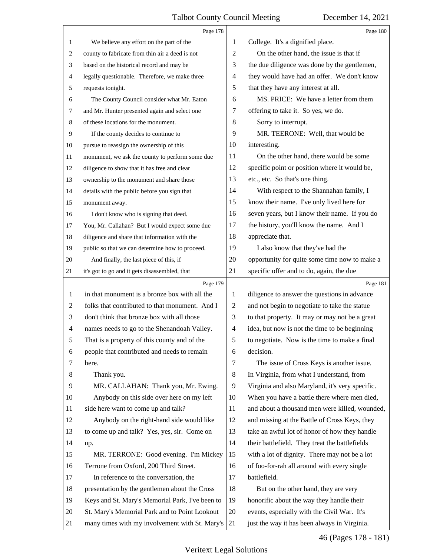<span id="page-46-0"></span>

|                | Page 178                                        |                | Page 180                                        |
|----------------|-------------------------------------------------|----------------|-------------------------------------------------|
| $\mathbf{1}$   | We believe any effort on the part of the        | 1              | College. It's a dignified place.                |
| 2              | county to fabricate from thin air a deed is not | $\overline{2}$ | On the other hand, the issue is that if         |
| 3              | based on the historical record and may be       | 3              | the due diligence was done by the gentlemen,    |
| 4              | legally questionable. Therefore, we make three  | $\overline{4}$ | they would have had an offer. We don't know     |
| 5              | requests tonight.                               | 5              | that they have any interest at all.             |
| 6              | The County Council consider what Mr. Eaton      | 6              | MS. PRICE: We have a letter from them           |
| 7              | and Mr. Hunter presented again and select one   | 7              | offering to take it. So yes, we do.             |
| 8              | of these locations for the monument.            | 8              | Sorry to interrupt.                             |
| 9              | If the county decides to continue to            | 9              | MR. TEERONE: Well, that would be                |
| 10             | pursue to reassign the ownership of this        | 10             | interesting.                                    |
| 11             | monument, we ask the county to perform some due | 11             | On the other hand, there would be some          |
| 12             | diligence to show that it has free and clear    | 12             | specific point or position where it would be,   |
| 13             | ownership to the monument and share those       | 13             | etc., etc. So that's one thing.                 |
| 14             | details with the public before you sign that    | 14             | With respect to the Shannahan family, I         |
| 15             | monument away.                                  | 15             | know their name. I've only lived here for       |
| 16             | I don't know who is signing that deed.          | 16             | seven years, but I know their name. If you do   |
| 17             | You, Mr. Callahan? But I would expect some due  | 17             | the history, you'll know the name. And I        |
| 18             | diligence and share that information with the   | 18             | appreciate that.                                |
| 19             | public so that we can determine how to proceed. | 19             | I also know that they've had the                |
| 20             | And finally, the last piece of this, if         | 20             | opportunity for quite some time now to make a   |
| 21             | it's got to go and it gets disassembled, that   | 21             | specific offer and to do, again, the due        |
|                | Page 179                                        |                | Page 181                                        |
|                |                                                 |                |                                                 |
| 1              | in that monument is a bronze box with all the   | 1              | diligence to answer the questions in advance    |
| 2              | folks that contributed to that monument. And I  | 2              | and not begin to negotiate to take the statue   |
| 3              | don't think that bronze box with all those      | 3              | to that property. It may or may not be a great  |
| $\overline{4}$ | names needs to go to the Shenandoah Valley.     | $\overline{4}$ | idea, but now is not the time to be beginning   |
| 5              | That is a property of this county and of the    | 5              | to negotiate. Now is the time to make a final   |
| 6              | people that contributed and needs to remain     | 6              | decision.                                       |
| 7              | here.                                           | 7              | The issue of Cross Keys is another issue.       |
| 8              | Thank you.                                      | $8\,$          | In Virginia, from what I understand, from       |
| 9              | MR. CALLAHAN: Thank you, Mr. Ewing.             | 9              | Virginia and also Maryland, it's very specific. |
| 10             | Anybody on this side over here on my left       | 10             | When you have a battle there where men died,    |
| 11             | side here want to come up and talk?             | 11             | and about a thousand men were killed, wounded,  |
| 12             | Anybody on the right-hand side would like       | 12             | and missing at the Battle of Cross Keys, they   |
| 13             | to come up and talk? Yes, yes, sir. Come on     | 13             | take an awful lot of honor of how they handle   |
| 14             | up.                                             | 14             | their battlefield. They treat the battlefields  |
| 15             | MR. TERRONE: Good evening. I'm Mickey           | 15             | with a lot of dignity. There may not be a lot   |
| 16             | Terrone from Oxford, 200 Third Street.          | 16             | of foo-for-rah all around with every single     |
| 17             | In reference to the conversation, the           | 17             | battlefield.                                    |
| 18             | presentation by the gentlemen about the Cross   | 18             | But on the other hand, they are very            |
| 19             | Keys and St. Mary's Memorial Park, I've been to | 19             | honorific about the way they handle their       |
| 20             | St. Mary's Memorial Park and to Point Lookout   | 20             | events, especially with the Civil War. It's     |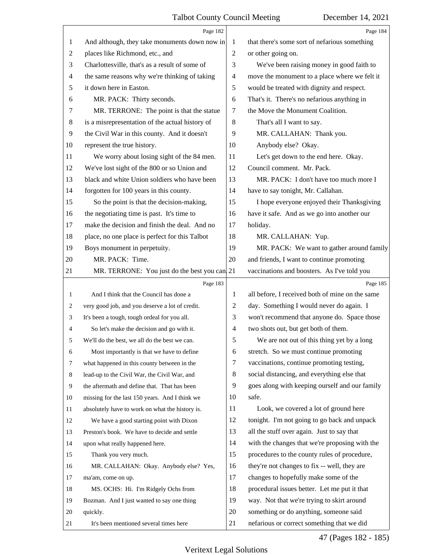<span id="page-47-0"></span>

|                | Page 182                                        |                | Page 184                                        |
|----------------|-------------------------------------------------|----------------|-------------------------------------------------|
| 1              | And although, they take monuments down now in   | 1              | that there's some sort of nefarious something   |
| 2              | places like Richmond, etc., and                 | 2              | or other going on.                              |
| 3              | Charlottesville, that's as a result of some of  | 3              | We've been raising money in good faith to       |
| 4              | the same reasons why we're thinking of taking   | 4              | move the monument to a place where we felt it   |
| 5              | it down here in Easton.                         | 5              | would be treated with dignity and respect.      |
| 6              | MR. PACK: Thirty seconds.                       | 6              | That's it. There's no nefarious anything in     |
| 7              | MR. TERRONE: The point is that the statue       | 7              | the Move the Monument Coalition.                |
| 8              | is a misrepresentation of the actual history of | 8              | That's all I want to say.                       |
| $\overline{9}$ | the Civil War in this county. And it doesn't    | 9              | MR. CALLAHAN: Thank you.                        |
| 10             | represent the true history.                     | 10             | Anybody else? Okay.                             |
| 11             | We worry about losing sight of the 84 men.      | 11             | Let's get down to the end here. Okay.           |
| 12             | We've lost sight of the 800 or so Union and     | 12             | Council comment. Mr. Pack.                      |
| 13             | black and white Union soldiers who have been    | 13             | MR. PACK: I don't have too much more I          |
| 14             | forgotten for 100 years in this county.         | 14             | have to say tonight, Mr. Callahan.              |
| 15             | So the point is that the decision-making,       | 15             | I hope everyone enjoyed their Thanksgiving      |
| 16             | the negotiating time is past. It's time to      | 16             | have it safe. And as we go into another our     |
| 17             | make the decision and finish the deal. And no   | 17             | holiday.                                        |
| 18             | place, no one place is perfect for this Talbot  | 18             | MR. CALLAHAN: Yup.                              |
| 19             | Boys monument in perpetuity.                    | 19             | MR. PACK: We want to gather around family       |
| 20             | MR. PACK: Time.                                 | 20             | and friends, I want to continue promoting       |
| 21             | MR. TERRONE: You just do the best you can 21    |                | vaccinations and boosters. As I've told you     |
|                | Page 183                                        |                | Page 185                                        |
| 1              | And I think that the Council has done a         | 1              | all before, I received both of mine on the same |
| 2              | very good job, and you deserve a lot of credit. | 2              | day. Something I would never do again. I        |
| 3              | It's been a tough, tough ordeal for you all.    | 3              | won't recommend that anyone do. Space those     |
| 4              | So let's make the decision and go with it.      | $\overline{4}$ | two shots out, but get both of them.            |
|                | We'll do the best, we all do the best we can.   | 5              | We are not out of this thing yet by a long      |
| 6              | Most importantly is that we have to define      | 6              | stretch. So we must continue promoting          |
| 7              | what happened in this county between in the     | 7              | vaccinations, continue promoting testing,       |
| 8              | lead-up to the Civil War, the Civil War, and    | 8              | social distancing, and everything else that     |
| 9              | the aftermath and define that. That has been    | 9              | goes along with keeping ourself and our family  |
| 10             | missing for the last 150 years. And I think we  | 10             | safe.                                           |
| 11             | absolutely have to work on what the history is. | 11             | Look, we covered a lot of ground here           |
| 12             | We have a good starting point with Dixon        | 12             | tonight. I'm not going to go back and unpack    |
| 13             | Preston's book. We have to decide and settle    | 13             | all the stuff over again. Just to say that      |
| 14             | upon what really happened here.                 | 14             | with the changes that we're proposing with the  |
| 15             | Thank you very much.                            | 15             | procedures to the county rules of procedure,    |
| 16             | MR. CALLAHAN: Okay. Anybody else? Yes,          | 16             | they're not changes to fix -- well, they are    |
| 17             | ma'am, come on up.                              | 17             | changes to hopefully make some of the           |
| 18             |                                                 | 18             | procedural issues better. Let me put it that    |
|                | MS. OCHS: Hi. I'm Ridgely Ochs from             |                |                                                 |
| 19             | Bozman. And I just wanted to say one thing      | 19             | way. Not that we're trying to skirt around      |
| 20             | quickly.                                        | 20             | something or do anything, someone said          |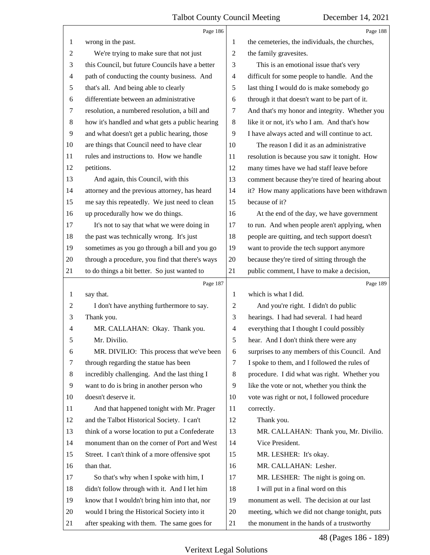<span id="page-48-0"></span>

|                | Page 186                                        |                | Page 188                                       |
|----------------|-------------------------------------------------|----------------|------------------------------------------------|
| 1              | wrong in the past.                              | 1              | the cemeteries, the individuals, the churches, |
| $\overline{c}$ | We're trying to make sure that not just         | $\overline{c}$ | the family gravesites.                         |
| 3              | this Council, but future Councils have a better | 3              | This is an emotional issue that's very         |
| $\overline{4}$ | path of conducting the county business. And     | 4              | difficult for some people to handle. And the   |
| 5              | that's all. And being able to clearly           | 5              | last thing I would do is make somebody go      |
| 6              | differentiate between an administrative         | 6              | through it that doesn't want to be part of it. |
| $\tau$         | resolution, a numbered resolution, a bill and   | 7              | And that's my honor and integrity. Whether you |
| $\,8\,$        | how it's handled and what gets a public hearing | $8\,$          | like it or not, it's who I am. And that's how  |
| 9              | and what doesn't get a public hearing, those    | 9              | I have always acted and will continue to act.  |
| 10             | are things that Council need to have clear      | 10             | The reason I did it as an administrative       |
| 11             | rules and instructions to. How we handle        | 11             | resolution is because you saw it tonight. How  |
| 12             | petitions.                                      | 12             | many times have we had staff leave before      |
| 13             | And again, this Council, with this              | 13             | comment because they're tired of hearing about |
| 14             | attorney and the previous attorney, has heard   | 14             | it? How many applications have been withdrawn  |
| 15             | me say this repeatedly. We just need to clean   | 15             | because of it?                                 |
| 16             | up procedurally how we do things.               | 16             | At the end of the day, we have government      |
| 17             | It's not to say that what we were doing in      | 17             | to run. And when people aren't applying, when  |
| 18             | the past was technically wrong. It's just       | 18             | people are quitting, and tech support doesn't  |
| 19             | sometimes as you go through a bill and you go   | 19             | want to provide the tech support anymore       |
| 20             | through a procedure, you find that there's ways | 20             | because they're tired of sitting through the   |
| 21             | to do things a bit better. So just wanted to    | 21             | public comment, I have to make a decision,     |
|                |                                                 |                |                                                |
|                | Page 187                                        |                | Page 189                                       |
| 1              | say that.                                       | 1              | which is what I did.                           |
| $\overline{2}$ | I don't have anything furthermore to say.       | 2              | And you're right. I didn't do public           |
| 3              | Thank you.                                      | 3              | hearings. I had had several. I had heard       |
| 4              | MR. CALLAHAN: Okay. Thank you.                  | $\overline{4}$ | everything that I thought I could possibly     |
| 5              | Mr. Divilio.                                    | 5              | hear. And I don't think there were any         |
| 6              | MR. DIVILIO: This process that we've been       | 6              | surprises to any members of this Council. And  |
| 7              | through regarding the statue has been           | $\tau$         | I spoke to them, and I followed the rules of   |
| 8              | incredibly challenging. And the last thing I    | 8              | procedure. I did what was right. Whether you   |
| 9              | want to do is bring in another person who       | 9              | like the vote or not, whether you think the    |
| 10             | doesn't deserve it.                             | 10             | vote was right or not, I followed procedure    |
| 11             | And that happened tonight with Mr. Prager       | 11             | correctly.                                     |
| 12             | and the Talbot Historical Society. I can't      | 12             | Thank you.                                     |
| 13             | think of a worse location to put a Confederate  | 13             | MR. CALLAHAN: Thank you, Mr. Divilio.          |
| 14             | monument than on the corner of Port and West    | 14             | Vice President.                                |
| 15             | Street. I can't think of a more offensive spot  | 15             | MR. LESHER: It's okay.                         |
| 16             | than that.                                      | 16             | MR. CALLAHAN: Lesher.                          |
| 17             | So that's why when I spoke with him, I          | 17             | MR. LESHER: The night is going on.             |
| 18             | didn't follow through with it. And I let him    | 18             | I will put in a final word on this             |
| 19             | know that I wouldn't bring him into that, nor   | 19             | monument as well. The decision at our last     |
| 20             | would I bring the Historical Society into it    | 20             | meeting, which we did not change tonight, puts |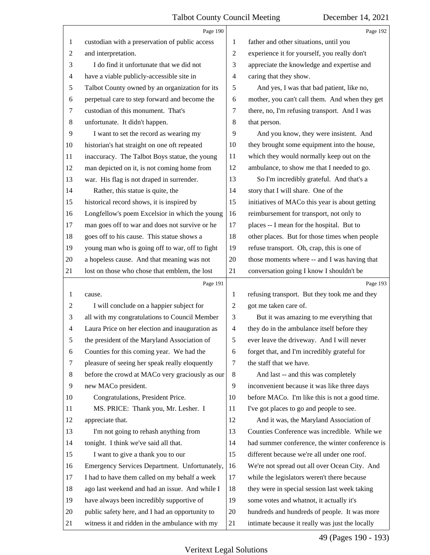<span id="page-49-0"></span>

|                | Page 190                                        |                | Page 192                                        |
|----------------|-------------------------------------------------|----------------|-------------------------------------------------|
| 1              | custodian with a preservation of public access  | 1              | father and other situations, until you          |
| $\overline{c}$ | and interpretation.                             | $\overline{2}$ | experience it for yourself, you really don't    |
| 3              | I do find it unfortunate that we did not        | 3              | appreciate the knowledge and expertise and      |
| 4              | have a viable publicly-accessible site in       | $\overline{4}$ | caring that they show.                          |
| 5              | Talbot County owned by an organization for its  | 5              | And yes, I was that bad patient, like no,       |
| 6              | perpetual care to step forward and become the   | 6              | mother, you can't call them. And when they get  |
| 7              | custodian of this monument. That's              | 7              | there, no, I'm refusing transport. And I was    |
| 8              | unfortunate. It didn't happen.                  | 8              | that person.                                    |
| 9              | I want to set the record as wearing my          | 9              | And you know, they were insistent. And          |
| 10             | historian's hat straight on one oft repeated    | 10             | they brought some equipment into the house,     |
| 11             | inaccuracy. The Talbot Boys statue, the young   | 11             | which they would normally keep out on the       |
| 12             | man depicted on it, is not coming home from     | 12             | ambulance, to show me that I needed to go.      |
| 13             | war. His flag is not draped in surrender.       | 13             | So I'm incredibly grateful. And that's a        |
| 14             | Rather, this statue is quite, the               | 14             | story that I will share. One of the             |
| 15             | historical record shows, it is inspired by      | 15             | initiatives of MACo this year is about getting  |
| 16             | Longfellow's poem Excelsior in which the young  | 16             | reimbursement for transport, not only to        |
| 17             | man goes off to war and does not survive or he  | 17             | places -- I mean for the hospital. But to       |
| 18             | goes off to his cause. This statue shows a      | 18             | other places. But for those times when people   |
| 19             | young man who is going off to war, off to fight | 19             | refuse transport. Oh, crap, this is one of      |
| 20             | a hopeless cause. And that meaning was not      | 20             | those moments where -- and I was having that    |
| 21             | lost on those who chose that emblem, the lost   | 21             | conversation going I know I shouldn't be        |
|                |                                                 |                |                                                 |
|                | Page 191                                        |                | Page 193                                        |
| 1              | cause.                                          | 1              | refusing transport. But they took me and they   |
| 2              | I will conclude on a happier subject for        | $\overline{c}$ | got me taken care of.                           |
| 3              | all with my congratulations to Council Member   | 3              | But it was amazing to me everything that        |
| 4              | Laura Price on her election and inauguration as | $\overline{4}$ | they do in the ambulance itself before they     |
| 5              | the president of the Maryland Association of    | 5              | ever leave the driveway. And I will never       |
| 6              | Counties for this coming year. We had the       | 6              | forget that, and I'm incredibly grateful for    |
| 7              | pleasure of seeing her speak really eloquently  | 7              | the staff that we have.                         |
| 8              | before the crowd at MACo very graciously as our | 8              | And last -- and this was completely             |
| 9              | new MACo president.                             | 9              | inconvenient because it was like three days     |
| 10             | Congratulations, President Price.               | 10             | before MACo. I'm like this is not a good time.  |
| 11             | MS. PRICE: Thank you, Mr. Lesher. I             | 11             | I've got places to go and people to see.        |
| 12             | appreciate that.                                | 12             | And it was, the Maryland Association of         |
| 13             | I'm not going to rehash anything from           | 13             | Counties Conference was incredible. While we    |
| 14             | tonight. I think we've said all that.           | 14             | had summer conference, the winter conference is |
| 15             | I want to give a thank you to our               | 15             | different because we're all under one roof.     |
| 16             | Emergency Services Department. Unfortunately,   | 16             | We're not spread out all over Ocean City. And   |
| 17             | I had to have them called on my behalf a week   | 17             | while the legislators weren't there because     |
| 18             | ago last weekend and had an issue. And while I  | 18             | they were in special session last week taking   |
| 19             | have always been incredibly supportive of       | 19             | some votes and whatnot, it actually it's        |
| 20             | public safety here, and I had an opportunity to | 20             | hundreds and hundreds of people. It was more    |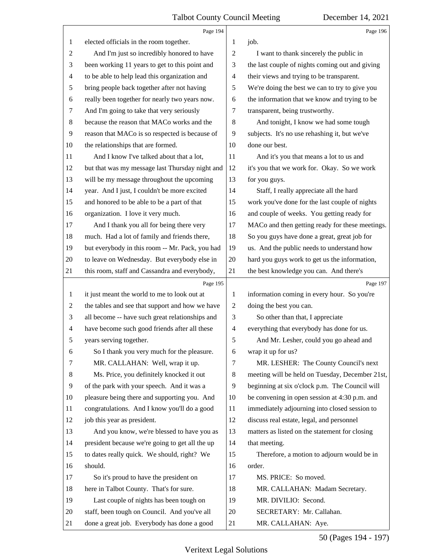<span id="page-50-0"></span>

|                | Page 194                                        |                          | Page 196                                        |
|----------------|-------------------------------------------------|--------------------------|-------------------------------------------------|
| 1              | elected officials in the room together.         | 1                        | job.                                            |
| $\overline{c}$ | And I'm just so incredibly honored to have      | $\overline{2}$           | I want to thank sincerely the public in         |
| 3              | been working 11 years to get to this point and  | 3                        | the last couple of nights coming out and giving |
| 4              | to be able to help lead this organization and   | $\overline{\mathcal{A}}$ | their views and trying to be transparent.       |
| 5              | bring people back together after not having     | $\mathfrak s$            | We're doing the best we can to try to give you  |
| 6              | really been together for nearly two years now.  | 6                        | the information that we know and trying to be   |
| 7              | And I'm going to take that very seriously       | $\tau$                   | transparent, being trustworthy.                 |
| 8              | because the reason that MACo works and the      | $\,8\,$                  | And tonight, I know we had some tough           |
| $\overline{9}$ | reason that MACo is so respected is because of  | 9                        | subjects. It's no use rehashing it, but we've   |
| 10             | the relationships that are formed.              | 10                       | done our best.                                  |
| 11             | And I know I've talked about that a lot,        | 11                       | And it's you that means a lot to us and         |
| 12             | but that was my message last Thursday night and | 12                       | it's you that we work for. Okay. So we work     |
| 13             | will be my message throughout the upcoming      | 13                       | for you guys.                                   |
| 14             | year. And I just, I couldn't be more excited    | 14                       | Staff, I really appreciate all the hard         |
| 15             | and honored to be able to be a part of that     | 15                       | work you've done for the last couple of nights  |
| 16             | organization. I love it very much.              | 16                       | and couple of weeks. You getting ready for      |
| 17             | And I thank you all for being there very        | 17                       | MACo and then getting ready for these meetings. |
| 18             | much. Had a lot of family and friends there,    | 18                       | So you guys have done a great, great job for    |
| 19             | but everybody in this room -- Mr. Pack, you had | 19                       | us. And the public needs to understand how      |
| 20             | to leave on Wednesday. But everybody else in    | 20                       | hard you guys work to get us the information,   |
| 21             | this room, staff and Cassandra and everybody,   | 21                       | the best knowledge you can. And there's         |
|                |                                                 |                          |                                                 |
|                | Page 195                                        |                          | Page 197                                        |
| 1              | it just meant the world to me to look out at    | $\mathbf{1}$             | information coming in every hour. So you're     |
| $\overline{c}$ | the tables and see that support and how we have | $\overline{c}$           | doing the best you can.                         |
| 3              | all become -- have such great relationships and | 3                        | So other than that, I appreciate                |
| 4              | have become such good friends after all these   | $\overline{4}$           | everything that everybody has done for us.      |
| 5              | years serving together.                         | 5                        | And Mr. Lesher, could you go ahead and          |
| 6              | So I thank you very much for the pleasure.      | 6                        | wrap it up for us?                              |
| 7              | MR. CALLAHAN: Well, wrap it up.                 | $\tau$                   | MR. LESHER: The County Council's next           |
| 8              | Ms. Price, you definitely knocked it out        | 8                        | meeting will be held on Tuesday, December 21st, |
| 9              | of the park with your speech. And it was a      | 9                        | beginning at six o'clock p.m. The Council will  |
| 10             | pleasure being there and supporting you. And    | 10                       | be convening in open session at 4:30 p.m. and   |
| 11             | congratulations. And I know you'll do a good    | 11                       | immediately adjourning into closed session to   |
| 12             | job this year as president.                     | 12                       | discuss real estate, legal, and personnel       |
| 13             | And you know, we're blessed to have you as      | 13                       | matters as listed on the statement for closing  |
| 14             | president because we're going to get all the up | 14                       | that meeting.                                   |
| 15             | to dates really quick. We should, right? We     | 15                       | Therefore, a motion to adjourn would be in      |
| 16             | should.                                         | 16                       | order.                                          |
| 17             | So it's proud to have the president on          | 17                       | MS. PRICE: So moved.                            |
| 18             | here in Talbot County. That's for sure.         | 18                       | MR. CALLAHAN: Madam Secretary.                  |
| 19             | Last couple of nights has been tough on         | 19                       | MR. DIVILIO: Second.                            |
| 20             | staff, been tough on Council. And you've all    | 20                       | SECRETARY: Mr. Callahan.                        |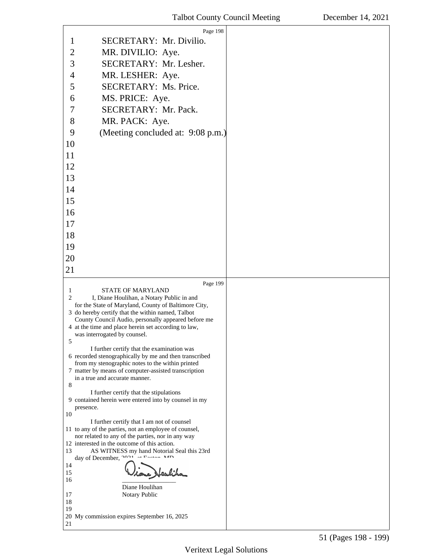<span id="page-51-0"></span>

| Page 198                                                                                                                                                                                                                                                                                                                                                                                                                                                                                                                                                                                                                                                                                                                                                                                                                                                                                                                                                                                                                                                                                                                                                      |  |
|---------------------------------------------------------------------------------------------------------------------------------------------------------------------------------------------------------------------------------------------------------------------------------------------------------------------------------------------------------------------------------------------------------------------------------------------------------------------------------------------------------------------------------------------------------------------------------------------------------------------------------------------------------------------------------------------------------------------------------------------------------------------------------------------------------------------------------------------------------------------------------------------------------------------------------------------------------------------------------------------------------------------------------------------------------------------------------------------------------------------------------------------------------------|--|
| SECRETARY: Mr. Divilio.<br>1                                                                                                                                                                                                                                                                                                                                                                                                                                                                                                                                                                                                                                                                                                                                                                                                                                                                                                                                                                                                                                                                                                                                  |  |
| $\overline{c}$<br>MR. DIVILIO: Aye.                                                                                                                                                                                                                                                                                                                                                                                                                                                                                                                                                                                                                                                                                                                                                                                                                                                                                                                                                                                                                                                                                                                           |  |
| 3<br>SECRETARY: Mr. Lesher.                                                                                                                                                                                                                                                                                                                                                                                                                                                                                                                                                                                                                                                                                                                                                                                                                                                                                                                                                                                                                                                                                                                                   |  |
| $\overline{4}$<br>MR. LESHER: Aye.                                                                                                                                                                                                                                                                                                                                                                                                                                                                                                                                                                                                                                                                                                                                                                                                                                                                                                                                                                                                                                                                                                                            |  |
| 5<br>SECRETARY: Ms. Price.                                                                                                                                                                                                                                                                                                                                                                                                                                                                                                                                                                                                                                                                                                                                                                                                                                                                                                                                                                                                                                                                                                                                    |  |
| MS. PRICE: Aye.<br>6                                                                                                                                                                                                                                                                                                                                                                                                                                                                                                                                                                                                                                                                                                                                                                                                                                                                                                                                                                                                                                                                                                                                          |  |
| SECRETARY: Mr. Pack.<br>7                                                                                                                                                                                                                                                                                                                                                                                                                                                                                                                                                                                                                                                                                                                                                                                                                                                                                                                                                                                                                                                                                                                                     |  |
| 8<br>MR. PACK: Aye.                                                                                                                                                                                                                                                                                                                                                                                                                                                                                                                                                                                                                                                                                                                                                                                                                                                                                                                                                                                                                                                                                                                                           |  |
| (Meeting concluded at: 9:08 p.m.)<br>9                                                                                                                                                                                                                                                                                                                                                                                                                                                                                                                                                                                                                                                                                                                                                                                                                                                                                                                                                                                                                                                                                                                        |  |
| 10                                                                                                                                                                                                                                                                                                                                                                                                                                                                                                                                                                                                                                                                                                                                                                                                                                                                                                                                                                                                                                                                                                                                                            |  |
| 11                                                                                                                                                                                                                                                                                                                                                                                                                                                                                                                                                                                                                                                                                                                                                                                                                                                                                                                                                                                                                                                                                                                                                            |  |
| 12                                                                                                                                                                                                                                                                                                                                                                                                                                                                                                                                                                                                                                                                                                                                                                                                                                                                                                                                                                                                                                                                                                                                                            |  |
| 13                                                                                                                                                                                                                                                                                                                                                                                                                                                                                                                                                                                                                                                                                                                                                                                                                                                                                                                                                                                                                                                                                                                                                            |  |
| 14                                                                                                                                                                                                                                                                                                                                                                                                                                                                                                                                                                                                                                                                                                                                                                                                                                                                                                                                                                                                                                                                                                                                                            |  |
| 15                                                                                                                                                                                                                                                                                                                                                                                                                                                                                                                                                                                                                                                                                                                                                                                                                                                                                                                                                                                                                                                                                                                                                            |  |
| 16                                                                                                                                                                                                                                                                                                                                                                                                                                                                                                                                                                                                                                                                                                                                                                                                                                                                                                                                                                                                                                                                                                                                                            |  |
| 17                                                                                                                                                                                                                                                                                                                                                                                                                                                                                                                                                                                                                                                                                                                                                                                                                                                                                                                                                                                                                                                                                                                                                            |  |
| 18                                                                                                                                                                                                                                                                                                                                                                                                                                                                                                                                                                                                                                                                                                                                                                                                                                                                                                                                                                                                                                                                                                                                                            |  |
| 19                                                                                                                                                                                                                                                                                                                                                                                                                                                                                                                                                                                                                                                                                                                                                                                                                                                                                                                                                                                                                                                                                                                                                            |  |
| 20                                                                                                                                                                                                                                                                                                                                                                                                                                                                                                                                                                                                                                                                                                                                                                                                                                                                                                                                                                                                                                                                                                                                                            |  |
| 21                                                                                                                                                                                                                                                                                                                                                                                                                                                                                                                                                                                                                                                                                                                                                                                                                                                                                                                                                                                                                                                                                                                                                            |  |
|                                                                                                                                                                                                                                                                                                                                                                                                                                                                                                                                                                                                                                                                                                                                                                                                                                                                                                                                                                                                                                                                                                                                                               |  |
| Page 199<br><b>STATE OF MARYLAND</b><br>1<br>2<br>I, Diane Houlihan, a Notary Public in and<br>for the State of Maryland, County of Baltimore City,<br>3 do hereby certify that the within named, Talbot<br>County Council Audio, personally appeared before me<br>4 at the time and place herein set according to law,<br>was interrogated by counsel.<br>5<br>I further certify that the examination was<br>6 recorded stenographically by me and then transcribed<br>from my stenographic notes to the within printed<br>7 matter by means of computer-assisted transcription<br>in a true and accurate manner.<br>8<br>I further certify that the stipulations<br>9 contained herein were entered into by counsel in my<br>presence.<br>10<br>I further certify that I am not of counsel<br>11 to any of the parties, not an employee of counsel,<br>nor related to any of the parties, nor in any way<br>12 interested in the outcome of this action.<br>13<br>AS WITNESS my hand Notorial Seal this 23rd<br>day of December, 2021<br>14<br>15<br>16<br>Diane Houlihan<br>17<br>Notary Public<br>18<br>19<br>20 My commission expires September 16, 2025 |  |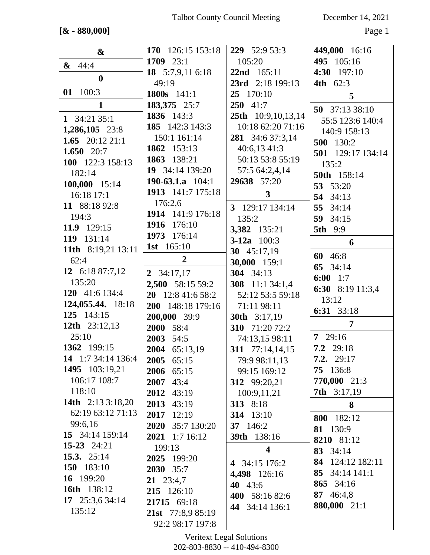### $[& 880,000]$

December 14, 2021

Page 1

| $\boldsymbol{\&}$  | 170 126:15 153:18  | 229 52:9 53:3             | 449,000 16:16      |
|--------------------|--------------------|---------------------------|--------------------|
| $\& 44:4$          | 1709 23:1          | 105:20                    | 495 105:16         |
|                    | 18 $5:7,9,116:18$  | 22nd 165:11               | 4:30 197:10        |
| $\boldsymbol{0}$   | 49:19              | 23rd 2:18 199:13          | <b>4th</b> 62:3    |
| 01 100:3           | 1800s 141:1        | 25 170:10                 | 5                  |
| $\mathbf{1}$       | 183,375 25:7       | 250 41:7                  | 50 37:13 38:10     |
| 1 $34:21$ 35:1     | 1836 143:3         | <b>25th</b> 10:9,10,13,14 | 55:5 123:6 140:4   |
| 1,286,105 23:8     | 185 142:3 143:3    | 10:18 62:20 71:16         | 140:9 158:13       |
| 1.65 $20:1221:1$   | 150:1 161:14       | 281 34:6 37:3,14          | 500 130:2          |
| 1.650 $20:7$       | 1862 153:13        | $40:6,13\;41:3$           | 501 129:17 134:14  |
| 100 122:3 158:13   | 1863 138:21        | 50:13 53:8 55:19          | 135:2              |
| 182:14             | 19 34:14 139:20    | 57:5 64:2,4,14            | 50th 158:14        |
| 100,000 15:14      | 190-63.1.a $104:1$ | 29638 57:20               | 53 53:20           |
| 16:18 17:1         | 1913 141:7 175:18  | $\mathbf{3}$              | 54 34:13           |
| 11 88:18 92:8      | 176:2,6            | 3 129:17 134:14           | 55 34:14           |
| 194:3              | 1914 141:9 176:18  | 135:2                     | 59 34:15           |
| 11.9 129:15        | 1916 176:10        | 3,382 135:21              | <b>5th</b> 9:9     |
| 119 131:14         | 1973 176:14        | 3-12a $100:3$             | 6                  |
| 11th 8:19,21 13:11 | 1st 165:10         | 30 45:17,19               |                    |
| 62:4               | $\overline{2}$     | 30,000 159:1              | 60 46:8            |
| 12 $6:1887:7,12$   | 2 $34:17,17$       | 304 34:13                 | 65 34:14           |
| 135:20             | 2,500 58:15 59:2   | 308 11:1 34:1,4           | 6:00 1:7           |
| 120 41:6 134:4     | 20 12:8 41:6 58:2  | 52:12 53:5 59:18          | 6:30 8:19 11:3,4   |
| 124,055.44. 18:18  | 200 148:18 179:16  | 71:11 98:11               | 13:12              |
| 125 143:15         | 200,000 39:9       | <b>30th</b> 3:17,19       | 6:31 33:18         |
| 12th 23:12,13      | 2000 58:4          | 310 71:20 72:2            | $\overline{7}$     |
| 25:10              | 2003 54:5          | 74:13,15 98:11            | 729:16             |
| 1362 199:15        | 2004 65:13,19      | 311 77:14,14,15           | 7.2 29:18          |
| 14 1:7 34:14 136:4 | 2005<br>65:15      | 79:9 98:11,13             | 7.2. 29:17         |
| 1495 103:19,21     | 2006 65:15         | 99:15 169:12              | 75 136:8           |
| 106:17 108:7       | 2007 43:4          | 312 99:20,21              | 770,000 21:3       |
| 118:10             | 2012<br>43:19      | 100:9,11,21               | <b>7th</b> 3:17,19 |
| 14th 2:13 3:18,20  | 2013 43:19         | 313 8:18                  | 8                  |
| 62:19 63:12 71:13  | 2017 12:19         | 314 13:10                 | 182:12<br>800      |
| 99:6,16            | 2020 35:7 130:20   | 37 146:2                  | 81 130:9           |
| 15 34:14 159:14    | 2021 1:7 16:12     | <b>39th</b> 138:16        | 8210 81:12         |
| 15-23 24:21        | 199:13             | $\overline{\mathbf{4}}$   | 83 34:14           |
| 15.3. $25:14$      | 2025 199:20        | 4 34:15 176:2             | 84 124:12 182:11   |
| 150 183:10         | 2030 35:7          | 4,498 126:16              | 85 34:14 141:1     |
| 16 199:20          | $21 \t23:4,7$      | 40 43:6                   | 865 34:16          |
| 16th 138:12        | 215 126:10         | 400 58:16 82:6            | 87 46:4,8          |
| 17 25:3,6 34:14    | 21715 69:18        | 44 34:14 136:1            | 880,000 21:1       |
| 135:12             | 21st 77:8,9 85:19  |                           |                    |
|                    | 92:2 98:17 197:8   |                           |                    |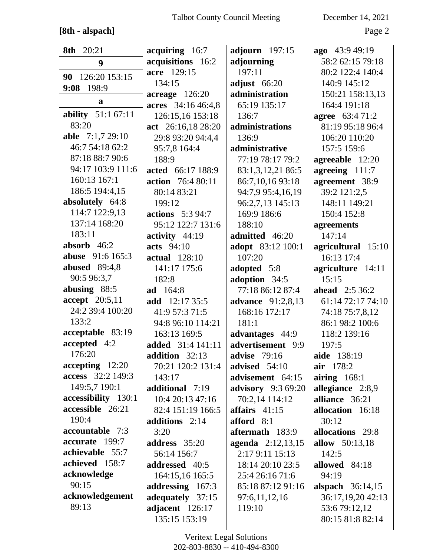# **[8th - alspach]** Page 2

| 8th 20:21               | acquiring 16:7           | adjourn $197:15$          | ago 43:9 49:19         |
|-------------------------|--------------------------|---------------------------|------------------------|
| 9                       | acquisitions 16:2        | adjourning                | 58:2 62:15 79:18       |
| 126:20 153:15<br>90     | acre 129:15              | 197:11                    | 80:2 122:4 140:4       |
| 9:08 198:9              | 134:15                   | adjust 66:20              | 140:9 145:12           |
| a                       | $acreage$ 126:20         | administration            | 150:21 158:13,13       |
|                         | acres 34:16 46:4,8       | 65:19 135:17              | 164:4 191:18           |
| ability 51:1 67:11      | 126:15,16 153:18         | 136:7                     | <b>agree</b> 63:4 71:2 |
| 83:20                   | act 26:16,18 28:20       | administrations           | 81:19 95:18 96:4       |
| able 7:1,7 29:10        | 29:8 93:20 94:4,4        | 136:9                     | 106:20 110:20          |
| 46:7 54:18 62:2         | 95:7,8 164:4             | administrative            | 157:5 159:6            |
| 87:18 88:7 90:6         | 188:9                    | 77:19 78:17 79:2          | agreeable 12:20        |
| 94:17 103:9 111:6       | acted 66:17 188:9        | 83:1,3,12,21 86:5         | agreeing 111:7         |
| 160:13 167:1            | <b>action</b> 76:4 80:11 | 86:7,10,16 93:18          | agreement 38:9         |
| 186:5 194:4,15          | 80:14 83:21              | 94:7,9 95:4,16,19         | 39:2 121:2,5           |
| absolutely 64:8         | 199:12                   | 96:2,7,13 145:13          | 148:11 149:21          |
| 114:7 122:9,13          | <b>actions</b> 5:3 94:7  | 169:9 186:6               | 150:4 152:8            |
| 137:14 168:20           | 95:12 122:7 131:6        | 188:10                    | agreements             |
| 183:11                  | activity 44:19           | admitted 46:20            | 147:14                 |
| absorb $46:2$           | acts 94:10               | adopt 83:12 100:1         | agricultural 15:10     |
| <b>abuse</b> 91:6 165:3 | <b>actual</b> 128:10     | 107:20                    | 16:13 17:4             |
| <b>abused</b> 89:4,8    | 141:17 175:6             | adopted 5:8               | agriculture 14:11      |
| 90:5 96:3,7             | 182:8                    | adoption 34:5             | 15:15                  |
| abusing 88:5            | <b>ad</b> 164:8          | 77:18 86:12 87:4          | <b>ahead</b> 2:5 36:2  |
| accept 20:5,11          | add 12:17 35:5           | <b>advance</b> 91:2,8,13  | 61:14 72:17 74:10      |
| 24:2 39:4 100:20        | 41:9 57:3 71:5           | 168:16 172:17             | 74:18 75:7,8,12        |
| 133:2                   | 94:8 96:10 114:21        | 181:1                     | 86:1 98:2 100:6        |
| acceptable 83:19        | 163:13 169:5             | advantages 44:9           | 118:2 139:16           |
| accepted 4:2            | added 31:4 141:11        | advertisement 9:9         | 197:5                  |
| 176:20                  | addition 32:13           | <b>advise</b> 79:16       | aide 138:19            |
| $accepting$ 12:20       | 70:21 120:2 131:4        | advised $54:10$           | air 178:2              |
| access 32:2 149:3       | 143:17                   | advisement 64:15          | airing $168:1$         |
| 149:5,7 190:1           | additional 7:19          | <b>advisory</b> 9:3 69:20 | allegiance 2:8,9       |
| accessibility 130:1     | 10:4 20:13 47:16         | 70:2,14 114:12            | alliance 36:21         |
| accessible 26:21        | 82:4 151:19 166:5        | affairs $41:15$           | allocation 16:18       |
| 190:4                   | additions $2:14$         | afford $8:1$              | 30:12                  |
| accountable 7:3         | 3:20                     | aftermath 183:9           | allocations 29:8       |
| accurate 199:7          | address 35:20            | <b>agenda</b> 2:12,13,15  | <b>allow</b> 50:13,18  |
| achievable 55:7         | 56:14 156:7              | 2:17 9:11 15:13           | 142:5                  |
| achieved 158:7          | addressed 40:5           | 18:14 20:10 23:5          | allowed 84:18          |
| acknowledge             | 164:15,16 165:5          | 25:4 26:16 71:6           | 94:19                  |
| 90:15                   | addressing 167:3         | 85:18 87:12 91:16         | alspach $36:14,15$     |
| acknowledgement         | adequately 37:15         | 97:6,11,12,16             | 36:17,19,20 42:13      |
| 89:13                   | adjacent 126:17          | 119:10                    | 53:6 79:12,12          |
|                         | 135:15 153:19            |                           | 80:15 81:8 82:14       |
|                         |                          |                           |                        |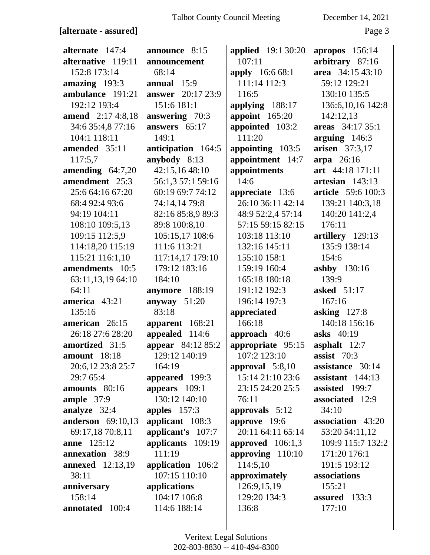### [alternate - assured]

| December 14, 2021 |  |  |
|-------------------|--|--|
|-------------------|--|--|

Page 3

| alternate 147:4          | announce 8:15            | <b>applied</b> 19:1 30:20 | apropos 156:14      |
|--------------------------|--------------------------|---------------------------|---------------------|
| alternative 119:11       | announcement             | 107:11                    | arbitrary 87:16     |
| 152:8 173:14             | 68:14                    | apply 16:6 68:1           | area 34:15 43:10    |
| amazing 193:3            | annual $15:9$            | 111:14 112:3              | 59:12 129:21        |
| ambulance 191:21         | <b>answer</b> 20:17 23:9 | 116:5                     | 130:10 135:5        |
| 192:12 193:4             | 151:6 181:1              | applying 188:17           | 136:6, 10, 16 142:8 |
| <b>amend</b> 2:17 4:8,18 | answering 70:3           | appoint 165:20            | 142:12,13           |
| 34:6 35:4,8 77:16        | answers 65:17            | appointed 103:2           | areas 34:17 35:1    |
| 104:1 118:11             | 149:1                    | 111:20                    | arguing 146:3       |
| amended 35:11            | anticipation 164:5       | appointing 103:5          | arisen 37:3,17      |
| 117:5,7                  | anybody 8:13             | appointment 14:7          | arpa 26:16          |
| amending $64:7,20$       | 42:15,16 48:10           | appointments              | art 44:18 171:11    |
| amendment 25:3           | 56:1,3 57:1 59:16        | 14:6                      | artesian 143:13     |
| 25:6 64:16 67:20         | 60:19 69:7 74:12         | appreciate 13:6           | article 59:6 100:3  |
| 68:4 92:4 93:6           | 74:14,14 79:8            | 26:10 36:11 42:14         | 139:21 140:3,18     |
| 94:19 104:11             | 82:16 85:8,9 89:3        | 48:9 52:2,4 57:14         | 140:20 141:2,4      |
| 108:10 109:5,13          | 89:8 100:8,10            | 57:15 59:15 82:15         | 176:11              |
| 109:15 112:5,9           | 105:15,17 108:6          | 103:18 113:10             | artillery 129:13    |
| 114:18,20 115:19         | 111:6 113:21             | 132:16 145:11             | 135:9 138:14        |
| 115:21 116:1,10          | 117:14,17 179:10         | 155:10 158:1              | 154:6               |
| amendments 10:5          | 179:12 183:16            | 159:19 160:4              | <b>ashby</b> 130:16 |
| 63:11,13,19 64:10        | 184:10                   | 165:18 180:18             | 139:9               |
| 64:11                    | anymore 188:19           | 191:12 192:3              | asked 51:17         |
| america 43:21            | anyway $51:20$           | 196:14 197:3              | 167:16              |
| 135:16                   | 83:18                    | appreciated               | asking $127:8$      |
| american 26:15           | apparent 168:21          | 166:18                    | 140:18 156:16       |
| 26:18 27:6 28:20         | appealed 114:6           | approach $40:6$           | asks 40:19          |
| amortized 31:5           | <b>appear</b> 84:12 85:2 | appropriate 95:15         | asphalt $12:7$      |
| amount 18:18             | 129:12 140:19            | 107:2 123:10              | assist $70:3$       |
| 20:6,12 23:8 25:7        | 164:19                   | approval $5:8,10$         | assistance 30:14    |
| 29:7 65:4                | appeared 199:3           | 15:14 21:10 23:6          | assistant $144:13$  |
| amounts 80:16            | appears $109:1$          | 23:15 24:20 25:5          | assisted 199:7      |
| ample $37:9$             | 130:12 140:10            | 76:11                     | associated 12:9     |
| analyze 32:4             | apples $157:3$           | approvals $5:12$          | 34:10               |
| <b>anderson</b> 69:10,13 | applicant 108:3          | approve 19:6              | association 43:20   |
| 69:17,18 70:8,11         | applicant's 107:7        | 20:11 64:11 65:14         | 53:20 54:11,12      |
| <b>anne</b> 125:12       | applicants 109:19        | approved 106:1,3          | 109:9 115:7 132:2   |
| annexation 38:9          | 111:19                   | approving 110:10          | 171:20 176:1        |
| <b>annexed</b> 12:13,19  | application 106:2        | 114:5,10                  | 191:5 193:12        |
| 38:11                    | 107:15 110:10            | approximately             | associations        |
| anniversary              | applications             | 126:9,15,19               | 155:21              |
| 158:14                   | 104:17 106:8             | 129:20 134:3              | assured 133:3       |
| annotated 100:4          | 114:6 188:14             | 136:8                     | 177:10              |
|                          |                          |                           |                     |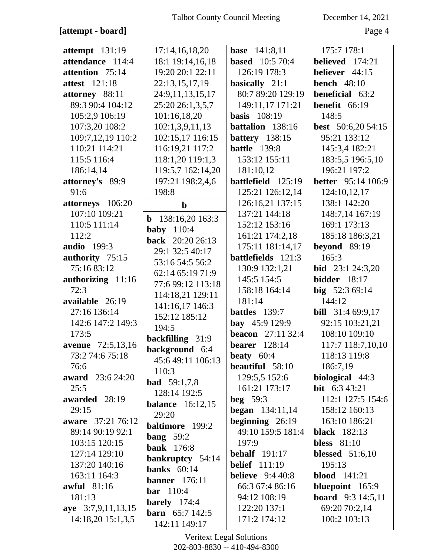## **[attempt - board]** Page 4

| $\textbf{attempt}$ 131:19    | 17:14,16,18,20                 | <b>base</b> 141:8,11      | 175:7 178:1                |
|------------------------------|--------------------------------|---------------------------|----------------------------|
| attendance 114:4             | 18:1 19:14,16,18               | <b>based</b> 10:5 70:4    | believed 174:21            |
| attention 75:14              | 19:20 20:1 22:11               | 126:19 178:3              | believer 44:15             |
| <b>attest</b> 121:18         | 22:13,15,17,19                 | basically 21:1            | bench $48:10$              |
| attorney 88:11               | 24:9,11,13,15,17               | 80:7 89:20 129:19         | beneficial 63:2            |
| 89:3 90:4 104:12             | 25:20 26:1,3,5,7               | 149:11,17 171:21          | benefit 66:19              |
| 105:2,9 106:19               | 101:16,18,20                   | <b>basis</b> 108:19       | 148:5                      |
| 107:3,20 108:2               | 102:1,3,9,11,13                | battalion 138:16          | <b>best</b> $50:6,2054:15$ |
| 109:7,12,19 110:2            | 102:15,17 116:15               | <b>battery</b> 138:15     | 95:21 133:12               |
| 110:21 114:21                | 116:19,21 117:2                | <b>battle</b> 139:8       | 145:3,4 182:21             |
| 115:5 116:4                  | 118:1,20 119:1,3               | 153:12 155:11             | 183:5,5 196:5,10           |
| 186:14,14                    | 119:5,7 162:14,20              | 181:10,12                 | 196:21 197:2               |
| attorney's 89:9              | 197:21 198:2,4,6               | battlefield 125:19        | <b>better</b> 95:14 106:9  |
| 91:6                         | 198:8                          | 125:21 126:12,14          | 124:10,12,17               |
| attorneys 106:20             | $\mathbf b$                    | 126:16,21 137:15          | 138:1 142:20               |
| 107:10 109:21                |                                | 137:21 144:18             | 148:7,14 167:19            |
| 110:5 111:14                 | 138:16,20 163:3<br>$\mathbf b$ | 152:12 153:16             | 169:1 173:13               |
| 112:2                        | <b>baby</b> 110:4              | 161:21 174:2,18           | 185:18 186:3,21            |
| <b>audio</b> 199:3           | back 20:20 26:13               | 175:11 181:14,17          | beyond 89:19               |
| authority 75:15              | 29:1 32:5 40:17                | battlefields 121:3        | 165:3                      |
| 75:16 83:12                  | 53:16 54:5 56:2                | 130:9 132:1,21            | <b>bid</b> 23:1 24:3,20    |
| authorizing 11:16            | 62:14 65:19 71:9               | 145:5 154:5               | <b>bidder</b> 18:17        |
| 72:3                         | 77:6 99:12 113:18              | 158:18 164:14             | big 52:3 69:14             |
| available 26:19              | 114:18,21 129:11               | 181:14                    | 144:12                     |
| 27:16 136:14                 | 141:16,17 146:3                | battles 139:7             | <b>bill</b> 31:4 69:9,17   |
| 142:6 147:2 149:3            | 152:12 185:12                  | bay 45:9 129:9            | 92:15 103:21,21            |
| 173:5                        | 194:5                          | <b>beacon</b> $27:1132:4$ | 108:10 109:10              |
| avenue 72:5,13,16            | backfilling 31:9               | <b>bearer</b> 128:14      | 117:7 118:7,10,10          |
| 73:2 74:6 75:18              | background 6:4                 | <b>beaty</b> $60:4$       | 118:13 119:8               |
| 76:6                         | 45:6 49:11 106:13              | beautiful 58:10           | 186:7,19                   |
| <b>award</b> 23:6 24:20      | 110:3                          | 129:5,5 152:6             | biological 44:3            |
| 25:5                         | <b>bad</b> 59:1,7,8            | 161:21 173:17             | <b>bit</b> $6:343:21$      |
| awarded 28:19                | 128:14 192:5                   | <b>beg</b> 59:3           | 112:1 127:5 154:6          |
| 29:15                        | <b>balance</b> 16:12,15        | <b>began</b> $134:11,14$  | 158:12 160:13              |
| <b>aware</b> 37:21 76:12     | 29:20                          | beginning 26:19           | 163:10 186:21              |
| 89:14 90:19 92:1             | <b>baltimore</b> 199:2         | 49:10 159:5 181:4         | <b>black</b> 182:13        |
| 103:15 120:15                | bang $59:2$                    | 197:9                     | bless $81:10$              |
| 127:14 129:10                | <b>bank</b> 176:8              | behalf $191:17$           | blessed $51:6,10$          |
| 137:20 140:16                | bankruptcy 54:14               | <b>belief</b> 111:19      | 195:13                     |
| 163:11 164:3                 | banks $60:14$                  | <b>believe</b> $9:440:8$  | <b>blood</b> 141:21        |
|                              | <b>banner</b> 176:11           |                           |                            |
| <b>awful</b> 81:16<br>181:13 | <b>bar</b> $110:4$             | 66:3 67:4 86:16           | bluepoint 165:9            |
|                              | barely $174:4$                 | 94:12 108:19              | <b>board</b> 9:3 14:5,11   |
| aye 3:7,9,11,13,15           | <b>barn</b> $65:7142:5$        | 122:20 137:1              | 69:20 70:2,14              |
| 14:18,20 15:1,3,5            | 142:11 149:17                  | 171:2 174:12              | 100:2 103:13               |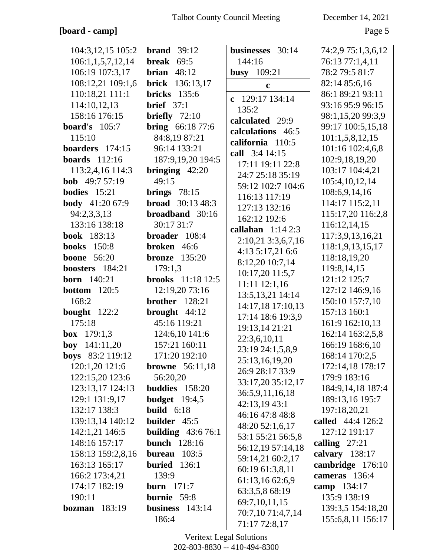## **[board - camp]** Page 5

| 104:3,12,15 105:2            | <b>brand</b> $39:12$      | businesses 30:14   | 74:2,9 75:1,3,6,12 |
|------------------------------|---------------------------|--------------------|--------------------|
| 106:1,1,5,7,12,14            | break $69:5$              | 144:16             | 76:13 77:1,4,11    |
| 106:19 107:3,17              | brian $48:12$             | <b>busy</b> 109:21 | 78:2 79:5 81:7     |
| 108:12,21 109:1,6            | 136:13,17<br><b>brick</b> | $\mathbf c$        | 82:14 85:6,16      |
| 110:18,21 111:1              | <b>bricks</b> 135:6       |                    | 86:1 89:21 93:11   |
| 114:10,12,13                 | <b>brief</b> $37:1$       | c 129:17 134:14    | 93:16 95:9 96:15   |
| 158:16 176:15                | briefly $72:10$           | 135:2              | 98:1,15,20 99:3,9  |
| board's $105:7$              | <b>bring</b> $66:1877:6$  | calculated 29:9    | 99:17 100:5,15,18  |
| 115:10                       | 84:8,19 87:21             | calculations 46:5  | 101:1,5,8,12,15    |
| boarders $174:15$            | 96:14 133:21              | california 110:5   | 101:16 102:4,6,8   |
| <b>boards</b> 112:16         | 187:9,19,20 194:5         | call 3:4 14:15     | 102:9,18,19,20     |
| 113:2,4,16 114:3             | bringing $42:20$          | 17:11 19:11 22:8   | 103:17 104:4,21    |
| <b>bob</b> 49:7 57:19        | 49:15                     | 24:7 25:18 35:19   | 105:4,10,12,14     |
| <b>bodies</b> $15:21$        | brings $78:15$            | 59:12 102:7 104:6  | 108:6,9,14,16      |
| body 41:20 67:9              | <b>broad</b> $30:1348:3$  | 116:13 117:19      |                    |
|                              | broadband 30:16           | 127:13 132:16      | 114:17 115:2,11    |
| 94:2,3,3,13<br>133:16 138:18 |                           | 162:12 192:6       | 115:17,20 116:2,8  |
|                              | 30:17 31:7                | callahan $1:142:3$ | 116:12,14,15       |
| <b>book</b> 183:13           | broader $108:4$           | 2:10,21 3:3,6,7,16 | 117:3,9,13,16,21   |
| <b>books</b> 150:8           | broken 46:6               | 4:13 5:17,21 6:6   | 118:1,9,13,15,17   |
| <b>boone</b> 56:20           | <b>bronze</b> 135:20      | 8:12,20 10:7,14    | 118:18,19,20       |
| boosters 184:21              | 179:1,3                   | 10:17,20 11:5,7    | 119:8,14,15        |
| <b>born</b> 140:21           | <b>brooks</b> $11:1812:5$ | $11:11$ $12:1,16$  | 121:12 125:7       |
| <b>bottom</b> 120:5          | 12:19,20 73:16            | 13:5, 13, 21 14:14 | 127:12 146:9,16    |
| 168:2                        | brother $128:21$          | 14:17,18 17:10,13  | 150:10 157:7,10    |
| bought $122:2$               | brought $44:12$           | 17:14 18:6 19:3,9  | 157:13 160:1       |
| 175:18                       | 45:16 119:21              | 19:13,14 21:21     | 161:9 162:10,13    |
| <b>box</b> $179:1,3$         | 124:6,10 141:6            | 22:3,6,10,11       | 162:14 163:2,5,8   |
| boy 141:11,20                | 157:21 160:11             | 23:19 24:1,5,8,9   | 166:19 168:6,10    |
| boys 83:2 119:12             | 171:20 192:10             | 25:13,16,19,20     | 168:14 170:2,5     |
| 120:1,20 121:6               | <b>browne</b> 56:11,18    | 26:9 28:17 33:9    | 172:14,18 178:17   |
| 122:15,20 123:6              | 56:20,20                  | 33:17,20 35:12,17  | 179:9 183:16       |
| 123:13,17 124:13             | buddies 158:20            | 36:5,9,11,16,18    | 184:9,14,18 187:4  |
| 129:1 131:9,17               | budget $19:4.5$           | 42:13,19 43:1      | 189:13,16 195:7    |
| 132:17 138:3                 | build $6:18$              | 46:16 47:8 48:8    | 197:18,20,21       |
| 139:13,14 140:12             | builder 45:5              | 48:20 52:1,6,17    | called 44:4 126:2  |
| 142:1,21 146:5               | building $43:676:1$       | 53:1 55:21 56:5,8  | 127:12 191:17      |
| 148:16 157:17                | <b>bunch</b> 128:16       | 56:12,19 57:14,18  | calling $27:21$    |
| 158:13 159:2,8,16            | <b>bureau</b> $103:5$     | 59:14,21 60:2,17   | calvary 138:17     |
| 163:13 165:17                | buried $136:1$            | 60:19 61:3,8,11    | cambridge 176:10   |
| 166:2 173:4,21               | 139:9                     | 61:13,16 62:6,9    | cameras 136:4      |
| 174:17 182:19                | <b>burn</b> 171:7         | 63:3,5,8 68:19     | camp 134:17        |
| 190:11                       | burnie 59:8               | 69:7,10,11,15      | 135:9 138:19       |
| <b>bozman</b> 183:19         | business $143:14$         | 70:7,10 71:4,7,14  | 139:3,5 154:18,20  |
|                              | 186:4                     | 71:17 72:8,17      | 155:6,8,11 156:17  |
|                              |                           |                    |                    |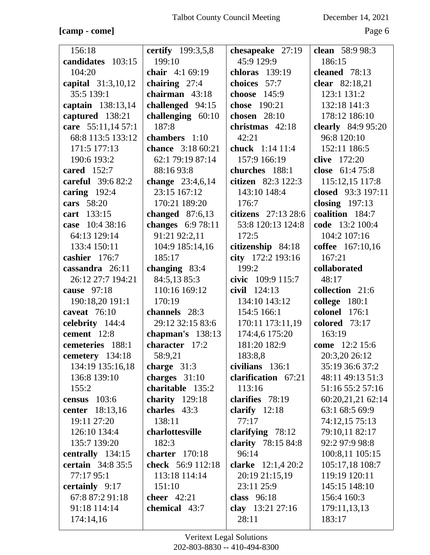## **[camp - come]** Page 6

| 156:18                    | certify 199:3,5,8        | chesapeake 27:19          | clean 58:9 98:3    |
|---------------------------|--------------------------|---------------------------|--------------------|
| candidates 103:15         | 199:10                   | 45:9 129:9                | 186:15             |
| 104:20                    | chair 4:1 69:19          | chloras 139:19            | cleaned 78:13      |
| capital 31:3,10,12        | chairing 27:4            | choices 57:7              | clear 82:18,21     |
| 35:5 139:1                | chairman 43:18           | choose 145:9              | 123:1 131:2        |
| captain 138:13,14         | challenged 94:15         | chose 190:21              | 132:18 141:3       |
| captured 138:21           | challenging $60:10$      | chosen 28:10              | 178:12 186:10      |
| care 55:11,14 57:1        | 187:8                    | christmas 42:18           | clearly 84:9 95:20 |
| 68:8 113:5 133:12         | chambers 1:10            | 42:21                     | 96:8 120:10        |
| 171:5 177:13              | <b>chance</b> 3:18 60:21 | <b>chuck</b> 1:14 11:4    | 152:11 186:5       |
| 190:6 193:2               | 62:1 79:19 87:14         | 157:9 166:19              | clive 172:20       |
| cared $152:7$             | 88:16 93:8               | churches 188:1            | close 61:4 75:8    |
| careful 39:6 82:2         | change $23:4,6,14$       | citizen 82:3 122:3        | 115:12,15 117:8    |
| caring $192:4$            | 23:15 167:12             | 143:10 148:4              | closed 93:3 197:11 |
| cars 58:20                | 170:21 189:20            | 176:7                     | closing $197:13$   |
| cart 133:15               | changed $87:6,13$        | citizens 27:13 28:6       | coalition 184:7    |
| case 10:4 38:16           | changes 6:9 78:11        | 53:8 120:13 124:8         | code 13:2 100:4    |
| 64:13 129:14              | 91:21 92:2,11            | 172:5                     | 104:2 107:16       |
| 133:4 150:11              | 104:9 185:14,16          | citizenship 84:18         | coffee 167:10,16   |
| cashier 176:7             | 185:17                   | city 172:2 193:16         | 167:21             |
| cassandra 26:11           | changing $83:4$          | 199:2                     | collaborated       |
| 26:12 27:7 194:21         | 84:5,13 85:3             | civic 109:9 115:7         | 48:17              |
| cause 97:18               | 110:16 169:12            | civil 124:13              | collection 21:6    |
| 190:18,20 191:1           | 170:19                   | 134:10 143:12             | college 180:1      |
| caveat $76:10$            | channels 28:3            | 154:5 166:1               | colonel 176:1      |
| celebrity 144:4           | 29:12 32:15 83:6         | 170:11 173:11,19          | colored 73:17      |
| cement 12:8               | chapman's $138:13$       | 174:4,6 175:20            | 163:19             |
| cemeteries 188:1          | character 17:2           | 181:20 182:9              | come 12:2 15:6     |
| cemetery 134:18           | 58:9,21                  | 183:8,8                   | 20:3,20 26:12      |
| 134:19 135:16,18          | charge 31:3              | civilians $136:1$         | 35:19 36:6 37:2    |
| 136:8 139:10              | charges $31:10$          | clarification 67:21       | 48:11 49:13 51:3   |
| 155:2                     | charitable 135:2         | 113:16                    | 51:16 55:2 57:16   |
| census $103:6$            | charity $129:18$         | clarifies 78:19           | 60:20,21,21 62:14  |
| center 18:13,16           | charles 43:3             | clarify $12:18$           | 63:1 68:5 69:9     |
| 19:11 27:20               | 138:11                   | 77:17                     | 74:12,15 75:13     |
| 126:10 134:4              | charlottesville          | clarifying $78:12$        | 79:10,11 82:17     |
| 135:7 139:20              | 182:3                    | <b>clarity</b> 78:15 84:8 | 92:2 97:9 98:8     |
| centrally 134:15          | charter 170:18           | 96:14                     | 100:8,11 105:15    |
| <b>certain</b> $34:835:5$ | check 56:9 112:18        | clarke $12:1,420:2$       | 105:17,18 108:7    |
| 77:17 95:1                | 113:18 114:14            | 20:19 21:15,19            | 119:19 120:11      |
| certainly 9:17            | 151:10                   | 23:11 25:9                | 145:15 148:10      |
| 67:8 87:2 91:18           | cheer $42:21$            | class $96:18$             | 156:4 160:3        |
| 91:18 114:14              | chemical 43:7            | clay 13:21 27:16          | 179:11,13,13       |
| 174:14,16                 |                          | 28:11                     | 183:17             |
|                           |                          |                           |                    |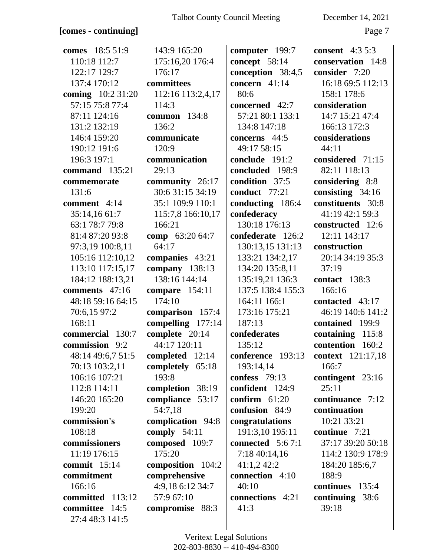## **[comes - continuing]** Page 7

| comes 18:5 51:9     | 143:9 165:20      | computer 199:7     | <b>consent</b> 4:3 5:3   |
|---------------------|-------------------|--------------------|--------------------------|
| 110:18 112:7        | 175:16,20 176:4   | concept 58:14      | conservation 14:8        |
| 122:17 129:7        | 176:17            | conception 38:4,5  | consider 7:20            |
| 137:4 170:12        | committees        | concern $41:14$    | 16:18 69:5 112:13        |
| coming 10:2 31:20   | 112:16 113:2,4,17 | 80:6               | 158:1 178:6              |
| 57:15 75:8 77:4     | 114:3             | concerned 42:7     | consideration            |
| 87:11 124:16        | common 134:8      | 57:21 80:1 133:1   | 14:7 15:21 47:4          |
| 131:2 132:19        | 136:2             | 134:8 147:18       | 166:13 172:3             |
| 146:4 159:20        | communicate       | concerns 44:5      | considerations           |
| 190:12 191:6        | 120:9             | 49:17 58:15        | 44:11                    |
| 196:3 197:1         | communication     | conclude 191:2     | considered 71:15         |
| command 135:21      | 29:13             | concluded 198:9    | 82:11 118:13             |
| commemorate         | community 26:17   | condition 37:5     | considering 8:8          |
| 131:6               | 30:6 31:15 34:19  | conduct 77:21      | consisting $34:16$       |
| comment 4:14        | 35:1 109:9 110:1  | conducting 186:4   | constituents 30:8        |
| 35:14,16 61:7       | 115:7,8 166:10,17 | confederacy        | 41:19 42:1 59:3          |
| 63:1 78:7 79:8      | 166:21            | 130:18 176:13      | constructed 12:6         |
| 81:4 87:20 93:8     | comp 63:20 64:7   | confederate 126:2  | 12:11 143:17             |
| 97:3,19 100:8,11    | 64:17             | 130:13,15 131:13   | construction             |
| 105:16 112:10,12    | companies 43:21   | 133:21 134:2,17    | 20:14 34:19 35:3         |
| 113:10 117:15,17    | company 138:13    | 134:20 135:8,11    | 37:19                    |
| 184:12 188:13,21    | 138:16 144:14     | 135:19,21 136:3    | contact 138:3            |
| comments 47:16      | compare $154:11$  | 137:5 138:4 155:3  | 166:16                   |
| 48:18 59:16 64:15   | 174:10            | 164:11 166:1       | contacted 43:17          |
| 70:6,15 97:2        | comparison 157:4  | 173:16 175:21      | 46:19 140:6 141:2        |
| 168:11              | compelling 177:14 | 187:13             | contained 199:9          |
| commercial 130:7    | complete 20:14    | confederates       | containing<br>115:8      |
| commission 9:2      | 44:17 120:11      | 135:12             | contention 160:2         |
| 48:14 49:6,7 51:5   | completed $12:14$ | conference 193:13  | <b>context</b> 121:17,18 |
| 70:13 103:2,11      | completely 65:18  | 193:14,14          | 166:7                    |
| 106:16 107:21       | 193:8             | confess 79:13      | contingent 23:16         |
| 112:8 114:11        | completion 38:19  | confident 124:9    | 25:11                    |
| 146:20 165:20       | compliance 53:17  | confirm $61:20$    | continuance 7:12         |
| 199:20              | 54:7,18           | confusion 84:9     | continuation             |
| commission's        | complication 94:8 | congratulations    | 10:21 33:21              |
| 108:18              | comply $54:11$    | 191:3,10 195:11    | continue 7:21            |
| commissioners       | composed 109:7    | connected $5:67:1$ | 37:17 39:20 50:18        |
| 11:19 176:15        | 175:20            | 7:18 40:14,16      | 114:2 130:9 178:9        |
| commit $15:14$      | composition 104:2 | 41:1,242:2         | 184:20 185:6,7           |
| commitment          | comprehensive     | connection 4:10    | 188:9                    |
| 166:16              | 4:9,18 6:12 34:7  | 40:10              | continues 135:4          |
| committed<br>113:12 | 57:9 67:10        | connections 4:21   | continuing 38:6          |
| committee 14:5      | compromise 88:3   | 41:3               | 39:18                    |
| 27:4 48:3 141:5     |                   |                    |                          |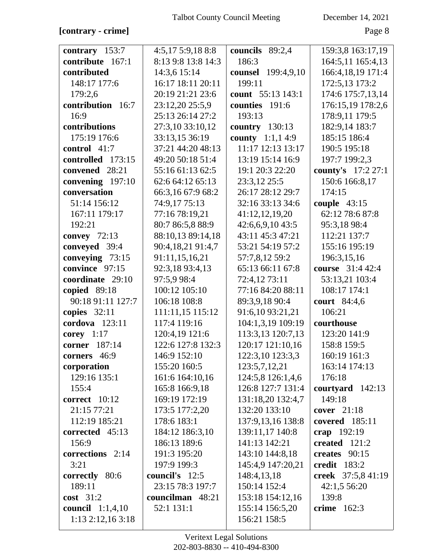## **[contrary - crime]** Page 8

| contrary 153:7          | 4:5,175:9,188:8    | councils<br>89:2,4        | 159:3,8 163:17,19   |
|-------------------------|--------------------|---------------------------|---------------------|
| contribute 167:1        | 8:13 9:8 13:8 14:3 | 186:3                     | 164:5,11 165:4,13   |
| contributed             | 14:3,6 15:14       | counsel 199:4,9,10        | 166:4, 18, 19 171:4 |
| 148:17 177:6            | 16:17 18:11 20:11  | 199:11                    | 172:5,13 173:2      |
| 179:2,6                 | 20:19 21:21 23:6   | count 55:13 143:1         | 174:6 175:7,13,14   |
| contribution 16:7       | 23:12,20 25:5,9    | counties 191:6            | 176:15,19 178:2,6   |
| 16:9                    | 25:13 26:14 27:2   | 193:13                    | 178:9,11 179:5      |
| contributions           | 27:3,10 33:10,12   | country $130:13$          | 182:9,14 183:7      |
| 175:19 176:6            | 33:13,15 36:19     | <b>county</b> $1:1,1,4:9$ | 185:15 186:4        |
| control 41:7            | 37:21 44:20 48:13  | 11:17 12:13 13:17         | 190:5 195:18        |
| controlled 173:15       | 49:20 50:18 51:4   | 13:19 15:14 16:9          | 197:7 199:2,3       |
| convened 28:21          | 55:16 61:13 62:5   | 19:1 20:3 22:20           | county's 17:2 27:1  |
| convening 197:10        | 62:6 64:12 65:13   | 23:3,12 25:5              | 150:6 166:8,17      |
| conversation            | 66:3,16 67:9 68:2  | 26:17 28:12 29:7          | 174:15              |
| 51:14 156:12            | 74:9,17 75:13      | 32:16 33:13 34:6          | couple $43:15$      |
| 167:11 179:17           | 77:16 78:19,21     | 41:12,12,19,20            | 62:12 78:6 87:8     |
| 192:21                  | 80:7 86:5,8 88:9   | 42:6,6,9,1043:5           | 95:3,18 98:4        |
| convey $72:13$          | 88:10,13 89:14,18  | 43:11 45:3 47:21          | 112:21 137:7        |
| conveyed 39:4           | 90:4,18,21 91:4,7  | 53:21 54:19 57:2          | 155:16 195:19       |
| conveying 73:15         | 91:11,15,16,21     | 57:7,8,12 59:2            | 196:3,15,16         |
| convince 97:15          | 92:3,18 93:4,13    | 65:13 66:11 67:8          | course 31:4 42:4    |
| coordinate 29:10        | 97:5,9 98:4        | 72:4,12 73:11             | 53:13,21 103:4      |
| copied 89:18            | 100:12 105:10      | 77:16 84:20 88:11         | 108:17 174:1        |
| 90:18 91:11 127:7       | 106:18 108:8       | 89:3,9,18 90:4            | court 84:4,6        |
| copies $32:11$          | 111:11,15 115:12   | 91:6,10 93:21,21          | 106:21              |
| cordova $123:11$        | 117:4 119:16       | 104:1,3,19 109:19         | courthouse          |
| corey $1:17$            | 120:4,19 121:6     | 113:3,13 120:7,13         | 123:20 141:9        |
| 187:14<br>corner        | 122:6 127:8 132:3  | 120:17 121:10,16          | 158:8 159:5         |
| corners 46:9            | 146:9 152:10       | 122:3,10 123:3,3          | 160:19 161:3        |
| corporation             | 155:20 160:5       | 123:5,7,12,21             | 163:14 174:13       |
| 129:16 135:1            | 161:6 164:10,16    | 124:5,8 126:1,4,6         | 176:18              |
| 155:4                   | 165:8 166:9,18     | 126:8 127:7 131:4         | courtyard $142:13$  |
| correct 10:12           | 169:19 172:19      | 131:18,20 132:4,7         | 149:18              |
| 21:15 77:21             | 173:5 177:2,20     | 132:20 133:10             | cover $21:18$       |
| 112:19 185:21           | 178:6 183:1        | 137:9,13,16 138:8         | covered 185:11      |
| corrected 45:13         | 184:12 186:3,10    | 139:11,17 140:8           | crap 192:19         |
| 156:9                   | 186:13 189:6       | 141:13 142:21             | created 121:2       |
| corrections 2:14        | 191:3 195:20       | 143:10 144:8,18           | creates $90:15$     |
| 3:21                    | 197:9 199:3        | 145:4,9 147:20,21         | credit $183:2$      |
| correctly 80:6          | council's 12:5     | 148:4,13,18               | creek 37:5,8 41:19  |
| 189:11                  | 23:15 78:3 197:7   | 150:14 152:4              | 42:1,5 56:20        |
| $cost$ 31:2             | councilman 48:21   | 153:18 154:12,16          | 139:8               |
| <b>council</b> 1:1,4,10 | 52:1 131:1         | 155:14 156:5,20           | crime $162:3$       |
| $1:13$ 2:12,16 3:18     |                    | 156:21 158:5              |                     |
|                         |                    |                           |                     |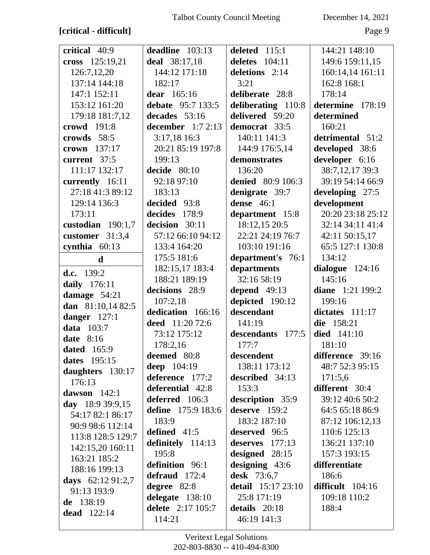# [critical - difficult]

December 14, 2021

Page 9

| critical 40:9       | deadline 103:13    | deleted 115:1            | 144:21 148:10      |
|---------------------|--------------------|--------------------------|--------------------|
| cross 125:19,21     | deal 38:17,18      | deletes $104:11$         | 149:6 159:11,15    |
| 126:7,12,20         | 144:12 171:18      | deletions 2:14           | 160:14,14 161:11   |
| 137:14 144:18       | 182:17             | 3:21                     | 162:8 168:1        |
| 147:1 152:11        | dear 165:16        | deliberate 28:8          | 178:14             |
| 153:12 161:20       | debate 95:7 133:5  | deliberating 110:8       | determine 178:19   |
| 179:18 181:7,12     | decades 53:16      | delivered 59:20          | determined         |
| crowd 191:8         | december $1:72:13$ | democrat 33:5            | 160:21             |
| crowds 58:5         | 3:17,18 16:3       | 140:11 141:3             | detrimental 51:2   |
| crown 137:17        | 20:21 85:19 197:8  | 144:9 176:5,14           | developed 38:6     |
| current 37:5        | 199:13             | demonstrates             | developer 6:16     |
| 111:17 132:17       | decide $80:10$     | 136:20                   | 38:7,12,17 39:3    |
| currently 16:11     | 92:18 97:10        | <b>denied</b> 80:9 106:3 | 39:19 54:14 66:9   |
| 27:18 41:3 89:12    | 183:13             | denigrate 39:7           | developing 27:5    |
| 129:14 136:3        | decided 93:8       | dense $46:1$             | development        |
| 173:11              | decides 178:9      | department 15:8          | 20:20 23:18 25:12  |
| custodian $190:1,7$ | decision 30:11     | 18:12,15 20:5            | 32:14 34:11 41:4   |
| customer $31:3,4$   | 57:12 66:10 94:12  | 22:21 24:19 76:7         | 42:11 50:15,17     |
| cynthia $60:13$     | 133:4 164:20       | 103:10 191:16            | 65:5 127:1 130:8   |
| $\mathbf d$         | 175:5 181:6        | department's 76:1        | 134:12             |
| d.c. $139:2$        | 182:15,17 183:4    | departments              | dialogue $124:16$  |
| daily 176:11        | 188:21 189:19      | 32:16 58:19              | 145:16             |
|                     |                    | depend 49:13             | diane 1:21 199:2   |
|                     | decisions 28:9     |                          |                    |
| damage 54:21        | 107:2,18           | depicted 190:12          | 199:16             |
| dan 81:10,14 82:5   | dedication 166:16  | descendant               | dictates $111:17$  |
| danger $127:1$      | deed 11:20 72:6    | 141:19                   | die 158:21         |
| <b>data</b> 103:7   | 73:12 175:12       | descendants 177:5        | <b>died</b> 141:10 |
| <b>date</b> 8:16    | 178:2,16           | 177:7                    | 181:10             |
| <b>dated</b> 165:9  | deemed 80:8        | descendent               | difference 39:16   |
| dates 195:15        | deep 104:19        | 138:11 173:12            | 48:7 52:3 95:15    |
| daughters 130:17    | deference 177:2    | described 34:13          | 171:5,6            |
| 176:13              | deferential 42:8   | 153:3                    | different 30:4     |
| dawson $142:1$      | deferred 106:3     | description 35:9         | 39:12 40:6 50:2    |
| day $18:939:9,15$   | define 175:9 183:6 | deserve 159:2            | 64:5 65:18 86:9    |
| 54:17 82:1 86:17    | 183:9              | 183:2 187:10             | 87:12 106:12,13    |
| 90:9 98:6 112:14    | defined $41:5$     | deserved 96:5            | 110:6 125:13       |
| 113:8 128:5 129:7   | definitely 114:13  | deserves $177:13$        | 136:21 137:10      |
| 142:15,20 160:11    | 195:8              | designed 28:15           | 157:3 193:15       |
| 163:21 185:2        | definition 96:1    | designing 43:6           | differentiate      |
| 188:16 199:13       | defraud 172:4      | desk 73:6,7              | 186:6              |
| days $62:1291:2,7$  | degree $82:8$      | detail 15:17 23:10       | difficult 104:16   |
| 91:13 193:9         | delegate $138:10$  | 25:8 171:19              | 109:18 110:2       |
| de 138:19           | delete 2:17 105:7  | details 20:18            | 188:4              |
| <b>dead</b> 122:14  | 114:21             | 46:19 141:3              |                    |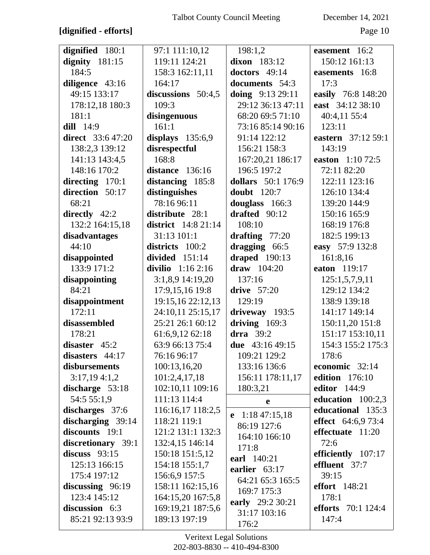# **[dignified - efforts]** Page 10

| dignified 180:1          | 97:1 111:10,12             | 198:1,2                   | easement 16:2             |
|--------------------------|----------------------------|---------------------------|---------------------------|
| dignity $181:15$         | 119:11 124:21              | dixon 183:12              | 150:12 161:13             |
| 184:5                    | 158:3 162:11,11            | doctors 49:14             | easements 16:8            |
| diligence 43:16          | 164:17                     | documents 54:3            | 17:3                      |
| 49:15 133:17             | discussions 50:4,5         | doing 9:13 29:11          | easily 76:8 148:20        |
| 178:12,18 180:3          | 109:3                      | 29:12 36:13 47:11         | east 34:12 38:10          |
| 181:1                    | disingenuous               | 68:20 69:5 71:10          | 40:4,11 55:4              |
| dill 14:9                | 161:1                      | 73:16 85:14 90:16         | 123:11                    |
| <b>direct</b> 33:6 47:20 | displays $135:6,9$         | 91:14 122:12              | eastern 37:12 59:1        |
| 138:2,3 139:12           | disrespectful              | 156:21 158:3              | 143:19                    |
| 141:13 143:4,5           | 168:8                      | 167:20,21 186:17          | easton 1:10 72:5          |
| 148:16 170:2             | distance 136:16            | 196:5 197:2               | 72:11 82:20               |
| directing 170:1          | distancing 185:8           | <b>dollars</b> 50:1 176:9 | 122:11 123:16             |
| direction 50:17          | distinguishes              | <b>doubt</b> 120:7        | 126:10 134:4              |
| 68:21                    | 78:16 96:11                | douglass 166:3            | 139:20 144:9              |
| directly $42:2$          | distribute 28:1            | drafted $90:12$           | 150:16 165:9              |
| 132:2 164:15,18          | <b>district</b> 14:8 21:14 | 108:10                    | 168:19 176:8              |
| disadvantages            | 31:13 101:1                | drafting $77:20$          | 182:5 199:13              |
| 44:10                    | districts 100:2            | dragging 66:5             | easy 57:9 132:8           |
| disappointed             | divided 151:14             | draped $190:13$           | 161:8,16                  |
| 133:9 171:2              | divilio $1:162:16$         | $draw$ 104:20             | eaton 119:17              |
| disappointing            | 3:1,8,9 14:19,20           | 137:16                    | 125:1,5,7,9,11            |
| 84:21                    | 17:9,15,16 19:8            | drive $57:20$             | 129:12 134:2              |
| disappointment           | 19:15,16 22:12,13          | 129:19                    | 138:9 139:18              |
| 172:11                   | 24:10,11 25:15,17          | driveway 193:5            | 141:17 149:14             |
| disassembled             | 25:21 26:1 60:12           | driving $169:3$           | 150:11,20 151:8           |
| 178:21                   | 61:6,9,12 62:18            | drra $39:2$               | 151:17 153:10,11          |
| disaster 45:2            | 63:9 66:13 75:4            | due 43:16 49:15           | 154:3 155:2 175:3         |
| disasters 44:17          | 76:16 96:17                | 109:21 129:2              | 178:6                     |
| disbursements            | 100:13,16,20               | 133:16 136:6              | economic 32:14            |
| 3:17,194:1,2             | 101:2,4,17,18              | 156:11 178:11,17          | <b>edition</b> 176:10     |
| discharge 53:18          | 102:10,11 109:16           | 180:3,21                  | <b>editor</b> 144:9       |
| 54:5 55:1,9              | 111:13 114:4               | e                         | education $100:2,3$       |
| discharges 37:6          | 116:16,17 118:2,5          |                           | educational 135:3         |
| discharging 39:14        | 118:21 119:1               | e $1:1847:15,18$          | effect $64:6,973:4$       |
| discounts 19:1           | 121:2 131:1 132:3          | 86:19 127:6               | effectuate 11:20          |
| discretionary 39:1       | 132:4,15 146:14            | 164:10 166:10             | 72:6                      |
| discuss $93:15$          | 150:18 151:5,12            | 171:8                     | efficiently 107:17        |
| 125:13 166:15            | 154:18 155:1,7             | earl 140:21               | effluent 37:7             |
| 175:4 197:12             | 156:6,9 157:5              | earlier 63:17             | 39:15                     |
| discussing $96:19$       | 158:11 162:15,16           | 64:21 65:3 165:5          | <b>effort</b> 148:21      |
| 123:4 145:12             | 164:15,20 167:5,8          | 169:7 175:3               | 178:1                     |
| discussion 6:3           | 169:19,21 187:5,6          | early 29:2 30:21          | <b>efforts</b> 70:1 124:4 |
| 85:21 92:13 93:9         | 189:13 197:19              | 31:17 103:16              | 147:4                     |
|                          |                            | 176:2                     |                           |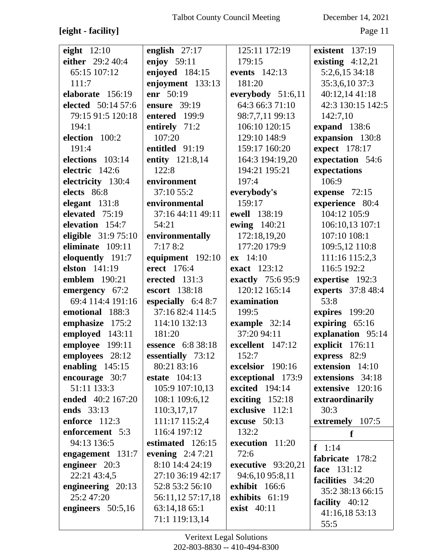# [eight - facility]

December 14, 2021

Page 11

| eight $12:10$       | english 27:17        | 125:11 172:19        | existent $137:19$  |
|---------------------|----------------------|----------------------|--------------------|
| either 29:2 40:4    | enjoy 59:11          | 179:15               | existing $4:12,21$ |
| 65:15 107:12        | enjoyed 184:15       | <b>events</b> 142:13 | 5:2,6,15 34:18     |
| 111:7               | enjoyment 133:13     | 181:20               | 35:3,6,10 37:3     |
| elaborate 156:19    | enr 50:19            | everybody 51:6,11    | 40:12,14 41:18     |
| elected 50:14 57:6  | ensure 39:19         | 64:3 66:3 71:10      | 42:3 130:15 142:5  |
| 79:15 91:5 120:18   | entered 199:9        | 98:7,7,11 99:13      | 142:7,10           |
| 194:1               | entirely 71:2        | 106:10 120:15        | expand 138:6       |
| election 100:2      | 107:20               | 129:10 148:9         | expansion 130:8    |
| 191:4               | entitled 91:19       | 159:17 160:20        | expect 178:17      |
| elections 103:14    | entity 121:8,14      | 164:3 194:19,20      | expectation 54:6   |
| electric 142:6      | 122:8                | 194:21 195:21        | expectations       |
| electricity 130:4   | environment          | 197:4                | 106:9              |
| elects 86:8         | 37:10 55:2           | everybody's          | expense $72:15$    |
| elegant $131:8$     | environmental        | 159:17               | experience 80:4    |
| elevated 75:19      | 37:16 44:11 49:11    | ewell 138:19         | 104:12 105:9       |
| elevation 154:7     | 54:21                | ewing 140:21         | 106:10,13 107:1    |
| eligible 31:9 75:10 | environmentally      | 172:18,19,20         | 107:10 108:1       |
| eliminate 109:11    | 7:178:2              | 177:20 179:9         | 109:5,12 110:8     |
| eloquently 191:7    | equipment 192:10     | $ex$ 14:10           | 111:16 115:2,3     |
| elston 141:19       | erect 176:4          | <b>exact</b> 123:12  | 116:5 192:2        |
| emblem 190:21       | erected 131:3        | exactly 75:6 95:9    | expertise 192:3    |
| emergency 67:2      | escort 138:18        | 120:12 165:14        | experts 37:8 48:4  |
| 69:4 114:4 191:16   | especially $6:48:7$  | examination          | 53:8               |
| emotional 188:3     | 37:16 82:4 114:5     | 199:5                | expires 199:20     |
| emphasize 175:2     | 114:10 132:13        | example 32:14        | expiring 65:16     |
| employed 143:11     | 181:20               | 37:20 94:11          | explanation 95:14  |
| employee 199:11     | essence 6:8 38:18    | excellent 147:12     | explicit 176:11    |
| employees 28:12     | essentially 73:12    | 152:7                | express 82:9       |
| enabling $145:15$   | 80:21 83:16          | excelsior 190:16     | extension 14:10    |
| encourage 30:7      | <b>estate</b> 104:13 | exceptional 173:9    | extensions 34:18   |
| 51:11 133:3         | 105:9 107:10,13      | excited 194:14       | extensive 120:16   |
| ended 40:2 167:20   | 108:1 109:6,12       | exciting $152:18$    | extraordinarily    |
| ends 33:13          | 110:3,17,17          | exclusive 112:1      | 30:3               |
| enforce 112:3       | 111:17 115:2,4       | excuse $50:13$       | extremely 107:5    |
| enforcement 5:3     | 116:4 197:12         | 132:2                | f                  |
| 94:13 136:5         | estimated 126:15     | execution 11:20      | $f \quad 1:14$     |
| engagement 131:7    | evening $2:47:21$    | 72:6                 | fabricate 178:2    |
| engineer 20:3       | 8:10 14:4 24:19      | executive 93:20,21   | face 131:12        |
| 22:21 43:4,5        | 27:10 36:19 42:17    | 94:6,10 95:8,11      | facilities 34:20   |
| engineering 20:13   | 52:8 53:2 56:10      | exhibit 166:6        | 35:2 38:13 66:15   |
| 25:2 47:20          | 56:11,12 57:17,18    | exhibits 61:19       | facility 40:12     |
| engineers 50:5,16   | 63:14,18 65:1        | <b>exist</b> 40:11   | 41:16,18 53:13     |
|                     | 71:1 119:13,14       |                      | 55:5               |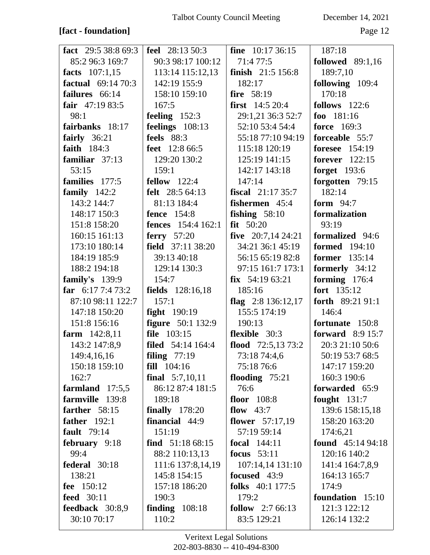**[fact - foundation]** Page 12

| fact $29:538:869:3$       | <b>feel</b> 28:13 50:3    | <b>fine</b> $10:1736:15$   | 187:18                  |
|---------------------------|---------------------------|----------------------------|-------------------------|
| 85:2 96:3 169:7           | 90:3 98:17 100:12         | 71:4 77:5                  | <b>followed</b> 89:1,16 |
| facts 107:1,15            | 113:14 115:12,13          | <b>finish</b> $21:5 156:8$ | 189:7,10                |
| <b>factual</b> 69:14 70:3 | 142:19 155:9              | 182:17                     | following 109:4         |
| failures 66:14            | 158:10 159:10             | fire 58:19                 | 170:18                  |
| fair $47:1983:5$          | 167:5                     | <b>first</b> $14:520:4$    | follows $122:6$         |
| 98:1                      | feeling $152:3$           | 29:1,21 36:3 52:7          | foo $181:16$            |
| fairbanks 18:17           | feelings 108:13           | 52:10 53:4 54:4            | <b>force</b> 169:3      |
| fairly $36:21$            | feels $88:3$              | 55:18 77:10 94:19          | forceable 55:7          |
| faith 184:3               | <b>feet</b> 12:8 66:5     | 115:18 120:19              | <b>foresee</b> 154:19   |
| familiar $37:13$          | 129:20 130:2              | 125:19 141:15              | forever 122:15          |
| 53:15                     | 159:1                     | 142:17 143:18              | <b>forget</b> 193:6     |
| families 177:5            | fellow $122:4$            | 147:14                     | forgotten 79:15         |
| family $142:2$            | <b>felt</b> 28:5 64:13    | fiscal 21:17 35:7          | 182:14                  |
| 143:2 144:7               | 81:13 184:4               | <b>fishermen</b> 45:4      | form $94:7$             |
| 148:17 150:3              | <b>fence</b> 154:8        | fishing $58:10$            | formalization           |
| 151:8 158:20              | <b>fences</b> 154:4 162:1 | $fit$ 50:20                | 93:19                   |
| 160:15 161:13             | ferry $57:20$             | five $20:7,1424:21$        | formalized 94:6         |
| 173:10 180:14             | field 37:11 38:20         | 34:21 36:1 45:19           | <b>formed</b> 194:10    |
| 184:19 185:9              | 39:13 40:18               | 56:15 65:19 82:8           | <b>former</b> 135:14    |
| 188:2 194:18              | 129:14 130:3              | 97:15 161:7 173:1          | formerly 34:12          |
| family's $139:9$          | 154:7                     | $fix$ 54:19 63:21          | forming 176:4           |
| far $6:177:473:2$         | <b>fields</b> 128:16,18   | 185:16                     | fort 135:12             |
| 87:10 98:11 122:7         | 157:1                     | flag $2:8136:12,17$        | forth $89:2191:1$       |
| 147:18 150:20             | <b>fight</b> 190:19       | 155:5 174:19               | 146:4                   |
| 151:8 156:16              | <b>figure</b> 50:1 132:9  | 190:13                     | fortunate 150:8         |
| farm $142:8,11$           | file 103:15               | <b>flexible</b> 30:3       | forward $8:915:7$       |
| 143:2 147:8,9             | filed 54:14 164:4         | flood $72:5,1373:2$        | 20:3 21:10 50:6         |
| 149:4,16,16               | filing $77:19$            | 73:18 74:4,6               | 50:19 53:7 68:5         |
| 150:18 159:10             | fill 104:16               | 75:18 76:6                 | 147:17 159:20           |
| 162:7                     | final $5:7,10,11$         | flooding $75:21$           | 160:3 190:6             |
| farmland $17:5,5$         | 86:12 87:4 181:5          | 76:6                       | forwarded 65:9          |
| farmville 139:8           | 189:18                    | floor 108:8                | fought $131:7$          |
| farther 58:15             | finally $178:20$          | flow $43:7$                | 139:6 158:15,18         |
| <b>father</b> 192:1       | financial 44:9            | flower $57:17,19$          | 158:20 163:20           |
| <b>fault</b> 79:14        | 151:19                    | 57:19 59:14                | 174:6,21                |
| february 9:18             | find $51:1868:15$         | <b>focal</b> 144:11        | found $45:1494:18$      |
| 99:4                      | 88:2 110:13,13            | focus $53:11$              | 120:16 140:2            |
| federal 30:18             | 111:6 137:8,14,19         | 107:14,14 131:10           | 141:4 164:7,8,9         |
| 138:21                    | 145:8 154:15              | focused 43:9               | 164:13 165:7            |
| fee 150:12                | 157:18 186:20             | <b>folks</b> 40:1 177:5    | 174:9                   |
| <b>feed</b> 30:11         | 190:3                     | 179:2                      | foundation 15:10        |
| feedback 30:8,9           | finding $108:18$          | <b>follow</b> $2:766:13$   | 121:3 122:12            |
| 30:10 70:17               | 110:2                     | 83:5 129:21                | 126:14 132:2            |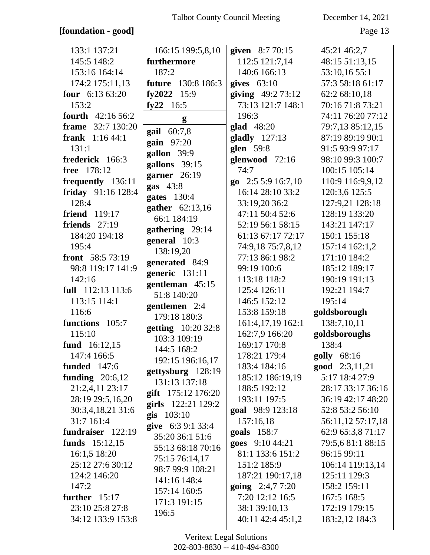# **[foundation - good]** Page 13

| 133:1 137:21            | 166:15 199:5,8,10                  | given 8:7 70:15    | 45:21 46:2,7       |
|-------------------------|------------------------------------|--------------------|--------------------|
| 145:5 148:2             | furthermore                        | 112:5 121:7,14     | 48:15 51:13,15     |
| 153:16 164:14           | 187:2                              | 140:6 166:13       | 53:10,16 55:1      |
| 174:2 175:11,13         | <b>future</b> 130:8 186:3          | gives $63:10$      | 57:3 58:18 61:17   |
| four $6:1363:20$        | fy2022 15:9                        | giving $49:273:12$ | 62:2 68:10,18      |
| 153:2                   | fy22 $16:5$                        | 73:13 121:7 148:1  | 70:16 71:8 73:21   |
| fourth 42:16 56:2       | g                                  | 196:3              | 74:11 76:20 77:12  |
| frame 32:7 130:20       | gail 60:7,8                        | $glad$ 48:20       | 79:7,13 85:12,15   |
| <b>frank</b> $1:1644:1$ |                                    | gladly 127:13      | 87:19 89:19 90:1   |
| 131:1                   | gain 97:20<br>gallon 39:9          | glen 59:8          | 91:5 93:9 97:17    |
| frederick 166:3         |                                    | glenwood 72:16     | 98:10 99:3 100:7   |
| free 178:12             | gallons 39:15                      | 74:7               | 100:15 105:14      |
| frequently 136:11       | garner 26:19                       | go 2:5 5:9 16:7,10 | 110:9 116:9,9,12   |
| friday 91:16 128:4      | gas $43:8$                         | 16:14 28:10 33:2   | 120:3,6 125:5      |
| 128:4                   | gates 130:4                        | 33:19,20 36:2      | 127:9,21 128:18    |
| friend 119:17           | gather 62:13,16<br>66:1 184:19     | 47:11 50:4 52:6    | 128:19 133:20      |
| friends $27:19$         |                                    | 52:19 56:1 58:15   | 143:21 147:17      |
| 184:20 194:18           | gathering 29:14                    | 61:13 67:17 72:17  | 150:1 155:18       |
| 195:4                   | general 10:3                       | 74:9,18 75:7,8,12  | 157:14 162:1,2     |
| front 58:5 73:19        | 138:19,20                          | 77:13 86:1 98:2    | 171:10 184:2       |
| 98:8 119:17 141:9       | generated 84:9                     | 99:19 100:6        | 185:12 189:17      |
| 142:16                  | generic 131:11                     | 113:18 118:2       | 190:19 191:13      |
| full 112:13 113:6       | gentleman 45:15<br>51:8 140:20     | 125:4 126:11       | 192:21 194:7       |
| 113:15 114:1            |                                    | 146:5 152:12       | 195:14             |
| 116:6                   | gentlemen 2:4<br>179:18 180:3      | 153:8 159:18       | goldsborough       |
| functions 105:7         |                                    | 161:4,17,19 162:1  | 138:7,10,11        |
| 115:10                  | getting 10:20 32:8<br>103:3 109:19 | 162:7,9 166:20     | goldsboroughs      |
| fund 16:12,15           |                                    | 169:17 170:8       | 138:4              |
| 147:4 166:5             | 144:5 168:2                        | 178:21 179:4       | <b>golly</b> 68:16 |
| <b>funded</b> 147:6     | 192:15 196:16,17                   | 183:4 184:16       | good 2:3,11,21     |
| funding $20:6,12$       | gettysburg 128:19<br>131:13 137:18 | 185:12 186:19,19   | 5:17 18:4 27:9     |
| 21:2,4,11 23:17         | gift $175:12$ 176:20               | 188:5 192:12       | 28:17 33:17 36:16  |
| 28:19 29:5,16,20        | girls 122:21 129:2                 | 193:11 197:5       | 36:19 42:17 48:20  |
| 30:3,4,18,21 31:6       | <b>gis</b> $103:10$                | goal 98:9 123:18   | 52:8 53:2 56:10    |
| 31:7 161:4              | give 6:3 9:1 33:4                  | 157:16,18          | 56:11,12 57:17,18  |
| fundraiser 122:19       | 35:20 36:1 51:6                    | goals 158:7        | 62:9 65:3,8 71:17  |
| funds 15:12,15          | 55:13 68:18 70:16                  | goes 9:10 44:21    | 79:5,6 81:1 88:15  |
| 16:1,5 18:20            | 75:15 76:14,17                     | 81:1 133:6 151:2   | 96:15 99:11        |
| 25:12 27:6 30:12        | 98:7 99:9 108:21                   | 151:2 185:9        | 106:14 119:13,14   |
| 124:2 146:20            | 141:16 148:4                       | 187:21 190:17,18   | 125:11 129:3       |
| 147:2                   | 157:14 160:5                       | going 2:4,7 7:20   | 158:2 159:11       |
| further $15:17$         | 171:3 191:15                       | 7:20 12:12 16:5    | 167:5 168:5        |
| 23:10 25:8 27:8         | 196:5                              | 38:1 39:10,13      | 172:19 179:15      |
| 34:12 133:9 153:8       |                                    | 40:11 42:4 45:1,2  | 183:2,12 184:3     |
|                         |                                    |                    |                    |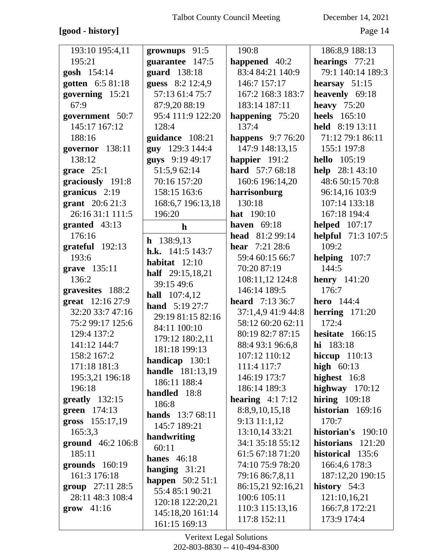# [good - history]

December 14, 2021

Page 14

| 193:10 195:4,11             | grownups 91:5           | 190:8                  | 186:8,9 188:13            |
|-----------------------------|-------------------------|------------------------|---------------------------|
| 195:21                      | guarantee 147:5         | happened 40:2          | hearings 77:21            |
| gosh 154:14                 | guard 138:18            | 83:4 84:21 140:9       | 79:1 140:14 189:3         |
| gotten 6:5 81:18            | guess 8:2 12:4,9        | 146:7 157:17           | hearsay $51:15$           |
| governing 15:21             | 57:13 61:4 75:7         | 167:2 168:3 183:7      | heavenly 69:18            |
| 67:9                        | 87:9,20 88:19           | 183:14 187:11          | heavy $75:20$             |
| government 50:7             | 95:4 111:9 122:20       | happening 75:20        | <b>heels</b> 165:10       |
| 145:17 167:12               | 128:4                   | 137:4                  | held 8:19 13:11           |
| 188:16                      | guidance 108:21         | happens 9:7 76:20      | 71:12 79:1 86:11          |
| governor 138:11             | guy 129:3 144:4         | 147:9 148:13,15        | 155:1 197:8               |
| 138:12                      | guys 9:19 49:17         | happier 191:2          | <b>hello</b> 105:19       |
| grace $25:1$                | 51:5,9 62:14            | hard 57:7 68:18        | help $28:143:10$          |
| graciously 191:8            | 70:16 157:20            | 160:6 196:14,20        | 48:6 50:15 70:8           |
| granicus $2:19$             | 158:15 163:6            | harrisonburg           | 96:14,16 103:9            |
| grant 20:6 21:3             | 168:6,7 196:13,18       | 130:18                 | 107:14 133:18             |
| 26:16 31:1 111:5            | 196:20                  | <b>hat</b> 190:10      | 167:18 194:4              |
| granted 43:13               | $\mathbf{h}$            | <b>haven</b> 69:18     | <b>helped</b> 107:17      |
| 176:16                      | $h$ 138:9,13            | head 81:2 99:14        | <b>helpful</b> 71:3 107:5 |
| $grateful$ 192:13           | h.k. $141:5$ 143:7      | <b>hear</b> 7:21 28:6  | 109:2                     |
| 193:6                       | habitat $12:10$         | 59:4 60:15 66:7        | helping $107:7$           |
| grave 135:11                | half 29:15,18,21        | 70:20 87:19            | 144:5                     |
| 136:2                       | 39:15 49:6              | 108:11,12 124:8        | henry $141:20$            |
| gravesites 188:2            | <b>hall</b> 107:4,12    | 146:14 189:5           | 176:7                     |
| great 12:16 27:9            | <b>hand</b> 5:19 27:7   | <b>heard</b> 7:13 36:7 | <b>hero</b> 144:4         |
| 32:20 33:7 47:16            | 29:19 81:15 82:16       | 37:1,4,9 41:9 44:8     | herring $171:20$          |
| 75:2 99:17 125:6            | 84:11 100:10            | 58:12 60:20 62:11      | 172:4                     |
| 129:4 137:2                 | 179:12 180:2,11         | 80:19 82:7 87:15       | hesitate 166:15           |
| 141:12 144:7                | 181:18 199:13           | 88:4 93:1 96:6,8       | hi 183:18                 |
| 158:2 167:2                 | handicap $130:1$        | 107:12 110:12          | hiccup $110:13$           |
| 171:18 181:3                | <b>handle</b> 181:13,19 | 111:4 117:7            | high $60:13$              |
| 195:3,21 196:18             | 186:11 188:4            | 146:19 173:7           | highest 16:8              |
| 196:18                      | handled 18:8            | 186:14 189:3           | highway $170:12$          |
| $2$ greatly 132:15          | 186:8                   | hearing $4:17:12$      | hiring $109:18$           |
| green 174:13                | <b>hands</b> 13:7 68:11 | 8:8,9,10,15,18         | historian 169:16          |
| gross 155:17,19             | 145:7 189:21            | $9:13$ 11:1,12         | 170:7                     |
| 165:3,3                     | handwriting             | 13:10,14 33:21         | historian's 190:10        |
| ground 46:2 106:8           | 60:11                   | 34:1 35:18 55:12       | historians 121:20         |
| 185:11                      | hanes $46:18$           | 61:5 67:18 71:20       | historical 135:6          |
| grounds $160:19$            | hanging $31:21$         | 74:10 75:9 78:20       | 166:4,6 178:3             |
| 161:3 176:18                | happen $50:251:1$       | 79:16 86:7,8,11        | 187:12,20 190:15          |
| group $27:11\,28:5$         | 55:4 85:1 90:21         | 86:15,21 92:16,21      | history 54:3              |
| 28:11 48:3 108:4            | 120:18 122:20,21        | 100:6 105:11           | 121:10,16,21              |
| $\textbf{grow} \quad 41:16$ | 145:18,20 161:14        | 110:3 115:13,16        | 166:7,8 172:21            |
|                             | 161:15 169:13           | 117:8 152:11           | 173:9 174:4               |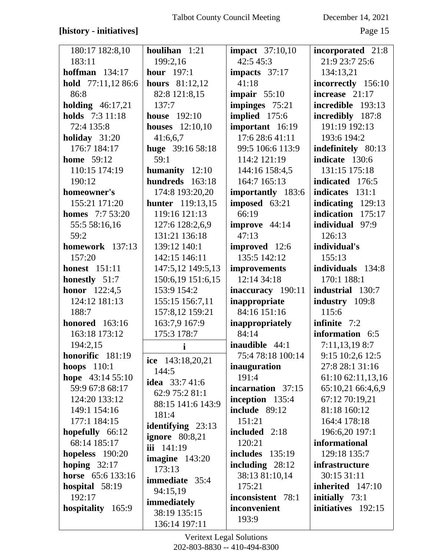## [history - initiatives]

December 14, 2021

Page 15

| 180:17 182:8,10        | houlihan 1:21           | <b>impact</b> 37:10,10 | incorporated 21:8  |
|------------------------|-------------------------|------------------------|--------------------|
| 183:11                 | 199:2,16                | 42:5 45:3              | 21:9 23:7 25:6     |
| hoffman $134:17$       | <b>hour</b> 197:1       | impacts 37:17          | 134:13,21          |
| hold 77:11,12 86:6     | <b>hours</b> 81:12,12   | 41:18                  | incorrectly 156:10 |
| 86:8                   | 82:8 121:8,15           | impair $55:10$         | increase $21:17$   |
| holding $46:17,21$     | 137:7                   | impinges 75:21         | incredible 193:13  |
| holds 7:3 11:18        | <b>house</b> 192:10     | implied 175:6          | incredibly 187:8   |
| 72:4 135:8             | <b>houses</b> 12:10,10  | important 16:19        | 191:19 192:13      |
| holiday $31:20$        | 41:6,6,7                | 17:6 28:6 41:11        | 193:6 194:2        |
| 176:7 184:17           | huge 39:16 58:18        | 99:5 106:6 113:9       | indefinitely 80:13 |
| <b>home</b> 59:12      | 59:1                    | 114:2 121:19           | indicate 130:6     |
| 110:15 174:19          | humanity 12:10          | 144:16 158:4,5         | 131:15 175:18      |
| 190:12                 | hundreds 163:18         | 164:7 165:13           | indicated 176:5    |
| homeowner's            | 174:8 193:20,20         | importantly 183:6      | indicates 131:1    |
| 155:21 171:20          | <b>hunter</b> 119:13,15 | imposed 63:21          | indicating 129:13  |
| <b>homes</b> 7:7 53:20 | 119:16 121:13           | 66:19                  | indication 175:17  |
| 55:5 58:16,16          | 127:6 128:2,6,9         | improve 44:14          | individual 97:9    |
| 59:2                   | 131:21 136:18           | 47:13                  | 126:13             |
| homework 137:13        | 139:12 140:1            | improved 12:6          | individual's       |
| 157:20                 | 142:15 146:11           | 135:5 142:12           | 155:13             |
| <b>honest</b> 151:11   | 147:5,12 149:5,13       | improvements           | individuals 134:8  |
| honestly 51:7          | 150:6,19 151:6,15       | 12:14 34:18            | 170:1 188:1        |
| <b>honor</b> 122:4,5   | 153:9 154:2             | inaccuracy 190:11      | industrial 130:7   |
| 124:12 181:13          | 155:15 156:7,11         | inappropriate          | industry 109:8     |
| 188:7                  | 157:8,12 159:21         | 84:16 151:16           | 115:6              |
| <b>honored</b> 163:16  | 163:7,9 167:9           | <i>inappropriately</i> | infinite $7:2$     |
| 163:18 173:12          | 175:3 178:7             | 84:14                  | information 6:5    |
| 194:2,15               | i                       | <b>inaudible</b> 44:1  | 7:11,13,19 8:7     |
| honorific 181:19       | ice 143:18,20,21        | 75:4 78:18 100:14      | 9:15 10:2,6 12:5   |
| hoops $110:1$          | 144:5                   | inauguration           | 27:8 28:1 31:16    |
| hope $43:1455:10$      | <b>idea</b> 33:7 41:6   | 191:4                  | 61:10 62:11,13,16  |
| 59:9 67:8 68:17        | 62:9 75:2 81:1          | incarnation 37:15      | 65:10,21 66:4,6,9  |
| 124:20 133:12          | 88:15 141:6 143:9       | inception 135:4        | 67:12 70:19,21     |
| 149:1 154:16           | 181:4                   | include 89:12          | 81:18 160:12       |
| 177:1 184:15           | identifying 23:13       | 151:21                 | 164:4 178:18       |
| hopefully 66:12        | ignore $80:8,21$        | included 2:18          | 196:6,20 197:1     |
| 68:14 185:17           | iii 141:19              | 120:21                 | informational      |
| hopeless $190:20$      | imagine $143:20$        | <b>includes</b> 135:19 | 129:18 135:7       |
| hoping $32:17$         | 173:13                  | including $28:12$      | infrastructure     |
| horse 65:6 133:16      | <b>immediate</b> 35:4   | 38:13 81:10,14         | 30:15 31:11        |
| hospital $58:19$       | 94:15,19                | 175:21                 | inherited 147:10   |
| 192:17                 | immediately             | inconsistent 78:1      | initially 73:1     |
| hospitality 165:9      | 38:19 135:15            | inconvenient           | initiatives 192:15 |
|                        | 136:14 197:11           | 193:9                  |                    |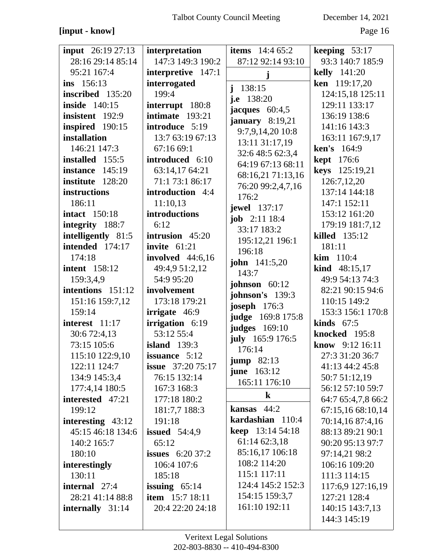## **[input - know]** Page 16

| <b>input</b> 26:19 27:13 | interpretation            | <b>items</b> $14:465:2$             | keeping $53:17$        |
|--------------------------|---------------------------|-------------------------------------|------------------------|
| 28:16 29:14 85:14        | 147:3 149:3 190:2         | 87:12 92:14 93:10                   | 93:3 140:7 185:9       |
| 95:21 167:4              | interpretive 147:1        | j                                   | <b>kelly</b> 141:20    |
| ins 156:13               | interrogated              | $\mathbf{i}$<br>138:15              | ken 119:17,20          |
| inscribed 135:20         | 199:4                     | j.e $138:20$                        | 124:15,18 125:11       |
| <b>inside</b> 140:15     | interrupt 180:8           | jacques $60:4,5$                    | 129:11 133:17          |
| insistent 192:9          | intimate 193:21           | january $8:19,21$                   | 136:19 138:6           |
| inspired 190:15          | introduce 5:19            | 9:7,9,14,20 10:8                    | 141:16 143:3           |
| installation             | 13:7 63:19 67:13          | 13:11 31:17,19                      | 163:11 167:9,17        |
| 146:21 147:3             | 67:1669:1                 | 32:6 48:5 62:3,4                    | ken's 164:9            |
| installed 155:5          | introduced 6:10           | 64:19 67:13 68:11                   | <b>kept</b> 176:6      |
| instance 145:19          | 63:14,17 64:21            | 68:16,21 71:13,16                   | keys 125:19,21         |
| institute 128:20         | 71:1 73:1 86:17           | 76:20 99:2,4,7,16                   | 126:7,12,20            |
| instructions             | introduction 4:4          | 176:2                               | 137:14 144:18          |
| 186:11                   | 11:10,13                  | <b>jewel</b> 137:17                 | 147:1 152:11           |
| <b>intact</b> 150:18     | introductions             | <b>job</b> $2:11$ 18:4              | 153:12 161:20          |
| integrity 188:7          | 6:12                      | 33:17 183:2                         | 179:19 181:7,12        |
| intelligently 81:5       | intrusion $45:20$         | 195:12,21 196:1                     | killed 135:12          |
| intended 174:17          | invite 61:21              | 196:18                              | 181:11                 |
| 174:18                   | <b>involved</b> 44:6,16   | <b>john</b> 141:5,20                | kim 110:4              |
| <b>intent</b> 158:12     | 49:4,9 51:2,12            | 143:7                               | <b>kind</b> $48:15,17$ |
| 159:3,4,9                | 54:9 95:20                | johnson $60:12$                     | 49:9 54:13 74:3        |
| intentions 151:12        | involvement               | johnson's 139:3                     | 82:21 90:15 94:6       |
| 151:16 159:7,12          | 173:18 179:21             | <b>joseph</b> 176:3                 | 110:15 149:2           |
| 159:14                   | irrigate 46:9             | judge 169:8 175:8                   | 153:3 156:1 170:8      |
| interest 11:17           | irrigation 6:19           | <b>judges</b> 169:10                | kinds $67:5$           |
| 30:6 72:4,13             | 53:12 55:4                | july 165:9 176:5                    | knocked 195:8          |
| 73:15 105:6              | <b>island</b> 139:3       | 176:14                              | know 9:12 16:11        |
| 115:10 122:9,10          | issuance 5:12             |                                     | 27:3 31:20 36:7        |
| 122:11 124:7             | <b>issue</b> $37:2075:17$ | $jump$ 82:13                        | 41:13 44:2 45:8        |
| 134:9 145:3,4            | 76:15 132:14              | <b>june</b> 163:12<br>165:11 176:10 | 50:7 51:12,19          |
| 177:4,14 180:5           | 167:3 168:3               |                                     | 56:12 57:10 59:7       |
| interested 47:21         | 177:18 180:2              | $\bf k$                             | 64:7 65:4,7,8 66:2     |
| 199:12                   | 181:7,7 188:3             | kansas $44:2$                       | 67:15,16 68:10,14      |
| interesting $43:12$      | 191:18                    | kardashian 110:4                    | 70:14,16 87:4,16       |
| 45:15 46:18 134:6        | issued $54:4,9$           | <b>keep</b> $13:1454:18$            | 88:13 89:21 90:1       |
| 140:2 165:7              | 65:12                     | 61:14 62:3,18                       | 90:20 95:13 97:7       |
| 180:10                   | <b>issues</b> $6:2037:2$  | 85:16,17 106:18                     | 97:14,21 98:2          |
| interestingly            | 106:4 107:6               | 108:2 114:20                        | 106:16 109:20          |
| 130:11                   | 185:18                    | 115:1 117:11                        | 111:3 114:15           |
| <b>internal</b> 27:4     | issuing $65:14$           | 124:4 145:2 152:3                   | 117:6,9 127:16,19      |
| 28:21 41:14 88:8         | item 15:7 18:11           | 154:15 159:3,7                      | 127:21 128:4           |
| internally 31:14         | 20:4 22:20 24:18          | 161:10 192:11                       | 140:15 143:7,13        |
|                          |                           |                                     | 144:3 145:19           |
|                          |                           |                                     |                        |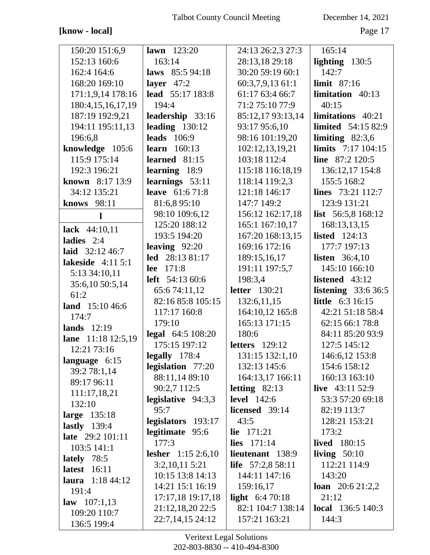## [know - local]

December 14, 2021

Page 17

| 150:20 151:6,9                    | <b>lawn</b> $123:20$      | 24:13 26:2,3 27:3       | 165:14                    |
|-----------------------------------|---------------------------|-------------------------|---------------------------|
| 152:13 160:6                      | 163:14                    | 28:13,18 29:18          | lighting $130:5$          |
| 162:4 164:6                       | laws 85:5 94:18           | 30:20 59:19 60:1        | 142:7                     |
| 168:20 169:10                     | layer $47:2$              | 60:3,7,9,13 61:1        | limit $87:16$             |
| 171:1,9,14 178:16                 | lead 55:17 183:8          | 61:17 63:4 66:7         | limitation 40:13          |
| 180:4, 15, 16, 17, 19             | 194:4                     | 71:2 75:10 77:9         | 40:15                     |
| 187:19 192:9,21                   | leadership 33:16          | 85:12,17 93:13,14       | limitations 40:21         |
| 194:11 195:11,13                  | leading $130:12$          | 93:17 95:6,10           | <b>limited</b> 54:15 82:9 |
| 196:6,8                           | <b>leads</b> 106:9        | 98:16 101:19,20         | limiting $82:3,6$         |
| knowledge 105:6                   | learn $160:13$            | 102:12,13,19,21         | limits 7:17 104:15        |
| 115:9 175:14                      | learned 81:15             | 103:18 112:4            | line $87:2 120:5$         |
| 192:3 196:21                      | learning 18:9             | 115:18 116:18,19        | 136:12,17 154:8           |
| known 8:17 13:9                   | learnings 53:11           | 118:14 119:2,3          | 155:5 168:2               |
| 34:12 135:21                      | <b>leave</b> 61:6 71:8    | 121:18 146:17           | lines 73:21 112:7         |
| knows 98:11                       | 81:6,8 95:10              | 147:7 149:2             | 123:9 131:21              |
| 1                                 | 98:10 109:6,12            | 156:12 162:17,18        | list $56:5,8168:12$       |
|                                   | 125:20 188:12             | 165:1 167:10,17         | 168:13,13,15              |
| lack $44:10,11$<br>ladies $2:4$   | 193:5 194:20              | 167:20 168:13,15        | listed $124:13$           |
| laid 32:12 46:7                   | leaving $92:20$           | 169:16 172:16           | 177:7 197:13              |
| lakeside 4:11 5:1                 | led 28:13 81:17           | 189:15,16,17            | <b>listen</b> $36:4,10$   |
|                                   | 171:8<br>lee              | 191:11 197:5,7          | 145:10 166:10             |
| 5:13 34:10,11                     | left 54:13 60:6           | 198:3,4                 | listened 43:12            |
| 35:6,10 50:5,14<br>61:2           | 65:674:11,12              | <b>letter</b> 130:21    | listening $33:636:5$      |
|                                   | 82:16 85:8 105:15         | 132:6,11,15             | <b>little</b> 6:3 16:15   |
| land 15:10 46:6<br>174:7          | 117:17 160:8              | 164:10,12 165:8         | 42:21 51:18 58:4          |
| lands $12:19$                     | 179:10                    | 165:13 171:15           | 62:15 66:1 78:8           |
|                                   | legal 64:5 108:20         | 180:6                   | 84:11 85:20 93:9          |
| lane 11:18 12:5,19<br>12:21 73:16 | 175:15 197:12             | <b>letters</b> 129:12   | 127:5 145:12              |
|                                   | $\text{legally}$ 178:4    | 131:15 132:1,10         | 146:6,12 153:8            |
| language 6:15<br>39:2 78:1,14     | legislation 77:20         | 132:13 145:6            | 154:6 158:12              |
| 89:17 96:11                       | 88:11,14 89:10            | 164:13,17 166:11        | 160:13 163:10             |
|                                   | 90:2,7 112:5              | letting $82:13$         | live $43:11\,52:9$        |
| 111:17,18,21<br>132:10            | legislative $94:3,3$      | <b>level</b> 142:6      | 53:3 57:20 69:18          |
| large 135:18                      | 95:7                      | licensed 39:14          | 82:19 113:7               |
| lastly $139:4$                    | legislators 193:17        | 43:5                    | 128:21 153:21             |
| late 29:2 101:11                  | legitimate 95:6           | <b>lie</b> $171:21$     | 173:2                     |
| 103:5 141:1                       | 177:3                     | <b>lies</b> $171:14$    | <b>lived</b> 180:15       |
| lately $78:5$                     | <b>lesher</b> 1:15 2:6,10 | lieutenant 138:9        | living $50:10$            |
| <b>latest</b> 16:11               | 3:2,10,115:21             | life $57:2,858:11$      | 112:21 114:9              |
| <b>laura</b> $1:1844:12$          | 10:15 13:8 14:13          | 144:11 147:16           | 143:20                    |
| 191:4                             | 14:21 15:1 16:19          | 159:16,17               | <b>loan</b> $20:621:2,2$  |
| <b>law</b> $107:1,13$             | 17:17,18 19:17,18         | <b>light</b> $6:470:18$ | 21:12                     |
|                                   |                           |                         |                           |
|                                   | 21:12,18,20 22:5          | 82:1 104:7 138:14       | <b>local</b> 136:5 140:3  |
| 109:20 110:7<br>136:5 199:4       | 22:7,14,15 24:12          | 157:21 163:21           | 144:3                     |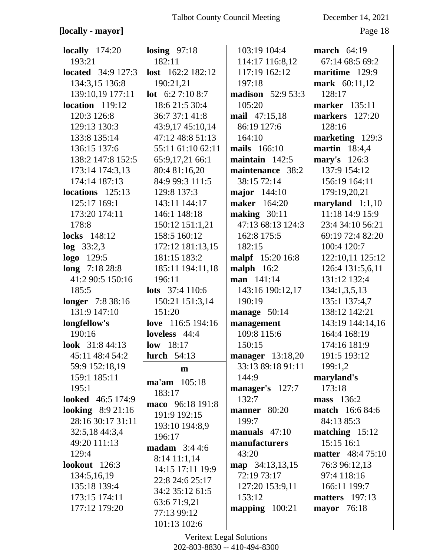## [locally - mayor]

December 14, 2021

Page 18

| locally $174:20$          | losing $97:18$        | 103:19 104:4             | march $64:19$            |
|---------------------------|-----------------------|--------------------------|--------------------------|
| 193:21                    | 182:11                | 114:17 116:8,12          | 67:14 68:5 69:2          |
| <b>located</b> 34:9 127:3 | lost 162:2 182:12     | 117:19 162:12            | maritime 129:9           |
| 134:3,15 136:8            | 190:21,21             | 197:18                   | mark 60:11,12            |
| 139:10,19 177:11          | lot $6:27:108:7$      | <b>madison</b> 52:9 53:3 | 128:17                   |
| $location$ 119:12         | 18:6 21:5 30:4        | 105:20                   | <b>marker</b> 135:11     |
| 120:3 126:8               | 36:7 37:1 41:8        | mail 47:15,18            | <b>markers</b> 127:20    |
| 129:13 130:3              | 43:9,17 45:10,14      | 86:19 127:6              | 128:16                   |
| 133:8 135:14              | 47:12 48:8 51:13      | 164:10                   | marketing 129:3          |
| 136:15 137:6              | 55:11 61:10 62:11     | mails 166:10             | <b>martin</b> 18:4,4     |
| 138:2 147:8 152:5         | 65:9,17,21 66:1       | maintain $142:5$         | mary's 126:3             |
| 173:14 174:3,13           | 80:4 81:16,20         | maintenance 38:2         | 137:9 154:12             |
| 174:14 187:13             | 84:9 99:3 111:5       | 38:15 72:14              | 156:19 164:11            |
| $locations$ 125:13        | 129:8 137:3           | <b>major</b> 144:10      | 179:19,20,21             |
| 125:17 169:1              | 143:11 144:17         | <b>maker</b> 164:20      | maryland $1:1,10$        |
| 173:20 174:11             | 146:1 148:18          | making $30:11$           | 11:18 14:9 15:9          |
| 178:8                     | 150:12 151:1,21       | 47:13 68:13 124:3        | 23:4 34:10 56:21         |
| <b>locks</b> 148:12       | 158:5 160:12          | 162:8 175:5              | 69:19 72:4 82:20         |
| $log$ 33:2,3              | 172:12 181:13,15      | 182:15                   | 100:4 120:7              |
| <b>logo</b> 129:5         | 181:15 183:2          | <b>malpf</b> 15:20 16:8  | 122:10,11 125:12         |
| long 7:18 28:8            | 185:11 194:11,18      | malph $16:2$             | 126:4 131:5,6,11         |
| 41:2 90:5 150:16          | 196:11                | man 141:14               | 131:12 132:4             |
| 185:5                     | lots $37:4110:6$      | 143:16 190:12,17         | 134:1,3,5,13             |
| <b>longer</b> 7:8 38:16   | 150:21 151:3,14       | 190:19                   | 135:1 137:4,7            |
| 131:9 147:10              | 151:20                | manage $50:14$           | 138:12 142:21            |
| longfellow's              | love 116:5 194:16     | management               | 143:19 144:14,16         |
| 190:16                    | loveless 44:4         | 109:8 115:6              | 164:4 168:19             |
| look 31:8 44:13           | low 18:17             | 150:15                   | 174:16 181:9             |
| 45:11 48:4 54:2           | <b>lurch</b> 54:13    | <b>manager</b> 13:18,20  | 191:5 193:12             |
| 59:9 152:18,19            | $\mathbf{m}$          | 33:13 89:18 91:11        | 199:1,2                  |
| 159:1 185:11              | ma'am 105:18          | 144:9                    | maryland's               |
| 195:1                     | 183:17                | manager's 127:7          | 173:18                   |
| <b>looked</b> 46:5 174:9  | maco 96:18 191:8      | 132:7                    | mass 136:2               |
| <b>looking</b> $8:921:16$ | 191:9 192:15          | manner 80:20             | <b>match</b> 16:6 84:6   |
| 28:16 30:17 31:11         | 193:10 194:8,9        | 199:7                    | 84:13 85:3               |
| 32:5,18 44:3,4            | 196:17                | manuals $47:10$          | matching $15:12$         |
| 49:20 111:13              | <b>madam</b> $3:44:6$ | manufacturers            | 15:15 16:1               |
| 129:4                     | $8:14$ 11:1,14        | 43:20                    | <b>matter</b> 48:4 75:10 |
| lookout $126:3$           | 14:15 17:11 19:9      | map 34:13,13,15          | 76:3 96:12,13            |
| 134:5,16,19               | 22:8 24:6 25:17       | 72:19 73:17              | 97:4 118:16              |
| 135:18 139:4              | 34:2 35:12 61:5       | 127:20 153:9,11          | 166:11 199:7             |
| 173:15 174:11             | 63:671:9,21           | 153:12                   | <b>matters</b> 197:13    |
| 177:12 179:20             | 77:13 99:12           | mapping 100:21           | mayor 76:18              |
|                           | 101:13 102:6          |                          |                          |
|                           |                       |                          |                          |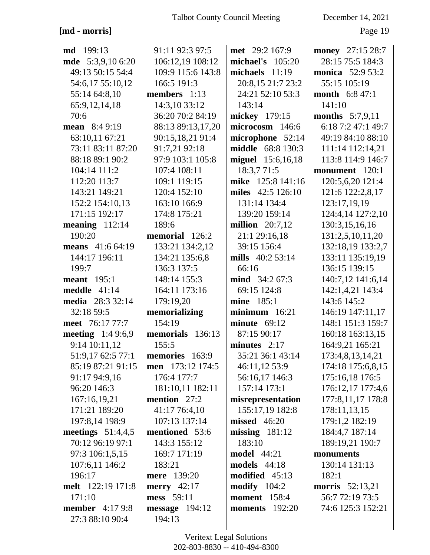$[\mathrm{md}$  - morris]

December 14, 2021

Page 19

| <b>md</b> 199:13          | 91:11 92:3 97:5   | met 29:2 167:9           | money 27:15 28:7        |
|---------------------------|-------------------|--------------------------|-------------------------|
| mde 5:3,9,10 6:20         | 106:12,19 108:12  | michael's $105:20$       | 28:15 75:5 184:3        |
| 49:13 50:15 54:4          | 109:9 115:6 143:8 | michaels $11:19$         | <b>monica</b> 52:9 53:2 |
| 54:6,17 55:10,12          | 166:5 191:3       | 20:8,15 21:7 23:2        | 55:15 105:19            |
| 55:14 64:8,10             | members $1:13$    | 24:21 52:10 53:3         | month 6:8 47:1          |
| 65:9, 12, 14, 18          | 14:3,10 33:12     | 143:14                   | 141:10                  |
| 70:6                      | 36:20 70:2 84:19  | mickey 179:15            | months 5:7,9,11         |
| mean $8:49:19$            | 88:13 89:13,17,20 | microcosm 146:6          | 6:18 7:2 47:1 49:7      |
| 63:10,11 67:21            | 90:15,18,21 91:4  | microphone 52:14         | 49:19 84:10 88:10       |
| 73:11 83:11 87:20         | 91:7,21 92:18     | <b>middle</b> 68:8 130:3 | 111:14 112:14,21        |
| 88:18 89:1 90:2           | 97:9 103:1 105:8  | miguel 15:6,16,18        | 113:8 114:9 146:7       |
| 104:14 111:2              | 107:4 108:11      | 18:3,771:5               | monument 120:1          |
| 112:20 113:7              | 109:1 119:15      | mike 125:8 141:16        | 120:5,6,20 121:4        |
| 143:21 149:21             | 120:4 152:10      | miles 42:5 126:10        | 121:6 122:2,8,17        |
| 152:2 154:10,13           | 163:10 166:9      | 131:14 134:4             | 123:17,19,19            |
| 171:15 192:17             | 174:8 175:21      | 139:20 159:14            | 124:4,14 127:2,10       |
| meaning $112:14$          | 189:6             | million $20:7,12$        | 130:3,15,16,16          |
| 190:20                    | memorial 126:2    | 21:1 29:16,18            | 131:2,5,10,11,20        |
| means 41:6 64:19          | 133:21 134:2,12   | 39:15 156:4              | 132:18,19 133:2,7       |
| 144:17 196:11             | 134:21 135:6,8    | mills 40:2 53:14         | 133:11 135:19,19        |
| 199:7                     | 136:3 137:5       | 66:16                    | 136:15 139:15           |
| <b>meant</b> 195:1        | 148:14 155:3      | mind 34:2 67:3           | 140:7,12 141:6,14       |
| meddle $41:14$            | 164:11 173:16     | 69:15 124:8              | 142:1,4,21 143:4        |
| <b>media</b> 28:3 32:14   | 179:19,20         | mine 185:1               | 143:6 145:2             |
| 32:18 59:5                | memorializing     | $minimum$ 16:21          | 146:19 147:11,17        |
| meet 76:17 77:7           | 154:19            | minute $69:12$           | 148:1 151:3 159:7       |
| <b>meeting</b> $1:49:6,9$ | memorials 136:13  | 87:15 90:17              | 160:18 163:13,15        |
| 9:14 10:11,12             | 155:5             | minutes $2:17$           | 164:9,21 165:21         |
| 51:9,17 62:5 77:1         | memories 163:9    | 35:21 36:1 43:14         | 173:4,8,13,14,21        |
| 85:19 87:21 91:15         | men 173:12 174:5  | 46:11,12 53:9            | 174:18 175:6,8,15       |
| 91:17 94:9,16             | 176:4 177:7       | 56:16,17 146:3           | 175:16,18 176:5         |
| 96:20 146:3               | 181:10,11 182:11  | 157:14 173:1             | 176:12,17 177:4,6       |
| 167:16,19,21              | mention 27:2      | misrepresentation        | 177:8,11,17 178:8       |
| 171:21 189:20             | 41:17 76:4,10     | 155:17,19 182:8          | 178:11,13,15            |
| 197:8,14 198:9            | 107:13 137:14     | <b>missed</b> 46:20      | 179:1,2 182:19          |
| meetings $51:4,4,5$       | mentioned 53:6    | $missing$ 181:12         | 184:4,7 187:14          |
| 70:12 96:19 97:1          | 143:3 155:12      | 183:10                   | 189:19,21 190:7         |
| 97:3 106:1,5,15           | 169:7 171:19      | <b>model</b> 44:21       | monuments               |
| 107:6,11 146:2            | 183:21            | <b>models</b> 44:18      | 130:14 131:13           |
| 196:17                    | mere 139:20       | modified 45:13           | 182:1                   |
| melt 122:19 171:8         | merry $42:17$     | modify $104:2$           | morris 52:13,21         |
| 171:10                    | mess 59:11        | <b>moment</b> 158:4      | 56:7 72:19 73:5         |
| <b>member</b> $4:179:8$   | message 194:12    | <b>moments</b> 192:20    | 74:6 125:3 152:21       |
| 27:3 88:10 90:4           | 194:13            |                          |                         |
|                           |                   |                          |                         |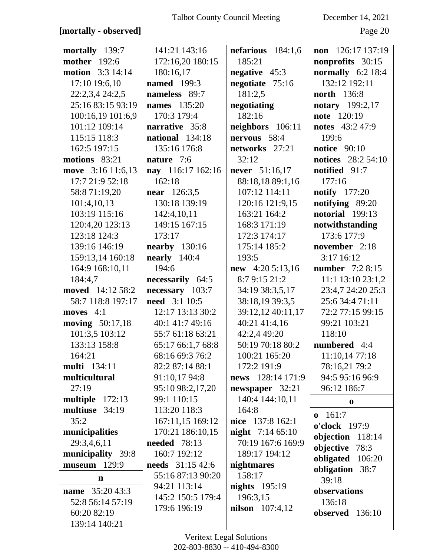## **[mortally - observed]** Page 20

| mortally 139:7           | 141:21 143:16           | nefarious $184:1,6$     | non 126:17 137:19         |
|--------------------------|-------------------------|-------------------------|---------------------------|
| <b>mother</b> 192:6      | 172:16,20 180:15        | 185:21                  | nonprofits 30:15          |
| <b>motion</b> 3:3 14:14  | 180:16,17               | negative 45:3           | normally $6:2$ 18:4       |
| 17:10 19:6,10            | <b>named</b> 199:3      | negotiate 75:16         | 132:12 192:11             |
| 22:2,3,4 24:2,5          | nameless 89:7           | 181:2,5                 | <b>north</b> 136:8        |
| 25:16 83:15 93:19        | <b>names</b> 135:20     | negotiating             | <b>notary</b> 199:2,17    |
| 100:16,19 101:6,9        | 170:3 179:4             | 182:16                  | note 120:19               |
| 101:12 109:14            | narrative 35:8          | neighbors 106:11        | <b>notes</b> 43:2 47:9    |
| 115:15 118:3             | national 134:18         | nervous 58:4            | 199:6                     |
| 162:5 197:15             | 135:16 176:8            | networks 27:21          | <b>notice</b> 90:10       |
| motions 83:21            | nature 7:6              | 32:12                   | <b>notices</b> 28:2 54:10 |
| move 3:16 11:6,13        | nay 116:17 162:16       | never 51:16,17          | notified 91:7             |
| 17:7 21:9 52:18          | 162:18                  | 88:18,18 89:1,16        | 177:16                    |
| 58:8 71:19,20            | <b>near</b> 126:3,5     | 107:12 114:11           | <b>notify</b> 177:20      |
| 101:4,10,13              | 130:18 139:19           | 120:16 121:9,15         | notifying 89:20           |
| 103:19 115:16            | 142:4,10,11             | 163:21 164:2            | notorial 199:13           |
| 120:4,20 123:13          | 149:15 167:15           | 168:3 171:19            | notwithstanding           |
| 123:18 124:3             | 173:17                  | 172:3 174:17            | 173:6 177:9               |
| 139:16 146:19            | <b>nearby</b> 130:16    | 175:14 185:2            | november 2:18             |
| 159:13,14 160:18         | nearly $140:4$          | 193:5                   | 3:17 16:12                |
| 164:9 168:10,11          | 194:6                   | new $4:205:13,16$       | number 7:2 8:15           |
| 184:4,7                  | necessarily 64:5        | 8:79:1521:2             | 11:1 13:10 23:1,2         |
| moved 14:12 58:2         | necessary 103:7         | 34:19 38:3,5,17         | 23:4,7 24:20 25:3         |
| 58:7 118:8 197:17        | <b>need</b> 3:1 10:5    | 38:18,19 39:3,5         | 25:6 34:4 71:11           |
| moves 4:1                | 12:17 13:13 30:2        | 39:12,12 40:11,17       | 72:2 77:15 99:15          |
| <b>moving</b> $50:17,18$ | 40:1 41:7 49:16         | 40:21 41:4,16           | 99:21 103:21              |
| 101:3,5 103:12           | 55:7 61:18 63:21        | 42:2,4 49:20            | 118:10                    |
| 133:13 158:8             | 65:17 66:1,7 68:8       | 50:19 70:18 80:2        | numbered 4:4              |
| 164:21                   | 68:16 69:3 76:2         | 100:21 165:20           | 11:10,14 77:18            |
| <b>multi</b> 134:11      | 82:2 87:14 88:1         | 172:2 191:9             | 78:16,21 79:2             |
| multicultural            | 91:10,17 94:8           | news 128:14 171:9       | 94:5 95:16 96:9           |
| 27:19                    | 95:10 98:2,17,20        | newspaper $32:21$       | 96:12 186:7               |
| multiple 172:13          | 99:1 110:15             | 140:4 144:10,11         | $\bf{0}$                  |
| multiuse 34:19           | 113:20 118:3            | 164:8                   | $0 \quad 161:7$           |
| 35:2                     | 167:11,15 169:12        | nice 137:8 162:1        | o'clock 197:9             |
| municipalities           | 170:21 186:10,15        | <b>night</b> 7:14 65:10 | objection 118:14          |
| 29:3,4,6,11              | <b>needed</b> 78:13     | 70:19 167:6 169:9       | objective 78:3            |
| municipality 39:8        | 160:7 192:12            | 189:17 194:12           | obligated 106:20          |
| museum 129:9             | <b>needs</b> 31:15 42:6 | nightmares              | obligation 38:7           |
| $\mathbf n$              | 55:16 87:13 90:20       | 158:17                  | 39:18                     |
| <b>name</b> 35:20 43:3   | 94:21 113:14            | nights $195:19$         | observations              |
| 52:8 56:14 57:19         | 145:2 150:5 179:4       | 196:3,15                | 136:18                    |
| 60:20 82:19              | 179:6 196:19            | <b>nilson</b> 107:4,12  | observed 136:10           |
| 139:14 140:21            |                         |                         |                           |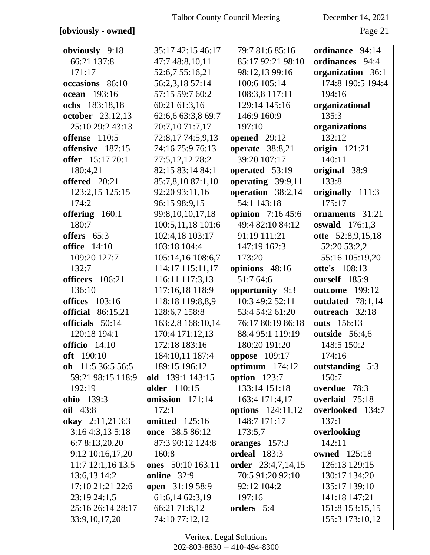### **[obviously - owned]** Page 21

| obviously 9:18                     | 35:17 42:15 46:17                       | 79:7 81:6 85:16                 | ordinance 94:14                    |
|------------------------------------|-----------------------------------------|---------------------------------|------------------------------------|
| 66:21 137:8                        | 47:7 48:8,10,11                         | 85:17 92:21 98:10               | ordinances 94:4                    |
| 171:17                             | 52:6,7 55:16,21                         | 98:12,13 99:16                  | organization 36:1                  |
| occasions 86:10                    | 56:2,3,18 57:14                         | 100:6 105:14                    | 174:8 190:5 194:4                  |
| ocean 193:16                       | 57:15 59:7 60:2                         | 108:3,8 117:11                  | 194:16                             |
| ochs 183:18,18                     | 60:21 61:3,16                           | 129:14 145:16                   | organizational                     |
| <b>october</b> 23:12,13            | 62:6,6 63:3,8 69:7                      | 146:9 160:9                     | 135:3                              |
| 25:10 29:2 43:13                   | 70:7,10 71:7,17                         | 197:10                          | organizations                      |
| offense 110:5                      | 72:8,17 74:5,9,13                       | opened 29:12                    | 132:12                             |
| offensive 187:15                   | 74:16 75:9 76:13                        | <b>operate</b> 38:8,21          | <b>origin</b> 121:21               |
| offer 15:17 70:1                   | 77:5,12,12 78:2                         | 39:20 107:17                    | 140:11                             |
| 180:4,21                           | 82:15 83:14 84:1                        | operated 53:19                  | original 38:9                      |
| offered 20:21                      | 85:7,8,10 87:1,10                       | operating 39:9,11               | 133:8                              |
| 123:2,15 125:15                    | 92:20 93:11,16                          | operation 38:2,14               | originally 111:3                   |
| 174:2                              | 96:15 98:9,15                           | 54:1 143:18                     | 175:17                             |
| offering 160:1                     | 99:8,10,10,17,18                        | opinion 7:16 45:6               | ornaments 31:21                    |
| 180:7                              | 100:5,11,18 101:6                       | 49:4 82:10 84:12                | oswald $176:1,3$                   |
| offers 65:3                        | 102:4,18 103:17                         | 91:19 111:21                    | otte 52:8,9,15,18                  |
| <b>office</b> 14:10                | 103:18 104:4                            | 147:19 162:3                    | 52:20 53:2,2                       |
| 109:20 127:7                       | 105:14,16 108:6,7                       | 173:20                          | 55:16 105:19,20                    |
| 132:7                              | 114:17 115:11,17                        | opinions 48:16                  | <b>otte's</b> 108:13               |
| officers 106:21                    | 116:11 117:3,13                         | 51:7 64:6                       | ourself 185:9                      |
| 136:10                             | 117:16,18 118:9                         | opportunity 9:3                 | outcome 199:12                     |
| <b>offices</b> 103:16              | 118:18 119:8,8,9                        | 10:3 49:2 52:11                 | outdated 78:1,14                   |
| <b>official</b> 86:15,21           | 128:6,7 158:8                           | 53:4 54:2 61:20                 | outreach 32:18                     |
| officials 50:14                    | 163:2,8 168:10,14                       | 76:17 80:19 86:18               | outs 156:13                        |
| 120:18 194:1                       | 170:4 171:12,13                         | 88:4 95:1 119:19                | outside 56:4,6                     |
| officio 14:10                      | 172:18 183:16                           | 180:20 191:20                   | 148:5 150:2                        |
| off 190:10                         | 184:10,11 187:4                         | <b>oppose</b> 109:17            | 174:16                             |
| oh $11:536:556:5$                  | 189:15 196:12                           | optimum 174:12                  | outstanding 5:3                    |
| 59:21 98:15 118:9<br>192:19        | old 139:1 143:15<br><b>older</b> 110:15 | option $123:7$<br>133:14 151:18 | 150:7<br>overdue 78:3              |
| ohio 139:3                         | omission 171:14                         | 163:4 171:4,17                  | overlaid 75:18                     |
| oil 43:8                           | 172:1                                   | <b>options</b> 124:11,12        | overlooked 134:7                   |
| okay 2:11,21 3:3                   |                                         |                                 | 137:1                              |
|                                    |                                         |                                 |                                    |
|                                    | <b>omitted</b> 125:16                   | 148:7 171:17                    |                                    |
| 3:164:3,135:18                     | once 38:5 86:12                         | 173:5,7                         | overlooking                        |
| 6:7 8:13,20,20                     | 87:3 90:12 124:8                        | oranges 157:3                   | 142:11                             |
| 9:12 10:16,17,20                   | 160:8                                   | ordeal 183:3                    | <b>owned</b> 125:18                |
| 11:7 12:1,16 13:5                  | ones 50:10 163:11                       | order 23:4,7,14,15              | 126:13 129:15                      |
| 13:6,13 14:2                       | online 32:9                             | 70:5 91:20 92:10                | 130:17 134:20                      |
| 17:10 21:21 22:6                   | open 31:19 58:9                         | 92:12 104:2                     | 135:17 139:10                      |
| 23:19 24:1,5                       | 61:6,14 62:3,19                         | 197:16                          | 141:18 147:21                      |
| 25:16 26:14 28:17<br>33:9,10,17,20 | 66:21 71:8,12<br>74:10 77:12,12         | orders 5:4                      | 151:8 153:15,15<br>155:3 173:10,12 |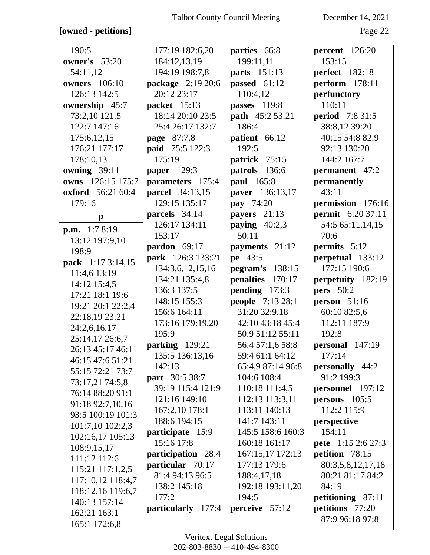### **[owned - petitions]** Page 22

| 190:5                    | 177:19 182:6,20        | parties 66:8      | percent 126:20            |
|--------------------------|------------------------|-------------------|---------------------------|
| <b>owner's</b> 53:20     | 184:12,13,19           | 199:11,11         | 153:15                    |
| 54:11,12                 | 194:19 198:7,8         | parts 151:13      | <b>perfect</b> 182:18     |
| <b>owners</b> 106:10     | package 2:19 20:6      | passed 61:12      | perform 178:11            |
| 126:13 142:5             | 20:12 23:17            | 110:4,12          | perfunctory               |
| ownership 45:7           | packet 15:13           | passes 119:8      | 110:11                    |
| 73:2,10 121:5            | 18:14 20:10 23:5       | path 45:2 53:21   | <b>period</b> 7:8 31:5    |
| 122:7 147:16             | 25:4 26:17 132:7       | 186:4             | 38:8,12 39:20             |
| 175:6,12,15              | page 87:7,8            | patient 66:12     | 40:15 54:8 82:9           |
| 176:21 177:17            | paid 75:5 122:3        | 192:5             | 92:13 130:20              |
| 178:10,13                | 175:19                 | patrick 75:15     | 144:2 167:7               |
| owning 39:11             | paper 129:3            | patrols 136:6     | <b>permanent</b> 47:2     |
| owns 126:15 175:7        | parameters 175:4       | paul 165:8        | permanently               |
| <b>oxford</b> 56:21 60:4 | <b>parcel</b> 34:13,15 | paver 136:13,17   | 43:11                     |
| 179:16                   | 129:15 135:17          | <b>pay</b> 74:20  | permission 176:16         |
| $\mathbf{p}$             | parcels 34:14          | payers 21:13      | <b>permit</b> 6:20 37:11  |
| <b>p.m.</b> $1:78:19$    | 126:17 134:11          | paying $40:2,3$   | 54:5 65:11,14,15          |
| 13:12 197:9,10           | 153:17                 | 50:11             | 70:6                      |
| 198:9                    | pardon 69:17           | payments 21:12    | permits 5:12              |
| pack 1:17 3:14,15        | park 126:3 133:21      | pe 43:5           | perpetual 133:12          |
| 11:4,6 13:19             | 134:3,6,12,15,16       | pegram's $138:15$ | 177:15 190:6              |
| 14:12 15:4,5             | 134:21 135:4,8         | penalties 170:17  | perpetuity 182:19         |
| 17:21 18:1 19:6          | 136:3 137:5            | pending 173:3     | <b>pers</b> 50:2          |
| 19:21 20:1 22:2,4        | 148:15 155:3           | people 7:13 28:1  | person $51:16$            |
| 22:18,19 23:21           | 156:6 164:11           | 31:20 32:9,18     | 60:10 82:5,6              |
| 24:2,6,16,17             | 173:16 179:19,20       | 42:10 43:18 45:4  | 112:11 187:9              |
| 25:14,17 26:6,7          | 195:9                  | 50:9 51:12 55:11  | 192:8                     |
| 26:13 45:17 46:11        | parking 129:21         | 56:4 57:1,6 58:8  | personal 147:19           |
| 46:15 47:6 51:21         | 135:5 136:13,16        | 59:4 61:1 64:12   | 177:14                    |
| 55:15 72:21 73:7         | 142:13                 | 65:4,9 87:14 96:8 | personally 44:2           |
| 73:17,21 74:5,8          | part 30:5 38:7         | 104:6 108:4       | 91:2 199:3                |
| 76:14 88:20 91:1         | 39:19 115:4 121:9      | 110:18 111:4,5    | personnel 197:12          |
| 91:18 92:7,10,16         | 121:16 149:10          | 112:13 113:3,11   | persons $105:5$           |
| 93:5 100:19 101:3        | 167:2,10 178:1         | 113:11 140:13     | 112:2 115:9               |
| 101:7,10 102:2,3         | 188:6 194:15           | 141:7 143:11      | perspective               |
| 102:16,17 105:13         | participate 15:9       | 145:5 158:6 160:3 | 154:11                    |
| 108:9,15,17              | 15:16 17:8             | 160:18 161:17     | <b>pete</b> 1:15 2:6 27:3 |
| 111:12 112:6             | participation 28:4     | 167:15,17 172:13  | petition 78:15            |
| 115:21 117:1,2,5         | particular 70:17       | 177:13 179:6      | 80:3,5,8,12,17,18         |
| 117:10,12 118:4,7        | 81:4 94:13 96:5        | 188:4, 17, 18     | 80:21 81:17 84:2          |
| 118:12,16 119:6,7        | 138:2 145:18           | 192:18 193:11,20  | 84:19                     |
| 140:13 157:14            | 177:2                  | 194:5             | petitioning 87:11         |
| 162:21 163:1             | particularly 177:4     | perceive 57:12    | petitions 77:20           |
| 165:1 172:6,8            |                        |                   | 87:9 96:18 97:8           |
|                          |                        |                   |                           |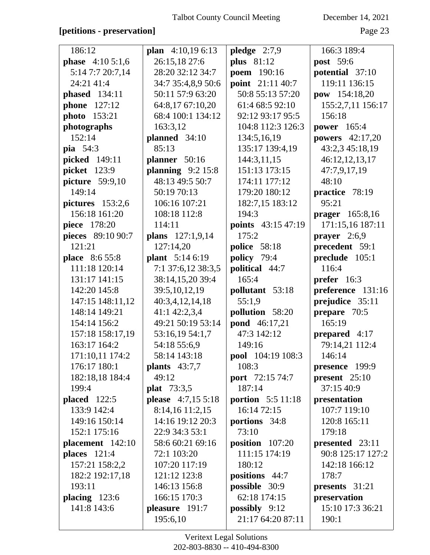### **[petitions - preservation]** Page 23

| 186:12                   | plan $4:10,196:13$        | pledge $2:7,9$           | 166:3 189:4            |
|--------------------------|---------------------------|--------------------------|------------------------|
| <b>phase</b> $4:105:1,6$ | 26:15,18 27:6             | plus $81:12$             | post 59:6              |
| 5:14 7:7 20:7,14         | 28:20 32:12 34:7          | poem 190:16              | potential 37:10        |
| 24:21 41:4               | 34:7 35:4,8,9 50:6        | point 21:11 40:7         | 119:11 136:15          |
| <b>phased</b> 134:11     | 50:11 57:9 63:20          | 50:8 55:13 57:20         | pow 154:18,20          |
| <b>phone</b> 127:12      | 64:8,17 67:10,20          | 61:4 68:5 92:10          | 155:2,7,11 156:17      |
| photo 153:21             | 68:4 100:1 134:12         | 92:12 93:17 95:5         | 156:18                 |
| photographs              | 163:3,12                  | 104:8 112:3 126:3        | <b>power</b> 165:4     |
| 152:14                   | planned 34:10             | 134:5,16,19              | <b>powers</b> 42:17,20 |
| <b>pia</b> 54:3          | 85:13                     | 135:17 139:4,19          | 43:2,3 45:18,19        |
| picked 149:11            | planner 50:16             | 144:3,11,15              | 46:12,12,13,17         |
| picket 123:9             | planning $9:2$ 15:8       | 151:13 173:15            | 47:7,9,17,19           |
| picture 59:9,10          | 48:13 49:5 50:7           | 174:11 177:12            | 48:10                  |
| 149:14                   | 50:19 70:13               | 179:20 180:12            | practice 78:19         |
| pictures $153:2,6$       | 106:16 107:21             | 182:7,15 183:12          | 95:21                  |
| 156:18 161:20            | 108:18 112:8              | 194:3                    | <b>prager</b> 165:8,16 |
| piece 178:20             | 114:11                    | points 43:15 47:19       | 171:15,16 187:11       |
| pieces 89:10 90:7        | plans 127:1,9,14          | 175:2                    | <b>prayer</b> $2:6,9$  |
| 121:21                   | 127:14,20                 | police 58:18             | precedent 59:1         |
| <b>place</b> 8:6 55:8    | plant 5:14 6:19           | policy 79:4              | preclude 105:1         |
| 111:18 120:14            | 7:1 37:6,12 38:3,5        | political 44:7           | 116:4                  |
| 131:17 141:15            | 38:14,15,20 39:4          | 165:4                    | prefer 16:3            |
| 142:20 145:8             | 39:5, 10, 12, 19          | pollutant 53:18          | preference 131:16      |
| 147:15 148:11,12         | 40:3,4,12,14,18           | 55:1,9                   | prejudice 35:11        |
| 148:14 149:21            | 41:1 42:2,3,4             | pollution 58:20          | prepare 70:5           |
|                          |                           |                          |                        |
| 154:14 156:2             | 49:21 50:19 53:14         | <b>pond</b> 46:17,21     | 165:19                 |
| 157:18 158:17,19         | 53:16,19 54:1,7           | 47:3 142:12              | prepared 4:17          |
| 163:17 164:2             | 54:18 55:6,9              | 149:16                   | 79:14,21 112:4         |
| 171:10,11 174:2          | 58:14 143:18              | pool 104:19 108:3        | 146:14                 |
| 176:17 180:1             | plants $43:7,7$           | 108:3                    | presence 199:9         |
| 182:18,18 184:4          | 49:12                     | <b>port</b> 72:15 74:7   | present $25:10$        |
| 199:4                    | <b>plat</b> 73:3,5        | 187:14                   | 37:15 40:9             |
| placed $122:5$           | <b>please</b> 4:7,15 5:18 | <b>portion</b> 5:5 11:18 | presentation           |
| 133:9 142:4              | 8:14,16 11:2,15           | 16:14 72:15              | 107:7 119:10           |
| 149:16 150:14            | 14:16 19:12 20:3          | portions 34:8            | 120:8 165:11           |
| 152:1 175:16             | 22:9 34:3 53:1            | 73:10                    | 179:18                 |
| placement $142:10$       | 58:6 60:21 69:16          | position 107:20          | presented 23:11        |
| places $121:4$           | 72:1 103:20               | 111:15 174:19            | 90:8 125:17 127:2      |
| 157:21 158:2,2           | 107:20 117:19             | 180:12                   | 142:18 166:12          |
| 182:2 192:17,18          | 121:12 123:8              | positions 44:7           | 178:7                  |
| 193:11                   | 146:13 156:8              | possible 30:9            | presents 31:21         |
| placing $123:6$          | 166:15 170:3              | 62:18 174:15             | preservation           |
| 141:8 143:6              | pleasure 191:7            | <b>possibly</b> $9:12$   | 15:10 17:3 36:21       |
|                          | 195:6,10                  | 21:17 64:20 87:11        | 190:1                  |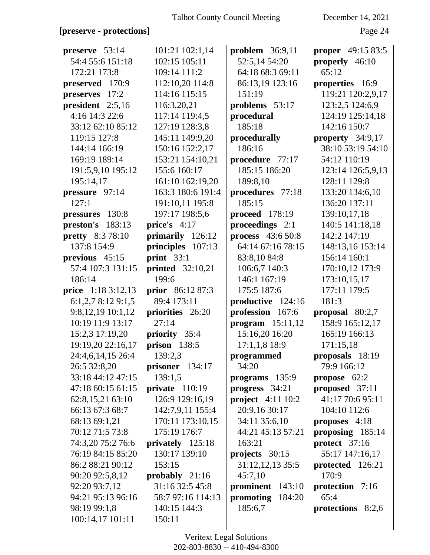### [preserve - protections]

December 14, 2021

Page 24

| preserve 53:14          | 101:21 102:1,14         | problem $36:9,11$   | <b>proper</b> 49:15 83:5 |
|-------------------------|-------------------------|---------------------|--------------------------|
| 54:4 55:6 151:18        | 102:15 105:11           | 52:5,14 54:20       | properly 46:10           |
| 172:21 173:8            | 109:14 111:2            | 64:18 68:3 69:11    | 65:12                    |
| preserved 170:9         | 112:10,20 114:8         | 86:13,19 123:16     | properties 16:9          |
| preserves<br>17:2       | 114:16 115:15           | 151:19              | 119:21 120:2,9,17        |
| president 2:5,16        | 116:3,20,21             | problems 53:17      | 123:2,5 124:6,9          |
| 4:16 14:3 22:6          | 117:14 119:4,5          | procedural          | 124:19 125:14,18         |
| 33:12 62:10 85:12       | 127:19 128:3,8          | 185:18              | 142:16 150:7             |
| 119:15 127:8            | 145:11 149:9,20         | procedurally        | property 34:9,17         |
| 144:14 166:19           | 150:16 152:2,17         | 186:16              | 38:10 53:19 54:10        |
| 169:19 189:14           | 153:21 154:10,21        | procedure 77:17     | 54:12 110:19             |
| 191:5,9,10 195:12       | 155:6 160:17            | 185:15 186:20       | 123:14 126:5,9,13        |
| 195:14,17               | 161:10 162:19,20        | 189:8,10            | 128:11 129:8             |
| pressure 97:14          | 163:3 180:6 191:4       | procedures 77:18    | 133:20 134:6,10          |
| 127:1                   | 191:10,11 195:8         | 185:15              | 136:20 137:11            |
| pressures 130:8         | 197:17 198:5,6          | proceed 178:19      | 139:10,17,18             |
| $preston's$ 183:13      | price's $4:17$          | proceedings 2:1     | 140:5 141:18,18          |
| <b>pretty</b> 8:3 78:10 | primarily 126:12        | process 43:6 50:8   | 142:2 147:19             |
| 137:8 154:9             | principles 107:13       | 64:14 67:16 78:15   | 148:13,16 153:14         |
| previous 45:15          | print $33:1$            | 83:8,10 84:8        | 156:14 160:1             |
| 57:4 107:3 131:15       | <b>printed</b> 32:10,21 | 106:6,7 140:3       | 170:10,12 173:9          |
| 186:14                  | 199:6                   | 146:1 167:19        | 173:10,15,17             |
| price 1:18 3:12,13      | prior 86:12 87:3        | 175:5 187:6         | 177:11 179:5             |
| 6:1,2,78:129:1,5        | 89:4 173:11             | productive 124:16   | 181:3                    |
| 9:8,12,19 10:1,12       | priorities 26:20        | profession 167:6    | proposal $80:2,7$        |
| 10:19 11:9 13:17        | 27:14                   | program $15:11,12$  | 158:9 165:12,17          |
| 15:2,3 17:19,20         | priority 35:4           | 15:16,20 16:20      | 165:19 166:13            |
| 19:19,20 22:16,17       | prison $138:5$          | $17:1,1,8$ 18:9     | 171:15,18                |
| 24:4,6,14,15 26:4       | 139:2,3                 | programmed          | proposals 18:19          |
| 26:5 32:8,20            | prisoner $134:17$       | 34:20               | 79:9 166:12              |
| 33:18 44:12 47:15       | 139:1,5                 | programs 135:9      | propose 62:2             |
| 47:18 60:15 61:15       | private 110:19          | progress $34:21$    | proposed 37:11           |
| 62:8,15,21 63:10        | 126:9 129:16,19         | project $4:11$ 10:2 | 41:17 70:6 95:11         |
| 66:13 67:3 68:7         | 142:7,9,11 155:4        | 20:9,16 30:17       | 104:10 112:6             |
| 68:13 69:1,21           | 170:11 173:10,15        | 34:11 35:6,10       | proposes 4:18            |
| 70:12 71:5 73:8         | 175:19 176:7            | 44:21 45:13 57:21   | proposing 185:14         |
| 74:3,20 75:2 76:6       | privately 125:18        | 163:21              | protect 37:16            |
| 76:19 84:15 85:20       | 130:17 139:10           | projects 30:15      | 55:17 147:16,17          |
| 86:2 88:21 90:12        | 153:15                  | 31:12,12,13 35:5    | protected 126:21         |
| 90:20 92:5,8,12         | probably $21:16$        | 45:7,10             | 170:9                    |
| 92:20 93:7,12           | 31:16 32:5 45:8         | prominent 143:10    | protection 7:16          |
| 94:21 95:13 96:16       | 58:7 97:16 114:13       | promoting<br>184:20 | 65:4                     |
| 98:19 99:1,8            | 140:15 144:3            | 185:6,7             | protections 8:2,6        |
| 100:14,17 101:11        | 150:11                  |                     |                          |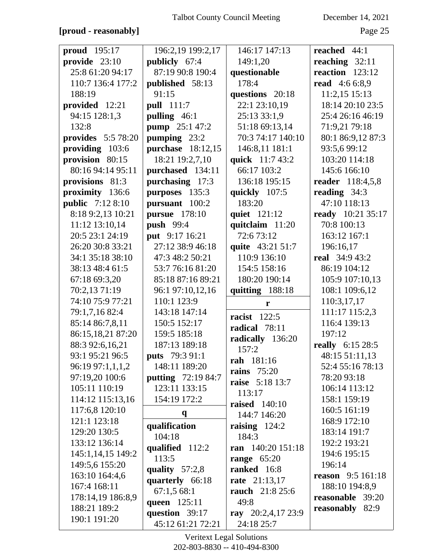### [proud - reasonably]

December 14, 2021

Page 25

| <b>proud</b> 195:17       | 196:2,19 199:2,17         | 146:17 147:13          | reached 44:1             |
|---------------------------|---------------------------|------------------------|--------------------------|
| provide 23:10             | publicly 67:4             | 149:1,20               | reaching $32:11$         |
| 25:8 61:20 94:17          | 87:19 90:8 190:4          | questionable           | reaction $123:12$        |
| 110:7 136:4 177:2         | published 58:13           | 178:4                  | <b>read</b> 4:6 6:8,9    |
| 188:19                    | 91:15                     | questions 20:18        | 11:2,15 15:13            |
| provided 12:21            | <b>pull</b> 111:7         | 22:1 23:10,19          | 18:14 20:10 23:5         |
| 94:15 128:1,3             | pulling 46:1              | 25:13 33:1,9           | 25:4 26:16 46:19         |
| 132:8                     | <b>pump</b> 25:1 47:2     | 51:18 69:13,14         | 71:9,21 79:18            |
| <b>provides</b> 5:5 78:20 | pumping 23:2              | 70:3 74:17 140:10      | 80:1 86:9,12 87:3        |
| providing 103:6           | purchase 18:12,15         | 146:8,11 181:1         | 93:5,6 99:12             |
| provision 80:15           | 18:21 19:2,7,10           | quick 11:7 43:2        | 103:20 114:18            |
| 80:16 94:14 95:11         | purchased 134:11          | 66:17 103:2            | 145:6 166:10             |
| provisions 81:3           | purchasing 17:3           | 136:18 195:15          | reader 118:4,5,8         |
| proximity 136:6           | purposes 135:3            | quickly $107:5$        | reading $34:3$           |
| <b>public</b> 7:12 8:10   | pursuant 100:2            | 183:20                 | 47:10 118:13             |
| 8:18 9:2,13 10:21         | <b>pursue</b> 178:10      | quiet 121:12           | <b>ready</b> 10:21 35:17 |
| 11:12 13:10,14            | <b>push</b> 99:4          | quitclaim 11:20        | 70:8 100:13              |
| 20:5 23:1 24:19           | put 9:17 16:21            | 72:673:12              | 163:12 167:1             |
| 26:20 30:8 33:21          | 27:12 38:9 46:18          | quite 43:21 51:7       | 196:16,17                |
| 34:1 35:18 38:10          | 47:3 48:2 50:21           | 110:9 136:10           | <b>real</b> 34:9 43:2    |
| 38:13 48:4 61:5           | 53:7 76:16 81:20          | 154:5 158:16           | 86:19 104:12             |
| 67:18 69:3,20             | 85:18 87:16 89:21         | 180:20 190:14          | 105:9 107:10,13          |
| 70:2,13 71:19             | 96:1 97:10,12,16          | quitting 188:18        | 108:1 109:6,12           |
| 74:10 75:9 77:21          | 110:1 123:9               | r                      | 110:3,17,17              |
| 79:1,7,16 82:4            | 143:18 147:14             | <b>racist</b> 122:5    | 111:17 115:2,3           |
| 85:14 86:7,8,11           | 150:5 152:17              | radical 78:11          | 116:4 139:13             |
| 86:15,18,21 87:20         | 159:5 185:18              | radically 136:20       | 197:12                   |
| 88:3 92:6,16,21           | 187:13 189:18             | 157:2                  | really 6:15 28:5         |
| 93:1 95:21 96:5           | puts 79:3 91:1            | rah 181:16             | 48:15 51:11,13           |
| 96:19 97:1,1,1,2          | 148:11 189:20             | rains $75:20$          | 52:4 55:16 78:13         |
| 97:19,20 100:6            | <b>putting</b> 72:19 84:7 | <b>raise</b> 5:18 13:7 | 78:20 93:18              |
| 105:11 110:19             | 123:11 133:15             | 113:17                 | 106:14 113:12            |
| 114:12 115:13,16          | 154:19 172:2              | <b>raised</b> 140:10   | 158:1 159:19             |
| 117:6,8 120:10            | $\mathbf{q}$              | 144:7 146:20           | 160:5 161:19             |
| 121:1 123:18              | qualification             | raising $124:2$        | 168:9 172:10             |
| 129:20 130:5              | 104:18                    | 184:3                  | 183:14 191:7             |
| 133:12 136:14             | qualified 112:2           | ran 140:20 151:18      | 192:2 193:21             |
| 145:1,14,15 149:2         | 113:5                     | range $65:20$          | 194:6 195:15             |
| 149:5,6 155:20            | quality $57:2,8$          | ranked 16:8            | 196:14                   |
| 163:10 164:4,6            | quarterly 66:18           | <b>rate</b> 21:13,17   | <b>reason</b> 9:5 161:18 |
| 167:4 168:11              | 67:1,568:1                | rauch 21:8 25:6        | 188:10 194:8,9           |
| 178:14,19 186:8,9         | queen 125:11              | 49:8                   | reasonable 39:20         |
| 188:21 189:2              | question 39:17            | ray $20:2,4,17$ 23:9   | <b>reasonably</b> 82:9   |
| 190:1 191:20              | 45:12 61:21 72:21         | 24:18 25:7             |                          |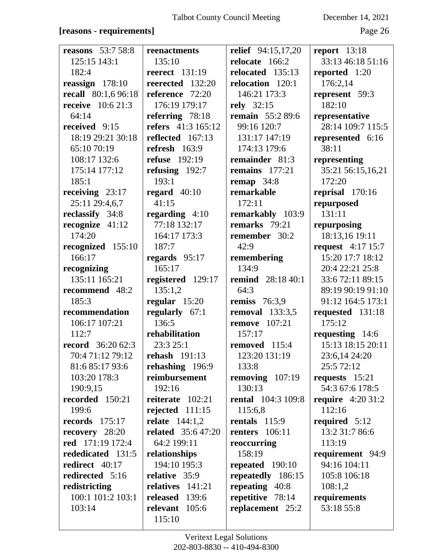### **[reasons - requirements]** Page 26

| <b>reasons</b> 53:7 58:8   | reenactments              | relief 94:15,17,20        | report 13:18              |
|----------------------------|---------------------------|---------------------------|---------------------------|
| 125:15 143:1               | 135:10                    | relocate 166:2            | 33:13 46:18 51:16         |
| 182:4                      | <b>reerect</b> 131:19     | relocated 135:13          | reported 1:20             |
| reassign $178:10$          | reerected 132:20          | relocation 120:1          | 176:2,14                  |
| <b>recall</b> 80:1,6 96:18 | reference 72:20           | 146:21 173:3              | represent 59:3            |
| <b>receive</b> $10:621:3$  | 176:19 179:17             | rely 32:15                | 182:10                    |
| 64:14                      | referring $78:18$         | <b>remain</b> 55:2 89:6   | representative            |
| received 9:15              | refers 41:3 165:12        | 99:16 120:7               | 28:14 109:7 115:5         |
| 18:19 29:21 30:18          | reflected 167:13          | 131:17 147:19             | represented 6:16          |
| 65:10 70:19                | refresh $163:9$           | 174:13 179:6              | 38:11                     |
| 108:17 132:6               | <b>refuse</b> 192:19      | remainder 81:3            | representing              |
| 175:14 177:12              | refusing $192:7$          | remains 177:21            | 35:21 56:15,16,21         |
| 185:1                      | 193:1                     | remap $34:8$              | 172:20                    |
| receiving $23:17$          | regard $40:10$            | remarkable                | reprisal 170:16           |
| 25:11 29:4,6,7             | 41:15                     | 172:11                    | repurposed                |
| reclassify 34:8            | regarding 4:10            | remarkably 103:9          | 131:11                    |
| recognize $41:12$          | 77:18 132:17              | remarks 79:21             | repurposing               |
| 174:20                     | 164:17 173:3              | remember 30:2             | 18:13,16 19:11            |
| recognized 155:10          | 187:7                     | 42:9                      | <b>request</b> 4:17 15:7  |
| 166:17                     | regards $95:17$           | remembering               | 15:20 17:7 18:12          |
| recognizing                | 165:17                    | 134:9                     | 20:4 22:21 25:8           |
| 135:11 165:21              | registered 129:17         | <b>remind</b> 28:18 40:1  | 33:6 72:11 89:15          |
| recommend 48:2             | 135:1,2                   | 64:3                      | 89:19 90:19 91:10         |
| 185:3                      | regular $15:20$           | remiss $76:3,9$           | 91:12 164:5 173:1         |
| recommendation             | regularly 67:1            | <b>removal</b> 133:3,5    | requested 131:18          |
| 106:17 107:21              | 136:5                     | <b>remove</b> 107:21      | 175:12                    |
| 112:7                      | rehabilitation            | 157:17                    | requesting 14:6           |
| <b>record</b> 36:20 62:3   | 23:3 25:1                 | removed 115:4             | 15:13 18:15 20:11         |
| 70:4 71:12 79:12           | rehash 191:13             | 123:20 131:19             | 23:6,14 24:20             |
| 81:6 85:17 93:6            | rehashing 196:9           | 133:8                     | 25:5 72:12                |
| 103:20 178:3               | reimbursement             | removing $107:19$         | requests $15:21$          |
| 190:9,15                   | 192:16                    | 130:13                    | 54:3 67:6 178:5           |
| recorded 150:21            | reiterate $102:21$        | <b>rental</b> 104:3 109:8 | <b>require</b> $4:2031:2$ |
| 199:6                      | rejected $111:15$         | 115:6,8                   | 112:16                    |
| <b>records</b> 175:17      | <b>relate</b> 144:1,2     | rentals $115:9$           | required $5:12$           |
| recovery 28:20             | <b>related</b> 35:6 47:20 | <b>renters</b> 106:11     | 13:2 31:7 86:6            |
| red 171:19 172:4           | 64:2 199:11               | reoccurring               | 113:19                    |
| rededicated 131:5          | relationships             | 158:19                    | requirement 94:9          |
| redirect 40:17             | 194:10 195:3              | repeated 190:10           | 94:16 104:11              |
| redirected 5:16            | relative 35:9             | repeatedly 186:15         | 105:8 106:18              |
| redistricting              | relatives 141:21          | repeating 40:8            | 108:1,2                   |
| 100:1 101:2 103:1          | released 139:6            | repetitive 78:14          | requirements              |
| 103:14                     | relevant 105:6            | replacement 25:2          | 53:18 55:8                |
|                            | 115:10                    |                           |                           |
|                            |                           |                           |                           |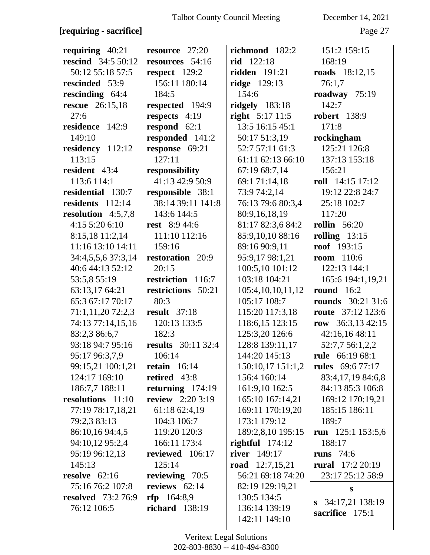# **[requiring - sacrifice]** Page 27

| requiring $40:21$         | resource 27:20            | richmond 182:2       | 151:2 159:15             |
|---------------------------|---------------------------|----------------------|--------------------------|
| <b>rescind</b> 34:5 50:12 | resources 54:16           | rid 122:18           | 168:19                   |
| 50:12 55:18 57:5          | respect 129:2             | <b>ridden</b> 191:21 | <b>roads</b> 18:12,15    |
| rescinded 53:9            | 156:11 180:14             | <b>ridge</b> 129:13  | 76:1,7                   |
| rescinding 64:4           | 184:5                     | 154:6                | roadway 75:19            |
| <b>rescue</b> 26:15,18    | respected 194:9           | ridgely $183:18$     | 142:7                    |
| 27:6                      | respects 4:19             | right $5:17$ 11:5    | <b>robert</b> 138:9      |
| residence 142:9           | respond $62:1$            | 13:5 16:15 45:1      | 171:8                    |
| 149:10                    | responded 141:2           | 50:17 51:3,19        | rockingham               |
| residency 112:12          | response 69:21            | 52:7 57:11 61:3      | 125:21 126:8             |
| 113:15                    | 127:11                    | 61:11 62:13 66:10    | 137:13 153:18            |
| resident 43:4             | responsibility            | 67:19 68:7,14        | 156:21                   |
| 113:6 114:1               | 41:13 42:9 50:9           | 69:1 71:14,18        | roll 14:15 17:12         |
| residential 130:7         | responsible 38:1          | 73:9 74:2,14         | 19:12 22:8 24:7          |
| residents 112:14          | 38:14 39:11 141:8         | 76:13 79:6 80:3,4    | 25:18 102:7              |
| resolution $4:5,7,8$      | 143:6 144:5               | 80:9,16,18,19        | 117:20                   |
| 4:15 5:20 6:10            | <b>rest</b> 8:9 44:6      | 81:17 82:3,6 84:2    | <b>rollin</b> 56:20      |
| 8:15,18 11:2,14           | 111:10 112:16             | 85:9,10,10 88:16     | rolling $13:15$          |
| 11:16 13:10 14:11         | 159:16                    | 89:16 90:9,11        | <b>roof</b> 193:15       |
| 34:4,5,5,6 37:3,14        | restoration 20:9          | 95:9,17 98:1,21      | <b>room</b> 110:6        |
| 40:6 44:13 52:12          | 20:15                     | 100:5,10 101:12      | 122:13 144:1             |
| 53:5,8 55:19              | restriction 116:7         | 103:18 104:21        | 165:6 194:1,19,21        |
| 63:13,17 64:21            | restrictions 50:21        | 105:4,10,10,11,12    | <b>round</b> 16:2        |
| 65:3 67:17 70:17          | 80:3                      | 105:17 108:7         | <b>rounds</b> 30:21 31:6 |
| 71:1,11,20 72:2,3         | <b>result</b> 37:18       | 115:20 117:3,18      | <b>route</b> 37:12 123:6 |
| 74:13 77:14,15,16         | 120:13 133:5              | 118:6,15 123:15      | row $36:3,1342:15$       |
| 83:2,3 86:6,7             | 182:3                     | 125:3,20 126:6       | 42:16,16 48:11           |
| 93:18 94:7 95:16          | <b>results</b> 30:11 32:4 | 128:8 139:11,17      | 52:7,7 56:1,2,2          |
| 95:17 96:3,7,9            | 106:14                    | 144:20 145:13        | <b>rule</b> 66:19 68:1   |
| 99:15,21 100:1,21         | retain $16:14$            | 150:10,17 151:1,2    | <b>rules</b> 69:6 77:17  |
| 124:17 169:10             | retired 43:8              | 156:4 160:14         | 83:4,17,19 84:6,8        |
| 186:7,7 188:11            | returning $174:19$        | 161:9,10 162:5       | 84:13 85:3 106:8         |
| resolutions 11:10         | review $2:203:19$         | 165:10 167:14,21     | 169:12 170:19,21         |
| 77:19 78:17,18,21         | 61:18 62:4,19             | 169:11 170:19,20     | 185:15 186:11            |
| 79:2,3 83:13              | 104:3 106:7               | 173:1 179:12         | 189:7                    |
| 86:10,16 94:4,5           | 119:20 120:3              | 189:2,8,10 195:15    | run 125:1 153:5,6        |
| 94:10,12 95:2,4           | 166:11 173:4              | rightful $174:12$    | 188:17                   |
| 95:19 96:12,13            | reviewed 106:17           | <b>river</b> 149:17  | <b>runs</b> 74:6         |
| 145:13                    | 125:14                    | road $12:7,15,21$    | rural $17:220:19$        |
| resolve $62:16$           | reviewing 70:5            | 56:21 69:18 74:20    | 23:17 25:12 58:9         |
| 75:16 76:2 107:8          | reviews $62:14$           | 82:19 129:19,21      | S                        |
| <b>resolved</b> 73:2 76:9 | rfp 164:8,9               | 130:5 134:5          | 34:17,21 138:19          |
| 76:12 106:5               | richard $138:19$          | 136:14 139:19        | S.<br>sacrifice 175:1    |
|                           |                           | 142:11 149:10        |                          |
|                           |                           |                      |                          |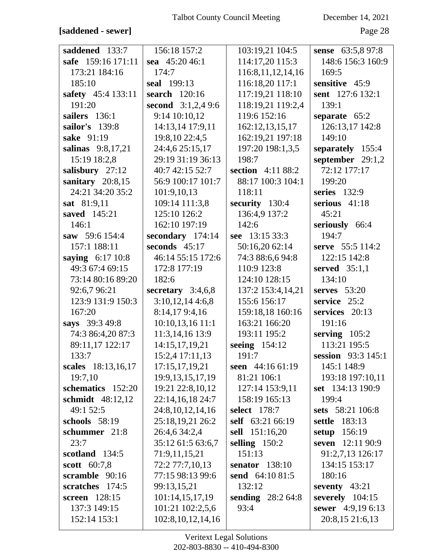### **[saddened - sewer]** Page 28

| saddened 133:7     | 156:18 157:2          | 103:19,21 104:5       | sense 63:5,8 97:8    |
|--------------------|-----------------------|-----------------------|----------------------|
| safe 159:16 171:11 | sea 45:20 46:1        | 114:17,20 115:3       | 148:6 156:3 160:9    |
| 173:21 184:16      | 174:7                 | 116:8, 11, 12, 14, 16 | 169:5                |
| 185:10             | seal 199:13           | 116:18,20 117:1       | sensitive 45:9       |
| safety 45:4 133:11 | search 120:16         | 117:19,21 118:10      | sent 127:6 132:1     |
| 191:20             | second $3:1,2,49:6$   | 118:19,21 119:2,4     | 139:1                |
| sailers 136:1      | 9:14 10:10,12         | 119:6 152:16          | separate $65:2$      |
| sailor's 139:8     | 14:13,14 17:9,11      | 162:12,13,15,17       | 126:13,17 142:8      |
| sake 91:19         | 19:8,10 22:4,5        | 162:19,21 197:18      | 149:10               |
| salinas 9:8,17,21  | 24:4,6 25:15,17       | 197:20 198:1,3,5      | separately 155:4     |
| 15:19 18:2,8       | 29:19 31:19 36:13     | 198:7                 | september $29:1,2$   |
| salisbury 27:12    | 40:7 42:15 52:7       | section 4:11 88:2     | 72:12 177:17         |
| sanitary $20:8,15$ | 56:9 100:17 101:7     | 88:17 100:3 104:1     | 199:20               |
| 24:21 34:20 35:2   | 101:9,10,13           | 118:11                | series $132:9$       |
| sat 81:9,11        | 109:14 111:3,8        | security 130:4        | serious $41:18$      |
| saved 145:21       | 125:10 126:2          | 136:4,9 137:2         | 45:21                |
| 146:1              | 162:10 197:19         | 142:6                 | seriously 66:4       |
| saw 59:6 154:4     | secondary 174:14      | see 13:15 33:3        | 194:7                |
| 157:1 188:11       | seconds $45:17$       | 50:16,20 62:14        | serve 55:5 114:2     |
| saying 6:17 10:8   | 46:14 55:15 172:6     | 74:3 88:6,6 94:8      | 122:15 142:8         |
| 49:3 67:4 69:15    | 172:8 177:19          | 110:9 123:8           | served $35:1,1$      |
| 73:14 80:16 89:20  | 182:6                 | 124:10 128:15         | 134:10               |
| 92:6,7 96:21       | secretary $3:4,6,8$   | 137:2 153:4,14,21     | serves $53:20$       |
| 123:9 131:9 150:3  | 3:10,12,144:6,8       | 155:6 156:17          | service 25:2         |
| 167:20             | 8:14,179:4,16         | 159:18,18 160:16      | services 20:13       |
| says 39:3 49:8     | 10:10,13,16 11:1      | 163:21 166:20         | 191:16               |
| 74:3 86:4,20 87:3  | 11:3,14,16 13:9       | 193:11 195:2          | serving $105:2$      |
| 89:11,17 122:17    | 14:15,17,19,21        | seeing 154:12         | 113:21 195:5         |
| 133:7              | 15:2,4 17:11,13       | 191:7                 | session 93:3 145:1   |
| scales 18:13,16,17 | 17:15,17,19,21        | seen 44:16 61:19      | 145:1 148:9          |
| 19:7,10            | 19:9, 13, 15, 17, 19  | 81:21 106:1           | 193:18 197:10,11     |
| schematics 152:20  | 19:21 22:8,10,12      | 127:14 153:9,11       | set 134:13 190:9     |
| schmidt 48:12,12   | 22:14,16,18 24:7      | 158:19 165:13         | 199:4                |
| 49:1 52:5          | 24:8, 10, 12, 14, 16  | select 178:7          | sets 58:21 106:8     |
| schools $58:19$    | 25:18,19,21 26:2      | self 63:21 66:19      | <b>settle</b> 183:13 |
| schummer 21:8      | 26:4,6 34:2,4         | sell 151:16,20        | setup 156:19         |
| 23:7               | 35:12 61:5 63:6,7     | selling $150:2$       | seven 12:11 90:9     |
| scotland 134:5     | 71:9,11,15,21         | 151:13                | 91:2,7,13 126:17     |
| scott 60:7,8       | 72:2 77:7,10,13       | senator $138:10$      | 134:15 153:17        |
| scramble 90:16     | 77:15 98:13 99:6      | send 64:10 81:5       | 180:16               |
| scratches 174:5    | 99:13,15,21           | 132:12                | seventy $43:21$      |
| screen 128:15      | 101:14,15,17,19       | sending $28:264:8$    | severely $104:15$    |
| 137:3 149:15       | 101:21 102:2,5,6      | 93:4                  | sewer 4:9,19 6:13    |
| 152:14 153:1       | 102:8, 10, 12, 14, 16 |                       | 20:8,15 21:6,13      |
|                    |                       |                       |                      |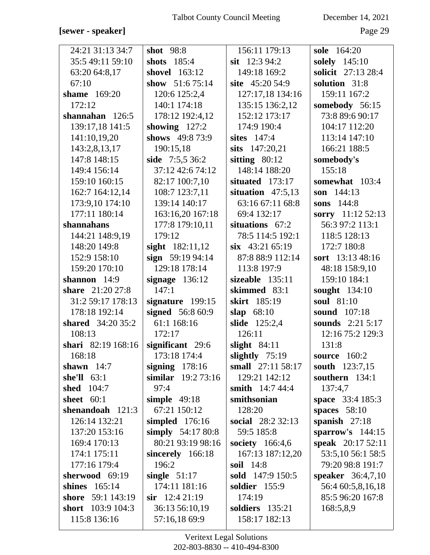### [sewer - speaker]

December 14, 2021

Page 29

| 24:21 31:13 34:7   | shot 98:8           | 156:11 179:13            | sole 164:20             |
|--------------------|---------------------|--------------------------|-------------------------|
| 35:5 49:11 59:10   | shots 185:4         | sit $12:394:2$           | solely 145:10           |
| 63:20 64:8,17      | shovel 163:12       | 149:18 169:2             | solicit 27:13 28:4      |
| 67:10              | show $51:675:14$    | site 45:20 54:9          | solution 31:8           |
| shame 169:20       | 120:6 125:2,4       | 127:17,18 134:16         | 159:11 167:2            |
| 172:12             | 140:1 174:18        | 135:15 136:2,12          | somebody 56:15          |
| shannahan $126:5$  | 178:12 192:4,12     | 152:12 173:17            | 73:8 89:6 90:17         |
| 139:17,18 141:5    | showing $127:2$     | 174:9 190:4              | 104:17 112:20           |
| 141:10,19,20       | shows 49:8 73:9     | sites 147:4              | 113:14 147:10           |
| 143:2,8,13,17      | 190:15,18           | sits 147:20,21           | 166:21 188:5            |
| 147:8 148:15       | side 7:5,5 36:2     | sitting $80:12$          | somebody's              |
| 149:4 156:14       | 37:12 42:6 74:12    | 148:14 188:20            | 155:18                  |
| 159:10 160:15      | 82:17 100:7,10      | situated 173:17          | somewhat 103:4          |
| 162:7 164:12,14    | 108:7 123:7,11      | situation $47:5,13$      | son 144:13              |
| 173:9,10 174:10    | 139:14 140:17       | 63:16 67:11 68:8         | sons 144:8              |
| 177:11 180:14      | 163:16,20 167:18    | 69:4 132:17              | sorry 11:12 52:13       |
| shannahans         | 177:8 179:10,11     | situations 67:2          | 56:3 97:2 113:1         |
| 144:21 148:9,19    | 179:12              | 78:5 114:5 192:1         | 118:5 128:13            |
| 148:20 149:8       | sight $182:11,12$   | $six$ 43:21 65:19        | 172:7 180:8             |
| 152:9 158:10       | sign $59:1994:14$   | 87:8 88:9 112:14         | sort 13:13 48:16        |
| 159:20 170:10      | 129:18 178:14       | 113:8 197:9              | 48:18 158:9,10          |
| shannon 14:9       | signage $136:12$    | sizeable $135:11$        | 159:10 184:1            |
| share 21:20 27:8   | 147:1               | skimmed 83:1             | sought 134:10           |
| 31:2 59:17 178:13  | signature 199:15    | skirt 185:19             | soul 81:10              |
| 178:18 192:14      | signed 56:8 60:9    | 68:10<br>slap            | sound 107:18            |
| shared 34:20 35:2  | 61:1 168:16         | <b>slide</b> 125:2,4     | <b>sounds</b> 2:21 5:17 |
| 108:13             | 172:17              | 126:11                   | 12:16 75:2 129:3        |
| shari 82:19 168:16 | significant 29:6    | slight $84:11$           | 131:8                   |
| 168:18             | 173:18 174:4        | slightly $75:19$         | source 160:2            |
| shawn $14:7$       | signing $178:16$    | small 27:11 58:17        | south 123:7,15          |
| she'll $63:1$      | similar $19:273:16$ | 129:21 142:12            | southern 134:1          |
| <b>shed</b> 104:7  | 97:4                | <b>smith</b> 14:7 44:4   | 137:4,7                 |
| sheet $60:1$       | simple $49:18$      | smithsonian              | space 33:4 185:3        |
| shenandoah $121:3$ | 67:21 150:12        | 128:20                   | spaces $58:10$          |
| 126:14 132:21      | simpled $176:16$    | <b>social</b> 28:2 32:13 | spanish $27:18$         |
| 137:20 153:16      | simply $54:1780:8$  | 59:5 185:8               | sparrow's $144:15$      |
| 169:4 170:13       | 80:21 93:19 98:16   | society $166:4,6$        | speak 20:17 52:11       |
| 174:1 175:11       | sincerely 166:18    | 167:13 187:12,20         | 53:5,10 56:1 58:5       |
| 177:16 179:4       | 196:2               | <b>soil</b> 14:8         | 79:20 98:8 191:7        |
| sherwood 69:19     | single $51:17$      | sold 147:9 150:5         | speaker 36:4,7,10       |
| shines 165:14      | 174:11 181:16       | soldier 155:9            | 56:4 60:5,8,16,18       |
| shore 59:1 143:19  | $\sin$ 12:4 21:19   | 174:19                   | 85:5 96:20 167:8        |
| short 103:9 104:3  | 36:13 56:10,19      | soldiers 135:21          | 168:5,8,9               |
| 115:8 136:16       | 57:16,18 69:9       | 158:17 182:13            |                         |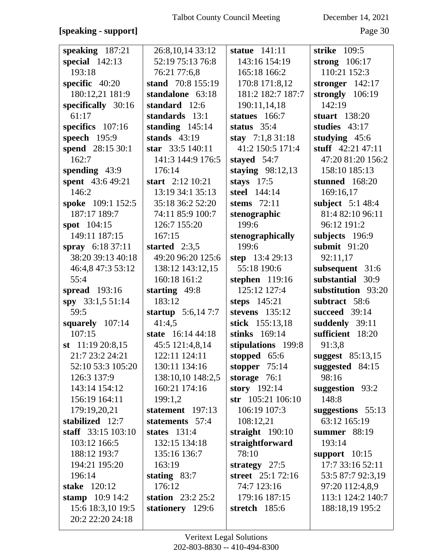# **[speaking - support]** Page 30

| speaking 187:21<br>26:8,10,14 33:12<br>strike 109:5<br>statue $141:11$<br>52:19 75:13 76:8<br>special $142:13$<br>143:16 154:19<br>strong $106:17$ |  |
|----------------------------------------------------------------------------------------------------------------------------------------------------|--|
|                                                                                                                                                    |  |
| 193:18<br>165:18 166:2<br>110:21 152:3<br>76:21 77:6,8                                                                                             |  |
| specific 40:20<br>170:8 171:8,12<br>stand 70:8 155:19<br>stronger $142:17$                                                                         |  |
| 180:12,21 181:9<br>181:2 182:7 187:7<br>strongly $106:19$<br>standalone 63:18                                                                      |  |
| specifically 30:16<br>standard 12:6<br>190:11,14,18<br>142:19                                                                                      |  |
| 61:17<br>standards 13:1<br>statues 166:7<br>stuart 138:20                                                                                          |  |
| specifics 107:16<br>standing $145:14$<br>status $35:4$<br>studies $43:17$                                                                          |  |
| speech 195:9<br>stands $43:19$<br>stay $7:1,831:18$<br>studying $45:6$                                                                             |  |
| spend 28:15 30:1<br>41:2 150:5 171:4<br>stuff $42:21\,47:11$<br>star 33:5 140:11                                                                   |  |
| 162:7<br>47:20 81:20 156:2<br>141:3 144:9 176:5<br>stayed 54:7                                                                                     |  |
| spending 43:9<br>158:10 185:13<br>176:14<br>staying $98:12,13$                                                                                     |  |
| spent 43:6 49:21<br>start 2:12 10:21<br>stays $17:5$<br>stunned 168:20                                                                             |  |
| 146:2<br>13:19 34:1 35:13<br>steel 144:14<br>169:16,17                                                                                             |  |
| spoke 109:1 152:5<br>35:18 36:2 52:20<br>subject $5:148:4$<br>stems 72:11                                                                          |  |
| 187:17 189:7<br>81:4 82:10 96:11<br>74:11 85:9 100:7<br>stenographic                                                                               |  |
| 199:6<br>spot 104:15<br>126:7 155:20<br>96:12 191:2                                                                                                |  |
| 149:11 187:15<br>167:15<br>subjects 196:9<br>stenographically                                                                                      |  |
| 199:6<br>spray $6:1837:11$<br>started $2:3,5$<br>submit 91:20                                                                                      |  |
| 38:20 39:13 40:18<br>49:20 96:20 125:6<br>step 13:4 29:13<br>92:11,17                                                                              |  |
| 138:12 143:12,15<br>subsequent 31:6<br>46:4,8 47:3 53:12<br>55:18 190:6                                                                            |  |
| substantial 30:9<br>55:4<br>160:18 161:2<br>stephen 119:16                                                                                         |  |
| 125:12 127:4<br>spread 193:16<br>starting $49:8$<br>substitution 93:20                                                                             |  |
| spy 33:1,5 51:14<br>183:12<br>steps 145:21<br>subtract 58:6                                                                                        |  |
| 59:5<br>startup $5:6,147:7$<br>stevens $135:12$<br>succeed 39:14                                                                                   |  |
| 41:4,5<br>stick 155:13,18<br>squarely 107:14<br>suddenly 39:11                                                                                     |  |
| 107:15<br>state 16:14 44:18<br>sufficient 18:20<br>stinks 169:14                                                                                   |  |
| st $11:1920:8,15$<br>45:5 121:4,8,14<br>stipulations 199:8<br>91:3,8                                                                               |  |
| suggest 85:13,15<br>21:7 23:2 24:21<br>122:11 124:11<br>stopped 65:6                                                                               |  |
| 52:10 53:3 105:20<br>130:11 134:16<br>suggested 84:15<br>stopper $75:14$                                                                           |  |
| 138:10,10 148:2,5<br>98:16<br>126:3 137:9<br>storage $76:1$                                                                                        |  |
| story 192:14<br>160:21 174:16<br>143:14 154:12<br>suggestion 93:2                                                                                  |  |
| 199:1,2<br>str 105:21 106:10<br>148:8<br>156:19 164:11                                                                                             |  |
| 106:19 107:3<br>179:19,20,21<br>statement 197:13<br>suggestions $55:13$                                                                            |  |
| stabilized 12:7<br>108:12,21<br>63:12 165:19<br>statements 57:4                                                                                    |  |
| staff $33:15$ 103:10<br>states $131:4$<br>straight $190:10$<br>summer 88:19                                                                        |  |
| 103:12 166:5<br>132:15 134:18<br>straightforward<br>193:14                                                                                         |  |
| 78:10<br>188:12 193:7<br>135:16 136:7<br>support $10:15$                                                                                           |  |
| 17:7 33:16 52:11<br>194:21 195:20<br>163:19<br>strategy $27:5$                                                                                     |  |
| 196:14<br>stating $83:7$<br>street 25:1 72:16<br>53:5 87:7 92:3,19                                                                                 |  |
| stake 120:12<br>176:12<br>97:20 112:4,8,9<br>74:7 123:16                                                                                           |  |
| stamp $10:9$ 14:2<br>station $23:225:2$<br>113:1 124:2 140:7<br>179:16 187:15                                                                      |  |
| 15:6 18:3,10 19:5<br>stationery 129:6<br>188:18,19 195:2<br>stretch 185:6                                                                          |  |
| 20:2 22:20 24:18                                                                                                                                   |  |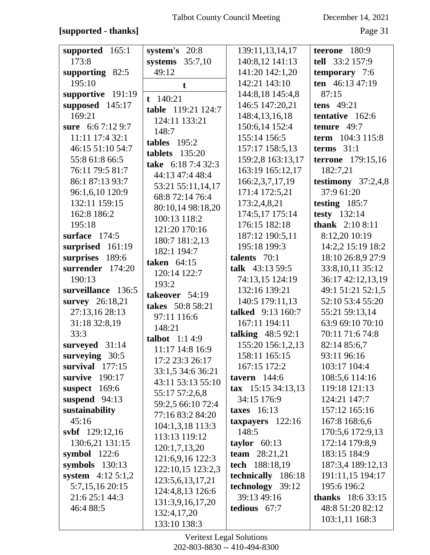### **[supported - thanks]** Page 31

| supported $165:1$    | system's 20:8      | 139:11,13,14,17               | teerone 180:9             |
|----------------------|--------------------|-------------------------------|---------------------------|
| 173:8                | systems $35:7,10$  | 140:8,12 141:13               | tell 33:2 157:9           |
| supporting 82:5      | 49:12              | 141:20 142:1,20               | temporary 7:6             |
| 195:10               |                    | 142:21 143:10                 | ten 46:13 47:19           |
| supportive 191:19    | t                  | 144:8,18 145:4,8              | 87:15                     |
| supposed 145:17      | $t$ 140:21         | 146:5 147:20,21               | tens 49:21                |
| 169:21               | table 119:21 124:7 | 148:4, 13, 16, 18             | tentative 162:6           |
| sure 6:6 7:12 9:7    | 124:11 133:21      |                               | tenure 49:7               |
|                      | 148:7              | 150:6,14 152:4                |                           |
| 11:11 17:4 32:1      | tables $195:2$     | 155:14 156:5                  | term 104:3 115:8          |
| 46:15 51:10 54:7     | tablets $135:20$   | 157:17 158:5,13               | terms $31:1$              |
| 55:8 61:8 66:5       | take 6:18 7:4 32:3 | 159:2,8 163:13,17             | <b>terrone</b> 179:15,16  |
| 76:11 79:5 81:7      | 44:13 47:4 48:4    | 163:19 165:12,17              | 182:7,21                  |
| 86:1 87:13 93:7      | 53:21 55:11,14,17  | 166:2,3,7,17,19               | testimony $37:2,4,8$      |
| 96:1,6,10 120:9      | 68:8 72:14 76:4    | 171:4 172:5,21                | 37:9 61:20                |
| 132:11 159:15        | 80:10,14 98:18,20  | 173:2,4,8,21                  | testing $185:7$           |
| 162:8 186:2          | 100:13 118:2       | 174:5,17 175:14               | testy $132:14$            |
| 195:18               | 121:20 170:16      | 176:15 182:18                 | thank $2:108:11$          |
| surface 174:5        | 180:7 181:2,13     | 187:12 190:5,11               | 8:12,20 10:19             |
| surprised 161:19     | 182:1 194:7        | 195:18 199:3                  | 14:2,2 15:19 18:2         |
| surprises 189:6      | taken $64:15$      | talents 70:1                  | 18:10 26:8,9 27:9         |
| surrender 174:20     | 120:14 122:7       | talk $43:1359:5$              | 33:8, 10, 11 35:12        |
| 190:13               | 193:2              | 74:13,15 124:19               | 36:17 42:12,13,19         |
| surveillance 136:5   | takeover 54:19     | 132:16 139:21                 | 49:1 51:21 52:1,5         |
| survey 26:18,21      | takes 50:8 58:21   | 140:5 179:11,13               | 52:10 53:4 55:20          |
| 27:13,16 28:13       |                    | talked 9:13 160:7             | 55:21 59:13,14            |
| 31:18 32:8,19        | 97:11 116:6        | 167:11 194:11                 | 63:9 69:10 70:10          |
| 33:3                 | 148:21             | talking 48:5 92:1             | 70:11 71:6 74:8           |
| surveyed 31:14       | talbot $1:14:9$    | 155:20 156:1,2,13             | 82:14 85:6,7              |
| surveying 30:5       | 11:17 14:8 16:9    | 158:11 165:15                 | 93:11 96:16               |
| survival $177:15$    | 17:2 23:3 26:17    | 167:15 172:2                  | 103:17 104:4              |
| survive $190:17$     | 33:1,5 34:6 36:21  | tavern $144:6$                | 108:5,6 114:16            |
| suspect $169:6$      | 43:11 53:13 55:10  | $\textbf{tax}$ 15:15 34:13,13 | 119:18 121:13             |
| suspend $94:13$      | 55:17 57:2,6,8     | 34:15 176:9                   | 124:21 147:7              |
| sustainability       | 59:2,5 66:10 72:4  | taxes $16:13$                 | 157:12 165:16             |
| 45:16                | 77:16 83:2 84:20   | taxpayers $122:16$            | 167:8 168:6,6             |
| svbf 129:12,16       | 104:1,3,18 113:3   | 148:5                         | 170:5,6 172:9,13          |
| 130:6,21 131:15      | 113:13 119:12      | taylor $60:13$                | 172:14 179:8,9            |
| symbol $122:6$       | 120:1,7,13,20      | team $28:21,21$               | 183:15 184:9              |
|                      | 121:6,9,16 122:3   |                               |                           |
| symbols $130:13$     | 122:10,15 123:2,3  | tech 188:18,19                | 187:3,4 189:12,13         |
| system $4:12\,5:1,2$ | 123:5,6,13,17,21   | technically 186:18            | 191:11,15 194:17          |
| 5:7,15,16 20:15      | 124:4,8,13 126:6   | technology 39:12              | 195:6 196:2               |
| 21:6 25:1 44:3       | 131:3,9,16,17,20   | 39:13 49:16                   | <b>thanks</b> $18:633:15$ |
| 46:4 88:5            | 132:4,17,20        | tedious 67:7                  | 48:8 51:20 82:12          |
|                      | 133:10 138:3       |                               | 103:1,11 168:3            |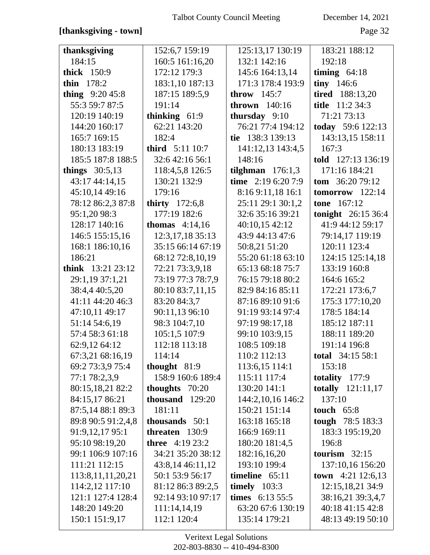### [thanksgiving - town]

December 14, 2021

Page 32

| thanksgiving          | 152:6,7 159:19          | 125:13,17 130:19   | 183:21 188:12              |
|-----------------------|-------------------------|--------------------|----------------------------|
| 184:15                | 160:5 161:16,20         | 132:1 142:16       | 192:18                     |
| thick 150:9           | 172:12 179:3            | 145:6 164:13,14    | timing $64:18$             |
| thin $178:2$          | 183:1,10 187:13         | 171:3 178:4 193:9  | tiny $146:6$               |
| thing $9:2045:8$      | 187:15 189:5,9          | throw $145:7$      | <b>tired</b> 188:13,20     |
| 55:3 59:7 87:5        | 191:14                  | thrown $140:16$    | <b>title</b> 11:2 34:3     |
| 120:19 140:19         | thinking $61:9$         | thursday $9:10$    | 71:21 73:13                |
| 144:20 160:17         | 62:21 143:20            | 76:21 77:4 194:12  | today 59:6 122:13          |
| 165:7 169:15          | 182:4                   | tie 138:3 139:13   | 143:13,15 158:11           |
| 180:13 183:19         | <b>third</b> 5:11 10:7  | 141:12,13 143:4,5  | 167:3                      |
| 185:5 187:8 188:5     | 32:6 42:16 56:1         | 148:16             | told 127:13 136:19         |
| things $30:5,13$      | 118:4,5,8 126:5         | tilghman $176:1,3$ | 171:16 184:21              |
| 43:17 44:14,15        | 130:21 132:9            | time 2:19 6:20 7:9 | tom $36:2079:12$           |
| 45:10,14 49:16        | 179:16                  | 8:16 9:11,18 16:1  | tomorrow 122:14            |
| 78:12 86:2,3 87:8     | thirty $172:6,8$        | 25:11 29:1 30:1,2  | <b>tone</b> 167:12         |
| 95:1,20 98:3          | 177:19 182:6            | 32:6 35:16 39:21   | <b>tonight</b> $26:1536:4$ |
| 128:17 140:16         | <b>thomas</b> $4:14,16$ | 40:10,15 42:12     | 41:9 44:12 59:17           |
| 146:5 155:15,16       | 12:3, 17, 18 35: 13     | 43:9 44:13 47:6    | 79:14,17 119:19            |
| 168:1 186:10,16       | 35:15 66:14 67:19       | 50:8,21 51:20      | 120:11 123:4               |
| 186:21                | 68:12 72:8,10,19        | 55:20 61:18 63:10  | 124:15 125:14,18           |
| think $13:21\,23:12$  | 72:21 73:3,9,18         | 65:13 68:18 75:7   | 133:19 160:8               |
| 29:1,19 37:1,21       | 73:19 77:3 78:7,9       | 76:15 79:18 80:2   | 164:6 165:2                |
| 38:4,4 40:5,20        | 80:10 83:7,11,15        | 82:9 84:16 85:11   | 172:21 173:6,7             |
| 41:11 44:20 46:3      | 83:20 84:3,7            | 87:16 89:10 91:6   | 175:3 177:10,20            |
| 47:10,11 49:17        | 90:11,13 96:10          | 91:19 93:14 97:4   | 178:5 184:14               |
| 51:14 54:6,19         | 98:3 104:7,10           | 97:19 98:17,18     | 185:12 187:11              |
| 57:4 58:3 61:18       | 105:1,5 107:9           | 99:10 103:9,15     | 188:11 189:20              |
| 62:9,12 64:12         | 112:18 113:18           | 108:5 109:18       | 191:14 196:8               |
| 67:3,21 68:16,19      | 114:14                  | 110:2 112:13       | total 34:15 58:1           |
| 69:2 73:3,9 75:4      | thought 81:9            | 113:6,15 114:1     | 153:18                     |
| 77:1 78:2,3,9         | 158:9 160:6 189:4       | 115:11 117:4       | totality $177:9$           |
| 80:15,18,21 82:2      | thoughts $70:20$        | 130:20 141:1       | totally 121:11,17          |
| 84:15,1786:21         | thousand 129:20         | 144:2,10,16 146:2  | 137:10                     |
| 87:5,14 88:1 89:3     | 181:11                  | 150:21 151:14      | touch $65:8$               |
| 89:8 90:5 91:2,4,8    | thousands 50:1          | 163:18 165:18      | tough 78:5 183:3           |
| 91:9,12,17 95:1       | threaten $130:9$        | 166:9 169:11       | 183:3 195:19,20            |
| 95:10 98:19,20        | <b>three</b> 4:19 23:2  | 180:20 181:4,5     | 196:8                      |
| 99:1 106:9 107:16     | 34:21 35:20 38:12       | 182:16,16,20       | tourism $32:15$            |
| 111:21 112:15         | 43:8,14 46:11,12        | 193:10 199:4       | 137:10,16 156:20           |
| 113:8, 11, 11, 20, 21 | 50:1 53:9 56:17         | timeline $65:11$   | town $4:21$ 12:6,13        |
| 114:2,12 117:10       | 81:12 86:3 89:2,5       | timely $103:3$     | 12:15,18,21 34:9           |
| 121:1 127:4 128:4     | 92:14 93:10 97:17       | times $6:13\,55:5$ | 38:16,21 39:3,4,7          |
| 148:20 149:20         | 111:14,14,19            | 63:20 67:6 130:19  | 40:18 41:15 42:8           |
| 150:1 151:9,17        | 112:1 120:4             | 135:14 179:21      | 48:13 49:19 50:10          |
|                       |                         |                    |                            |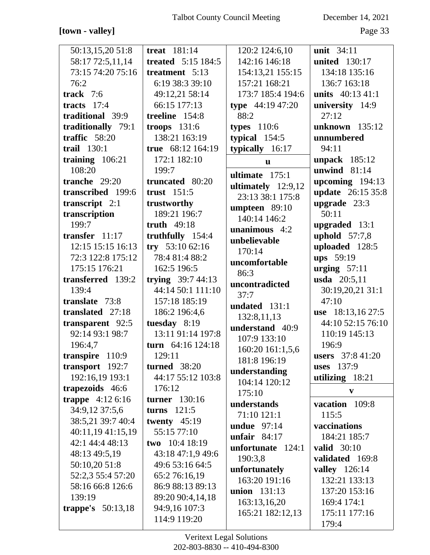# **[town - valley]** Page 33

| 50:13,15,20 51:8                            | treat $181:14$            | 120:2 124:6,10     | unit 34:11               |
|---------------------------------------------|---------------------------|--------------------|--------------------------|
| 58:17 72:5,11,14                            | <b>treated</b> 5:15 184:5 | 142:16 146:18      | <b>united</b> 130:17     |
| 73:15 74:20 75:16                           | treatment 5:13            | 154:13,21 155:15   | 134:18 135:16            |
| 76:2                                        | 6:19 38:3 39:10           | 157:21 168:21      | 136:7 163:18             |
| track $7:6$                                 | 49:12,21 58:14            | 173:7 185:4 194:6  | units $40:13\;41:1$      |
| tracts $17:4$                               | 66:15 177:13              | type $44:1947:20$  | university 14:9          |
| traditional 39:9                            | treeline 154:8            | 88:2               | 27:12                    |
| traditionally 79:1                          | troops $131:6$            | types $110:6$      | unknown 135:12           |
| traffic $58:20$                             | 138:21 163:19             | typical $154:5$    | unnumbered               |
| trail $130:1$                               | true 68:12 164:19         | typically 16:17    | 94:11                    |
| training $106:21$                           | 172:1 182:10              | $\mathbf{u}$       | unpack $185:12$          |
| 108:20                                      | 199:7                     | ultimate $175:1$   | unwind $81:14$           |
| tranche $29:20$                             | truncated 80:20           | ultimately 12:9,12 | upcoming 194:13          |
| transcribed 199:6                           | trust $151:5$             | 23:13 38:1 175:8   | <b>update</b> 26:15 35:8 |
| transcript $2:1$                            | trustworthy               | umpteen 89:10      | upgrade 23:3             |
| transcription                               | 189:21 196:7              | 140:14 146:2       | 50:11                    |
| 199:7                                       | truth 49:18               | unanimous $4:2$    | upgraded 13:1            |
| transfer 11:17                              | truthfully 154:4          | unbelievable       | uphold $57:7,8$          |
| 12:15 15:15 16:13                           | try $53:1062:16$          | 170:14             | uploaded 128:5           |
| 72:3 122:8 175:12                           | 78:4 81:4 88:2            | uncomfortable      | ups 59:19                |
| 175:15 176:21                               | 162:5 196:5               | 86:3               | urging $57:11$           |
| transferred 139:2                           | trying $39:744:13$        | uncontradicted     | usda 20:5,11             |
| 139:4                                       | 44:14 50:1 111:10         | 37:7               | 30:19,20,21 31:1         |
| translate 73:8                              | 157:18 185:19             | undated 131:1      | 47:10                    |
| translated 27:18                            | 186:2 196:4,6             | 132:8,11,13        | use 18:13,16 27:5        |
| transparent 92:5                            | tuesday $8:19$            | understand 40:9    | 44:10 52:15 76:10        |
| 92:14 93:1 98:7                             | 13:11 91:14 197:8         | 107:9 133:10       | 110:19 145:13            |
| 196:4,7                                     | turn 64:16 124:18         | 160:20 161:1,5,6   | 196:9                    |
| transpire 110:9                             | 129:11                    | 181:8 196:19       | <b>users</b> 37:8 41:20  |
| transport 192:7                             | <b>turned</b> 38:20       | understanding      | <b>uses</b> 137:9        |
| 192:16,19 193:1                             | 44:17 55:12 103:8         | 104:14 120:12      | utilizing $18:21$        |
| trapezoids 46:6<br><b>trappe</b> $4:126:16$ | 176:12<br>turner $130:16$ | 175:10             | V                        |
| 34:9,12 37:5,6                              | turns $121:5$             | understands        | vacation 109:8           |
| 38:5,21 39:7 40:4                           | twenty $45:19$            | 71:10 121:1        | 115:5                    |
| 40:11,19 41:15,19                           | 55:15 77:10               | undue $97:14$      | vaccinations             |
| 42:1 44:4 48:13                             | two 10:4 18:19            | unfair $84:17$     | 184:21 185:7             |
| 48:13 49:5,19                               | 43:18 47:1,9 49:6         | unfortunate 124:1  | valid $30:10$            |
| 50:10,20 51:8                               | 49:6 53:16 64:5           | 190:3,8            | validated 169:8          |
| 52:2,3 55:4 57:20                           | 65:2 76:16,19             | unfortunately      | <b>valley</b> 126:14     |
| 58:16 66:8 126:6                            | 86:9 88:13 89:13          | 163:20 191:16      | 132:21 133:13            |
| 139:19                                      | 89:20 90:4,14,18          | union 131:13       | 137:20 153:16            |
| <b>trappe's</b> 50:13,18                    | 94:9,16 107:3             | 163:13,16,20       | 169:4 174:1              |
|                                             | 114:9 119:20              | 165:21 182:12,13   | 175:11 177:16            |
|                                             |                           |                    | 179:4                    |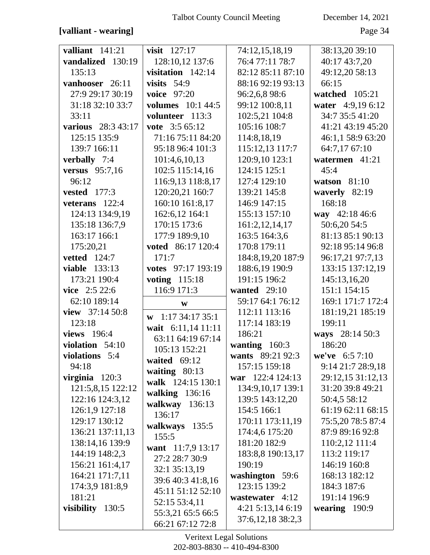### [valliant - wearing]

December 14, 2021

Page 34

| valliant $141:21$     | visit $127:17$               | 74:12,15,18,19    | 38:13,20 39:10    |
|-----------------------|------------------------------|-------------------|-------------------|
| vandalized 130:19     | 128:10,12 137:6              | 76:4 77:11 78:7   | 40:17 43:7,20     |
| 135:13                | visitation 142:14            | 82:12 85:11 87:10 | 49:12,20 58:13    |
| vanhooser 26:11       | visits $54:9$                | 88:16 92:19 93:13 | 66:15             |
| 27:9 29:17 30:19      | <b>voice</b> 97:20           | 96:2,6,8 98:6     | watched 105:21    |
| 31:18 32:10 33:7      | <b>volumes</b> 10:1 44:5     | 99:12 100:8,11    | water 4:9,19 6:12 |
| 33:11                 | volunteer 113:3              | 102:5,21 104:8    | 34:7 35:5 41:20   |
| various 28:3 43:17    | vote 3:5 65:12               | 105:16 108:7      | 41:21 43:19 45:20 |
| 125:15 135:9          | 71:16 75:11 84:20            | 114:8,18,19       | 46:1,1 58:9 63:20 |
| 139:7 166:11          | 95:18 96:4 101:3             | 115:12,13 117:7   | 64:7,17 67:10     |
| verbally 7:4          | 101:4,6,10,13                | 120:9,10 123:1    | watermen 41:21    |
| <b>versus</b> 95:7,16 | 102:5 115:14,16              | 124:15 125:1      | 45:4              |
| 96:12                 | 116:9,13 118:8,17            | 127:4 129:10      | watson $81:10$    |
| vested $177:3$        | 120:20,21 160:7              | 139:21 145:8      | waverly 82:19     |
| veterans $122:4$      | 160:10 161:8,17              | 146:9 147:15      | 168:18            |
| 124:13 134:9,19       | 162:6,12 164:1               | 155:13 157:10     | way 42:18 46:6    |
| 135:18 136:7,9        | 170:15 173:6                 | 161:2, 12, 14, 17 | 50:6,20 54:5      |
| 163:17 166:1          | 177:9 189:9,10               | 163:5 164:3,6     | 81:13 85:1 90:13  |
| 175:20,21             | voted 86:17 120:4            | 170:8 179:11      | 92:18 95:14 96:8  |
| <b>vetted</b> 124:7   | 171:7                        | 184:8,19,20 187:9 | 96:17,21 97:7,13  |
| <b>viable</b> 133:13  | votes 97:17 193:19           | 188:6,19 190:9    | 133:15 137:12,19  |
| 173:21 190:4          | voting 115:18                | 191:15 196:2      | 145:13,16,20      |
| vice 2:5 22:6         | 116:9 171:3                  | wanted $29:10$    | 151:1 154:15      |
| 62:10 189:14          | $\mathbf{W}$                 | 59:17 64:1 76:12  | 169:1 171:7 172:4 |
| view 37:14 50:8       | $\mathbf{w}$ 1:17 34:17 35:1 | 112:11 113:16     | 181:19,21 185:19  |
| 123:18                | wait 6:11,14 11:11           | 117:14 183:19     | 199:11            |
| views 196:4           | 63:11 64:19 67:14            | 186:21            | ways 28:14 50:3   |
| violation $54:10$     | 105:13 152:21                | wanting 160:3     | 186:20            |
| violations 5:4        | waited $69:12$               | wants 89:21 92:3  | we've $6:57:10$   |
| 94:18                 | waiting $80:13$              | 157:15 159:18     | 9:14 21:7 28:9,18 |
| virginia $120:3$      | walk 124:15 130:1            | war 122:4 124:13  | 29:12,15 31:12,13 |
| 121:5,8,15 122:12     | walking 136:16               | 134:9,10,17 139:1 | 31:20 39:8 49:21  |
| 122:16 124:3,12       | walkway 136:13               | 139:5 143:12,20   | 50:4,5 58:12      |
| 126:1,9 127:18        | 136:17                       | 154:5 166:1       | 61:19 62:11 68:15 |
| 129:17 130:12         | walkways 135:5               | 170:11 173:11,19  | 75:5,20 78:5 87:4 |
| 136:21 137:11,13      | 155:5                        | 174:4,6 175:20    | 87:9 89:16 92:8   |
| 138:14,16 139:9       | want 11:7,9 13:17            | 181:20 182:9      | 110:2,12 111:4    |
| 144:19 148:2,3        | 27:2 28:7 30:9               | 183:8,8 190:13,17 | 113:2 119:17      |
| 156:21 161:4,17       | 32:1 35:13,19                | 190:19            | 146:19 160:8      |
| 164:21 171:7,11       | 39:6 40:3 41:8,16            | washington 59:6   | 168:13 182:12     |
| 174:3,9 181:8,9       | 45:11 51:12 52:10            | 123:15 139:2      | 184:3 187:6       |
| 181:21                | 52:15 53:4,11                | wastewater 4:12   | 191:14 196:9      |
| visibility 130:5      | 55:3,21 65:5 66:5            | 4:21 5:13,14 6:19 | wearing $190:9$   |
|                       | 66:21 67:12 72:8             | 37:6,12,18 38:2,3 |                   |